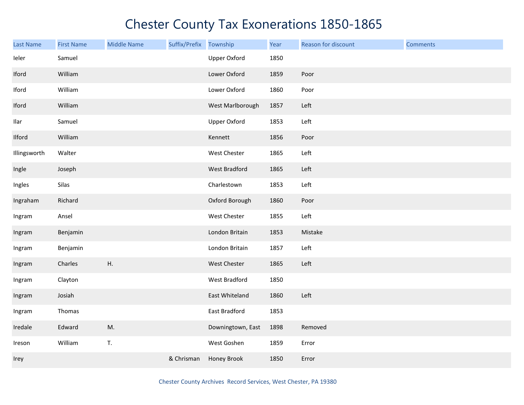| Last Name    | <b>First Name</b> | <b>Middle Name</b> | Suffix/Prefix Township |                     | Year | Reason for discount | <b>Comments</b> |
|--------------|-------------------|--------------------|------------------------|---------------------|------|---------------------|-----------------|
| leler        | Samuel            |                    |                        | <b>Upper Oxford</b> | 1850 |                     |                 |
| Iford        | William           |                    |                        | Lower Oxford        | 1859 | Poor                |                 |
| Iford        | William           |                    |                        | Lower Oxford        | 1860 | Poor                |                 |
| Iford        | William           |                    |                        | West Marlborough    | 1857 | Left                |                 |
| Ilar         | Samuel            |                    |                        | <b>Upper Oxford</b> | 1853 | Left                |                 |
| Ilford       | William           |                    |                        | Kennett             | 1856 | Poor                |                 |
| Illingsworth | Walter            |                    |                        | West Chester        | 1865 | Left                |                 |
| Ingle        | Joseph            |                    |                        | West Bradford       | 1865 | Left                |                 |
| Ingles       | Silas             |                    |                        | Charlestown         | 1853 | Left                |                 |
| Ingraham     | Richard           |                    |                        | Oxford Borough      | 1860 | Poor                |                 |
| Ingram       | Ansel             |                    |                        | West Chester        | 1855 | Left                |                 |
| Ingram       | Benjamin          |                    |                        | London Britain      | 1853 | Mistake             |                 |
| Ingram       | Benjamin          |                    |                        | London Britain      | 1857 | Left                |                 |
| Ingram       | Charles           | H.                 |                        | West Chester        | 1865 | Left                |                 |
| Ingram       | Clayton           |                    |                        | West Bradford       | 1850 |                     |                 |
| Ingram       | Josiah            |                    |                        | East Whiteland      | 1860 | Left                |                 |
| Ingram       | Thomas            |                    |                        | East Bradford       | 1853 |                     |                 |
| Iredale      | Edward            | M.                 |                        | Downingtown, East   | 1898 | Removed             |                 |
| Ireson       | William           | T.                 |                        | West Goshen         | 1859 | Error               |                 |
| Irey         |                   |                    | & Chrisman             | Honey Brook         | 1850 | Error               |                 |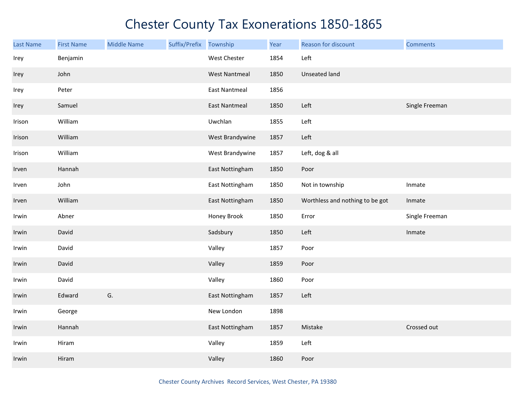| <b>Last Name</b> | <b>First Name</b> | <b>Middle Name</b> | Suffix/Prefix | Township             | Year | Reason for discount             | <b>Comments</b> |
|------------------|-------------------|--------------------|---------------|----------------------|------|---------------------------------|-----------------|
| Irey             | Benjamin          |                    |               | West Chester         | 1854 | Left                            |                 |
| Irey             | John              |                    |               | <b>West Nantmeal</b> | 1850 | Unseated land                   |                 |
| Irey             | Peter             |                    |               | <b>East Nantmeal</b> | 1856 |                                 |                 |
| Irey             | Samuel            |                    |               | <b>East Nantmeal</b> | 1850 | Left                            | Single Freeman  |
| Irison           | William           |                    |               | Uwchlan              | 1855 | Left                            |                 |
| Irison           | William           |                    |               | West Brandywine      | 1857 | Left                            |                 |
| Irison           | William           |                    |               | West Brandywine      | 1857 | Left, dog & all                 |                 |
| Irven            | Hannah            |                    |               | East Nottingham      | 1850 | Poor                            |                 |
| Irven            | John              |                    |               | East Nottingham      | 1850 | Not in township                 | Inmate          |
| Irven            | William           |                    |               | East Nottingham      | 1850 | Worthless and nothing to be got | Inmate          |
| Irwin            | Abner             |                    |               | Honey Brook          | 1850 | Error                           | Single Freeman  |
| Irwin            | David             |                    |               | Sadsbury             | 1850 | Left                            | Inmate          |
| Irwin            | David             |                    |               | Valley               | 1857 | Poor                            |                 |
| Irwin            | David             |                    |               | Valley               | 1859 | Poor                            |                 |
| Irwin            | David             |                    |               | Valley               | 1860 | Poor                            |                 |
| Irwin            | Edward            | G.                 |               | East Nottingham      | 1857 | Left                            |                 |
| Irwin            | George            |                    |               | New London           | 1898 |                                 |                 |
| Irwin            | Hannah            |                    |               | East Nottingham      | 1857 | Mistake                         | Crossed out     |
| Irwin            | Hiram             |                    |               | Valley               | 1859 | Left                            |                 |
| Irwin            | Hiram             |                    |               | Valley               | 1860 | Poor                            |                 |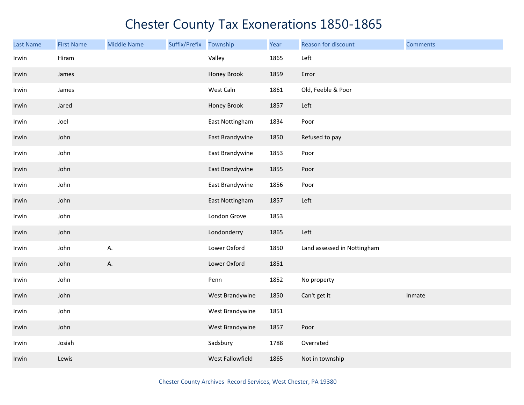| <b>Last Name</b> | <b>First Name</b> | <b>Middle Name</b> | Suffix/Prefix | Township         | Year | Reason for discount         | <b>Comments</b> |
|------------------|-------------------|--------------------|---------------|------------------|------|-----------------------------|-----------------|
| Irwin            | Hiram             |                    |               | Valley           | 1865 | Left                        |                 |
| Irwin            | James             |                    |               | Honey Brook      | 1859 | Error                       |                 |
| Irwin            | James             |                    |               | West Caln        | 1861 | Old, Feeble & Poor          |                 |
| Irwin            | Jared             |                    |               | Honey Brook      | 1857 | Left                        |                 |
| Irwin            | Joel              |                    |               | East Nottingham  | 1834 | Poor                        |                 |
| Irwin            | John              |                    |               | East Brandywine  | 1850 | Refused to pay              |                 |
| Irwin            | John              |                    |               | East Brandywine  | 1853 | Poor                        |                 |
| Irwin            | John              |                    |               | East Brandywine  | 1855 | Poor                        |                 |
| Irwin            | John              |                    |               | East Brandywine  | 1856 | Poor                        |                 |
| Irwin            | John              |                    |               | East Nottingham  | 1857 | Left                        |                 |
| Irwin            | John              |                    |               | London Grove     | 1853 |                             |                 |
| Irwin            | John              |                    |               | Londonderry      | 1865 | Left                        |                 |
| Irwin            | John              | А.                 |               | Lower Oxford     | 1850 | Land assessed in Nottingham |                 |
| Irwin            | John              | А.                 |               | Lower Oxford     | 1851 |                             |                 |
| Irwin            | John              |                    |               | Penn             | 1852 | No property                 |                 |
| Irwin            | John              |                    |               | West Brandywine  | 1850 | Can't get it                | Inmate          |
| Irwin            | John              |                    |               | West Brandywine  | 1851 |                             |                 |
| Irwin            | John              |                    |               | West Brandywine  | 1857 | Poor                        |                 |
| Irwin            | Josiah            |                    |               | Sadsbury         | 1788 | Overrated                   |                 |
| Irwin            | Lewis             |                    |               | West Fallowfield | 1865 | Not in township             |                 |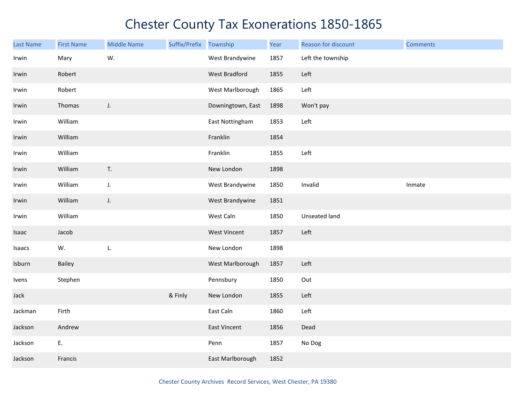| <b>Last Name</b> | <b>First Name</b> | <b>Middle Name</b> | Suffix/Prefix | Township             | Year | Reason for discount | <b>Comments</b> |
|------------------|-------------------|--------------------|---------------|----------------------|------|---------------------|-----------------|
| Irwin            | Mary              | W.                 |               | West Brandywine      | 1857 | Left the township   |                 |
| Irwin            | Robert            |                    |               | <b>West Bradford</b> | 1855 | Left                |                 |
| Irwin            | Robert            |                    |               | West Marlborough     | 1865 | Left                |                 |
| Irwin            | Thomas            | J.                 |               | Downingtown, East    | 1898 | Won't pay           |                 |
| Irwin            | William           |                    |               | East Nottingham      | 1853 | Left                |                 |
| Irwin            | William           |                    |               | Franklin             | 1854 |                     |                 |
| Irwin            | William           |                    |               | Franklin             | 1855 | Left                |                 |
| Irwin            | William           | T.                 |               | New London           | 1898 |                     |                 |
| Irwin            | William           | J.                 |               | West Brandywine      | 1850 | Invalid             | Inmate          |
| Irwin            | William           | J.                 |               | West Brandywine      | 1851 |                     |                 |
| Irwin            | William           |                    |               | West Caln            | 1850 | Unseated land       |                 |
| Isaac            | Jacob             |                    |               | <b>West Vincent</b>  | 1857 | Left                |                 |
| Isaacs           | W.                | L.                 |               | New London           | 1898 |                     |                 |
| Isburn           | Bailey            |                    |               | West Marlborough     | 1857 | Left                |                 |
| Ivens            | Stephen           |                    |               | Pennsbury            | 1850 | Out                 |                 |
| Jack             |                   |                    | & Finly       | New London           | 1855 | Left                |                 |
| Jackman          | Firth             |                    |               | East Caln            | 1860 | Left                |                 |
| Jackson          | Andrew            |                    |               | <b>East Vincent</b>  | 1856 | Dead                |                 |
| Jackson          | E.                |                    |               | Penn                 | 1857 | No Dog              |                 |
| Jackson          | Francis           |                    |               | East Marlborough     | 1852 |                     |                 |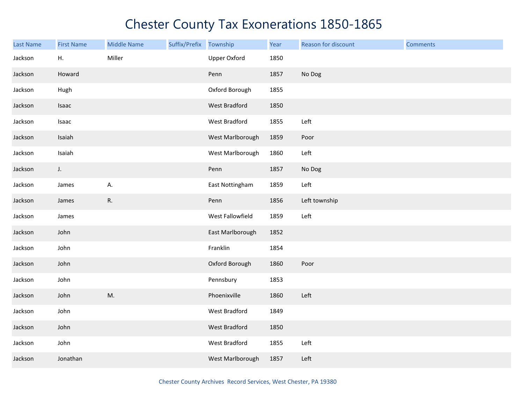| Last Name | <b>First Name</b> | <b>Middle Name</b> | Suffix/Prefix | Township             | Year | Reason for discount | <b>Comments</b> |
|-----------|-------------------|--------------------|---------------|----------------------|------|---------------------|-----------------|
| Jackson   | Η.                | Miller             |               | <b>Upper Oxford</b>  | 1850 |                     |                 |
| Jackson   | Howard            |                    |               | Penn                 | 1857 | No Dog              |                 |
| Jackson   | Hugh              |                    |               | Oxford Borough       | 1855 |                     |                 |
| Jackson   | Isaac             |                    |               | West Bradford        | 1850 |                     |                 |
| Jackson   | Isaac             |                    |               | West Bradford        | 1855 | Left                |                 |
| Jackson   | Isaiah            |                    |               | West Marlborough     | 1859 | Poor                |                 |
| Jackson   | Isaiah            |                    |               | West Marlborough     | 1860 | Left                |                 |
| Jackson   | J.                |                    |               | Penn                 | 1857 | No Dog              |                 |
| Jackson   | James             | А.                 |               | East Nottingham      | 1859 | Left                |                 |
| Jackson   | James             | R.                 |               | Penn                 | 1856 | Left township       |                 |
| Jackson   | James             |                    |               | West Fallowfield     | 1859 | Left                |                 |
| Jackson   | John              |                    |               | East Marlborough     | 1852 |                     |                 |
| Jackson   | John              |                    |               | Franklin             | 1854 |                     |                 |
| Jackson   | John              |                    |               | Oxford Borough       | 1860 | Poor                |                 |
| Jackson   | John              |                    |               | Pennsbury            | 1853 |                     |                 |
| Jackson   | John              | M.                 |               | Phoenixville         | 1860 | Left                |                 |
| Jackson   | John              |                    |               | West Bradford        | 1849 |                     |                 |
| Jackson   | John              |                    |               | <b>West Bradford</b> | 1850 |                     |                 |
| Jackson   | John              |                    |               | West Bradford        | 1855 | Left                |                 |
| Jackson   | Jonathan          |                    |               | West Marlborough     | 1857 | Left                |                 |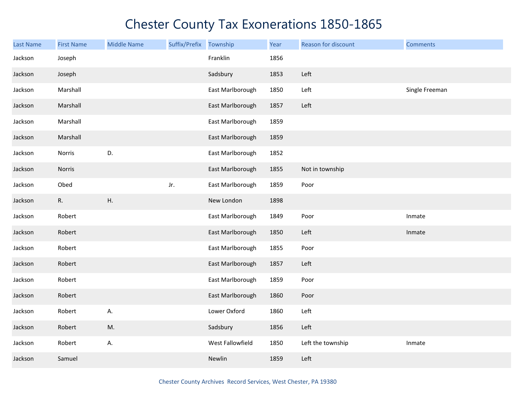| Last Name | <b>First Name</b> | <b>Middle Name</b> | Suffix/Prefix | Township         | Year | Reason for discount | <b>Comments</b> |
|-----------|-------------------|--------------------|---------------|------------------|------|---------------------|-----------------|
| Jackson   | Joseph            |                    |               | Franklin         | 1856 |                     |                 |
| Jackson   | Joseph            |                    |               | Sadsbury         | 1853 | Left                |                 |
| Jackson   | Marshall          |                    |               | East Marlborough | 1850 | Left                | Single Freeman  |
| Jackson   | Marshall          |                    |               | East Marlborough | 1857 | Left                |                 |
| Jackson   | Marshall          |                    |               | East Marlborough | 1859 |                     |                 |
| Jackson   | Marshall          |                    |               | East Marlborough | 1859 |                     |                 |
| Jackson   | Norris            | D.                 |               | East Marlborough | 1852 |                     |                 |
| Jackson   | Norris            |                    |               | East Marlborough | 1855 | Not in township     |                 |
| Jackson   | Obed              |                    | Jr.           | East Marlborough | 1859 | Poor                |                 |
| Jackson   | R.                | Η.                 |               | New London       | 1898 |                     |                 |
| Jackson   | Robert            |                    |               | East Marlborough | 1849 | Poor                | Inmate          |
| Jackson   | Robert            |                    |               | East Marlborough | 1850 | Left                | Inmate          |
| Jackson   | Robert            |                    |               | East Marlborough | 1855 | Poor                |                 |
| Jackson   | Robert            |                    |               | East Marlborough | 1857 | Left                |                 |
| Jackson   | Robert            |                    |               | East Marlborough | 1859 | Poor                |                 |
| Jackson   | Robert            |                    |               | East Marlborough | 1860 | Poor                |                 |
| Jackson   | Robert            | А.                 |               | Lower Oxford     | 1860 | Left                |                 |
| Jackson   | Robert            | M.                 |               | Sadsbury         | 1856 | Left                |                 |
| Jackson   | Robert            | А.                 |               | West Fallowfield | 1850 | Left the township   | Inmate          |
| Jackson   | Samuel            |                    |               | Newlin           | 1859 | Left                |                 |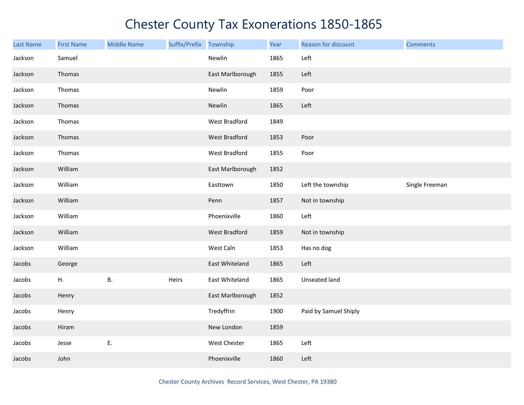| <b>Last Name</b> | <b>First Name</b> | <b>Middle Name</b> | Suffix/Prefix | Township             | Year | Reason for discount   | <b>Comments</b> |
|------------------|-------------------|--------------------|---------------|----------------------|------|-----------------------|-----------------|
| Jackson          | Samuel            |                    |               | Newlin               | 1865 | Left                  |                 |
| Jackson          | Thomas            |                    |               | East Marlborough     | 1855 | Left                  |                 |
| Jackson          | Thomas            |                    |               | Newlin               | 1859 | Poor                  |                 |
| Jackson          | Thomas            |                    |               | Newlin               | 1865 | Left                  |                 |
| Jackson          | Thomas            |                    |               | West Bradford        | 1849 |                       |                 |
| Jackson          | Thomas            |                    |               | <b>West Bradford</b> | 1853 | Poor                  |                 |
| Jackson          | Thomas            |                    |               | West Bradford        | 1855 | Poor                  |                 |
| Jackson          | William           |                    |               | East Marlborough     | 1852 |                       |                 |
| Jackson          | William           |                    |               | Easttown             | 1850 | Left the township     | Single Freeman  |
| Jackson          | William           |                    |               | Penn                 | 1857 | Not in township       |                 |
| Jackson          | William           |                    |               | Phoenixville         | 1860 | Left                  |                 |
| Jackson          | William           |                    |               | West Bradford        | 1859 | Not in township       |                 |
| Jackson          | William           |                    |               | West Caln            | 1853 | Has no dog            |                 |
| Jacobs           | George            |                    |               | East Whiteland       | 1865 | Left                  |                 |
| Jacobs           | Η.                | Β.                 | Heirs         | East Whiteland       | 1865 | Unseated land         |                 |
| Jacobs           | Henry             |                    |               | East Marlborough     | 1852 |                       |                 |
| Jacobs           | Henry             |                    |               | Tredyffrin           | 1900 | Paid by Samuel Shiply |                 |
| Jacobs           | Hiram             |                    |               | New London           | 1859 |                       |                 |
| Jacobs           | Jesse             | Ε.                 |               | West Chester         | 1865 | Left                  |                 |
| Jacobs           | John              |                    |               | Phoenixville         | 1860 | Left                  |                 |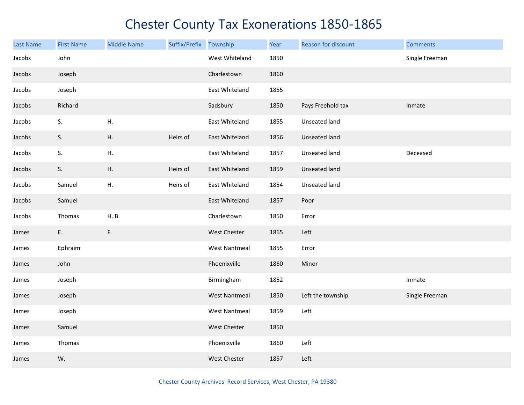| <b>Last Name</b> | <b>First Name</b> | <b>Middle Name</b> | Suffix/Prefix Township |                      | Year | Reason for discount  | <b>Comments</b> |
|------------------|-------------------|--------------------|------------------------|----------------------|------|----------------------|-----------------|
| Jacobs           | John              |                    |                        | West Whiteland       | 1850 |                      | Single Freeman  |
| Jacobs           | Joseph            |                    |                        | Charlestown          | 1860 |                      |                 |
| Jacobs           | Joseph            |                    |                        | East Whiteland       | 1855 |                      |                 |
| Jacobs           | Richard           |                    |                        | Sadsbury             | 1850 | Pays Freehold tax    | Inmate          |
| Jacobs           | S.                | Η.                 |                        | East Whiteland       | 1855 | Unseated land        |                 |
| Jacobs           | S.                | Η.                 | Heirs of               | East Whiteland       | 1856 | Unseated land        |                 |
| Jacobs           | S.                | Η.                 |                        | East Whiteland       | 1857 | <b>Unseated land</b> | Deceased        |
| Jacobs           | S.                | Η.                 | Heirs of               | East Whiteland       | 1859 | <b>Unseated land</b> |                 |
| Jacobs           | Samuel            | Η.                 | Heirs of               | East Whiteland       | 1854 | Unseated land        |                 |
| Jacobs           | Samuel            |                    |                        | East Whiteland       | 1857 | Poor                 |                 |
| Jacobs           | Thomas            | H. B.              |                        | Charlestown          | 1850 | Error                |                 |
| James            | E.                | F.                 |                        | West Chester         | 1865 | Left                 |                 |
| James            | Ephraim           |                    |                        | <b>West Nantmeal</b> | 1855 | Error                |                 |
| James            | John              |                    |                        | Phoenixville         | 1860 | Minor                |                 |
| James            | Joseph            |                    |                        | Birmingham           | 1852 |                      | Inmate          |
| James            | Joseph            |                    |                        | <b>West Nantmeal</b> | 1850 | Left the township    | Single Freeman  |
| James            | Joseph            |                    |                        | <b>West Nantmeal</b> | 1859 | Left                 |                 |
| James            | Samuel            |                    |                        | West Chester         | 1850 |                      |                 |
| James            | Thomas            |                    |                        | Phoenixville         | 1860 | Left                 |                 |
| James            | W.                |                    |                        | West Chester         | 1857 | Left                 |                 |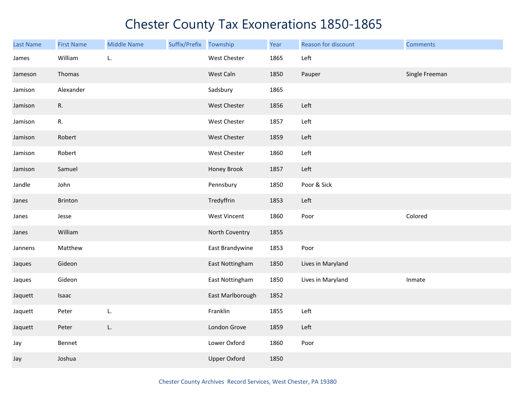| <b>Last Name</b> | <b>First Name</b> | <b>Middle Name</b> | Suffix/Prefix Township |                     | Year | Reason for discount | <b>Comments</b> |
|------------------|-------------------|--------------------|------------------------|---------------------|------|---------------------|-----------------|
| James            | William           | L.                 |                        | West Chester        | 1865 | Left                |                 |
| Jameson          | Thomas            |                    |                        | West Caln           | 1850 | Pauper              | Single Freeman  |
| Jamison          | Alexander         |                    |                        | Sadsbury            | 1865 |                     |                 |
| Jamison          | R.                |                    |                        | West Chester        | 1856 | Left                |                 |
| Jamison          | R.                |                    |                        | West Chester        | 1857 | Left                |                 |
| Jamison          | Robert            |                    |                        | West Chester        | 1859 | Left                |                 |
| Jamison          | Robert            |                    |                        | West Chester        | 1860 | Left                |                 |
| Jamison          | Samuel            |                    |                        | Honey Brook         | 1857 | Left                |                 |
| Jandle           | John              |                    |                        | Pennsbury           | 1850 | Poor & Sick         |                 |
| Janes            | Brinton           |                    |                        | Tredyffrin          | 1853 | Left                |                 |
| Janes            | Jesse             |                    |                        | West Vincent        | 1860 | Poor                | Colored         |
| Janes            | William           |                    |                        | North Coventry      | 1855 |                     |                 |
| Jannens          | Matthew           |                    |                        | East Brandywine     | 1853 | Poor                |                 |
| Jaques           | Gideon            |                    |                        | East Nottingham     | 1850 | Lives in Maryland   |                 |
| Jaques           | Gideon            |                    |                        | East Nottingham     | 1850 | Lives in Maryland   | Inmate          |
| Jaquett          | Isaac             |                    |                        | East Marlborough    | 1852 |                     |                 |
| Jaquett          | Peter             | L.                 |                        | Franklin            | 1855 | Left                |                 |
| Jaquett          | Peter             | L.                 |                        | London Grove        | 1859 | Left                |                 |
| Jay              | Bennet            |                    |                        | Lower Oxford        | 1860 | Poor                |                 |
| Jay              | Joshua            |                    |                        | <b>Upper Oxford</b> | 1850 |                     |                 |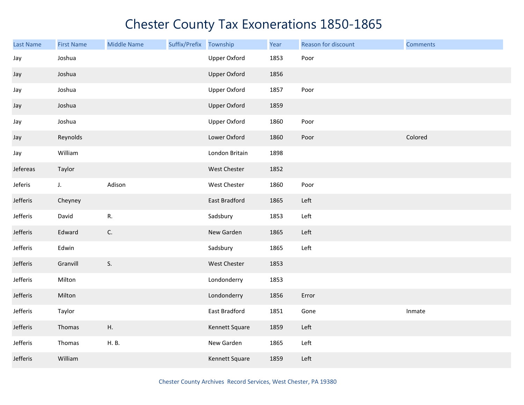| <b>Last Name</b> | <b>First Name</b> | <b>Middle Name</b> | Suffix/Prefix | Township            | Year | Reason for discount | <b>Comments</b> |
|------------------|-------------------|--------------------|---------------|---------------------|------|---------------------|-----------------|
| Jay              | Joshua            |                    |               | <b>Upper Oxford</b> | 1853 | Poor                |                 |
| Jay              | Joshua            |                    |               | <b>Upper Oxford</b> | 1856 |                     |                 |
| Jay              | Joshua            |                    |               | <b>Upper Oxford</b> | 1857 | Poor                |                 |
| Jay              | Joshua            |                    |               | <b>Upper Oxford</b> | 1859 |                     |                 |
| Jay              | Joshua            |                    |               | <b>Upper Oxford</b> | 1860 | Poor                |                 |
| Jay              | Reynolds          |                    |               | Lower Oxford        | 1860 | Poor                | Colored         |
| Jay              | William           |                    |               | London Britain      | 1898 |                     |                 |
| Jefereas         | Taylor            |                    |               | West Chester        | 1852 |                     |                 |
| Jeferis          | $J_{\star}$       | Adison             |               | West Chester        | 1860 | Poor                |                 |
| Jefferis         | Cheyney           |                    |               | East Bradford       | 1865 | Left                |                 |
| Jefferis         | David             | ${\sf R}.$         |               | Sadsbury            | 1853 | Left                |                 |
| Jefferis         | Edward            | C.                 |               | New Garden          | 1865 | Left                |                 |
| Jefferis         | Edwin             |                    |               | Sadsbury            | 1865 | Left                |                 |
| Jefferis         | Granvill          | S.                 |               | West Chester        | 1853 |                     |                 |
| Jefferis         | Milton            |                    |               | Londonderry         | 1853 |                     |                 |
| Jefferis         | Milton            |                    |               | Londonderry         | 1856 | Error               |                 |
| Jefferis         | Taylor            |                    |               | East Bradford       | 1851 | Gone                | Inmate          |
| Jefferis         | Thomas            | Η.                 |               | Kennett Square      | 1859 | Left                |                 |
| Jefferis         | Thomas            | H. B.              |               | New Garden          | 1865 | Left                |                 |
| Jefferis         | William           |                    |               | Kennett Square      | 1859 | Left                |                 |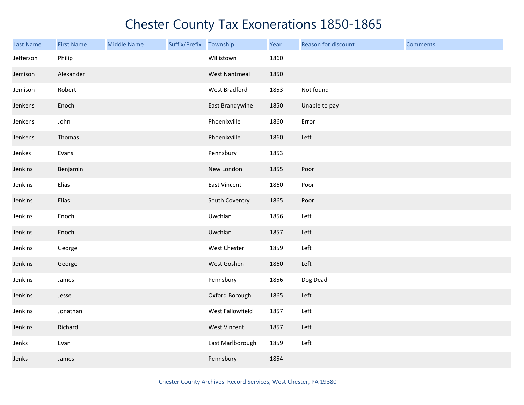| <b>Last Name</b> | <b>First Name</b> | <b>Middle Name</b> | Suffix/Prefix | Township             | Year | Reason for discount | <b>Comments</b> |
|------------------|-------------------|--------------------|---------------|----------------------|------|---------------------|-----------------|
| Jefferson        | Philip            |                    |               | Willistown           | 1860 |                     |                 |
| Jemison          | Alexander         |                    |               | <b>West Nantmeal</b> | 1850 |                     |                 |
| Jemison          | Robert            |                    |               | West Bradford        | 1853 | Not found           |                 |
| Jenkens          | Enoch             |                    |               | East Brandywine      | 1850 | Unable to pay       |                 |
| Jenkens          | John              |                    |               | Phoenixville         | 1860 | Error               |                 |
| Jenkens          | Thomas            |                    |               | Phoenixville         | 1860 | Left                |                 |
| Jenkes           | Evans             |                    |               | Pennsbury            | 1853 |                     |                 |
| Jenkins          | Benjamin          |                    |               | New London           | 1855 | Poor                |                 |
| Jenkins          | Elias             |                    |               | East Vincent         | 1860 | Poor                |                 |
| Jenkins          | Elias             |                    |               | South Coventry       | 1865 | Poor                |                 |
| Jenkins          | Enoch             |                    |               | Uwchlan              | 1856 | Left                |                 |
| Jenkins          | Enoch             |                    |               | Uwchlan              | 1857 | Left                |                 |
| Jenkins          | George            |                    |               | West Chester         | 1859 | Left                |                 |
| Jenkins          | George            |                    |               | West Goshen          | 1860 | Left                |                 |
| Jenkins          | James             |                    |               | Pennsbury            | 1856 | Dog Dead            |                 |
| Jenkins          | Jesse             |                    |               | Oxford Borough       | 1865 | Left                |                 |
| Jenkins          | Jonathan          |                    |               | West Fallowfield     | 1857 | Left                |                 |
| Jenkins          | Richard           |                    |               | <b>West Vincent</b>  | 1857 | Left                |                 |
| Jenks            | Evan              |                    |               | East Marlborough     | 1859 | Left                |                 |
| Jenks            | James             |                    |               | Pennsbury            | 1854 |                     |                 |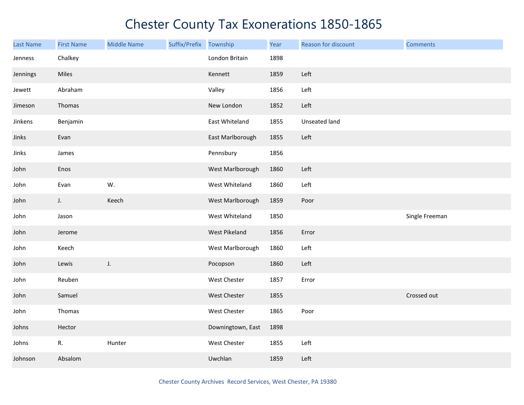| Last Name | <b>First Name</b> | <b>Middle Name</b> | Suffix/Prefix | Township          | Year | Reason for discount | <b>Comments</b> |
|-----------|-------------------|--------------------|---------------|-------------------|------|---------------------|-----------------|
| Jenness   | Chalkey           |                    |               | London Britain    | 1898 |                     |                 |
| Jennings  | Miles             |                    |               | Kennett           | 1859 | Left                |                 |
| Jewett    | Abraham           |                    |               | Valley            | 1856 | Left                |                 |
| Jimeson   | Thomas            |                    |               | New London        | 1852 | Left                |                 |
| Jinkens   | Benjamin          |                    |               | East Whiteland    | 1855 | Unseated land       |                 |
| Jinks     | Evan              |                    |               | East Marlborough  | 1855 | Left                |                 |
| Jinks     | James             |                    |               | Pennsbury         | 1856 |                     |                 |
| John      | Enos              |                    |               | West Marlborough  | 1860 | Left                |                 |
| John      | Evan              | W.                 |               | West Whiteland    | 1860 | Left                |                 |
| John      | $J_{\star}$       | Keech              |               | West Marlborough  | 1859 | Poor                |                 |
| John      | Jason             |                    |               | West Whiteland    | 1850 |                     | Single Freeman  |
| John      | Jerome            |                    |               | West Pikeland     | 1856 | Error               |                 |
| John      | Keech             |                    |               | West Marlborough  | 1860 | Left                |                 |
| John      | Lewis             | J.                 |               | Pocopson          | 1860 | Left                |                 |
| John      | Reuben            |                    |               | West Chester      | 1857 | Error               |                 |
| John      | Samuel            |                    |               | West Chester      | 1855 |                     | Crossed out     |
| John      | Thomas            |                    |               | West Chester      | 1865 | Poor                |                 |
| Johns     | Hector            |                    |               | Downingtown, East | 1898 |                     |                 |
| Johns     | R.                | Hunter             |               | West Chester      | 1855 | Left                |                 |
| Johnson   | Absalom           |                    |               | Uwchlan           | 1859 | Left                |                 |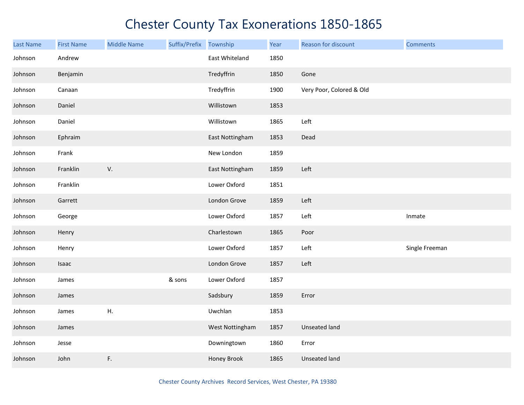| <b>Last Name</b> | <b>First Name</b> | <b>Middle Name</b> | Suffix/Prefix Township |                 | Year | Reason for discount      | <b>Comments</b> |
|------------------|-------------------|--------------------|------------------------|-----------------|------|--------------------------|-----------------|
| Johnson          | Andrew            |                    |                        | East Whiteland  | 1850 |                          |                 |
| Johnson          | Benjamin          |                    |                        | Tredyffrin      | 1850 | Gone                     |                 |
| Johnson          | Canaan            |                    |                        | Tredyffrin      | 1900 | Very Poor, Colored & Old |                 |
| Johnson          | Daniel            |                    |                        | Willistown      | 1853 |                          |                 |
| Johnson          | Daniel            |                    |                        | Willistown      | 1865 | Left                     |                 |
| Johnson          | Ephraim           |                    |                        | East Nottingham | 1853 | Dead                     |                 |
| Johnson          | Frank             |                    |                        | New London      | 1859 |                          |                 |
| Johnson          | Franklin          | V.                 |                        | East Nottingham | 1859 | Left                     |                 |
| Johnson          | Franklin          |                    |                        | Lower Oxford    | 1851 |                          |                 |
| Johnson          | Garrett           |                    |                        | London Grove    | 1859 | Left                     |                 |
| Johnson          | George            |                    |                        | Lower Oxford    | 1857 | Left                     | Inmate          |
| Johnson          | Henry             |                    |                        | Charlestown     | 1865 | Poor                     |                 |
| Johnson          | Henry             |                    |                        | Lower Oxford    | 1857 | Left                     | Single Freeman  |
| Johnson          | Isaac             |                    |                        | London Grove    | 1857 | Left                     |                 |
| Johnson          | James             |                    | & sons                 | Lower Oxford    | 1857 |                          |                 |
| Johnson          | James             |                    |                        | Sadsbury        | 1859 | Error                    |                 |
| Johnson          | James             | ${\sf H}.$         |                        | Uwchlan         | 1853 |                          |                 |
| Johnson          | James             |                    |                        | West Nottingham | 1857 | <b>Unseated land</b>     |                 |
| Johnson          | Jesse             |                    |                        | Downingtown     | 1860 | Error                    |                 |
| Johnson          | John              | F.                 |                        | Honey Brook     | 1865 | <b>Unseated land</b>     |                 |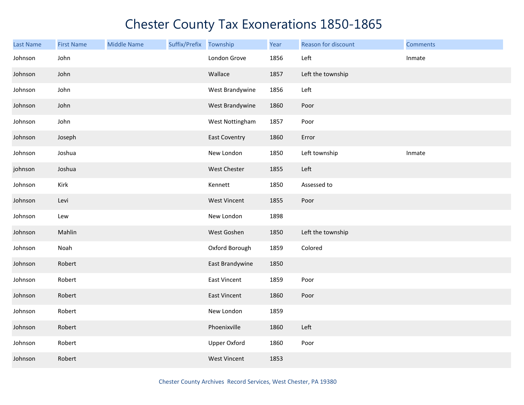| <b>Last Name</b> | <b>First Name</b> | <b>Middle Name</b> | Suffix/Prefix Township |                      | Year | Reason for discount | <b>Comments</b> |
|------------------|-------------------|--------------------|------------------------|----------------------|------|---------------------|-----------------|
| Johnson          | John              |                    |                        | London Grove         | 1856 | Left                | Inmate          |
| Johnson          | John              |                    |                        | Wallace              | 1857 | Left the township   |                 |
| Johnson          | John              |                    |                        | West Brandywine      | 1856 | Left                |                 |
| Johnson          | John              |                    |                        | West Brandywine      | 1860 | Poor                |                 |
| Johnson          | John              |                    |                        | West Nottingham      | 1857 | Poor                |                 |
| Johnson          | Joseph            |                    |                        | <b>East Coventry</b> | 1860 | Error               |                 |
| Johnson          | Joshua            |                    |                        | New London           | 1850 | Left township       | Inmate          |
| johnson          | Joshua            |                    |                        | West Chester         | 1855 | Left                |                 |
| Johnson          | Kirk              |                    |                        | Kennett              | 1850 | Assessed to         |                 |
| Johnson          | Levi              |                    |                        | <b>West Vincent</b>  | 1855 | Poor                |                 |
| Johnson          | Lew               |                    |                        | New London           | 1898 |                     |                 |
| Johnson          | Mahlin            |                    |                        | West Goshen          | 1850 | Left the township   |                 |
| Johnson          | Noah              |                    |                        | Oxford Borough       | 1859 | Colored             |                 |
| Johnson          | Robert            |                    |                        | East Brandywine      | 1850 |                     |                 |
| Johnson          | Robert            |                    |                        | <b>East Vincent</b>  | 1859 | Poor                |                 |
| Johnson          | Robert            |                    |                        | <b>East Vincent</b>  | 1860 | Poor                |                 |
| Johnson          | Robert            |                    |                        | New London           | 1859 |                     |                 |
| Johnson          | Robert            |                    |                        | Phoenixville         | 1860 | Left                |                 |
| Johnson          | Robert            |                    |                        | <b>Upper Oxford</b>  | 1860 | Poor                |                 |
| Johnson          | Robert            |                    |                        | <b>West Vincent</b>  | 1853 |                     |                 |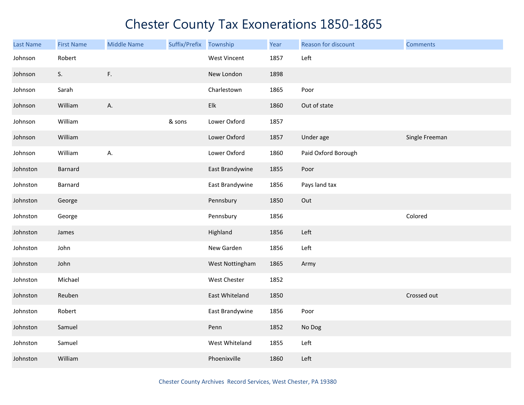| <b>Last Name</b> | <b>First Name</b> | <b>Middle Name</b> | Suffix/Prefix Township |                 | Year | Reason for discount | <b>Comments</b> |
|------------------|-------------------|--------------------|------------------------|-----------------|------|---------------------|-----------------|
| Johnson          | Robert            |                    |                        | West Vincent    | 1857 | Left                |                 |
| Johnson          | S.                | F.                 |                        | New London      | 1898 |                     |                 |
| Johnson          | Sarah             |                    |                        | Charlestown     | 1865 | Poor                |                 |
| Johnson          | William           | Α.                 |                        | Elk             | 1860 | Out of state        |                 |
| Johnson          | William           |                    | & sons                 | Lower Oxford    | 1857 |                     |                 |
| Johnson          | William           |                    |                        | Lower Oxford    | 1857 | Under age           | Single Freeman  |
| Johnson          | William           | А.                 |                        | Lower Oxford    | 1860 | Paid Oxford Borough |                 |
| Johnston         | Barnard           |                    |                        | East Brandywine | 1855 | Poor                |                 |
| Johnston         | Barnard           |                    |                        | East Brandywine | 1856 | Pays land tax       |                 |
| Johnston         | George            |                    |                        | Pennsbury       | 1850 | Out                 |                 |
| Johnston         | George            |                    |                        | Pennsbury       | 1856 |                     | Colored         |
| Johnston         | James             |                    |                        | Highland        | 1856 | Left                |                 |
| Johnston         | John              |                    |                        | New Garden      | 1856 | Left                |                 |
| Johnston         | John              |                    |                        | West Nottingham | 1865 | Army                |                 |
| Johnston         | Michael           |                    |                        | West Chester    | 1852 |                     |                 |
| Johnston         | Reuben            |                    |                        | East Whiteland  | 1850 |                     | Crossed out     |
| Johnston         | Robert            |                    |                        | East Brandywine | 1856 | Poor                |                 |
| Johnston         | Samuel            |                    |                        | Penn            | 1852 | No Dog              |                 |
| Johnston         | Samuel            |                    |                        | West Whiteland  | 1855 | Left                |                 |
| Johnston         | William           |                    |                        | Phoenixville    | 1860 | Left                |                 |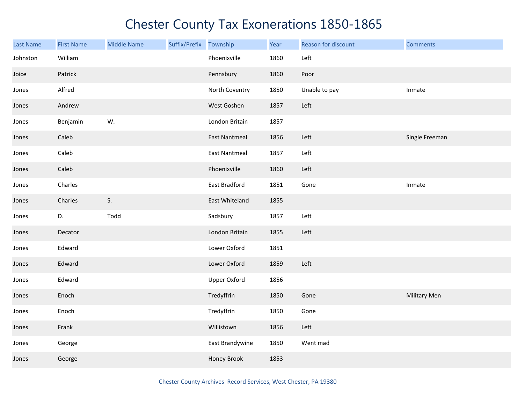| <b>Last Name</b> | <b>First Name</b> | <b>Middle Name</b> | Suffix/Prefix | Township             | Year | Reason for discount | <b>Comments</b> |
|------------------|-------------------|--------------------|---------------|----------------------|------|---------------------|-----------------|
| Johnston         | William           |                    |               | Phoenixville         | 1860 | Left                |                 |
| Joice            | Patrick           |                    |               | Pennsbury            | 1860 | Poor                |                 |
| Jones            | Alfred            |                    |               | North Coventry       | 1850 | Unable to pay       | Inmate          |
| Jones            | Andrew            |                    |               | West Goshen          | 1857 | Left                |                 |
| Jones            | Benjamin          | W.                 |               | London Britain       | 1857 |                     |                 |
| Jones            | Caleb             |                    |               | <b>East Nantmeal</b> | 1856 | Left                | Single Freeman  |
| Jones            | Caleb             |                    |               | <b>East Nantmeal</b> | 1857 | Left                |                 |
| Jones            | Caleb             |                    |               | Phoenixville         | 1860 | Left                |                 |
| Jones            | Charles           |                    |               | East Bradford        | 1851 | Gone                | Inmate          |
| Jones            | Charles           | S.                 |               | East Whiteland       | 1855 |                     |                 |
| Jones            | D.                | Todd               |               | Sadsbury             | 1857 | Left                |                 |
| Jones            | Decator           |                    |               | London Britain       | 1855 | Left                |                 |
| Jones            | Edward            |                    |               | Lower Oxford         | 1851 |                     |                 |
| Jones            | Edward            |                    |               | Lower Oxford         | 1859 | Left                |                 |
| Jones            | Edward            |                    |               | <b>Upper Oxford</b>  | 1856 |                     |                 |
| Jones            | Enoch             |                    |               | Tredyffrin           | 1850 | Gone                | Military Men    |
| Jones            | Enoch             |                    |               | Tredyffrin           | 1850 | Gone                |                 |
| Jones            | Frank             |                    |               | Willistown           | 1856 | Left                |                 |
| Jones            | George            |                    |               | East Brandywine      | 1850 | Went mad            |                 |
| Jones            | George            |                    |               | Honey Brook          | 1853 |                     |                 |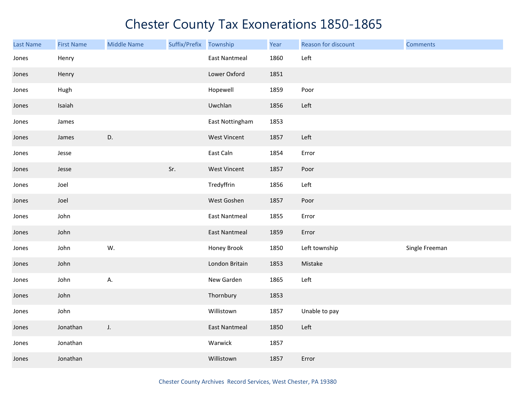| <b>Last Name</b> | <b>First Name</b> | <b>Middle Name</b> | Suffix/Prefix | Township             | Year | Reason for discount | <b>Comments</b> |
|------------------|-------------------|--------------------|---------------|----------------------|------|---------------------|-----------------|
| Jones            | Henry             |                    |               | <b>East Nantmeal</b> | 1860 | Left                |                 |
| Jones            | Henry             |                    |               | Lower Oxford         | 1851 |                     |                 |
| Jones            | Hugh              |                    |               | Hopewell             | 1859 | Poor                |                 |
| Jones            | Isaiah            |                    |               | Uwchlan              | 1856 | Left                |                 |
| Jones            | James             |                    |               | East Nottingham      | 1853 |                     |                 |
| Jones            | James             | D.                 |               | <b>West Vincent</b>  | 1857 | Left                |                 |
| Jones            | Jesse             |                    |               | East Caln            | 1854 | Error               |                 |
| Jones            | Jesse             |                    | Sr.           | <b>West Vincent</b>  | 1857 | Poor                |                 |
| Jones            | Joel              |                    |               | Tredyffrin           | 1856 | Left                |                 |
| Jones            | Joel              |                    |               | West Goshen          | 1857 | Poor                |                 |
| Jones            | John              |                    |               | <b>East Nantmeal</b> | 1855 | Error               |                 |
| Jones            | John              |                    |               | <b>East Nantmeal</b> | 1859 | Error               |                 |
| Jones            | John              | W.                 |               | Honey Brook          | 1850 | Left township       | Single Freeman  |
| Jones            | John              |                    |               | London Britain       | 1853 | Mistake             |                 |
| Jones            | John              | А.                 |               | New Garden           | 1865 | Left                |                 |
| Jones            | John              |                    |               | Thornbury            | 1853 |                     |                 |
| Jones            | John              |                    |               | Willistown           | 1857 | Unable to pay       |                 |
| Jones            | Jonathan          | J.                 |               | <b>East Nantmeal</b> | 1850 | Left                |                 |
| Jones            | Jonathan          |                    |               | Warwick              | 1857 |                     |                 |
| Jones            | Jonathan          |                    |               | Willistown           | 1857 | Error               |                 |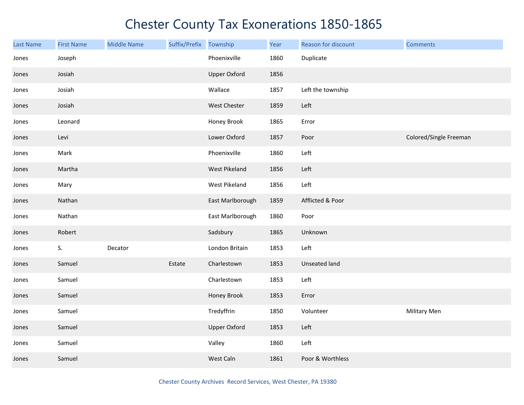| Last Name | <b>First Name</b> | <b>Middle Name</b> | Suffix/Prefix | Township            | Year | Reason for discount  | <b>Comments</b>        |
|-----------|-------------------|--------------------|---------------|---------------------|------|----------------------|------------------------|
| Jones     | Joseph            |                    |               | Phoenixville        | 1860 | Duplicate            |                        |
| Jones     | Josiah            |                    |               | <b>Upper Oxford</b> | 1856 |                      |                        |
| Jones     | Josiah            |                    |               | Wallace             | 1857 | Left the township    |                        |
| Jones     | Josiah            |                    |               | West Chester        | 1859 | Left                 |                        |
| Jones     | Leonard           |                    |               | Honey Brook         | 1865 | Error                |                        |
| Jones     | Levi              |                    |               | Lower Oxford        | 1857 | Poor                 | Colored/Single Freeman |
| Jones     | Mark              |                    |               | Phoenixville        | 1860 | Left                 |                        |
| Jones     | Martha            |                    |               | West Pikeland       | 1856 | Left                 |                        |
| Jones     | Mary              |                    |               | West Pikeland       | 1856 | Left                 |                        |
| Jones     | Nathan            |                    |               | East Marlborough    | 1859 | Afflicted & Poor     |                        |
| Jones     | Nathan            |                    |               | East Marlborough    | 1860 | Poor                 |                        |
| Jones     | Robert            |                    |               | Sadsbury            | 1865 | Unknown              |                        |
| Jones     | S.                | Decator            |               | London Britain      | 1853 | Left                 |                        |
| Jones     | Samuel            |                    | Estate        | Charlestown         | 1853 | <b>Unseated land</b> |                        |
| Jones     | Samuel            |                    |               | Charlestown         | 1853 | Left                 |                        |
| Jones     | Samuel            |                    |               | Honey Brook         | 1853 | Error                |                        |
| Jones     | Samuel            |                    |               | Tredyffrin          | 1850 | Volunteer            | Military Men           |
| Jones     | Samuel            |                    |               | <b>Upper Oxford</b> | 1853 | Left                 |                        |
| Jones     | Samuel            |                    |               | Valley              | 1860 | Left                 |                        |
| Jones     | Samuel            |                    |               | West Caln           | 1861 | Poor & Worthless     |                        |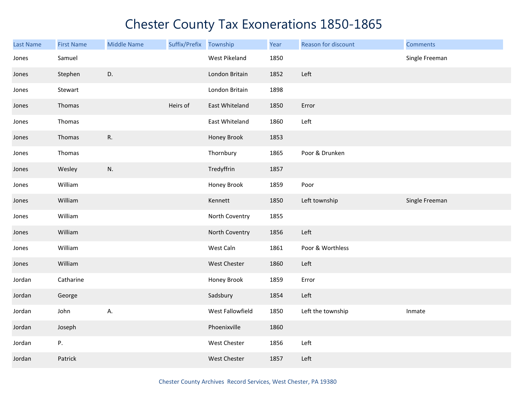| <b>Last Name</b> | <b>First Name</b> | <b>Middle Name</b> | Suffix/Prefix Township |                     | Year | Reason for discount | <b>Comments</b> |
|------------------|-------------------|--------------------|------------------------|---------------------|------|---------------------|-----------------|
| Jones            | Samuel            |                    |                        | West Pikeland       | 1850 |                     | Single Freeman  |
| Jones            | Stephen           | D.                 |                        | London Britain      | 1852 | Left                |                 |
| Jones            | Stewart           |                    |                        | London Britain      | 1898 |                     |                 |
| Jones            | Thomas            |                    | Heirs of               | East Whiteland      | 1850 | Error               |                 |
| Jones            | Thomas            |                    |                        | East Whiteland      | 1860 | Left                |                 |
| Jones            | Thomas            | R.                 |                        | Honey Brook         | 1853 |                     |                 |
| Jones            | Thomas            |                    |                        | Thornbury           | 1865 | Poor & Drunken      |                 |
| Jones            | Wesley            | N.                 |                        | Tredyffrin          | 1857 |                     |                 |
| Jones            | William           |                    |                        | Honey Brook         | 1859 | Poor                |                 |
| Jones            | William           |                    |                        | Kennett             | 1850 | Left township       | Single Freeman  |
| Jones            | William           |                    |                        | North Coventry      | 1855 |                     |                 |
| Jones            | William           |                    |                        | North Coventry      | 1856 | Left                |                 |
| Jones            | William           |                    |                        | West Caln           | 1861 | Poor & Worthless    |                 |
| Jones            | William           |                    |                        | West Chester        | 1860 | Left                |                 |
| Jordan           | Catharine         |                    |                        | Honey Brook         | 1859 | Error               |                 |
| Jordan           | George            |                    |                        | Sadsbury            | 1854 | Left                |                 |
| Jordan           | John              | А.                 |                        | West Fallowfield    | 1850 | Left the township   | Inmate          |
| Jordan           | Joseph            |                    |                        | Phoenixville        | 1860 |                     |                 |
| Jordan           | Ρ.                |                    |                        | West Chester        | 1856 | Left                |                 |
| Jordan           | Patrick           |                    |                        | <b>West Chester</b> | 1857 | Left                |                 |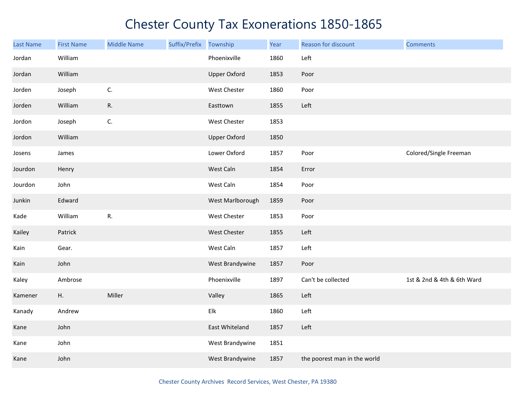| <b>Last Name</b> | <b>First Name</b> | <b>Middle Name</b> | Suffix/Prefix | Township            | Year | Reason for discount          | <b>Comments</b>            |
|------------------|-------------------|--------------------|---------------|---------------------|------|------------------------------|----------------------------|
| Jordan           | William           |                    |               | Phoenixville        | 1860 | Left                         |                            |
| Jordan           | William           |                    |               | <b>Upper Oxford</b> | 1853 | Poor                         |                            |
| Jorden           | Joseph            | C.                 |               | West Chester        | 1860 | Poor                         |                            |
| Jorden           | William           | ${\sf R}.$         |               | Easttown            | 1855 | Left                         |                            |
| Jordon           | Joseph            | C.                 |               | West Chester        | 1853 |                              |                            |
| Jordon           | William           |                    |               | <b>Upper Oxford</b> | 1850 |                              |                            |
| Josens           | James             |                    |               | Lower Oxford        | 1857 | Poor                         | Colored/Single Freeman     |
| Jourdon          | Henry             |                    |               | West Caln           | 1854 | Error                        |                            |
| Jourdon          | John              |                    |               | West Caln           | 1854 | Poor                         |                            |
| Junkin           | Edward            |                    |               | West Marlborough    | 1859 | Poor                         |                            |
| Kade             | William           | R.                 |               | West Chester        | 1853 | Poor                         |                            |
| Kailey           | Patrick           |                    |               | West Chester        | 1855 | Left                         |                            |
| Kain             | Gear.             |                    |               | West Caln           | 1857 | Left                         |                            |
| Kain             | John              |                    |               | West Brandywine     | 1857 | Poor                         |                            |
| Kaley            | Ambrose           |                    |               | Phoenixville        | 1897 | Can't be collected           | 1st & 2nd & 4th & 6th Ward |
| Kamener          | Η.                | Miller             |               | Valley              | 1865 | Left                         |                            |
| Kanady           | Andrew            |                    |               | Elk                 | 1860 | Left                         |                            |
| Kane             | John              |                    |               | East Whiteland      | 1857 | Left                         |                            |
| Kane             | John              |                    |               | West Brandywine     | 1851 |                              |                            |
| Kane             | John              |                    |               | West Brandywine     | 1857 | the poorest man in the world |                            |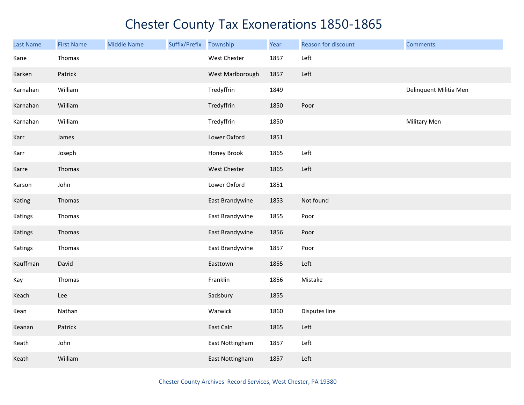| Last Name | <b>First Name</b> | <b>Middle Name</b> | Suffix/Prefix Township |                  | Year | Reason for discount | <b>Comments</b>        |
|-----------|-------------------|--------------------|------------------------|------------------|------|---------------------|------------------------|
| Kane      | Thomas            |                    |                        | West Chester     | 1857 | Left                |                        |
| Karken    | Patrick           |                    |                        | West Marlborough | 1857 | Left                |                        |
| Karnahan  | William           |                    |                        | Tredyffrin       | 1849 |                     | Delinquent Militia Men |
| Karnahan  | William           |                    |                        | Tredyffrin       | 1850 | Poor                |                        |
| Karnahan  | William           |                    |                        | Tredyffrin       | 1850 |                     | Military Men           |
| Karr      | James             |                    |                        | Lower Oxford     | 1851 |                     |                        |
| Karr      | Joseph            |                    |                        | Honey Brook      | 1865 | Left                |                        |
| Karre     | Thomas            |                    |                        | West Chester     | 1865 | Left                |                        |
| Karson    | John              |                    |                        | Lower Oxford     | 1851 |                     |                        |
| Kating    | Thomas            |                    |                        | East Brandywine  | 1853 | Not found           |                        |
| Katings   | Thomas            |                    |                        | East Brandywine  | 1855 | Poor                |                        |
| Katings   | Thomas            |                    |                        | East Brandywine  | 1856 | Poor                |                        |
| Katings   | Thomas            |                    |                        | East Brandywine  | 1857 | Poor                |                        |
| Kauffman  | David             |                    |                        | Easttown         | 1855 | Left                |                        |
| Kay       | Thomas            |                    |                        | Franklin         | 1856 | Mistake             |                        |
| Keach     | Lee               |                    |                        | Sadsbury         | 1855 |                     |                        |
| Kean      | Nathan            |                    |                        | Warwick          | 1860 | Disputes line       |                        |
| Keanan    | Patrick           |                    |                        | East Caln        | 1865 | Left                |                        |
| Keath     | John              |                    |                        | East Nottingham  | 1857 | Left                |                        |
| Keath     | William           |                    |                        | East Nottingham  | 1857 | Left                |                        |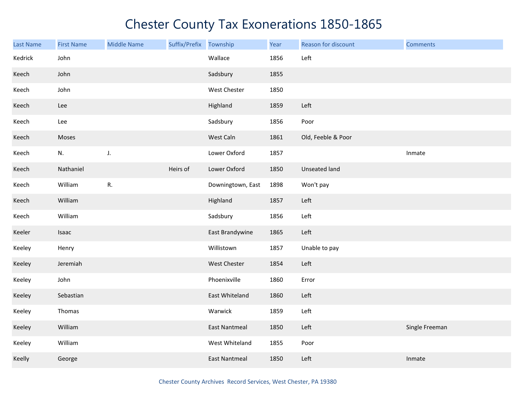| Last Name | <b>First Name</b> | <b>Middle Name</b> | Suffix/Prefix | Township             | Year | Reason for discount | <b>Comments</b> |
|-----------|-------------------|--------------------|---------------|----------------------|------|---------------------|-----------------|
| Kedrick   | John              |                    |               | Wallace              | 1856 | Left                |                 |
| Keech     | John              |                    |               | Sadsbury             | 1855 |                     |                 |
| Keech     | John              |                    |               | West Chester         | 1850 |                     |                 |
| Keech     | Lee               |                    |               | Highland             | 1859 | Left                |                 |
| Keech     | Lee               |                    |               | Sadsbury             | 1856 | Poor                |                 |
| Keech     | Moses             |                    |               | West Caln            | 1861 | Old, Feeble & Poor  |                 |
| Keech     | N.                | J.                 |               | Lower Oxford         | 1857 |                     | Inmate          |
| Keech     | Nathaniel         |                    | Heirs of      | Lower Oxford         | 1850 | Unseated land       |                 |
| Keech     | William           | R.                 |               | Downingtown, East    | 1898 | Won't pay           |                 |
| Keech     | William           |                    |               | Highland             | 1857 | Left                |                 |
| Keech     | William           |                    |               | Sadsbury             | 1856 | Left                |                 |
| Keeler    | Isaac             |                    |               | East Brandywine      | 1865 | Left                |                 |
| Keeley    | Henry             |                    |               | Willistown           | 1857 | Unable to pay       |                 |
| Keeley    | Jeremiah          |                    |               | West Chester         | 1854 | Left                |                 |
| Keeley    | John              |                    |               | Phoenixville         | 1860 | Error               |                 |
| Keeley    | Sebastian         |                    |               | East Whiteland       | 1860 | Left                |                 |
| Keeley    | Thomas            |                    |               | Warwick              | 1859 | Left                |                 |
| Keeley    | William           |                    |               | <b>East Nantmeal</b> | 1850 | Left                | Single Freeman  |
| Keeley    | William           |                    |               | West Whiteland       | 1855 | Poor                |                 |
| Keelly    | George            |                    |               | <b>East Nantmeal</b> | 1850 | Left                | Inmate          |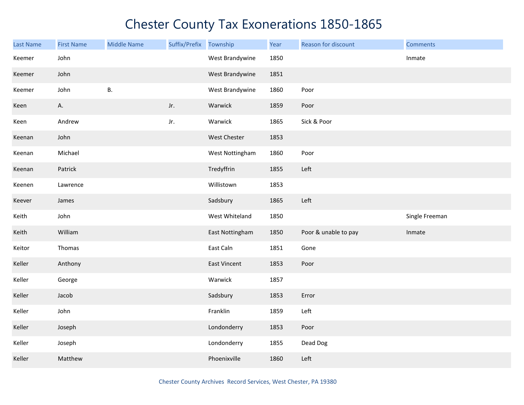| <b>Last Name</b> | <b>First Name</b> | <b>Middle Name</b> | Suffix/Prefix | Township        | Year | Reason for discount  | <b>Comments</b> |
|------------------|-------------------|--------------------|---------------|-----------------|------|----------------------|-----------------|
| Keemer           | John              |                    |               | West Brandywine | 1850 |                      | Inmate          |
| Keemer           | John              |                    |               | West Brandywine | 1851 |                      |                 |
| Keemer           | John              | <b>B.</b>          |               | West Brandywine | 1860 | Poor                 |                 |
| Keen             | А.                |                    | Jr.           | Warwick         | 1859 | Poor                 |                 |
| Keen             | Andrew            |                    | Jr.           | Warwick         | 1865 | Sick & Poor          |                 |
| Keenan           | John              |                    |               | West Chester    | 1853 |                      |                 |
| Keenan           | Michael           |                    |               | West Nottingham | 1860 | Poor                 |                 |
| Keenan           | Patrick           |                    |               | Tredyffrin      | 1855 | Left                 |                 |
| Keenen           | Lawrence          |                    |               | Willistown      | 1853 |                      |                 |
| Keever           | James             |                    |               | Sadsbury        | 1865 | Left                 |                 |
| Keith            | John              |                    |               | West Whiteland  | 1850 |                      | Single Freeman  |
| Keith            | William           |                    |               | East Nottingham | 1850 | Poor & unable to pay | Inmate          |
| Keitor           | Thomas            |                    |               | East Caln       | 1851 | Gone                 |                 |
| Keller           | Anthony           |                    |               | East Vincent    | 1853 | Poor                 |                 |
| Keller           | George            |                    |               | Warwick         | 1857 |                      |                 |
| Keller           | Jacob             |                    |               | Sadsbury        | 1853 | Error                |                 |
| Keller           | John              |                    |               | Franklin        | 1859 | Left                 |                 |
| Keller           | Joseph            |                    |               | Londonderry     | 1853 | Poor                 |                 |
| Keller           | Joseph            |                    |               | Londonderry     | 1855 | Dead Dog             |                 |
| Keller           | Matthew           |                    |               | Phoenixville    | 1860 | Left                 |                 |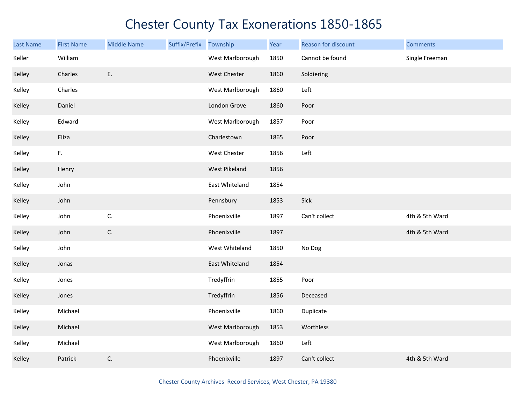| Last Name | <b>First Name</b> | <b>Middle Name</b> | Suffix/Prefix | Township         | Year | Reason for discount | <b>Comments</b> |
|-----------|-------------------|--------------------|---------------|------------------|------|---------------------|-----------------|
| Keller    | William           |                    |               | West Marlborough | 1850 | Cannot be found     | Single Freeman  |
| Kelley    | Charles           | E.                 |               | West Chester     | 1860 | Soldiering          |                 |
| Kelley    | Charles           |                    |               | West Marlborough | 1860 | Left                |                 |
| Kelley    | Daniel            |                    |               | London Grove     | 1860 | Poor                |                 |
| Kelley    | Edward            |                    |               | West Marlborough | 1857 | Poor                |                 |
| Kelley    | Eliza             |                    |               | Charlestown      | 1865 | Poor                |                 |
| Kelley    | F.                |                    |               | West Chester     | 1856 | Left                |                 |
| Kelley    | Henry             |                    |               | West Pikeland    | 1856 |                     |                 |
| Kelley    | John              |                    |               | East Whiteland   | 1854 |                     |                 |
| Kelley    | John              |                    |               | Pennsbury        | 1853 | Sick                |                 |
| Kelley    | John              | C.                 |               | Phoenixville     | 1897 | Can't collect       | 4th & 5th Ward  |
| Kelley    | John              | C.                 |               | Phoenixville     | 1897 |                     | 4th & 5th Ward  |
| Kelley    | John              |                    |               | West Whiteland   | 1850 | No Dog              |                 |
| Kelley    | Jonas             |                    |               | East Whiteland   | 1854 |                     |                 |
| Kelley    | Jones             |                    |               | Tredyffrin       | 1855 | Poor                |                 |
| Kelley    | Jones             |                    |               | Tredyffrin       | 1856 | Deceased            |                 |
| Kelley    | Michael           |                    |               | Phoenixville     | 1860 | Duplicate           |                 |
| Kelley    | Michael           |                    |               | West Marlborough | 1853 | Worthless           |                 |
| Kelley    | Michael           |                    |               | West Marlborough | 1860 | Left                |                 |
| Kelley    | Patrick           | C.                 |               | Phoenixville     | 1897 | Can't collect       | 4th & 5th Ward  |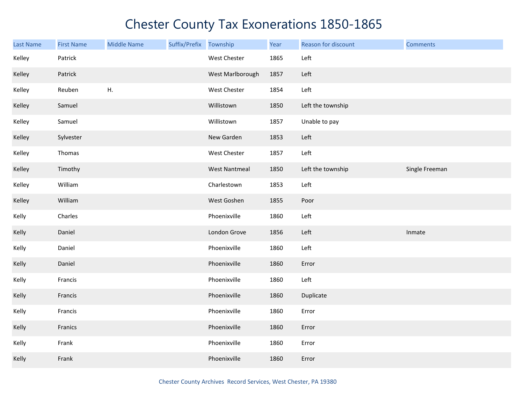| <b>Last Name</b> | <b>First Name</b> | <b>Middle Name</b> | Suffix/Prefix | Township             | Year | Reason for discount | <b>Comments</b> |
|------------------|-------------------|--------------------|---------------|----------------------|------|---------------------|-----------------|
| Kelley           | Patrick           |                    |               | West Chester         | 1865 | Left                |                 |
| Kelley           | Patrick           |                    |               | West Marlborough     | 1857 | Left                |                 |
| Kelley           | Reuben            | H.                 |               | West Chester         | 1854 | Left                |                 |
| Kelley           | Samuel            |                    |               | Willistown           | 1850 | Left the township   |                 |
| Kelley           | Samuel            |                    |               | Willistown           | 1857 | Unable to pay       |                 |
| Kelley           | Sylvester         |                    |               | New Garden           | 1853 | Left                |                 |
| Kelley           | Thomas            |                    |               | West Chester         | 1857 | Left                |                 |
| Kelley           | Timothy           |                    |               | <b>West Nantmeal</b> | 1850 | Left the township   | Single Freeman  |
| Kelley           | William           |                    |               | Charlestown          | 1853 | Left                |                 |
| Kelley           | William           |                    |               | West Goshen          | 1855 | Poor                |                 |
| Kelly            | Charles           |                    |               | Phoenixville         | 1860 | Left                |                 |
| Kelly            | Daniel            |                    |               | London Grove         | 1856 | Left                | Inmate          |
| Kelly            | Daniel            |                    |               | Phoenixville         | 1860 | Left                |                 |
| Kelly            | Daniel            |                    |               | Phoenixville         | 1860 | Error               |                 |
| Kelly            | Francis           |                    |               | Phoenixville         | 1860 | Left                |                 |
| Kelly            | Francis           |                    |               | Phoenixville         | 1860 | Duplicate           |                 |
| Kelly            | Francis           |                    |               | Phoenixville         | 1860 | Error               |                 |
| Kelly            | Franics           |                    |               | Phoenixville         | 1860 | Error               |                 |
| Kelly            | Frank             |                    |               | Phoenixville         | 1860 | Error               |                 |
| Kelly            | Frank             |                    |               | Phoenixville         | 1860 | Error               |                 |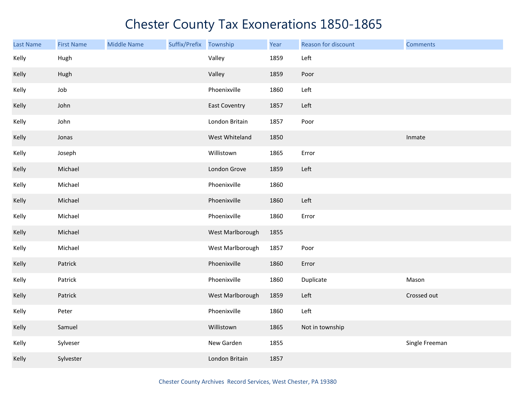| Last Name | <b>First Name</b> | <b>Middle Name</b> | Suffix/Prefix Township |                      | Year | Reason for discount | <b>Comments</b> |
|-----------|-------------------|--------------------|------------------------|----------------------|------|---------------------|-----------------|
| Kelly     | Hugh              |                    |                        | Valley               | 1859 | Left                |                 |
| Kelly     | Hugh              |                    |                        | Valley               | 1859 | Poor                |                 |
| Kelly     | Job               |                    |                        | Phoenixville         | 1860 | Left                |                 |
| Kelly     | John              |                    |                        | <b>East Coventry</b> | 1857 | Left                |                 |
| Kelly     | John              |                    |                        | London Britain       | 1857 | Poor                |                 |
| Kelly     | Jonas             |                    |                        | West Whiteland       | 1850 |                     | Inmate          |
| Kelly     | Joseph            |                    |                        | Willistown           | 1865 | Error               |                 |
| Kelly     | Michael           |                    |                        | London Grove         | 1859 | Left                |                 |
| Kelly     | Michael           |                    |                        | Phoenixville         | 1860 |                     |                 |
| Kelly     | Michael           |                    |                        | Phoenixville         | 1860 | Left                |                 |
| Kelly     | Michael           |                    |                        | Phoenixville         | 1860 | Error               |                 |
| Kelly     | Michael           |                    |                        | West Marlborough     | 1855 |                     |                 |
| Kelly     | Michael           |                    |                        | West Marlborough     | 1857 | Poor                |                 |
| Kelly     | Patrick           |                    |                        | Phoenixville         | 1860 | Error               |                 |
| Kelly     | Patrick           |                    |                        | Phoenixville         | 1860 | Duplicate           | Mason           |
| Kelly     | Patrick           |                    |                        | West Marlborough     | 1859 | Left                | Crossed out     |
| Kelly     | Peter             |                    |                        | Phoenixville         | 1860 | Left                |                 |
| Kelly     | Samuel            |                    |                        | Willistown           | 1865 | Not in township     |                 |
| Kelly     | Sylveser          |                    |                        | New Garden           | 1855 |                     | Single Freeman  |
| Kelly     | Sylvester         |                    |                        | London Britain       | 1857 |                     |                 |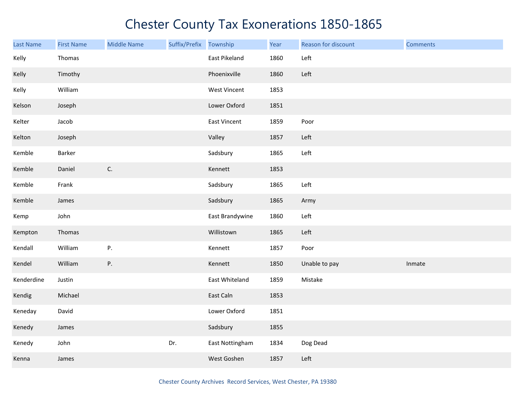| Last Name  | <b>First Name</b> | <b>Middle Name</b> | Suffix/Prefix | Township            | Year | Reason for discount | <b>Comments</b> |
|------------|-------------------|--------------------|---------------|---------------------|------|---------------------|-----------------|
| Kelly      | Thomas            |                    |               | East Pikeland       | 1860 | Left                |                 |
| Kelly      | Timothy           |                    |               | Phoenixville        | 1860 | Left                |                 |
| Kelly      | William           |                    |               | <b>West Vincent</b> | 1853 |                     |                 |
| Kelson     | Joseph            |                    |               | Lower Oxford        | 1851 |                     |                 |
| Kelter     | Jacob             |                    |               | East Vincent        | 1859 | Poor                |                 |
| Kelton     | Joseph            |                    |               | Valley              | 1857 | Left                |                 |
| Kemble     | Barker            |                    |               | Sadsbury            | 1865 | Left                |                 |
| Kemble     | Daniel            | $\mathsf{C}.$      |               | Kennett             | 1853 |                     |                 |
| Kemble     | Frank             |                    |               | Sadsbury            | 1865 | Left                |                 |
| Kemble     | James             |                    |               | Sadsbury            | 1865 | Army                |                 |
| Kemp       | John              |                    |               | East Brandywine     | 1860 | Left                |                 |
| Kempton    | Thomas            |                    |               | Willistown          | 1865 | Left                |                 |
| Kendall    | William           | P.                 |               | Kennett             | 1857 | Poor                |                 |
| Kendel     | William           | P.                 |               | Kennett             | 1850 | Unable to pay       | Inmate          |
| Kenderdine | Justin            |                    |               | East Whiteland      | 1859 | Mistake             |                 |
| Kendig     | Michael           |                    |               | East Caln           | 1853 |                     |                 |
| Keneday    | David             |                    |               | Lower Oxford        | 1851 |                     |                 |
| Kenedy     | James             |                    |               | Sadsbury            | 1855 |                     |                 |
| Kenedy     | John              |                    | Dr.           | East Nottingham     | 1834 | Dog Dead            |                 |
| Kenna      | James             |                    |               | West Goshen         | 1857 | Left                |                 |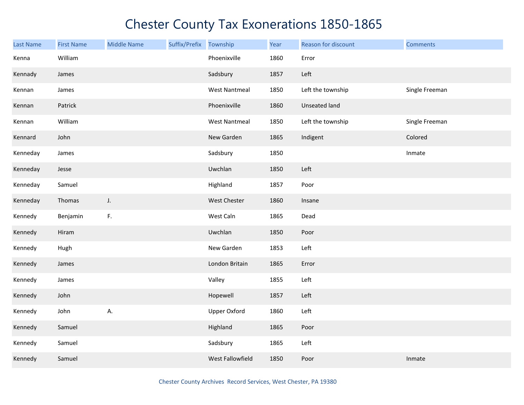| <b>Last Name</b> | <b>First Name</b> | <b>Middle Name</b> | Suffix/Prefix | Township             | Year | Reason for discount  | <b>Comments</b> |
|------------------|-------------------|--------------------|---------------|----------------------|------|----------------------|-----------------|
| Kenna            | William           |                    |               | Phoenixville         | 1860 | Error                |                 |
| Kennady          | James             |                    |               | Sadsbury             | 1857 | Left                 |                 |
| Kennan           | James             |                    |               | <b>West Nantmeal</b> | 1850 | Left the township    | Single Freeman  |
| Kennan           | Patrick           |                    |               | Phoenixville         | 1860 | <b>Unseated land</b> |                 |
| Kennan           | William           |                    |               | <b>West Nantmeal</b> | 1850 | Left the township    | Single Freeman  |
| Kennard          | John              |                    |               | New Garden           | 1865 | Indigent             | Colored         |
| Kenneday         | James             |                    |               | Sadsbury             | 1850 |                      | Inmate          |
| Kenneday         | Jesse             |                    |               | Uwchlan              | 1850 | Left                 |                 |
| Kenneday         | Samuel            |                    |               | Highland             | 1857 | Poor                 |                 |
| Kenneday         | Thomas            | J.                 |               | West Chester         | 1860 | Insane               |                 |
| Kennedy          | Benjamin          | F.                 |               | West Caln            | 1865 | Dead                 |                 |
| Kennedy          | Hiram             |                    |               | Uwchlan              | 1850 | Poor                 |                 |
| Kennedy          | Hugh              |                    |               | New Garden           | 1853 | Left                 |                 |
| Kennedy          | James             |                    |               | London Britain       | 1865 | Error                |                 |
| Kennedy          | James             |                    |               | Valley               | 1855 | Left                 |                 |
| Kennedy          | John              |                    |               | Hopewell             | 1857 | Left                 |                 |
| Kennedy          | John              | А.                 |               | <b>Upper Oxford</b>  | 1860 | Left                 |                 |
| Kennedy          | Samuel            |                    |               | Highland             | 1865 | Poor                 |                 |
| Kennedy          | Samuel            |                    |               | Sadsbury             | 1865 | Left                 |                 |
| Kennedy          | Samuel            |                    |               | West Fallowfield     | 1850 | Poor                 | Inmate          |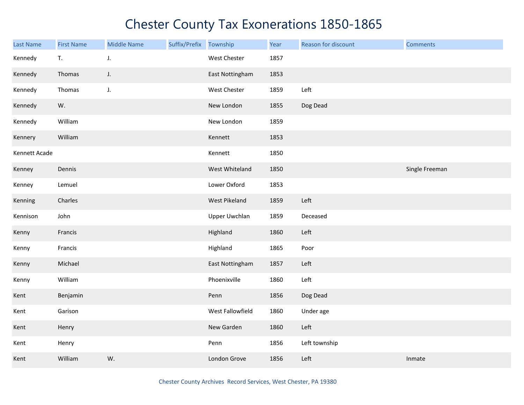| <b>Last Name</b> | <b>First Name</b> | <b>Middle Name</b> | Suffix/Prefix | Township             | Year | Reason for discount | <b>Comments</b> |
|------------------|-------------------|--------------------|---------------|----------------------|------|---------------------|-----------------|
| Kennedy          | T.                | J.                 |               | West Chester         | 1857 |                     |                 |
| Kennedy          | Thomas            | J.                 |               | East Nottingham      | 1853 |                     |                 |
| Kennedy          | Thomas            | J.                 |               | West Chester         | 1859 | Left                |                 |
| Kennedy          | W.                |                    |               | New London           | 1855 | Dog Dead            |                 |
| Kennedy          | William           |                    |               | New London           | 1859 |                     |                 |
| Kennery          | William           |                    |               | Kennett              | 1853 |                     |                 |
| Kennett Acade    |                   |                    |               | Kennett              | 1850 |                     |                 |
| Kenney           | Dennis            |                    |               | West Whiteland       | 1850 |                     | Single Freeman  |
| Kenney           | Lemuel            |                    |               | Lower Oxford         | 1853 |                     |                 |
| Kenning          | Charles           |                    |               | West Pikeland        | 1859 | Left                |                 |
| Kennison         | John              |                    |               | <b>Upper Uwchlan</b> | 1859 | Deceased            |                 |
| Kenny            | Francis           |                    |               | Highland             | 1860 | Left                |                 |
| Kenny            | Francis           |                    |               | Highland             | 1865 | Poor                |                 |
| Kenny            | Michael           |                    |               | East Nottingham      | 1857 | Left                |                 |
| Kenny            | William           |                    |               | Phoenixville         | 1860 | Left                |                 |
| Kent             | Benjamin          |                    |               | Penn                 | 1856 | Dog Dead            |                 |
| Kent             | Garison           |                    |               | West Fallowfield     | 1860 | Under age           |                 |
| Kent             | Henry             |                    |               | New Garden           | 1860 | Left                |                 |
| Kent             | Henry             |                    |               | Penn                 | 1856 | Left township       |                 |
| Kent             | William           | W.                 |               | London Grove         | 1856 | Left                | Inmate          |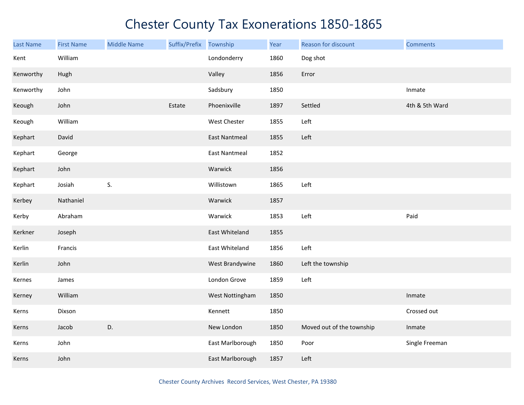| Last Name | <b>First Name</b> | <b>Middle Name</b> | Suffix/Prefix | Township             | Year | Reason for discount       | <b>Comments</b> |
|-----------|-------------------|--------------------|---------------|----------------------|------|---------------------------|-----------------|
| Kent      | William           |                    |               | Londonderry          | 1860 | Dog shot                  |                 |
| Kenworthy | Hugh              |                    |               | Valley               | 1856 | Error                     |                 |
| Kenworthy | John              |                    |               | Sadsbury             | 1850 |                           | Inmate          |
| Keough    | John              |                    | Estate        | Phoenixville         | 1897 | Settled                   | 4th & 5th Ward  |
| Keough    | William           |                    |               | West Chester         | 1855 | Left                      |                 |
| Kephart   | David             |                    |               | <b>East Nantmeal</b> | 1855 | Left                      |                 |
| Kephart   | George            |                    |               | <b>East Nantmeal</b> | 1852 |                           |                 |
| Kephart   | John              |                    |               | Warwick              | 1856 |                           |                 |
| Kephart   | Josiah            | S.                 |               | Willistown           | 1865 | Left                      |                 |
| Kerbey    | Nathaniel         |                    |               | Warwick              | 1857 |                           |                 |
| Kerby     | Abraham           |                    |               | Warwick              | 1853 | Left                      | Paid            |
| Kerkner   | Joseph            |                    |               | East Whiteland       | 1855 |                           |                 |
| Kerlin    | Francis           |                    |               | East Whiteland       | 1856 | Left                      |                 |
| Kerlin    | John              |                    |               | West Brandywine      | 1860 | Left the township         |                 |
| Kernes    | James             |                    |               | London Grove         | 1859 | Left                      |                 |
| Kerney    | William           |                    |               | West Nottingham      | 1850 |                           | Inmate          |
| Kerns     | Dixson            |                    |               | Kennett              | 1850 |                           | Crossed out     |
| Kerns     | Jacob             | D.                 |               | New London           | 1850 | Moved out of the township | Inmate          |
| Kerns     | John              |                    |               | East Marlborough     | 1850 | Poor                      | Single Freeman  |
| Kerns     | John              |                    |               | East Marlborough     | 1857 | Left                      |                 |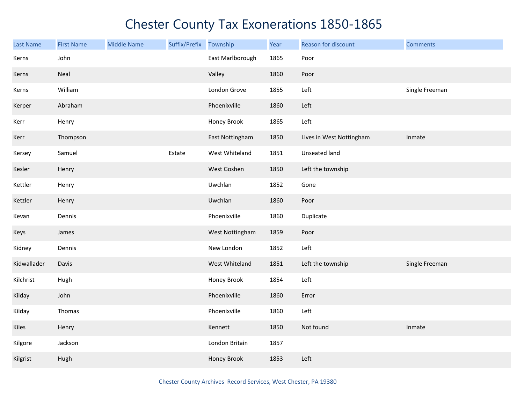| Last Name   | <b>First Name</b> | <b>Middle Name</b> | Suffix/Prefix | Township         | Year | Reason for discount      | <b>Comments</b> |
|-------------|-------------------|--------------------|---------------|------------------|------|--------------------------|-----------------|
| Kerns       | John              |                    |               | East Marlborough | 1865 | Poor                     |                 |
| Kerns       | Neal              |                    |               | Valley           | 1860 | Poor                     |                 |
| Kerns       | William           |                    |               | London Grove     | 1855 | Left                     | Single Freeman  |
| Kerper      | Abraham           |                    |               | Phoenixville     | 1860 | Left                     |                 |
| Kerr        | Henry             |                    |               | Honey Brook      | 1865 | Left                     |                 |
| Kerr        | Thompson          |                    |               | East Nottingham  | 1850 | Lives in West Nottingham | Inmate          |
| Kersey      | Samuel            |                    | Estate        | West Whiteland   | 1851 | Unseated land            |                 |
| Kesler      | Henry             |                    |               | West Goshen      | 1850 | Left the township        |                 |
| Kettler     | Henry             |                    |               | Uwchlan          | 1852 | Gone                     |                 |
| Ketzler     | Henry             |                    |               | Uwchlan          | 1860 | Poor                     |                 |
| Kevan       | Dennis            |                    |               | Phoenixville     | 1860 | Duplicate                |                 |
| Keys        | James             |                    |               | West Nottingham  | 1859 | Poor                     |                 |
| Kidney      | Dennis            |                    |               | New London       | 1852 | Left                     |                 |
| Kidwallader | Davis             |                    |               | West Whiteland   | 1851 | Left the township        | Single Freeman  |
| Kilchrist   | Hugh              |                    |               | Honey Brook      | 1854 | Left                     |                 |
| Kilday      | John              |                    |               | Phoenixville     | 1860 | Error                    |                 |
| Kilday      | Thomas            |                    |               | Phoenixville     | 1860 | Left                     |                 |
| Kiles       | Henry             |                    |               | Kennett          | 1850 | Not found                | Inmate          |
| Kilgore     | Jackson           |                    |               | London Britain   | 1857 |                          |                 |
| Kilgrist    | Hugh              |                    |               | Honey Brook      | 1853 | Left                     |                 |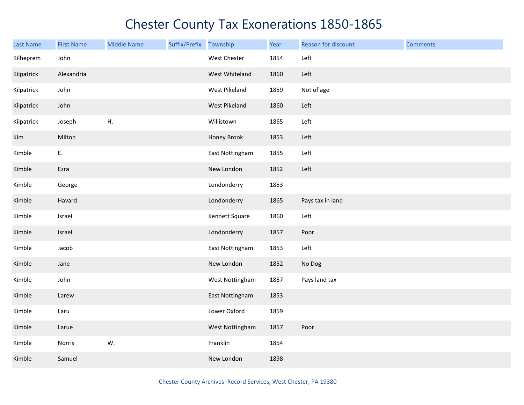| Last Name  | <b>First Name</b> | <b>Middle Name</b> | Suffix/Prefix | Township           | Year | Reason for discount | <b>Comments</b> |
|------------|-------------------|--------------------|---------------|--------------------|------|---------------------|-----------------|
| Kilheprem  | John              |                    |               | West Chester       | 1854 | Left                |                 |
| Kilpatrick | Alexandria        |                    |               | West Whiteland     | 1860 | Left                |                 |
| Kilpatrick | John              |                    |               | West Pikeland      | 1859 | Not of age          |                 |
| Kilpatrick | John              |                    |               | West Pikeland      | 1860 | Left                |                 |
| Kilpatrick | Joseph            | Η.                 |               | Willistown         | 1865 | Left                |                 |
| Kim        | Milton            |                    |               | <b>Honey Brook</b> | 1853 | Left                |                 |
| Kimble     | Ε.                |                    |               | East Nottingham    | 1855 | Left                |                 |
| Kimble     | Ezra              |                    |               | New London         | 1852 | Left                |                 |
| Kimble     | George            |                    |               | Londonderry        | 1853 |                     |                 |
| Kimble     | Havard            |                    |               | Londonderry        | 1865 | Pays tax in land    |                 |
| Kimble     | Israel            |                    |               | Kennett Square     | 1860 | Left                |                 |
| Kimble     | Israel            |                    |               | Londonderry        | 1857 | Poor                |                 |
| Kimble     | Jacob             |                    |               | East Nottingham    | 1853 | Left                |                 |
| Kimble     | Jane              |                    |               | New London         | 1852 | No Dog              |                 |
| Kimble     | John              |                    |               | West Nottingham    | 1857 | Pays land tax       |                 |
| Kimble     | Larew             |                    |               | East Nottingham    | 1853 |                     |                 |
| Kimble     | Laru              |                    |               | Lower Oxford       | 1859 |                     |                 |
| Kimble     | Larue             |                    |               | West Nottingham    | 1857 | Poor                |                 |
| Kimble     | Norris            | W.                 |               | Franklin           | 1854 |                     |                 |
| Kimble     | Samuel            |                    |               | New London         | 1898 |                     |                 |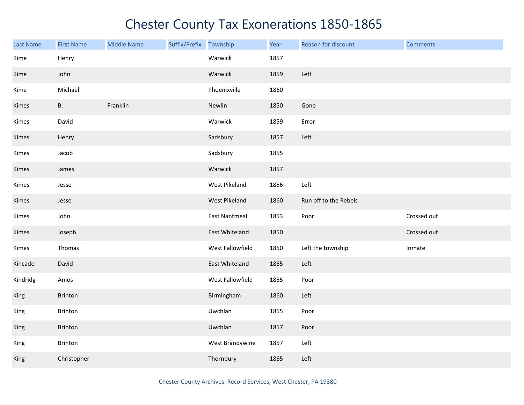| <b>Last Name</b> | <b>First Name</b> | <b>Middle Name</b> | Suffix/Prefix Township |                      | Year | Reason for discount   | <b>Comments</b> |
|------------------|-------------------|--------------------|------------------------|----------------------|------|-----------------------|-----------------|
| Kime             | Henry             |                    |                        | Warwick              | 1857 |                       |                 |
| Kime             | John              |                    |                        | Warwick              | 1859 | Left                  |                 |
| Kime             | Michael           |                    |                        | Phoenixville         | 1860 |                       |                 |
| Kimes            | <b>B.</b>         | Franklin           |                        | Newlin               | 1850 | Gone                  |                 |
| Kimes            | David             |                    |                        | Warwick              | 1859 | Error                 |                 |
| Kimes            | Henry             |                    |                        | Sadsbury             | 1857 | Left                  |                 |
| Kimes            | Jacob             |                    |                        | Sadsbury             | 1855 |                       |                 |
| Kimes            | James             |                    |                        | Warwick              | 1857 |                       |                 |
| Kimes            | Jesse             |                    |                        | West Pikeland        | 1856 | Left                  |                 |
| Kimes            | Jesse             |                    |                        | West Pikeland        | 1860 | Run off to the Rebels |                 |
| Kimes            | John              |                    |                        | <b>East Nantmeal</b> | 1853 | Poor                  | Crossed out     |
| Kimes            | Joseph            |                    |                        | East Whiteland       | 1850 |                       | Crossed out     |
| Kimes            | Thomas            |                    |                        | West Fallowfield     | 1850 | Left the township     | Inmate          |
| Kincade          | David             |                    |                        | East Whiteland       | 1865 | Left                  |                 |
| Kindridg         | Amos              |                    |                        | West Fallowfield     | 1855 | Poor                  |                 |
| King             | Brinton           |                    |                        | Birmingham           | 1860 | Left                  |                 |
| King             | Brinton           |                    |                        | Uwchlan              | 1855 | Poor                  |                 |
| King             | Brinton           |                    |                        | Uwchlan              | 1857 | Poor                  |                 |
| King             | Brinton           |                    |                        | West Brandywine      | 1857 | Left                  |                 |
| King             | Christopher       |                    |                        | Thornbury            | 1865 | Left                  |                 |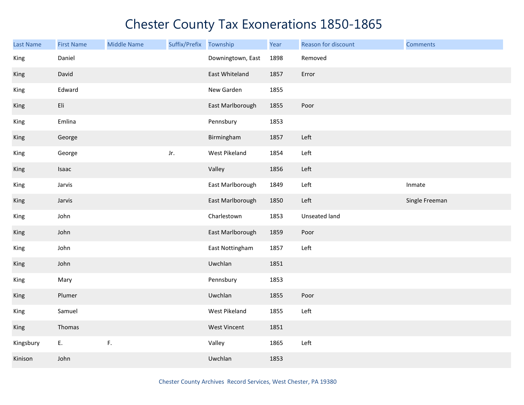| <b>Last Name</b> | <b>First Name</b> | <b>Middle Name</b> | Suffix/Prefix | Township            | Year | Reason for discount | <b>Comments</b> |
|------------------|-------------------|--------------------|---------------|---------------------|------|---------------------|-----------------|
| King             | Daniel            |                    |               | Downingtown, East   | 1898 | Removed             |                 |
| King             | David             |                    |               | East Whiteland      | 1857 | Error               |                 |
| King             | Edward            |                    |               | New Garden          | 1855 |                     |                 |
| King             | Eli               |                    |               | East Marlborough    | 1855 | Poor                |                 |
| King             | Emlina            |                    |               | Pennsbury           | 1853 |                     |                 |
| King             | George            |                    |               | Birmingham          | 1857 | Left                |                 |
| King             | George            |                    | Jr.           | West Pikeland       | 1854 | Left                |                 |
| King             | Isaac             |                    |               | Valley              | 1856 | Left                |                 |
| King             | Jarvis            |                    |               | East Marlborough    | 1849 | Left                | Inmate          |
| King             | Jarvis            |                    |               | East Marlborough    | 1850 | Left                | Single Freeman  |
| King             | John              |                    |               | Charlestown         | 1853 | Unseated land       |                 |
| King             | John              |                    |               | East Marlborough    | 1859 | Poor                |                 |
| King             | John              |                    |               | East Nottingham     | 1857 | Left                |                 |
| King             | John              |                    |               | Uwchlan             | 1851 |                     |                 |
| King             | Mary              |                    |               | Pennsbury           | 1853 |                     |                 |
| King             | Plumer            |                    |               | Uwchlan             | 1855 | Poor                |                 |
| King             | Samuel            |                    |               | West Pikeland       | 1855 | Left                |                 |
| King             | Thomas            |                    |               | <b>West Vincent</b> | 1851 |                     |                 |
| Kingsbury        | E.                | $\mathsf F.$       |               | Valley              | 1865 | Left                |                 |
| Kinison          | John              |                    |               | Uwchlan             | 1853 |                     |                 |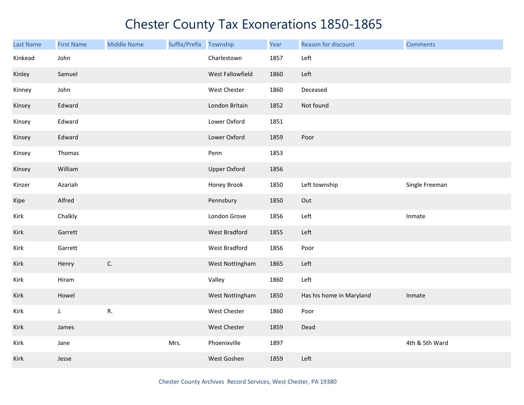| Last Name | <b>First Name</b> | <b>Middle Name</b> | Suffix/Prefix Township |                     | Year | Reason for discount      | <b>Comments</b> |
|-----------|-------------------|--------------------|------------------------|---------------------|------|--------------------------|-----------------|
| Kinkead   | John              |                    |                        | Charlestown         | 1857 | Left                     |                 |
| Kinley    | Samuel            |                    |                        | West Fallowfield    | 1860 | Left                     |                 |
| Kinney    | John              |                    |                        | West Chester        | 1860 | Deceased                 |                 |
| Kinsey    | Edward            |                    |                        | London Britain      | 1852 | Not found                |                 |
| Kinsey    | Edward            |                    |                        | Lower Oxford        | 1851 |                          |                 |
| Kinsey    | Edward            |                    |                        | Lower Oxford        | 1859 | Poor                     |                 |
| Kinsey    | Thomas            |                    |                        | Penn                | 1853 |                          |                 |
| Kinsey    | William           |                    |                        | <b>Upper Oxford</b> | 1856 |                          |                 |
| Kinzer    | Azariah           |                    |                        | Honey Brook         | 1850 | Left township            | Single Freeman  |
| Kipe      | Alfred            |                    |                        | Pennsbury           | 1850 | Out                      |                 |
| Kirk      | Chalkly           |                    |                        | London Grove        | 1856 | Left                     | Inmate          |
| Kirk      | Garrett           |                    |                        | West Bradford       | 1855 | Left                     |                 |
| Kirk      | Garrett           |                    |                        | West Bradford       | 1856 | Poor                     |                 |
| Kirk      | Henry             | C.                 |                        | West Nottingham     | 1865 | Left                     |                 |
| Kirk      | Hiram             |                    |                        | Valley              | 1860 | Left                     |                 |
| Kirk      | Howel             |                    |                        | West Nottingham     | 1850 | Has his home in Maryland | Inmate          |
| Kirk      | J.                | R.                 |                        | West Chester        | 1860 | Poor                     |                 |
| Kirk      | James             |                    |                        | West Chester        | 1859 | Dead                     |                 |
| Kirk      | Jane              |                    | Mrs.                   | Phoenixville        | 1897 |                          | 4th & 5th Ward  |
| Kirk      | Jesse             |                    |                        | West Goshen         | 1859 | Left                     |                 |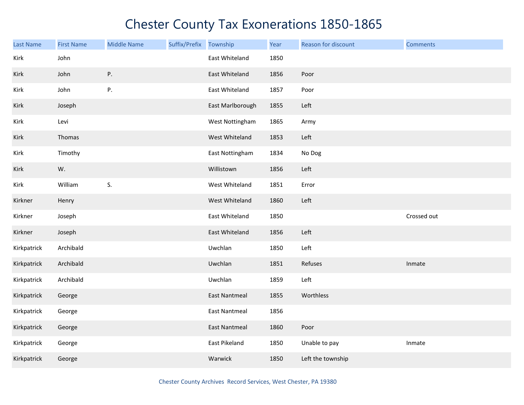| <b>Last Name</b> | <b>First Name</b> | <b>Middle Name</b> | Suffix/Prefix | Township             | Year | Reason for discount | <b>Comments</b> |
|------------------|-------------------|--------------------|---------------|----------------------|------|---------------------|-----------------|
| Kirk             | John              |                    |               | East Whiteland       | 1850 |                     |                 |
| Kirk             | John              | P.                 |               | East Whiteland       | 1856 | Poor                |                 |
| Kirk             | John              | P.                 |               | East Whiteland       | 1857 | Poor                |                 |
| Kirk             | Joseph            |                    |               | East Marlborough     | 1855 | Left                |                 |
| Kirk             | Levi              |                    |               | West Nottingham      | 1865 | Army                |                 |
| Kirk             | Thomas            |                    |               | West Whiteland       | 1853 | Left                |                 |
| Kirk             | Timothy           |                    |               | East Nottingham      | 1834 | No Dog              |                 |
| Kirk             | W.                |                    |               | Willistown           | 1856 | Left                |                 |
| Kirk             | William           | S.                 |               | West Whiteland       | 1851 | Error               |                 |
| Kirkner          | Henry             |                    |               | West Whiteland       | 1860 | Left                |                 |
| Kirkner          | Joseph            |                    |               | East Whiteland       | 1850 |                     | Crossed out     |
| Kirkner          | Joseph            |                    |               | East Whiteland       | 1856 | Left                |                 |
| Kirkpatrick      | Archibald         |                    |               | Uwchlan              | 1850 | Left                |                 |
| Kirkpatrick      | Archibald         |                    |               | Uwchlan              | 1851 | Refuses             | Inmate          |
| Kirkpatrick      | Archibald         |                    |               | Uwchlan              | 1859 | Left                |                 |
| Kirkpatrick      | George            |                    |               | <b>East Nantmeal</b> | 1855 | Worthless           |                 |
| Kirkpatrick      | George            |                    |               | <b>East Nantmeal</b> | 1856 |                     |                 |
| Kirkpatrick      | George            |                    |               | <b>East Nantmeal</b> | 1860 | Poor                |                 |
| Kirkpatrick      | George            |                    |               | East Pikeland        | 1850 | Unable to pay       | Inmate          |
| Kirkpatrick      | George            |                    |               | Warwick              | 1850 | Left the township   |                 |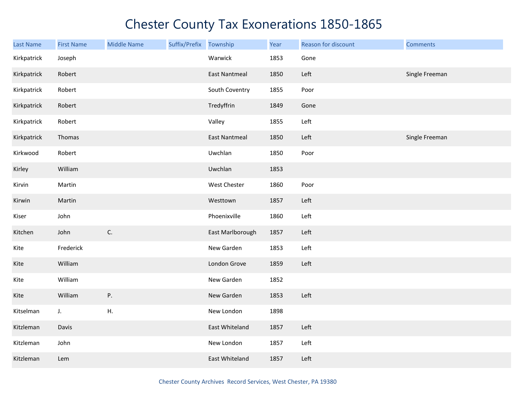| <b>Last Name</b> | <b>First Name</b> | <b>Middle Name</b> | Suffix/Prefix Township |                      | Year | Reason for discount | <b>Comments</b> |
|------------------|-------------------|--------------------|------------------------|----------------------|------|---------------------|-----------------|
| Kirkpatrick      | Joseph            |                    |                        | Warwick              | 1853 | Gone                |                 |
| Kirkpatrick      | Robert            |                    |                        | <b>East Nantmeal</b> | 1850 | Left                | Single Freeman  |
| Kirkpatrick      | Robert            |                    |                        | South Coventry       | 1855 | Poor                |                 |
| Kirkpatrick      | Robert            |                    |                        | Tredyffrin           | 1849 | Gone                |                 |
| Kirkpatrick      | Robert            |                    |                        | Valley               | 1855 | Left                |                 |
| Kirkpatrick      | Thomas            |                    |                        | <b>East Nantmeal</b> | 1850 | Left                | Single Freeman  |
| Kirkwood         | Robert            |                    |                        | Uwchlan              | 1850 | Poor                |                 |
| Kirley           | William           |                    |                        | Uwchlan              | 1853 |                     |                 |
| Kirvin           | Martin            |                    |                        | West Chester         | 1860 | Poor                |                 |
| Kirwin           | Martin            |                    |                        | Westtown             | 1857 | Left                |                 |
| Kiser            | John              |                    |                        | Phoenixville         | 1860 | Left                |                 |
| Kitchen          | John              | $\mathsf{C}.$      |                        | East Marlborough     | 1857 | Left                |                 |
| Kite             | Frederick         |                    |                        | New Garden           | 1853 | Left                |                 |
| Kite             | William           |                    |                        | London Grove         | 1859 | Left                |                 |
| Kite             | William           |                    |                        | New Garden           | 1852 |                     |                 |
| Kite             | William           | P.                 |                        | New Garden           | 1853 | Left                |                 |
| Kitselman        | $J_{\star}$       | Η.                 |                        | New London           | 1898 |                     |                 |
| Kitzleman        | Davis             |                    |                        | East Whiteland       | 1857 | Left                |                 |
| Kitzleman        | John              |                    |                        | New London           | 1857 | Left                |                 |
| Kitzleman        | Lem               |                    |                        | East Whiteland       | 1857 | Left                |                 |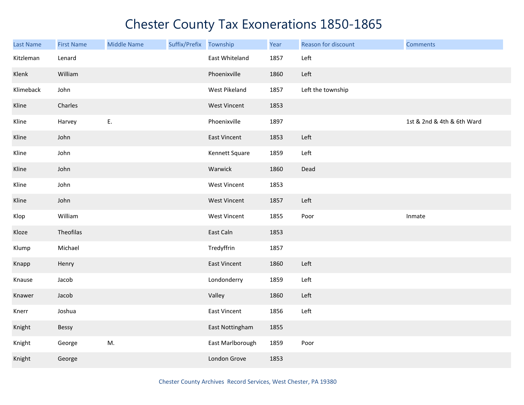| Last Name | <b>First Name</b> | <b>Middle Name</b> | Suffix/Prefix | Township            | Year | Reason for discount | <b>Comments</b>            |
|-----------|-------------------|--------------------|---------------|---------------------|------|---------------------|----------------------------|
| Kitzleman | Lenard            |                    |               | East Whiteland      | 1857 | Left                |                            |
| Klenk     | William           |                    |               | Phoenixville        | 1860 | Left                |                            |
| Klimeback | John              |                    |               | West Pikeland       | 1857 | Left the township   |                            |
| Kline     | Charles           |                    |               | <b>West Vincent</b> | 1853 |                     |                            |
| Kline     | Harvey            | E.                 |               | Phoenixville        | 1897 |                     | 1st & 2nd & 4th & 6th Ward |
| Kline     | John              |                    |               | East Vincent        | 1853 | Left                |                            |
| Kline     | John              |                    |               | Kennett Square      | 1859 | Left                |                            |
| Kline     | John              |                    |               | Warwick             | 1860 | Dead                |                            |
| Kline     | John              |                    |               | <b>West Vincent</b> | 1853 |                     |                            |
| Kline     | John              |                    |               | <b>West Vincent</b> | 1857 | Left                |                            |
| Klop      | William           |                    |               | <b>West Vincent</b> | 1855 | Poor                | Inmate                     |
| Kloze     | Theofilas         |                    |               | East Caln           | 1853 |                     |                            |
| Klump     | Michael           |                    |               | Tredyffrin          | 1857 |                     |                            |
| Knapp     | Henry             |                    |               | East Vincent        | 1860 | Left                |                            |
| Knause    | Jacob             |                    |               | Londonderry         | 1859 | Left                |                            |
| Knawer    | Jacob             |                    |               | Valley              | 1860 | Left                |                            |
| Knerr     | Joshua            |                    |               | East Vincent        | 1856 | Left                |                            |
| Knight    | Bessy             |                    |               | East Nottingham     | 1855 |                     |                            |
| Knight    | George            | M.                 |               | East Marlborough    | 1859 | Poor                |                            |
| Knight    | George            |                    |               | London Grove        | 1853 |                     |                            |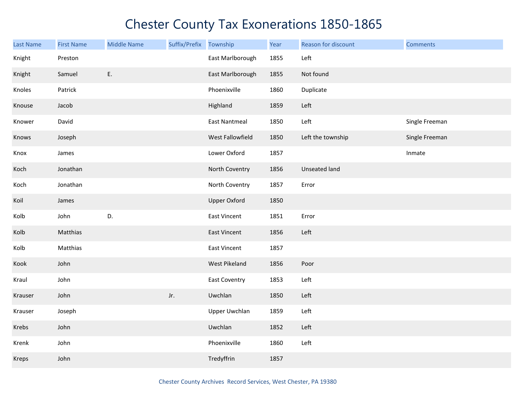| <b>Last Name</b> | <b>First Name</b> | <b>Middle Name</b> | Suffix/Prefix | Township             | Year | Reason for discount | <b>Comments</b> |
|------------------|-------------------|--------------------|---------------|----------------------|------|---------------------|-----------------|
| Knight           | Preston           |                    |               | East Marlborough     | 1855 | Left                |                 |
| Knight           | Samuel            | Ε.                 |               | East Marlborough     | 1855 | Not found           |                 |
| Knoles           | Patrick           |                    |               | Phoenixville         | 1860 | Duplicate           |                 |
| Knouse           | Jacob             |                    |               | Highland             | 1859 | Left                |                 |
| Knower           | David             |                    |               | <b>East Nantmeal</b> | 1850 | Left                | Single Freeman  |
| Knows            | Joseph            |                    |               | West Fallowfield     | 1850 | Left the township   | Single Freeman  |
| Knox             | James             |                    |               | Lower Oxford         | 1857 |                     | Inmate          |
| Koch             | Jonathan          |                    |               | North Coventry       | 1856 | Unseated land       |                 |
| Koch             | Jonathan          |                    |               | North Coventry       | 1857 | Error               |                 |
| Koil             | James             |                    |               | <b>Upper Oxford</b>  | 1850 |                     |                 |
| Kolb             | John              | D.                 |               | East Vincent         | 1851 | Error               |                 |
| Kolb             | Matthias          |                    |               | East Vincent         | 1856 | Left                |                 |
| Kolb             | Matthias          |                    |               | East Vincent         | 1857 |                     |                 |
| Kook             | John              |                    |               | West Pikeland        | 1856 | Poor                |                 |
| Kraul            | John              |                    |               | <b>East Coventry</b> | 1853 | Left                |                 |
| Krauser          | John              |                    | Jr.           | Uwchlan              | 1850 | Left                |                 |
| Krauser          | Joseph            |                    |               | <b>Upper Uwchlan</b> | 1859 | Left                |                 |
| Krebs            | John              |                    |               | Uwchlan              | 1852 | Left                |                 |
| Krenk            | John              |                    |               | Phoenixville         | 1860 | Left                |                 |
| Kreps            | John              |                    |               | Tredyffrin           | 1857 |                     |                 |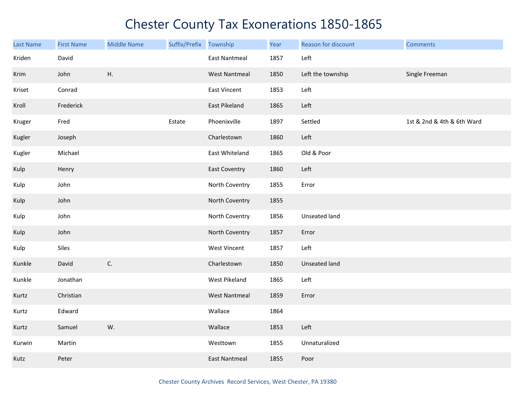| <b>Last Name</b> | <b>First Name</b> | <b>Middle Name</b> | Suffix/Prefix Township |                      | Year | Reason for discount | <b>Comments</b>            |
|------------------|-------------------|--------------------|------------------------|----------------------|------|---------------------|----------------------------|
| Kriden           | David             |                    |                        | <b>East Nantmeal</b> | 1857 | Left                |                            |
| Krim             | John              | Η.                 |                        | <b>West Nantmeal</b> | 1850 | Left the township   | Single Freeman             |
| Kriset           | Conrad            |                    |                        | East Vincent         | 1853 | Left                |                            |
| Kroll            | Frederick         |                    |                        | East Pikeland        | 1865 | Left                |                            |
| Kruger           | Fred              |                    | Estate                 | Phoenixville         | 1897 | Settled             | 1st & 2nd & 4th & 6th Ward |
| Kugler           | Joseph            |                    |                        | Charlestown          | 1860 | Left                |                            |
| Kugler           | Michael           |                    |                        | East Whiteland       | 1865 | Old & Poor          |                            |
| Kulp             | Henry             |                    |                        | <b>East Coventry</b> | 1860 | Left                |                            |
| Kulp             | John              |                    |                        | North Coventry       | 1855 | Error               |                            |
| Kulp             | John              |                    |                        | North Coventry       | 1855 |                     |                            |
| Kulp             | John              |                    |                        | North Coventry       | 1856 | Unseated land       |                            |
| Kulp             | John              |                    |                        | North Coventry       | 1857 | Error               |                            |
| Kulp             | Siles             |                    |                        | <b>West Vincent</b>  | 1857 | Left                |                            |
| Kunkle           | David             | C.                 |                        | Charlestown          | 1850 | Unseated land       |                            |
| Kunkle           | Jonathan          |                    |                        | West Pikeland        | 1865 | Left                |                            |
| Kurtz            | Christian         |                    |                        | <b>West Nantmeal</b> | 1859 | Error               |                            |
| Kurtz            | Edward            |                    |                        | Wallace              | 1864 |                     |                            |
| Kurtz            | Samuel            | W.                 |                        | Wallace              | 1853 | Left                |                            |
| Kurwin           | Martin            |                    |                        | Westtown             | 1855 | Unnaturalized       |                            |
| Kutz             | Peter             |                    |                        | <b>East Nantmeal</b> | 1855 | Poor                |                            |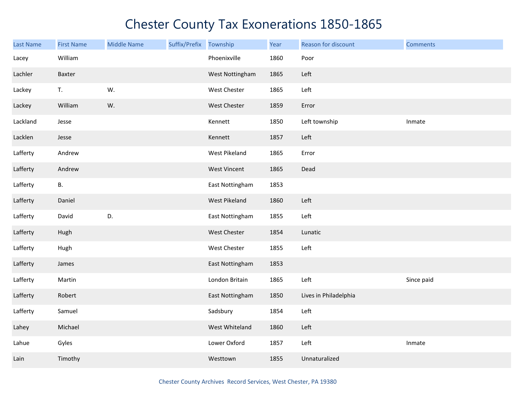| Last Name | <b>First Name</b> | <b>Middle Name</b> | Suffix/Prefix Township |                     | Year | Reason for discount   | <b>Comments</b> |
|-----------|-------------------|--------------------|------------------------|---------------------|------|-----------------------|-----------------|
| Lacey     | William           |                    |                        | Phoenixville        | 1860 | Poor                  |                 |
| Lachler   | Baxter            |                    |                        | West Nottingham     | 1865 | Left                  |                 |
| Lackey    | T.                | W.                 |                        | West Chester        | 1865 | Left                  |                 |
| Lackey    | William           | W.                 |                        | <b>West Chester</b> | 1859 | Error                 |                 |
| Lackland  | Jesse             |                    |                        | Kennett             | 1850 | Left township         | Inmate          |
| Lacklen   | Jesse             |                    |                        | Kennett             | 1857 | Left                  |                 |
| Lafferty  | Andrew            |                    |                        | West Pikeland       | 1865 | Error                 |                 |
| Lafferty  | Andrew            |                    |                        | West Vincent        | 1865 | Dead                  |                 |
| Lafferty  | В.                |                    |                        | East Nottingham     | 1853 |                       |                 |
| Lafferty  | Daniel            |                    |                        | West Pikeland       | 1860 | Left                  |                 |
| Lafferty  | David             | D.                 |                        | East Nottingham     | 1855 | Left                  |                 |
| Lafferty  | Hugh              |                    |                        | West Chester        | 1854 | Lunatic               |                 |
| Lafferty  | Hugh              |                    |                        | West Chester        | 1855 | Left                  |                 |
| Lafferty  | James             |                    |                        | East Nottingham     | 1853 |                       |                 |
| Lafferty  | Martin            |                    |                        | London Britain      | 1865 | Left                  | Since paid      |
| Lafferty  | Robert            |                    |                        | East Nottingham     | 1850 | Lives in Philadelphia |                 |
| Lafferty  | Samuel            |                    |                        | Sadsbury            | 1854 | Left                  |                 |
| Lahey     | Michael           |                    |                        | West Whiteland      | 1860 | Left                  |                 |
| Lahue     | Gyles             |                    |                        | Lower Oxford        | 1857 | Left                  | Inmate          |
| Lain      | Timothy           |                    |                        | Westtown            | 1855 | Unnaturalized         |                 |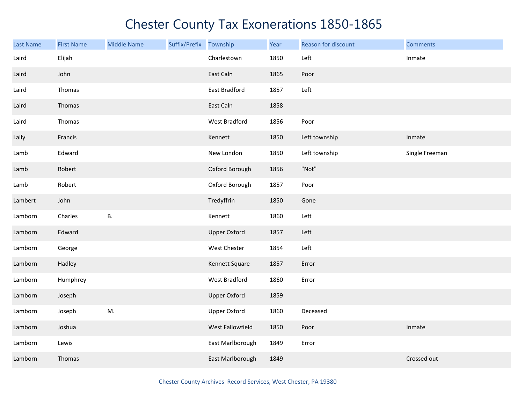| <b>Last Name</b> | <b>First Name</b> | <b>Middle Name</b> | Suffix/Prefix | Township            | Year | Reason for discount | <b>Comments</b> |
|------------------|-------------------|--------------------|---------------|---------------------|------|---------------------|-----------------|
| Laird            | Elijah            |                    |               | Charlestown         | 1850 | Left                | Inmate          |
| Laird            | John              |                    |               | East Caln           | 1865 | Poor                |                 |
| Laird            | Thomas            |                    |               | East Bradford       | 1857 | Left                |                 |
| Laird            | Thomas            |                    |               | East Caln           | 1858 |                     |                 |
| Laird            | Thomas            |                    |               | West Bradford       | 1856 | Poor                |                 |
| Lally            | Francis           |                    |               | Kennett             | 1850 | Left township       | Inmate          |
| Lamb             | Edward            |                    |               | New London          | 1850 | Left township       | Single Freeman  |
| Lamb             | Robert            |                    |               | Oxford Borough      | 1856 | "Not"               |                 |
| Lamb             | Robert            |                    |               | Oxford Borough      | 1857 | Poor                |                 |
| Lambert          | John              |                    |               | Tredyffrin          | 1850 | Gone                |                 |
| Lamborn          | Charles           | <b>B.</b>          |               | Kennett             | 1860 | Left                |                 |
| Lamborn          | Edward            |                    |               | <b>Upper Oxford</b> | 1857 | Left                |                 |
| Lamborn          | George            |                    |               | West Chester        | 1854 | Left                |                 |
| Lamborn          | Hadley            |                    |               | Kennett Square      | 1857 | Error               |                 |
| Lamborn          | Humphrey          |                    |               | West Bradford       | 1860 | Error               |                 |
| Lamborn          | Joseph            |                    |               | <b>Upper Oxford</b> | 1859 |                     |                 |
| Lamborn          | Joseph            | M.                 |               | <b>Upper Oxford</b> | 1860 | Deceased            |                 |
| Lamborn          | Joshua            |                    |               | West Fallowfield    | 1850 | Poor                | Inmate          |
| Lamborn          | Lewis             |                    |               | East Marlborough    | 1849 | Error               |                 |
| Lamborn          | Thomas            |                    |               | East Marlborough    | 1849 |                     | Crossed out     |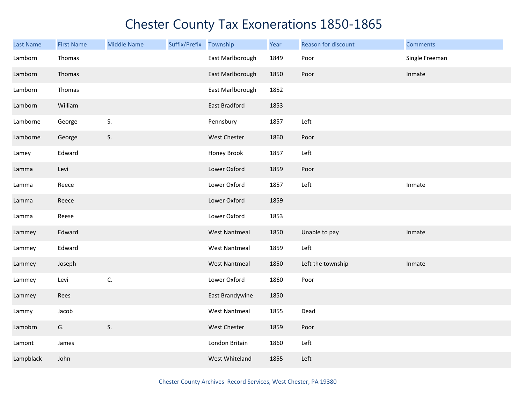| <b>Last Name</b> | <b>First Name</b> | <b>Middle Name</b> | Suffix/Prefix Township |                      | Year | Reason for discount | <b>Comments</b> |
|------------------|-------------------|--------------------|------------------------|----------------------|------|---------------------|-----------------|
| Lamborn          | Thomas            |                    |                        | East Marlborough     | 1849 | Poor                | Single Freeman  |
| Lamborn          | Thomas            |                    |                        | East Marlborough     | 1850 | Poor                | Inmate          |
| Lamborn          | Thomas            |                    |                        | East Marlborough     | 1852 |                     |                 |
| Lamborn          | William           |                    |                        | East Bradford        | 1853 |                     |                 |
| Lamborne         | George            | S.                 |                        | Pennsbury            | 1857 | Left                |                 |
| Lamborne         | George            | S.                 |                        | West Chester         | 1860 | Poor                |                 |
| Lamey            | Edward            |                    |                        | Honey Brook          | 1857 | Left                |                 |
| Lamma            | Levi              |                    |                        | Lower Oxford         | 1859 | Poor                |                 |
| Lamma            | Reece             |                    |                        | Lower Oxford         | 1857 | Left                | Inmate          |
| Lamma            | Reece             |                    |                        | Lower Oxford         | 1859 |                     |                 |
| Lamma            | Reese             |                    |                        | Lower Oxford         | 1853 |                     |                 |
| Lammey           | Edward            |                    |                        | <b>West Nantmeal</b> | 1850 | Unable to pay       | Inmate          |
| Lammey           | Edward            |                    |                        | <b>West Nantmeal</b> | 1859 | Left                |                 |
| Lammey           | Joseph            |                    |                        | <b>West Nantmeal</b> | 1850 | Left the township   | Inmate          |
| Lammey           | Levi              | C.                 |                        | Lower Oxford         | 1860 | Poor                |                 |
| Lammey           | Rees              |                    |                        | East Brandywine      | 1850 |                     |                 |
| Lammy            | Jacob             |                    |                        | <b>West Nantmeal</b> | 1855 | Dead                |                 |
| Lamobrn          | G.                | S.                 |                        | West Chester         | 1859 | Poor                |                 |
| Lamont           | James             |                    |                        | London Britain       | 1860 | Left                |                 |
| Lampblack        | John              |                    |                        | West Whiteland       | 1855 | Left                |                 |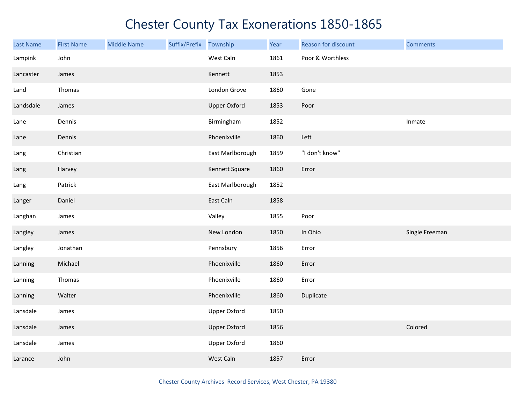| Last Name | <b>First Name</b> | <b>Middle Name</b> | Suffix/Prefix Township |                     | Year | Reason for discount | <b>Comments</b> |
|-----------|-------------------|--------------------|------------------------|---------------------|------|---------------------|-----------------|
| Lampink   | John              |                    |                        | West Caln           | 1861 | Poor & Worthless    |                 |
| Lancaster | James             |                    |                        | Kennett             | 1853 |                     |                 |
| Land      | Thomas            |                    |                        | London Grove        | 1860 | Gone                |                 |
| Landsdale | James             |                    |                        | <b>Upper Oxford</b> | 1853 | Poor                |                 |
| Lane      | Dennis            |                    |                        | Birmingham          | 1852 |                     | Inmate          |
| Lane      | Dennis            |                    |                        | Phoenixville        | 1860 | Left                |                 |
| Lang      | Christian         |                    |                        | East Marlborough    | 1859 | "I don't know"      |                 |
| Lang      | Harvey            |                    |                        | Kennett Square      | 1860 | Error               |                 |
| Lang      | Patrick           |                    |                        | East Marlborough    | 1852 |                     |                 |
| Langer    | Daniel            |                    |                        | East Caln           | 1858 |                     |                 |
| Langhan   | James             |                    |                        | Valley              | 1855 | Poor                |                 |
| Langley   | James             |                    |                        | New London          | 1850 | In Ohio             | Single Freeman  |
| Langley   | Jonathan          |                    |                        | Pennsbury           | 1856 | Error               |                 |
| Lanning   | Michael           |                    |                        | Phoenixville        | 1860 | Error               |                 |
| Lanning   | Thomas            |                    |                        | Phoenixville        | 1860 | Error               |                 |
| Lanning   | Walter            |                    |                        | Phoenixville        | 1860 | Duplicate           |                 |
| Lansdale  | James             |                    |                        | <b>Upper Oxford</b> | 1850 |                     |                 |
| Lansdale  | James             |                    |                        | <b>Upper Oxford</b> | 1856 |                     | Colored         |
| Lansdale  | James             |                    |                        | <b>Upper Oxford</b> | 1860 |                     |                 |
| Larance   | John              |                    |                        | West Caln           | 1857 | Error               |                 |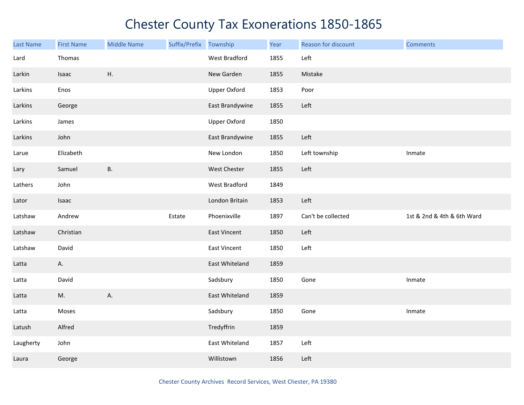| <b>Last Name</b> | <b>First Name</b> | <b>Middle Name</b> | Suffix/Prefix Township |                     | Year | Reason for discount | <b>Comments</b>            |
|------------------|-------------------|--------------------|------------------------|---------------------|------|---------------------|----------------------------|
| Lard             | Thomas            |                    |                        | West Bradford       | 1855 | Left                |                            |
| Larkin           | Isaac             | Η.                 |                        | New Garden          | 1855 | Mistake             |                            |
| Larkins          | Enos              |                    |                        | <b>Upper Oxford</b> | 1853 | Poor                |                            |
| Larkins          | George            |                    |                        | East Brandywine     | 1855 | Left                |                            |
| Larkins          | James             |                    |                        | <b>Upper Oxford</b> | 1850 |                     |                            |
| Larkins          | John              |                    |                        | East Brandywine     | 1855 | Left                |                            |
| Larue            | Elizabeth         |                    |                        | New London          | 1850 | Left township       | Inmate                     |
| Lary             | Samuel            | <b>B.</b>          |                        | West Chester        | 1855 | Left                |                            |
| Lathers          | John              |                    |                        | West Bradford       | 1849 |                     |                            |
| Lator            | Isaac             |                    |                        | London Britain      | 1853 | Left                |                            |
| Latshaw          | Andrew            |                    | Estate                 | Phoenixville        | 1897 | Can't be collected  | 1st & 2nd & 4th & 6th Ward |
| Latshaw          | Christian         |                    |                        | East Vincent        | 1850 | Left                |                            |
| Latshaw          | David             |                    |                        | <b>East Vincent</b> | 1850 | Left                |                            |
| Latta            | А.                |                    |                        | East Whiteland      | 1859 |                     |                            |
| Latta            | David             |                    |                        | Sadsbury            | 1850 | Gone                | Inmate                     |
| Latta            | M.                | Α.                 |                        | East Whiteland      | 1859 |                     |                            |
| Latta            | Moses             |                    |                        | Sadsbury            | 1850 | Gone                | Inmate                     |
| Latush           | Alfred            |                    |                        | Tredyffrin          | 1859 |                     |                            |
| Laugherty        | John              |                    |                        | East Whiteland      | 1857 | Left                |                            |
| Laura            | George            |                    |                        | Willistown          | 1856 | Left                |                            |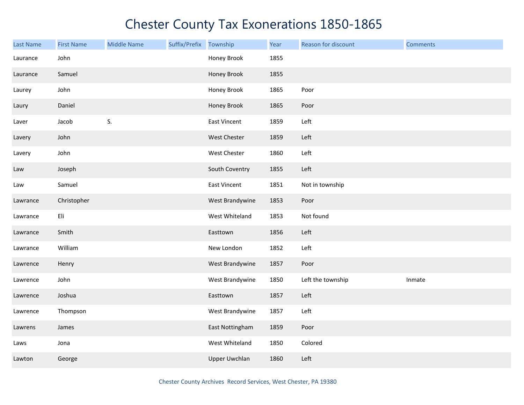| <b>Last Name</b> | <b>First Name</b> | <b>Middle Name</b> | Suffix/Prefix Township |                      | Year | Reason for discount | <b>Comments</b> |
|------------------|-------------------|--------------------|------------------------|----------------------|------|---------------------|-----------------|
| Laurance         | John              |                    |                        | Honey Brook          | 1855 |                     |                 |
| Laurance         | Samuel            |                    |                        | Honey Brook          | 1855 |                     |                 |
| Laurey           | John              |                    |                        | Honey Brook          | 1865 | Poor                |                 |
| Laury            | Daniel            |                    |                        | Honey Brook          | 1865 | Poor                |                 |
| Laver            | Jacob             | S.                 |                        | <b>East Vincent</b>  | 1859 | Left                |                 |
| Lavery           | John              |                    |                        | West Chester         | 1859 | Left                |                 |
| Lavery           | John              |                    |                        | West Chester         | 1860 | Left                |                 |
| Law              | Joseph            |                    |                        | South Coventry       | 1855 | Left                |                 |
| Law              | Samuel            |                    |                        | East Vincent         | 1851 | Not in township     |                 |
| Lawrance         | Christopher       |                    |                        | West Brandywine      | 1853 | Poor                |                 |
| Lawrance         | Eli               |                    |                        | West Whiteland       | 1853 | Not found           |                 |
| Lawrance         | Smith             |                    |                        | Easttown             | 1856 | Left                |                 |
| Lawrance         | William           |                    |                        | New London           | 1852 | Left                |                 |
| Lawrence         | Henry             |                    |                        | West Brandywine      | 1857 | Poor                |                 |
| Lawrence         | John              |                    |                        | West Brandywine      | 1850 | Left the township   | Inmate          |
| Lawrence         | Joshua            |                    |                        | Easttown             | 1857 | Left                |                 |
| Lawrence         | Thompson          |                    |                        | West Brandywine      | 1857 | Left                |                 |
| Lawrens          | James             |                    |                        | East Nottingham      | 1859 | Poor                |                 |
| Laws             | Jona              |                    |                        | West Whiteland       | 1850 | Colored             |                 |
| Lawton           | George            |                    |                        | <b>Upper Uwchlan</b> | 1860 | Left                |                 |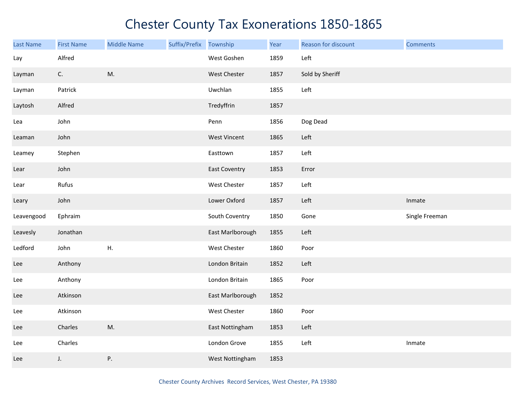| <b>Last Name</b> | <b>First Name</b> | <b>Middle Name</b> | Suffix/Prefix | Township             | Year | Reason for discount | <b>Comments</b> |
|------------------|-------------------|--------------------|---------------|----------------------|------|---------------------|-----------------|
| Lay              | Alfred            |                    |               | West Goshen          | 1859 | Left                |                 |
| Layman           | C.                | M.                 |               | West Chester         | 1857 | Sold by Sheriff     |                 |
| Layman           | Patrick           |                    |               | Uwchlan              | 1855 | Left                |                 |
| Laytosh          | Alfred            |                    |               | Tredyffrin           | 1857 |                     |                 |
| Lea              | John              |                    |               | Penn                 | 1856 | Dog Dead            |                 |
| Leaman           | John              |                    |               | <b>West Vincent</b>  | 1865 | Left                |                 |
| Leamey           | Stephen           |                    |               | Easttown             | 1857 | Left                |                 |
| Lear             | John              |                    |               | <b>East Coventry</b> | 1853 | Error               |                 |
| Lear             | Rufus             |                    |               | <b>West Chester</b>  | 1857 | Left                |                 |
| Leary            | John              |                    |               | Lower Oxford         | 1857 | Left                | Inmate          |
| Leavengood       | Ephraim           |                    |               | South Coventry       | 1850 | Gone                | Single Freeman  |
| Leavesly         | Jonathan          |                    |               | East Marlborough     | 1855 | Left                |                 |
| Ledford          | John              | Η.                 |               | West Chester         | 1860 | Poor                |                 |
| Lee              | Anthony           |                    |               | London Britain       | 1852 | Left                |                 |
| Lee              | Anthony           |                    |               | London Britain       | 1865 | Poor                |                 |
| Lee              | Atkinson          |                    |               | East Marlborough     | 1852 |                     |                 |
| Lee              | Atkinson          |                    |               | West Chester         | 1860 | Poor                |                 |
| Lee              | Charles           | M.                 |               | East Nottingham      | 1853 | Left                |                 |
| Lee              | Charles           |                    |               | London Grove         | 1855 | Left                | Inmate          |
| Lee              | J.                | P.                 |               | West Nottingham      | 1853 |                     |                 |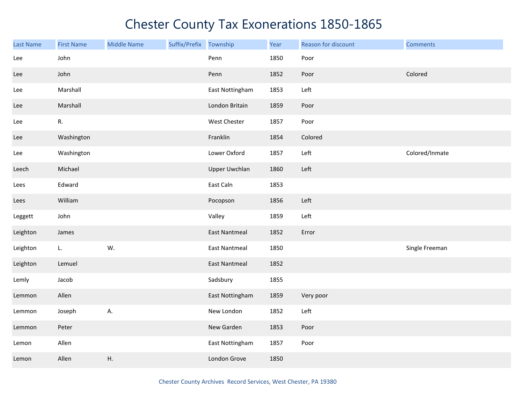| <b>Last Name</b> | <b>First Name</b> | <b>Middle Name</b> | Suffix/Prefix Township |                      | Year | Reason for discount | <b>Comments</b> |
|------------------|-------------------|--------------------|------------------------|----------------------|------|---------------------|-----------------|
| Lee              | John              |                    |                        | Penn                 | 1850 | Poor                |                 |
| Lee              | John              |                    |                        | Penn                 | 1852 | Poor                | Colored         |
| Lee              | Marshall          |                    |                        | East Nottingham      | 1853 | Left                |                 |
| Lee              | Marshall          |                    |                        | London Britain       | 1859 | Poor                |                 |
| Lee              | R.                |                    |                        | West Chester         | 1857 | Poor                |                 |
| Lee              | Washington        |                    |                        | Franklin             | 1854 | Colored             |                 |
| Lee              | Washington        |                    |                        | Lower Oxford         | 1857 | Left                | Colored/Inmate  |
| Leech            | Michael           |                    |                        | <b>Upper Uwchlan</b> | 1860 | Left                |                 |
| Lees             | Edward            |                    |                        | East Caln            | 1853 |                     |                 |
| Lees             | William           |                    |                        | Pocopson             | 1856 | Left                |                 |
| Leggett          | John              |                    |                        | Valley               | 1859 | Left                |                 |
| Leighton         | James             |                    |                        | <b>East Nantmeal</b> | 1852 | Error               |                 |
| Leighton         | L.                | W.                 |                        | <b>East Nantmeal</b> | 1850 |                     | Single Freeman  |
| Leighton         | Lemuel            |                    |                        | <b>East Nantmeal</b> | 1852 |                     |                 |
| Lemly            | Jacob             |                    |                        | Sadsbury             | 1855 |                     |                 |
| Lemmon           | Allen             |                    |                        | East Nottingham      | 1859 | Very poor           |                 |
| Lemmon           | Joseph            | А.                 |                        | New London           | 1852 | Left                |                 |
| Lemmon           | Peter             |                    |                        | New Garden           | 1853 | Poor                |                 |
| Lemon            | Allen             |                    |                        | East Nottingham      | 1857 | Poor                |                 |
| Lemon            | Allen             | Η.                 |                        | London Grove         | 1850 |                     |                 |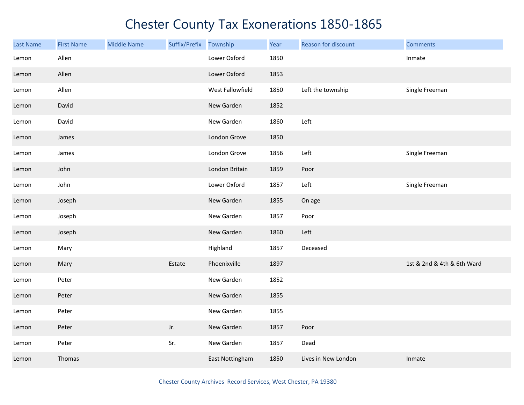| <b>Last Name</b> | <b>First Name</b> | <b>Middle Name</b> | Suffix/Prefix Township |                  | Year | Reason for discount | <b>Comments</b>            |
|------------------|-------------------|--------------------|------------------------|------------------|------|---------------------|----------------------------|
| Lemon            | Allen             |                    |                        | Lower Oxford     | 1850 |                     | Inmate                     |
| Lemon            | Allen             |                    |                        | Lower Oxford     | 1853 |                     |                            |
| Lemon            | Allen             |                    |                        | West Fallowfield | 1850 | Left the township   | Single Freeman             |
| Lemon            | David             |                    |                        | New Garden       | 1852 |                     |                            |
| Lemon            | David             |                    |                        | New Garden       | 1860 | Left                |                            |
| Lemon            | James             |                    |                        | London Grove     | 1850 |                     |                            |
| Lemon            | James             |                    |                        | London Grove     | 1856 | Left                | Single Freeman             |
| Lemon            | John              |                    |                        | London Britain   | 1859 | Poor                |                            |
| Lemon            | John              |                    |                        | Lower Oxford     | 1857 | Left                | Single Freeman             |
| Lemon            | Joseph            |                    |                        | New Garden       | 1855 | On age              |                            |
| Lemon            | Joseph            |                    |                        | New Garden       | 1857 | Poor                |                            |
| Lemon            | Joseph            |                    |                        | New Garden       | 1860 | Left                |                            |
| Lemon            | Mary              |                    |                        | Highland         | 1857 | Deceased            |                            |
| Lemon            | Mary              |                    | Estate                 | Phoenixville     | 1897 |                     | 1st & 2nd & 4th & 6th Ward |
| Lemon            | Peter             |                    |                        | New Garden       | 1852 |                     |                            |
| Lemon            | Peter             |                    |                        | New Garden       | 1855 |                     |                            |
| Lemon            | Peter             |                    |                        | New Garden       | 1855 |                     |                            |
| Lemon            | Peter             |                    | Jr.                    | New Garden       | 1857 | Poor                |                            |
| Lemon            | Peter             |                    | Sr.                    | New Garden       | 1857 | Dead                |                            |
| Lemon            | Thomas            |                    |                        | East Nottingham  | 1850 | Lives in New London | Inmate                     |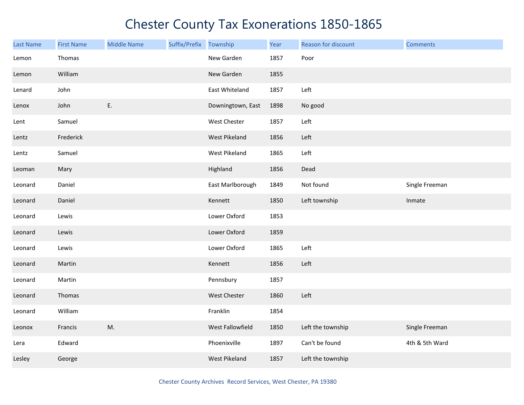| <b>Last Name</b> | <b>First Name</b> | <b>Middle Name</b> | Suffix/Prefix | Township          | Year | Reason for discount | <b>Comments</b> |
|------------------|-------------------|--------------------|---------------|-------------------|------|---------------------|-----------------|
| Lemon            | Thomas            |                    |               | New Garden        | 1857 | Poor                |                 |
| Lemon            | William           |                    |               | New Garden        | 1855 |                     |                 |
| Lenard           | John              |                    |               | East Whiteland    | 1857 | Left                |                 |
| Lenox            | John              | Ε.                 |               | Downingtown, East | 1898 | No good             |                 |
| Lent             | Samuel            |                    |               | West Chester      | 1857 | Left                |                 |
| Lentz            | Frederick         |                    |               | West Pikeland     | 1856 | Left                |                 |
| Lentz            | Samuel            |                    |               | West Pikeland     | 1865 | Left                |                 |
| Leoman           | Mary              |                    |               | Highland          | 1856 | Dead                |                 |
| Leonard          | Daniel            |                    |               | East Marlborough  | 1849 | Not found           | Single Freeman  |
| Leonard          | Daniel            |                    |               | Kennett           | 1850 | Left township       | Inmate          |
| Leonard          | Lewis             |                    |               | Lower Oxford      | 1853 |                     |                 |
| Leonard          | Lewis             |                    |               | Lower Oxford      | 1859 |                     |                 |
| Leonard          | Lewis             |                    |               | Lower Oxford      | 1865 | Left                |                 |
| Leonard          | Martin            |                    |               | Kennett           | 1856 | Left                |                 |
| Leonard          | Martin            |                    |               | Pennsbury         | 1857 |                     |                 |
| Leonard          | Thomas            |                    |               | West Chester      | 1860 | Left                |                 |
| Leonard          | William           |                    |               | Franklin          | 1854 |                     |                 |
| Leonox           | Francis           | M.                 |               | West Fallowfield  | 1850 | Left the township   | Single Freeman  |
| Lera             | Edward            |                    |               | Phoenixville      | 1897 | Can't be found      | 4th & 5th Ward  |
| Lesley           | George            |                    |               | West Pikeland     | 1857 | Left the township   |                 |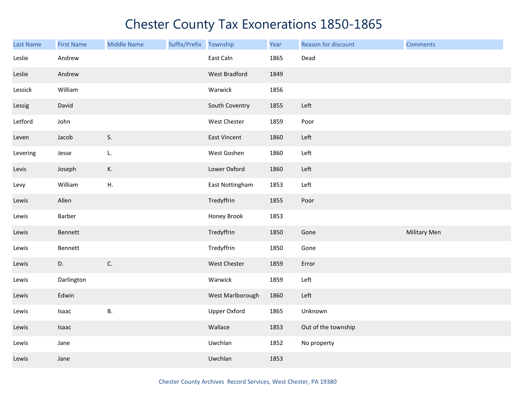| <b>Last Name</b> | <b>First Name</b> | <b>Middle Name</b> | Suffix/Prefix | Township            | Year | Reason for discount | <b>Comments</b>     |
|------------------|-------------------|--------------------|---------------|---------------------|------|---------------------|---------------------|
| Leslie           | Andrew            |                    |               | East Caln           | 1865 | Dead                |                     |
| Leslie           | Andrew            |                    |               | West Bradford       | 1849 |                     |                     |
| Lessick          | William           |                    |               | Warwick             | 1856 |                     |                     |
| Lessig           | David             |                    |               | South Coventry      | 1855 | Left                |                     |
| Letford          | John              |                    |               | West Chester        | 1859 | Poor                |                     |
| Leven            | Jacob             | S.                 |               | East Vincent        | 1860 | Left                |                     |
| Levering         | Jesse             | L.                 |               | West Goshen         | 1860 | Left                |                     |
| Levis            | Joseph            | К.                 |               | Lower Oxford        | 1860 | Left                |                     |
| Levy             | William           | Η.                 |               | East Nottingham     | 1853 | Left                |                     |
| Lewis            | Allen             |                    |               | Tredyffrin          | 1855 | Poor                |                     |
| Lewis            | Barber            |                    |               | Honey Brook         | 1853 |                     |                     |
| Lewis            | Bennett           |                    |               | Tredyffrin          | 1850 | Gone                | <b>Military Men</b> |
| Lewis            | Bennett           |                    |               | Tredyffrin          | 1850 | Gone                |                     |
| Lewis            | D.                | C.                 |               | West Chester        | 1859 | Error               |                     |
| Lewis            | Darlington        |                    |               | Warwick             | 1859 | Left                |                     |
| Lewis            | Edwin             |                    |               | West Marlborough    | 1860 | Left                |                     |
| Lewis            | Isaac             | <b>B.</b>          |               | <b>Upper Oxford</b> | 1865 | Unknown             |                     |
| Lewis            | Isaac             |                    |               | Wallace             | 1853 | Out of the township |                     |
| Lewis            | Jane              |                    |               | Uwchlan             | 1852 | No property         |                     |
| Lewis            | Jane              |                    |               | Uwchlan             | 1853 |                     |                     |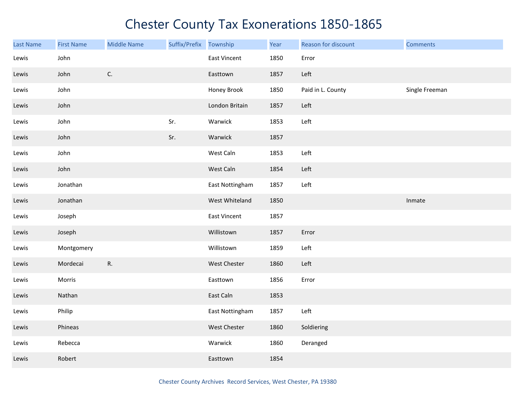| Last Name | <b>First Name</b> | <b>Middle Name</b> | Suffix/Prefix Township |                     | Year | Reason for discount | <b>Comments</b> |
|-----------|-------------------|--------------------|------------------------|---------------------|------|---------------------|-----------------|
| Lewis     | John              |                    |                        | <b>East Vincent</b> | 1850 | Error               |                 |
| Lewis     | John              | C.                 |                        | Easttown            | 1857 | Left                |                 |
| Lewis     | John              |                    |                        | Honey Brook         | 1850 | Paid in L. County   | Single Freeman  |
| Lewis     | John              |                    |                        | London Britain      | 1857 | Left                |                 |
| Lewis     | John              |                    | Sr.                    | Warwick             | 1853 | Left                |                 |
| Lewis     | John              |                    | Sr.                    | Warwick             | 1857 |                     |                 |
| Lewis     | John              |                    |                        | West Caln           | 1853 | Left                |                 |
| Lewis     | John              |                    |                        | West Caln           | 1854 | Left                |                 |
| Lewis     | Jonathan          |                    |                        | East Nottingham     | 1857 | Left                |                 |
| Lewis     | Jonathan          |                    |                        | West Whiteland      | 1850 |                     | Inmate          |
| Lewis     | Joseph            |                    |                        | <b>East Vincent</b> | 1857 |                     |                 |
| Lewis     | Joseph            |                    |                        | Willistown          | 1857 | Error               |                 |
| Lewis     | Montgomery        |                    |                        | Willistown          | 1859 | Left                |                 |
| Lewis     | Mordecai          | R.                 |                        | West Chester        | 1860 | Left                |                 |
| Lewis     | Morris            |                    |                        | Easttown            | 1856 | Error               |                 |
| Lewis     | Nathan            |                    |                        | East Caln           | 1853 |                     |                 |
| Lewis     | Philip            |                    |                        | East Nottingham     | 1857 | Left                |                 |
| Lewis     | Phineas           |                    |                        | West Chester        | 1860 | Soldiering          |                 |
| Lewis     | Rebecca           |                    |                        | Warwick             | 1860 | Deranged            |                 |
| Lewis     | Robert            |                    |                        | Easttown            | 1854 |                     |                 |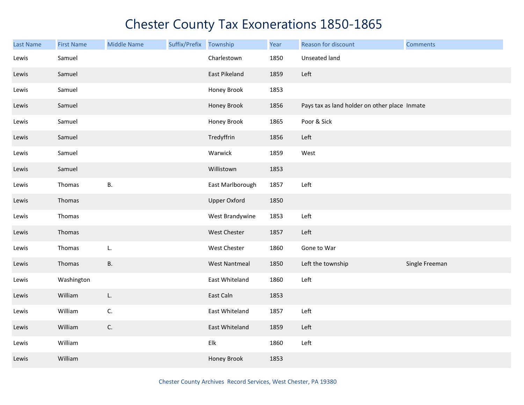| <b>Last Name</b> | <b>First Name</b> | <b>Middle Name</b> | Suffix/Prefix | Township             | Year | Reason for discount                           | <b>Comments</b> |
|------------------|-------------------|--------------------|---------------|----------------------|------|-----------------------------------------------|-----------------|
| Lewis            | Samuel            |                    |               | Charlestown          | 1850 | Unseated land                                 |                 |
| Lewis            | Samuel            |                    |               | East Pikeland        | 1859 | Left                                          |                 |
| Lewis            | Samuel            |                    |               | Honey Brook          | 1853 |                                               |                 |
| Lewis            | Samuel            |                    |               | Honey Brook          | 1856 | Pays tax as land holder on other place Inmate |                 |
| Lewis            | Samuel            |                    |               | Honey Brook          | 1865 | Poor & Sick                                   |                 |
| Lewis            | Samuel            |                    |               | Tredyffrin           | 1856 | Left                                          |                 |
| Lewis            | Samuel            |                    |               | Warwick              | 1859 | West                                          |                 |
| Lewis            | Samuel            |                    |               | Willistown           | 1853 |                                               |                 |
| Lewis            | Thomas            | <b>B.</b>          |               | East Marlborough     | 1857 | Left                                          |                 |
| Lewis            | Thomas            |                    |               | <b>Upper Oxford</b>  | 1850 |                                               |                 |
| Lewis            | Thomas            |                    |               | West Brandywine      | 1853 | Left                                          |                 |
| Lewis            | Thomas            |                    |               | West Chester         | 1857 | Left                                          |                 |
| Lewis            | Thomas            | L.                 |               | West Chester         | 1860 | Gone to War                                   |                 |
| Lewis            | Thomas            | В.                 |               | <b>West Nantmeal</b> | 1850 | Left the township                             | Single Freeman  |
| Lewis            | Washington        |                    |               | East Whiteland       | 1860 | Left                                          |                 |
| Lewis            | William           | L.                 |               | East Caln            | 1853 |                                               |                 |
| Lewis            | William           | C.                 |               | East Whiteland       | 1857 | Left                                          |                 |
| Lewis            | William           | C.                 |               | East Whiteland       | 1859 | Left                                          |                 |
| Lewis            | William           |                    |               | Elk                  | 1860 | Left                                          |                 |
| Lewis            | William           |                    |               | Honey Brook          | 1853 |                                               |                 |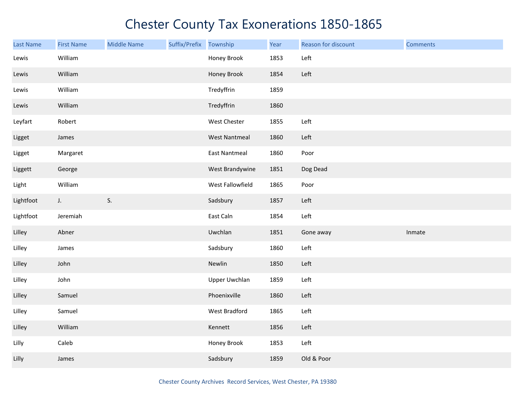| Last Name | <b>First Name</b> | <b>Middle Name</b> | Suffix/Prefix | Township             | Year | Reason for discount | <b>Comments</b> |
|-----------|-------------------|--------------------|---------------|----------------------|------|---------------------|-----------------|
| Lewis     | William           |                    |               | Honey Brook          | 1853 | Left                |                 |
| Lewis     | William           |                    |               | Honey Brook          | 1854 | Left                |                 |
| Lewis     | William           |                    |               | Tredyffrin           | 1859 |                     |                 |
| Lewis     | William           |                    |               | Tredyffrin           | 1860 |                     |                 |
| Leyfart   | Robert            |                    |               | West Chester         | 1855 | Left                |                 |
| Ligget    | James             |                    |               | <b>West Nantmeal</b> | 1860 | Left                |                 |
| Ligget    | Margaret          |                    |               | <b>East Nantmeal</b> | 1860 | Poor                |                 |
| Liggett   | George            |                    |               | West Brandywine      | 1851 | Dog Dead            |                 |
| Light     | William           |                    |               | West Fallowfield     | 1865 | Poor                |                 |
| Lightfoot | J.                | S.                 |               | Sadsbury             | 1857 | Left                |                 |
| Lightfoot | Jeremiah          |                    |               | East Caln            | 1854 | Left                |                 |
| Lilley    | Abner             |                    |               | Uwchlan              | 1851 | Gone away           | Inmate          |
| Lilley    | James             |                    |               | Sadsbury             | 1860 | Left                |                 |
| Lilley    | John              |                    |               | Newlin               | 1850 | Left                |                 |
| Lilley    | John              |                    |               | <b>Upper Uwchlan</b> | 1859 | Left                |                 |
| Lilley    | Samuel            |                    |               | Phoenixville         | 1860 | Left                |                 |
| Lilley    | Samuel            |                    |               | West Bradford        | 1865 | Left                |                 |
| Lilley    | William           |                    |               | Kennett              | 1856 | Left                |                 |
| Lilly     | Caleb             |                    |               | Honey Brook          | 1853 | Left                |                 |
| Lilly     | James             |                    |               | Sadsbury             | 1859 | Old & Poor          |                 |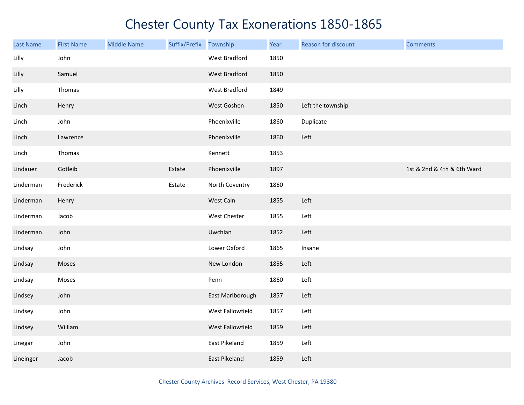| <b>Last Name</b> | <b>First Name</b> | <b>Middle Name</b> | Suffix/Prefix | Township         | Year | Reason for discount | <b>Comments</b>            |
|------------------|-------------------|--------------------|---------------|------------------|------|---------------------|----------------------------|
| Lilly            | John              |                    |               | West Bradford    | 1850 |                     |                            |
| Lilly            | Samuel            |                    |               | West Bradford    | 1850 |                     |                            |
| Lilly            | Thomas            |                    |               | West Bradford    | 1849 |                     |                            |
| Linch            | Henry             |                    |               | West Goshen      | 1850 | Left the township   |                            |
| Linch            | John              |                    |               | Phoenixville     | 1860 | Duplicate           |                            |
| Linch            | Lawrence          |                    |               | Phoenixville     | 1860 | Left                |                            |
| Linch            | Thomas            |                    |               | Kennett          | 1853 |                     |                            |
| Lindauer         | Gotleib           |                    | Estate        | Phoenixville     | 1897 |                     | 1st & 2nd & 4th & 6th Ward |
| Linderman        | Frederick         |                    | Estate        | North Coventry   | 1860 |                     |                            |
| Linderman        | Henry             |                    |               | West Caln        | 1855 | Left                |                            |
| Linderman        | Jacob             |                    |               | West Chester     | 1855 | Left                |                            |
| Linderman        | John              |                    |               | Uwchlan          | 1852 | Left                |                            |
| Lindsay          | John              |                    |               | Lower Oxford     | 1865 | Insane              |                            |
| Lindsay          | Moses             |                    |               | New London       | 1855 | Left                |                            |
| Lindsay          | Moses             |                    |               | Penn             | 1860 | Left                |                            |
| Lindsey          | John              |                    |               | East Marlborough | 1857 | Left                |                            |
| Lindsey          | John              |                    |               | West Fallowfield | 1857 | Left                |                            |
| Lindsey          | William           |                    |               | West Fallowfield | 1859 | Left                |                            |
| Linegar          | John              |                    |               | East Pikeland    | 1859 | Left                |                            |
| Lineinger        | Jacob             |                    |               | East Pikeland    | 1859 | Left                |                            |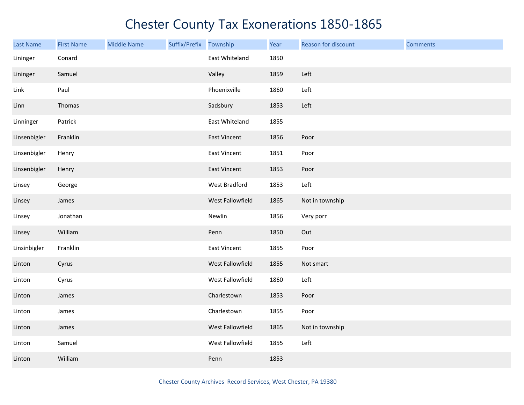| <b>Last Name</b> | <b>First Name</b> | <b>Middle Name</b> | Suffix/Prefix Township |                     | Year | Reason for discount | <b>Comments</b> |
|------------------|-------------------|--------------------|------------------------|---------------------|------|---------------------|-----------------|
| Lininger         | Conard            |                    |                        | East Whiteland      | 1850 |                     |                 |
| Lininger         | Samuel            |                    |                        | Valley              | 1859 | Left                |                 |
| Link             | Paul              |                    |                        | Phoenixville        | 1860 | Left                |                 |
| Linn             | Thomas            |                    |                        | Sadsbury            | 1853 | Left                |                 |
| Linninger        | Patrick           |                    |                        | East Whiteland      | 1855 |                     |                 |
| Linsenbigler     | Franklin          |                    |                        | East Vincent        | 1856 | Poor                |                 |
| Linsenbigler     | Henry             |                    |                        | East Vincent        | 1851 | Poor                |                 |
| Linsenbigler     | Henry             |                    |                        | <b>East Vincent</b> | 1853 | Poor                |                 |
| Linsey           | George            |                    |                        | West Bradford       | 1853 | Left                |                 |
| Linsey           | James             |                    |                        | West Fallowfield    | 1865 | Not in township     |                 |
| Linsey           | Jonathan          |                    |                        | Newlin              | 1856 | Very porr           |                 |
| Linsey           | William           |                    |                        | Penn                | 1850 | Out                 |                 |
| Linsinbigler     | Franklin          |                    |                        | <b>East Vincent</b> | 1855 | Poor                |                 |
| Linton           | Cyrus             |                    |                        | West Fallowfield    | 1855 | Not smart           |                 |
| Linton           | Cyrus             |                    |                        | West Fallowfield    | 1860 | Left                |                 |
| Linton           | James             |                    |                        | Charlestown         | 1853 | Poor                |                 |
| Linton           | James             |                    |                        | Charlestown         | 1855 | Poor                |                 |
| Linton           | James             |                    |                        | West Fallowfield    | 1865 | Not in township     |                 |
| Linton           | Samuel            |                    |                        | West Fallowfield    | 1855 | Left                |                 |
| Linton           | William           |                    |                        | Penn                | 1853 |                     |                 |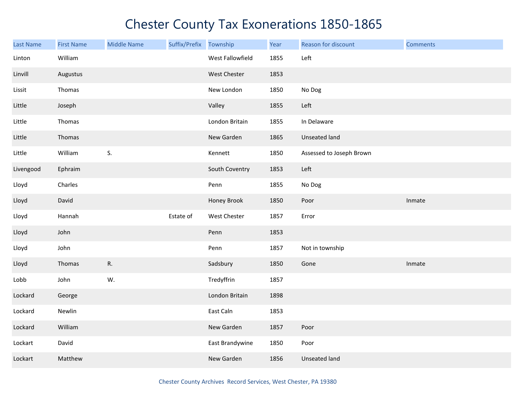| <b>Last Name</b> | <b>First Name</b> | <b>Middle Name</b> | Suffix/Prefix | Township         | Year | Reason for discount      | <b>Comments</b> |
|------------------|-------------------|--------------------|---------------|------------------|------|--------------------------|-----------------|
| Linton           | William           |                    |               | West Fallowfield | 1855 | Left                     |                 |
| Linvill          | Augustus          |                    |               | West Chester     | 1853 |                          |                 |
| Lissit           | Thomas            |                    |               | New London       | 1850 | No Dog                   |                 |
| Little           | Joseph            |                    |               | Valley           | 1855 | Left                     |                 |
| Little           | Thomas            |                    |               | London Britain   | 1855 | In Delaware              |                 |
| Little           | Thomas            |                    |               | New Garden       | 1865 | Unseated land            |                 |
| Little           | William           | S.                 |               | Kennett          | 1850 | Assessed to Joseph Brown |                 |
| Livengood        | Ephraim           |                    |               | South Coventry   | 1853 | Left                     |                 |
| Lloyd            | Charles           |                    |               | Penn             | 1855 | No Dog                   |                 |
| Lloyd            | David             |                    |               | Honey Brook      | 1850 | Poor                     | Inmate          |
| Lloyd            | Hannah            |                    | Estate of     | West Chester     | 1857 | Error                    |                 |
| Lloyd            | John              |                    |               | Penn             | 1853 |                          |                 |
| Lloyd            | John              |                    |               | Penn             | 1857 | Not in township          |                 |
| Lloyd            | Thomas            | R.                 |               | Sadsbury         | 1850 | Gone                     | Inmate          |
| Lobb             | John              | W.                 |               | Tredyffrin       | 1857 |                          |                 |
| Lockard          | George            |                    |               | London Britain   | 1898 |                          |                 |
| Lockard          | Newlin            |                    |               | East Caln        | 1853 |                          |                 |
| Lockard          | William           |                    |               | New Garden       | 1857 | Poor                     |                 |
| Lockart          | David             |                    |               | East Brandywine  | 1850 | Poor                     |                 |
| Lockart          | Matthew           |                    |               | New Garden       | 1856 | <b>Unseated land</b>     |                 |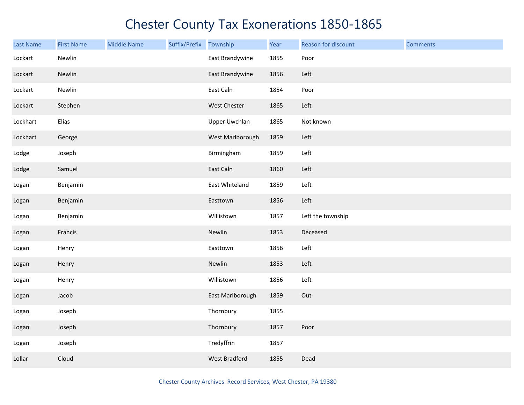| <b>Last Name</b> | <b>First Name</b> | <b>Middle Name</b> | Suffix/Prefix | Township             | Year | Reason for discount | <b>Comments</b> |
|------------------|-------------------|--------------------|---------------|----------------------|------|---------------------|-----------------|
| Lockart          | Newlin            |                    |               | East Brandywine      | 1855 | Poor                |                 |
| Lockart          | Newlin            |                    |               | East Brandywine      | 1856 | Left                |                 |
| Lockart          | Newlin            |                    |               | East Caln            | 1854 | Poor                |                 |
| Lockart          | Stephen           |                    |               | West Chester         | 1865 | Left                |                 |
| Lockhart         | Elias             |                    |               | Upper Uwchlan        | 1865 | Not known           |                 |
| Lockhart         | George            |                    |               | West Marlborough     | 1859 | Left                |                 |
| Lodge            | Joseph            |                    |               | Birmingham           | 1859 | Left                |                 |
| Lodge            | Samuel            |                    |               | East Caln            | 1860 | Left                |                 |
| Logan            | Benjamin          |                    |               | East Whiteland       | 1859 | Left                |                 |
| Logan            | Benjamin          |                    |               | Easttown             | 1856 | Left                |                 |
| Logan            | Benjamin          |                    |               | Willistown           | 1857 | Left the township   |                 |
| Logan            | Francis           |                    |               | Newlin               | 1853 | Deceased            |                 |
| Logan            | Henry             |                    |               | Easttown             | 1856 | Left                |                 |
| Logan            | Henry             |                    |               | Newlin               | 1853 | Left                |                 |
| Logan            | Henry             |                    |               | Willistown           | 1856 | Left                |                 |
| Logan            | Jacob             |                    |               | East Marlborough     | 1859 | Out                 |                 |
| Logan            | Joseph            |                    |               | Thornbury            | 1855 |                     |                 |
| Logan            | Joseph            |                    |               | Thornbury            | 1857 | Poor                |                 |
| Logan            | Joseph            |                    |               | Tredyffrin           | 1857 |                     |                 |
| Lollar           | Cloud             |                    |               | <b>West Bradford</b> | 1855 | Dead                |                 |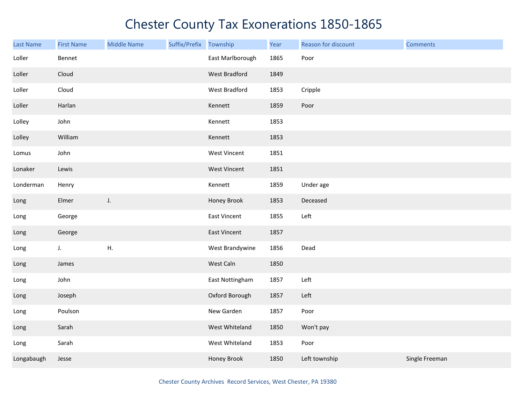| Last Name  | <b>First Name</b> | <b>Middle Name</b> | Suffix/Prefix | Township         | Year | Reason for discount | <b>Comments</b> |
|------------|-------------------|--------------------|---------------|------------------|------|---------------------|-----------------|
| Loller     | Bennet            |                    |               | East Marlborough | 1865 | Poor                |                 |
| Loller     | Cloud             |                    |               | West Bradford    | 1849 |                     |                 |
| Loller     | Cloud             |                    |               | West Bradford    | 1853 | Cripple             |                 |
| Loller     | Harlan            |                    |               | Kennett          | 1859 | Poor                |                 |
| Lolley     | John              |                    |               | Kennett          | 1853 |                     |                 |
| Lolley     | William           |                    |               | Kennett          | 1853 |                     |                 |
| Lomus      | John              |                    |               | West Vincent     | 1851 |                     |                 |
| Lonaker    | Lewis             |                    |               | West Vincent     | 1851 |                     |                 |
| Londerman  | Henry             |                    |               | Kennett          | 1859 | Under age           |                 |
| Long       | Elmer             | J.                 |               | Honey Brook      | 1853 | Deceased            |                 |
| Long       | George            |                    |               | East Vincent     | 1855 | Left                |                 |
| Long       | George            |                    |               | East Vincent     | 1857 |                     |                 |
| Long       | J.                | ${\sf H}.$         |               | West Brandywine  | 1856 | Dead                |                 |
| Long       | James             |                    |               | West Caln        | 1850 |                     |                 |
| Long       | John              |                    |               | East Nottingham  | 1857 | Left                |                 |
| Long       | Joseph            |                    |               | Oxford Borough   | 1857 | Left                |                 |
| Long       | Poulson           |                    |               | New Garden       | 1857 | Poor                |                 |
| Long       | Sarah             |                    |               | West Whiteland   | 1850 | Won't pay           |                 |
| Long       | Sarah             |                    |               | West Whiteland   | 1853 | Poor                |                 |
| Longabaugh | Jesse             |                    |               | Honey Brook      | 1850 | Left township       | Single Freeman  |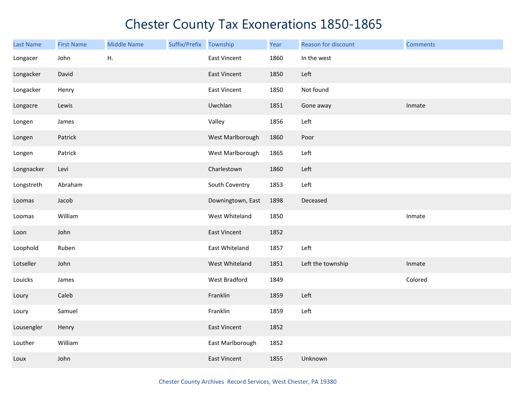| <b>Last Name</b> | <b>First Name</b> | <b>Middle Name</b> | Suffix/Prefix Township |                     | Year | Reason for discount | <b>Comments</b> |
|------------------|-------------------|--------------------|------------------------|---------------------|------|---------------------|-----------------|
| Longacer         | John              | Η.                 |                        | <b>East Vincent</b> | 1860 | In the west         |                 |
| Longacker        | David             |                    |                        | <b>East Vincent</b> | 1850 | Left                |                 |
| Longacker        | Henry             |                    |                        | <b>East Vincent</b> | 1850 | Not found           |                 |
| Longacre         | Lewis             |                    |                        | Uwchlan             | 1851 | Gone away           | Inmate          |
| Longen           | James             |                    |                        | Valley              | 1856 | Left                |                 |
| Longen           | Patrick           |                    |                        | West Marlborough    | 1860 | Poor                |                 |
| Longen           | Patrick           |                    |                        | West Marlborough    | 1865 | Left                |                 |
| Longnacker       | Levi              |                    |                        | Charlestown         | 1860 | Left                |                 |
| Longstreth       | Abraham           |                    |                        | South Coventry      | 1853 | Left                |                 |
| Loomas           | Jacob             |                    |                        | Downingtown, East   | 1898 | Deceased            |                 |
| Loomas           | William           |                    |                        | West Whiteland      | 1850 |                     | Inmate          |
| Loon             | John              |                    |                        | <b>East Vincent</b> | 1852 |                     |                 |
| Loophold         | Ruben             |                    |                        | East Whiteland      | 1857 | Left                |                 |
| Lotseller        | John              |                    |                        | West Whiteland      | 1851 | Left the township   | Inmate          |
| Louicks          | James             |                    |                        | West Bradford       | 1849 |                     | Colored         |
| Loury            | Caleb             |                    |                        | Franklin            | 1859 | Left                |                 |
| Loury            | Samuel            |                    |                        | Franklin            | 1859 | Left                |                 |
| Lousengler       | Henry             |                    |                        | <b>East Vincent</b> | 1852 |                     |                 |
| Louther          | William           |                    |                        | East Marlborough    | 1852 |                     |                 |
| Loux             | John              |                    |                        | <b>East Vincent</b> | 1855 | Unknown             |                 |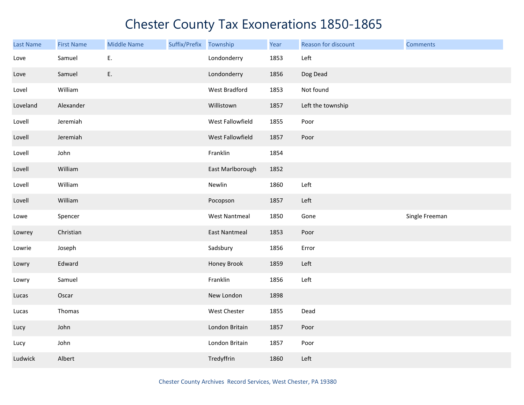| Last Name | <b>First Name</b> | <b>Middle Name</b> | Suffix/Prefix Township |                      | Year | Reason for discount | <b>Comments</b> |
|-----------|-------------------|--------------------|------------------------|----------------------|------|---------------------|-----------------|
| Love      | Samuel            | Ε.                 |                        | Londonderry          | 1853 | Left                |                 |
| Love      | Samuel            | E.                 |                        | Londonderry          | 1856 | Dog Dead            |                 |
| Lovel     | William           |                    |                        | West Bradford        | 1853 | Not found           |                 |
| Loveland  | Alexander         |                    |                        | Willistown           | 1857 | Left the township   |                 |
| Lovell    | Jeremiah          |                    |                        | West Fallowfield     | 1855 | Poor                |                 |
| Lovell    | Jeremiah          |                    |                        | West Fallowfield     | 1857 | Poor                |                 |
| Lovell    | John              |                    |                        | Franklin             | 1854 |                     |                 |
| Lovell    | William           |                    |                        | East Marlborough     | 1852 |                     |                 |
| Lovell    | William           |                    |                        | Newlin               | 1860 | Left                |                 |
| Lovell    | William           |                    |                        | Pocopson             | 1857 | Left                |                 |
| Lowe      | Spencer           |                    |                        | <b>West Nantmeal</b> | 1850 | Gone                | Single Freeman  |
| Lowrey    | Christian         |                    |                        | <b>East Nantmeal</b> | 1853 | Poor                |                 |
| Lowrie    | Joseph            |                    |                        | Sadsbury             | 1856 | Error               |                 |
| Lowry     | Edward            |                    |                        | Honey Brook          | 1859 | Left                |                 |
| Lowry     | Samuel            |                    |                        | Franklin             | 1856 | Left                |                 |
| Lucas     | Oscar             |                    |                        | New London           | 1898 |                     |                 |
| Lucas     | Thomas            |                    |                        | West Chester         | 1855 | Dead                |                 |
| Lucy      | John              |                    |                        | London Britain       | 1857 | Poor                |                 |
| Lucy      | John              |                    |                        | London Britain       | 1857 | Poor                |                 |
| Ludwick   | Albert            |                    |                        | Tredyffrin           | 1860 | Left                |                 |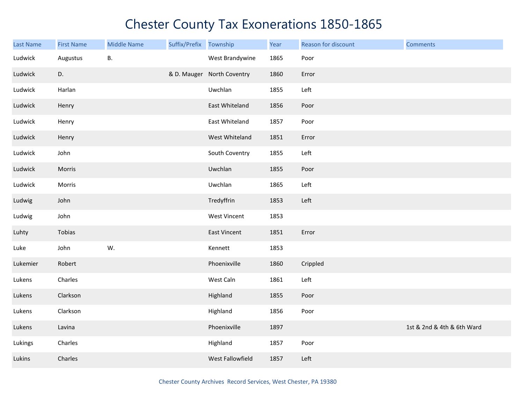| Last Name | <b>First Name</b> | <b>Middle Name</b> | Suffix/Prefix Township |                            | Year | Reason for discount | <b>Comments</b>            |
|-----------|-------------------|--------------------|------------------------|----------------------------|------|---------------------|----------------------------|
| Ludwick   | Augustus          | В.                 |                        | West Brandywine            | 1865 | Poor                |                            |
| Ludwick   | D.                |                    |                        | & D. Mauger North Coventry | 1860 | Error               |                            |
| Ludwick   | Harlan            |                    |                        | Uwchlan                    | 1855 | Left                |                            |
| Ludwick   | Henry             |                    |                        | East Whiteland             | 1856 | Poor                |                            |
| Ludwick   | Henry             |                    |                        | East Whiteland             | 1857 | Poor                |                            |
| Ludwick   | Henry             |                    |                        | West Whiteland             | 1851 | Error               |                            |
| Ludwick   | John              |                    |                        | South Coventry             | 1855 | Left                |                            |
| Ludwick   | Morris            |                    |                        | Uwchlan                    | 1855 | Poor                |                            |
| Ludwick   | Morris            |                    |                        | Uwchlan                    | 1865 | Left                |                            |
| Ludwig    | John              |                    |                        | Tredyffrin                 | 1853 | Left                |                            |
| Ludwig    | John              |                    |                        | <b>West Vincent</b>        | 1853 |                     |                            |
| Luhty     | Tobias            |                    |                        | <b>East Vincent</b>        | 1851 | Error               |                            |
| Luke      | John              | W.                 |                        | Kennett                    | 1853 |                     |                            |
| Lukemier  | Robert            |                    |                        | Phoenixville               | 1860 | Crippled            |                            |
| Lukens    | Charles           |                    |                        | West Caln                  | 1861 | Left                |                            |
| Lukens    | Clarkson          |                    |                        | Highland                   | 1855 | Poor                |                            |
| Lukens    | Clarkson          |                    |                        | Highland                   | 1856 | Poor                |                            |
| Lukens    | Lavina            |                    |                        | Phoenixville               | 1897 |                     | 1st & 2nd & 4th & 6th Ward |
| Lukings   | Charles           |                    |                        | Highland                   | 1857 | Poor                |                            |
| Lukins    | Charles           |                    |                        | West Fallowfield           | 1857 | Left                |                            |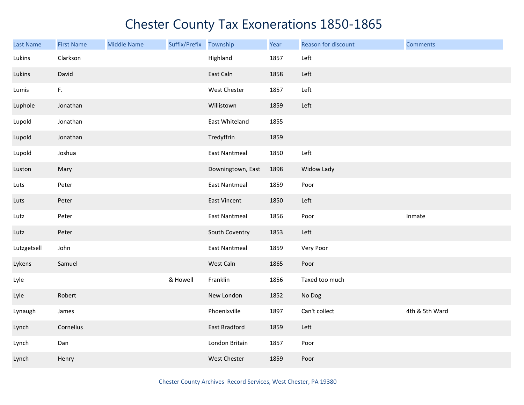| Last Name   | <b>First Name</b> | <b>Middle Name</b> | Suffix/Prefix | Township             | Year | Reason for discount | <b>Comments</b> |
|-------------|-------------------|--------------------|---------------|----------------------|------|---------------------|-----------------|
| Lukins      | Clarkson          |                    |               | Highland             | 1857 | Left                |                 |
| Lukins      | David             |                    |               | East Caln            | 1858 | Left                |                 |
| Lumis       | F.                |                    |               | West Chester         | 1857 | Left                |                 |
| Luphole     | Jonathan          |                    |               | Willistown           | 1859 | Left                |                 |
| Lupold      | Jonathan          |                    |               | East Whiteland       | 1855 |                     |                 |
| Lupold      | Jonathan          |                    |               | Tredyffrin           | 1859 |                     |                 |
| Lupold      | Joshua            |                    |               | <b>East Nantmeal</b> | 1850 | Left                |                 |
| Luston      | Mary              |                    |               | Downingtown, East    | 1898 | Widow Lady          |                 |
| Luts        | Peter             |                    |               | <b>East Nantmeal</b> | 1859 | Poor                |                 |
| Luts        | Peter             |                    |               | East Vincent         | 1850 | Left                |                 |
| Lutz        | Peter             |                    |               | <b>East Nantmeal</b> | 1856 | Poor                | Inmate          |
| Lutz        | Peter             |                    |               | South Coventry       | 1853 | Left                |                 |
| Lutzgetsell | John              |                    |               | <b>East Nantmeal</b> | 1859 | Very Poor           |                 |
| Lykens      | Samuel            |                    |               | West Caln            | 1865 | Poor                |                 |
| Lyle        |                   |                    | & Howell      | Franklin             | 1856 | Taxed too much      |                 |
| Lyle        | Robert            |                    |               | New London           | 1852 | No Dog              |                 |
| Lynaugh     | James             |                    |               | Phoenixville         | 1897 | Can't collect       | 4th & 5th Ward  |
| Lynch       | Cornelius         |                    |               | East Bradford        | 1859 | Left                |                 |
| Lynch       | Dan               |                    |               | London Britain       | 1857 | Poor                |                 |
| Lynch       | Henry             |                    |               | <b>West Chester</b>  | 1859 | Poor                |                 |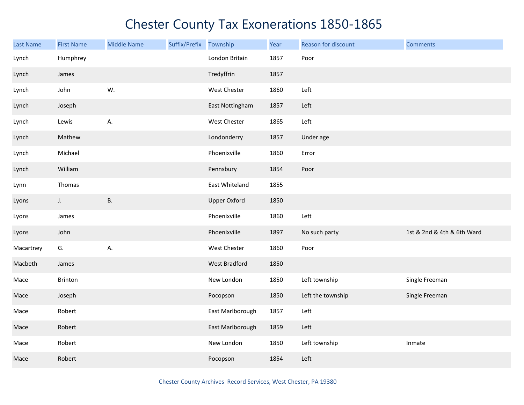| <b>Last Name</b> | <b>First Name</b> | <b>Middle Name</b> | Suffix/Prefix Township |                     | Year | Reason for discount | <b>Comments</b>            |
|------------------|-------------------|--------------------|------------------------|---------------------|------|---------------------|----------------------------|
| Lynch            | Humphrey          |                    |                        | London Britain      | 1857 | Poor                |                            |
| Lynch            | James             |                    |                        | Tredyffrin          | 1857 |                     |                            |
| Lynch            | John              | W.                 |                        | West Chester        | 1860 | Left                |                            |
| Lynch            | Joseph            |                    |                        | East Nottingham     | 1857 | Left                |                            |
| Lynch            | Lewis             | А.                 |                        | West Chester        | 1865 | Left                |                            |
| Lynch            | Mathew            |                    |                        | Londonderry         | 1857 | Under age           |                            |
| Lynch            | Michael           |                    |                        | Phoenixville        | 1860 | Error               |                            |
| Lynch            | William           |                    |                        | Pennsbury           | 1854 | Poor                |                            |
| Lynn             | Thomas            |                    |                        | East Whiteland      | 1855 |                     |                            |
| Lyons            | $J_{\star}$       | <b>B.</b>          |                        | <b>Upper Oxford</b> | 1850 |                     |                            |
| Lyons            | James             |                    |                        | Phoenixville        | 1860 | Left                |                            |
| Lyons            | John              |                    |                        | Phoenixville        | 1897 | No such party       | 1st & 2nd & 4th & 6th Ward |
| Macartney        | G.                | А.                 |                        | West Chester        | 1860 | Poor                |                            |
| Macbeth          | James             |                    |                        | West Bradford       | 1850 |                     |                            |
| Mace             | Brinton           |                    |                        | New London          | 1850 | Left township       | Single Freeman             |
| Mace             | Joseph            |                    |                        | Pocopson            | 1850 | Left the township   | Single Freeman             |
| Mace             | Robert            |                    |                        | East Marlborough    | 1857 | Left                |                            |
| Mace             | Robert            |                    |                        | East Marlborough    | 1859 | Left                |                            |
| Mace             | Robert            |                    |                        | New London          | 1850 | Left township       | Inmate                     |
| Mace             | Robert            |                    |                        | Pocopson            | 1854 | Left                |                            |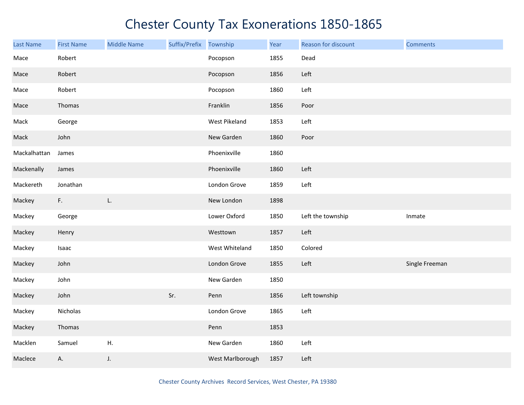| <b>Last Name</b> | <b>First Name</b> | <b>Middle Name</b> | Suffix/Prefix | Township         | Year | Reason for discount | <b>Comments</b> |
|------------------|-------------------|--------------------|---------------|------------------|------|---------------------|-----------------|
| Mace             | Robert            |                    |               | Pocopson         | 1855 | Dead                |                 |
| Mace             | Robert            |                    |               | Pocopson         | 1856 | Left                |                 |
| Mace             | Robert            |                    |               | Pocopson         | 1860 | Left                |                 |
| Mace             | Thomas            |                    |               | Franklin         | 1856 | Poor                |                 |
| Mack             | George            |                    |               | West Pikeland    | 1853 | Left                |                 |
| Mack             | John              |                    |               | New Garden       | 1860 | Poor                |                 |
| Mackalhattan     | James             |                    |               | Phoenixville     | 1860 |                     |                 |
| Mackenally       | James             |                    |               | Phoenixville     | 1860 | Left                |                 |
| Mackereth        | Jonathan          |                    |               | London Grove     | 1859 | Left                |                 |
| Mackey           | F.                | L.                 |               | New London       | 1898 |                     |                 |
| Mackey           | George            |                    |               | Lower Oxford     | 1850 | Left the township   | Inmate          |
| Mackey           | Henry             |                    |               | Westtown         | 1857 | Left                |                 |
| Mackey           | Isaac             |                    |               | West Whiteland   | 1850 | Colored             |                 |
| Mackey           | John              |                    |               | London Grove     | 1855 | Left                | Single Freeman  |
| Mackey           | John              |                    |               | New Garden       | 1850 |                     |                 |
| Mackey           | John              |                    | Sr.           | Penn             | 1856 | Left township       |                 |
| Mackey           | Nicholas          |                    |               | London Grove     | 1865 | Left                |                 |
| Mackey           | Thomas            |                    |               | Penn             | 1853 |                     |                 |
| Macklen          | Samuel            | Η.                 |               | New Garden       | 1860 | Left                |                 |
| Maclece          | Α.                | J.                 |               | West Marlborough | 1857 | Left                |                 |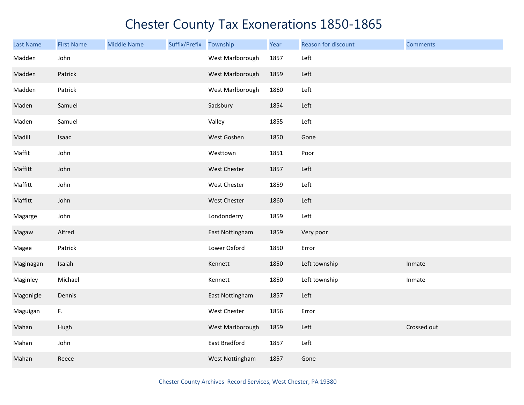| <b>Last Name</b> | <b>First Name</b> | <b>Middle Name</b> | Suffix/Prefix | Township         | Year | Reason for discount | <b>Comments</b> |
|------------------|-------------------|--------------------|---------------|------------------|------|---------------------|-----------------|
| Madden           | John              |                    |               | West Marlborough | 1857 | Left                |                 |
| Madden           | Patrick           |                    |               | West Marlborough | 1859 | Left                |                 |
| Madden           | Patrick           |                    |               | West Marlborough | 1860 | Left                |                 |
| Maden            | Samuel            |                    |               | Sadsbury         | 1854 | Left                |                 |
| Maden            | Samuel            |                    |               | Valley           | 1855 | Left                |                 |
| Madill           | Isaac             |                    |               | West Goshen      | 1850 | Gone                |                 |
| Maffit           | John              |                    |               | Westtown         | 1851 | Poor                |                 |
| Maffitt          | John              |                    |               | West Chester     | 1857 | Left                |                 |
| Maffitt          | John              |                    |               | West Chester     | 1859 | Left                |                 |
| Maffitt          | John              |                    |               | West Chester     | 1860 | Left                |                 |
| Magarge          | John              |                    |               | Londonderry      | 1859 | Left                |                 |
| Magaw            | Alfred            |                    |               | East Nottingham  | 1859 | Very poor           |                 |
| Magee            | Patrick           |                    |               | Lower Oxford     | 1850 | Error               |                 |
| Maginagan        | Isaiah            |                    |               | Kennett          | 1850 | Left township       | Inmate          |
| Maginley         | Michael           |                    |               | Kennett          | 1850 | Left township       | Inmate          |
| Magonigle        | Dennis            |                    |               | East Nottingham  | 1857 | Left                |                 |
| Maguigan         | F.                |                    |               | West Chester     | 1856 | Error               |                 |
| Mahan            | Hugh              |                    |               | West Marlborough | 1859 | Left                | Crossed out     |
| Mahan            | John              |                    |               | East Bradford    | 1857 | Left                |                 |
| Mahan            | Reece             |                    |               | West Nottingham  | 1857 | Gone                |                 |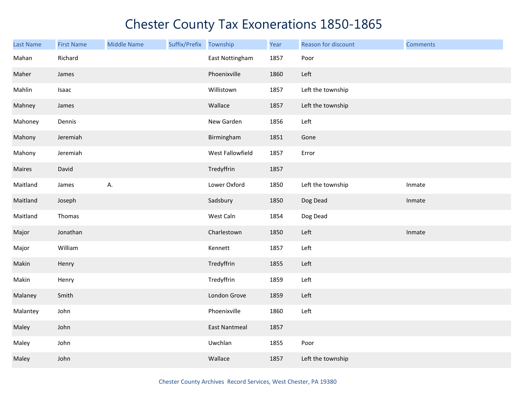| <b>Last Name</b> | <b>First Name</b> | <b>Middle Name</b> | Suffix/Prefix | Township             | Year | Reason for discount | <b>Comments</b> |
|------------------|-------------------|--------------------|---------------|----------------------|------|---------------------|-----------------|
| Mahan            | Richard           |                    |               | East Nottingham      | 1857 | Poor                |                 |
| Maher            | James             |                    |               | Phoenixville         | 1860 | Left                |                 |
| Mahlin           | Isaac             |                    |               | Willistown           | 1857 | Left the township   |                 |
| Mahney           | James             |                    |               | Wallace              | 1857 | Left the township   |                 |
| Mahoney          | Dennis            |                    |               | New Garden           | 1856 | Left                |                 |
| Mahony           | Jeremiah          |                    |               | Birmingham           | 1851 | Gone                |                 |
| Mahony           | Jeremiah          |                    |               | West Fallowfield     | 1857 | Error               |                 |
| Maires           | David             |                    |               | Tredyffrin           | 1857 |                     |                 |
| Maitland         | James             | А.                 |               | Lower Oxford         | 1850 | Left the township   | Inmate          |
| Maitland         | Joseph            |                    |               | Sadsbury             | 1850 | Dog Dead            | Inmate          |
| Maitland         | Thomas            |                    |               | West Caln            | 1854 | Dog Dead            |                 |
| Major            | Jonathan          |                    |               | Charlestown          | 1850 | Left                | Inmate          |
| Major            | William           |                    |               | Kennett              | 1857 | Left                |                 |
| Makin            | Henry             |                    |               | Tredyffrin           | 1855 | Left                |                 |
| Makin            | Henry             |                    |               | Tredyffrin           | 1859 | Left                |                 |
| Malaney          | Smith             |                    |               | London Grove         | 1859 | Left                |                 |
| Malantey         | John              |                    |               | Phoenixville         | 1860 | Left                |                 |
| Maley            | John              |                    |               | <b>East Nantmeal</b> | 1857 |                     |                 |
| Maley            | John              |                    |               | Uwchlan              | 1855 | Poor                |                 |
| Maley            | John              |                    |               | Wallace              | 1857 | Left the township   |                 |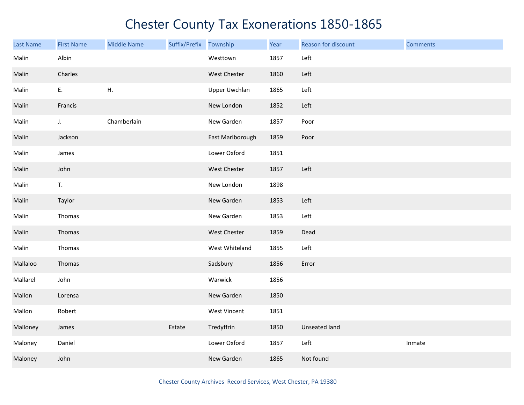| <b>Last Name</b> | <b>First Name</b> | <b>Middle Name</b> | Suffix/Prefix Township |                     | Year | Reason for discount | <b>Comments</b> |
|------------------|-------------------|--------------------|------------------------|---------------------|------|---------------------|-----------------|
| Malin            | Albin             |                    |                        | Westtown            | 1857 | Left                |                 |
| Malin            | Charles           |                    |                        | West Chester        | 1860 | Left                |                 |
| Malin            | Ε.                | ${\sf H}.$         |                        | Upper Uwchlan       | 1865 | Left                |                 |
| Malin            | Francis           |                    |                        | New London          | 1852 | Left                |                 |
| Malin            | $\mathsf J.$      | Chamberlain        |                        | New Garden          | 1857 | Poor                |                 |
| Malin            | Jackson           |                    |                        | East Marlborough    | 1859 | Poor                |                 |
| Malin            | James             |                    |                        | Lower Oxford        | 1851 |                     |                 |
| Malin            | John              |                    |                        | West Chester        | 1857 | Left                |                 |
| Malin            | T.                |                    |                        | New London          | 1898 |                     |                 |
| Malin            | Taylor            |                    |                        | New Garden          | 1853 | Left                |                 |
| Malin            | Thomas            |                    |                        | New Garden          | 1853 | Left                |                 |
| Malin            | Thomas            |                    |                        | <b>West Chester</b> | 1859 | Dead                |                 |
| Malin            | Thomas            |                    |                        | West Whiteland      | 1855 | Left                |                 |
| Mallaloo         | Thomas            |                    |                        | Sadsbury            | 1856 | Error               |                 |
| Mallarel         | John              |                    |                        | Warwick             | 1856 |                     |                 |
| Mallon           | Lorensa           |                    |                        | New Garden          | 1850 |                     |                 |
| Mallon           | Robert            |                    |                        | West Vincent        | 1851 |                     |                 |
| Malloney         | James             |                    | Estate                 | Tredyffrin          | 1850 | Unseated land       |                 |
| Maloney          | Daniel            |                    |                        | Lower Oxford        | 1857 | Left                | Inmate          |
| Maloney          | John              |                    |                        | New Garden          | 1865 | Not found           |                 |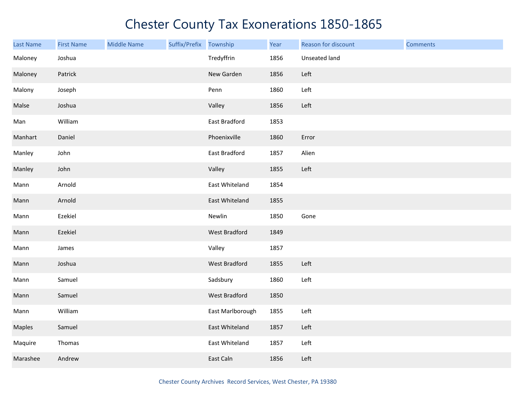| Last Name | <b>First Name</b> | <b>Middle Name</b> | Suffix/Prefix Township |                  | Year | Reason for discount | <b>Comments</b> |
|-----------|-------------------|--------------------|------------------------|------------------|------|---------------------|-----------------|
| Maloney   | Joshua            |                    |                        | Tredyffrin       | 1856 | Unseated land       |                 |
| Maloney   | Patrick           |                    |                        | New Garden       | 1856 | Left                |                 |
| Malony    | Joseph            |                    |                        | Penn             | 1860 | Left                |                 |
| Malse     | Joshua            |                    |                        | Valley           | 1856 | Left                |                 |
| Man       | William           |                    |                        | East Bradford    | 1853 |                     |                 |
| Manhart   | Daniel            |                    |                        | Phoenixville     | 1860 | Error               |                 |
| Manley    | John              |                    |                        | East Bradford    | 1857 | Alien               |                 |
| Manley    | John              |                    |                        | Valley           | 1855 | Left                |                 |
| Mann      | Arnold            |                    |                        | East Whiteland   | 1854 |                     |                 |
| Mann      | Arnold            |                    |                        | East Whiteland   | 1855 |                     |                 |
| Mann      | Ezekiel           |                    |                        | Newlin           | 1850 | Gone                |                 |
| Mann      | Ezekiel           |                    |                        | West Bradford    | 1849 |                     |                 |
| Mann      | James             |                    |                        | Valley           | 1857 |                     |                 |
| Mann      | Joshua            |                    |                        | West Bradford    | 1855 | Left                |                 |
| Mann      | Samuel            |                    |                        | Sadsbury         | 1860 | Left                |                 |
| Mann      | Samuel            |                    |                        | West Bradford    | 1850 |                     |                 |
| Mann      | William           |                    |                        | East Marlborough | 1855 | Left                |                 |
| Maples    | Samuel            |                    |                        | East Whiteland   | 1857 | Left                |                 |
| Maquire   | Thomas            |                    |                        | East Whiteland   | 1857 | Left                |                 |
| Marashee  | Andrew            |                    |                        | East Caln        | 1856 | Left                |                 |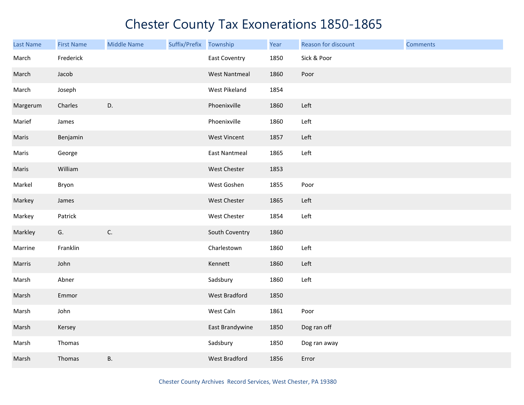| <b>Last Name</b> | <b>First Name</b> | <b>Middle Name</b> | Suffix/Prefix | Township             | Year | Reason for discount | <b>Comments</b> |
|------------------|-------------------|--------------------|---------------|----------------------|------|---------------------|-----------------|
| March            | Frederick         |                    |               | <b>East Coventry</b> | 1850 | Sick & Poor         |                 |
| March            | Jacob             |                    |               | <b>West Nantmeal</b> | 1860 | Poor                |                 |
| March            | Joseph            |                    |               | West Pikeland        | 1854 |                     |                 |
| Margerum         | Charles           | D.                 |               | Phoenixville         | 1860 | Left                |                 |
| Marief           | James             |                    |               | Phoenixville         | 1860 | Left                |                 |
| Maris            | Benjamin          |                    |               | <b>West Vincent</b>  | 1857 | Left                |                 |
| Maris            | George            |                    |               | <b>East Nantmeal</b> | 1865 | Left                |                 |
| Maris            | William           |                    |               | West Chester         | 1853 |                     |                 |
| Markel           | Bryon             |                    |               | West Goshen          | 1855 | Poor                |                 |
| Markey           | James             |                    |               | West Chester         | 1865 | Left                |                 |
| Markey           | Patrick           |                    |               | West Chester         | 1854 | Left                |                 |
| Markley          | G.                | $\mathsf{C}.$      |               | South Coventry       | 1860 |                     |                 |
| Marrine          | Franklin          |                    |               | Charlestown          | 1860 | Left                |                 |
| Marris           | John              |                    |               | Kennett              | 1860 | Left                |                 |
| Marsh            | Abner             |                    |               | Sadsbury             | 1860 | Left                |                 |
| Marsh            | Emmor             |                    |               | West Bradford        | 1850 |                     |                 |
| Marsh            | John              |                    |               | West Caln            | 1861 | Poor                |                 |
| Marsh            | Kersey            |                    |               | East Brandywine      | 1850 | Dog ran off         |                 |
| Marsh            | Thomas            |                    |               | Sadsbury             | 1850 | Dog ran away        |                 |
| Marsh            | Thomas            | В.                 |               | <b>West Bradford</b> | 1856 | Error               |                 |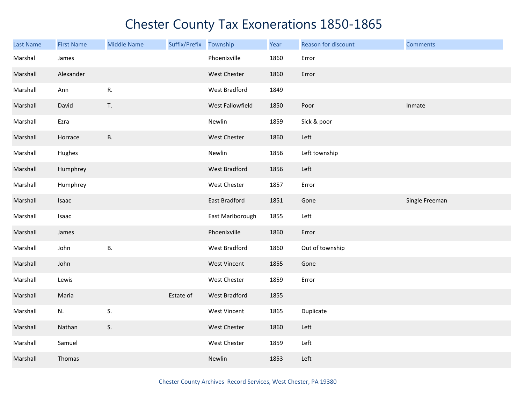| <b>Last Name</b> | <b>First Name</b> | <b>Middle Name</b> | Suffix/Prefix Township |                     | Year | Reason for discount | <b>Comments</b> |
|------------------|-------------------|--------------------|------------------------|---------------------|------|---------------------|-----------------|
| Marshal          | James             |                    |                        | Phoenixville        | 1860 | Error               |                 |
| Marshall         | Alexander         |                    |                        | West Chester        | 1860 | Error               |                 |
| Marshall         | Ann               | R.                 |                        | West Bradford       | 1849 |                     |                 |
| Marshall         | David             | T.                 |                        | West Fallowfield    | 1850 | Poor                | Inmate          |
| Marshall         | Ezra              |                    |                        | Newlin              | 1859 | Sick & poor         |                 |
| Marshall         | Horrace           | <b>B.</b>          |                        | West Chester        | 1860 | Left                |                 |
| Marshall         | Hughes            |                    |                        | Newlin              | 1856 | Left township       |                 |
| Marshall         | Humphrey          |                    |                        | West Bradford       | 1856 | Left                |                 |
| Marshall         | Humphrey          |                    |                        | West Chester        | 1857 | Error               |                 |
| Marshall         | Isaac             |                    |                        | East Bradford       | 1851 | Gone                | Single Freeman  |
| Marshall         | Isaac             |                    |                        | East Marlborough    | 1855 | Left                |                 |
| Marshall         | James             |                    |                        | Phoenixville        | 1860 | Error               |                 |
| Marshall         | John              | <b>B.</b>          |                        | West Bradford       | 1860 | Out of township     |                 |
| Marshall         | John              |                    |                        | <b>West Vincent</b> | 1855 | Gone                |                 |
| Marshall         | Lewis             |                    |                        | West Chester        | 1859 | Error               |                 |
| Marshall         | Maria             |                    | Estate of              | West Bradford       | 1855 |                     |                 |
| Marshall         | N.                | S.                 |                        | <b>West Vincent</b> | 1865 | Duplicate           |                 |
| Marshall         | Nathan            | S.                 |                        | West Chester        | 1860 | Left                |                 |
| Marshall         | Samuel            |                    |                        | West Chester        | 1859 | Left                |                 |
| Marshall         | Thomas            |                    |                        | Newlin              | 1853 | Left                |                 |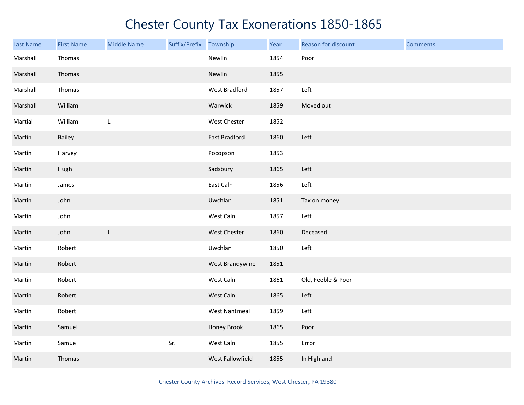| Last Name | <b>First Name</b> | <b>Middle Name</b> | Suffix/Prefix Township |                      | Year | Reason for discount | <b>Comments</b> |
|-----------|-------------------|--------------------|------------------------|----------------------|------|---------------------|-----------------|
| Marshall  | Thomas            |                    |                        | Newlin               | 1854 | Poor                |                 |
| Marshall  | Thomas            |                    |                        | Newlin               | 1855 |                     |                 |
| Marshall  | Thomas            |                    |                        | West Bradford        | 1857 | Left                |                 |
| Marshall  | William           |                    |                        | Warwick              | 1859 | Moved out           |                 |
| Martial   | William           | L.                 |                        | West Chester         | 1852 |                     |                 |
| Martin    | Bailey            |                    |                        | East Bradford        | 1860 | Left                |                 |
| Martin    | Harvey            |                    |                        | Pocopson             | 1853 |                     |                 |
| Martin    | Hugh              |                    |                        | Sadsbury             | 1865 | Left                |                 |
| Martin    | James             |                    |                        | East Caln            | 1856 | Left                |                 |
| Martin    | John              |                    |                        | Uwchlan              | 1851 | Tax on money        |                 |
| Martin    | John              |                    |                        | West Caln            | 1857 | Left                |                 |
| Martin    | John              | J.                 |                        | West Chester         | 1860 | Deceased            |                 |
| Martin    | Robert            |                    |                        | Uwchlan              | 1850 | Left                |                 |
| Martin    | Robert            |                    |                        | West Brandywine      | 1851 |                     |                 |
| Martin    | Robert            |                    |                        | West Caln            | 1861 | Old, Feeble & Poor  |                 |
| Martin    | Robert            |                    |                        | West Caln            | 1865 | Left                |                 |
| Martin    | Robert            |                    |                        | <b>West Nantmeal</b> | 1859 | Left                |                 |
| Martin    | Samuel            |                    |                        | Honey Brook          | 1865 | Poor                |                 |
| Martin    | Samuel            |                    | Sr.                    | West Caln            | 1855 | Error               |                 |
| Martin    | Thomas            |                    |                        | West Fallowfield     | 1855 | In Highland         |                 |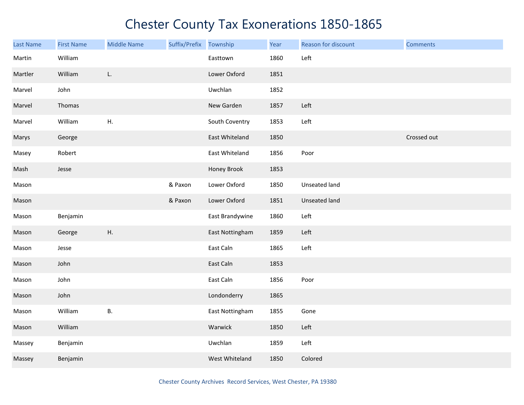| Last Name | <b>First Name</b> | <b>Middle Name</b> | Suffix/Prefix | Township        | Year | Reason for discount  | <b>Comments</b> |
|-----------|-------------------|--------------------|---------------|-----------------|------|----------------------|-----------------|
| Martin    | William           |                    |               | Easttown        | 1860 | Left                 |                 |
| Martler   | William           | L.                 |               | Lower Oxford    | 1851 |                      |                 |
| Marvel    | John              |                    |               | Uwchlan         | 1852 |                      |                 |
| Marvel    | Thomas            |                    |               | New Garden      | 1857 | Left                 |                 |
| Marvel    | William           | H.                 |               | South Coventry  | 1853 | Left                 |                 |
| Marys     | George            |                    |               | East Whiteland  | 1850 |                      | Crossed out     |
| Masey     | Robert            |                    |               | East Whiteland  | 1856 | Poor                 |                 |
| Mash      | Jesse             |                    |               | Honey Brook     | 1853 |                      |                 |
| Mason     |                   |                    | & Paxon       | Lower Oxford    | 1850 | Unseated land        |                 |
| Mason     |                   |                    | & Paxon       | Lower Oxford    | 1851 | <b>Unseated land</b> |                 |
| Mason     | Benjamin          |                    |               | East Brandywine | 1860 | Left                 |                 |
| Mason     | George            | Η.                 |               | East Nottingham | 1859 | Left                 |                 |
| Mason     | Jesse             |                    |               | East Caln       | 1865 | Left                 |                 |
| Mason     | John              |                    |               | East Caln       | 1853 |                      |                 |
| Mason     | John              |                    |               | East Caln       | 1856 | Poor                 |                 |
| Mason     | John              |                    |               | Londonderry     | 1865 |                      |                 |
| Mason     | William           | <b>B.</b>          |               | East Nottingham | 1855 | Gone                 |                 |
| Mason     | William           |                    |               | Warwick         | 1850 | Left                 |                 |
| Massey    | Benjamin          |                    |               | Uwchlan         | 1859 | Left                 |                 |
| Massey    | Benjamin          |                    |               | West Whiteland  | 1850 | Colored              |                 |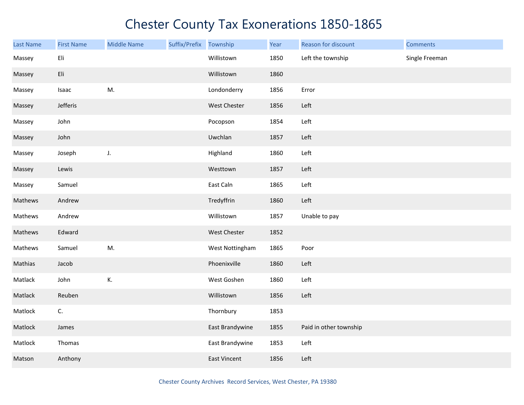| <b>Last Name</b> | <b>First Name</b> | <b>Middle Name</b> | Suffix/Prefix Township |                     | Year | Reason for discount    | <b>Comments</b> |
|------------------|-------------------|--------------------|------------------------|---------------------|------|------------------------|-----------------|
| Massey           | Eli               |                    |                        | Willistown          | 1850 | Left the township      | Single Freeman  |
| Massey           | Eli               |                    |                        | Willistown          | 1860 |                        |                 |
| Massey           | Isaac             | M.                 |                        | Londonderry         | 1856 | Error                  |                 |
| Massey           | Jefferis          |                    |                        | West Chester        | 1856 | Left                   |                 |
| Massey           | John              |                    |                        | Pocopson            | 1854 | Left                   |                 |
| Massey           | John              |                    |                        | Uwchlan             | 1857 | Left                   |                 |
| Massey           | Joseph            | J.                 |                        | Highland            | 1860 | Left                   |                 |
| Massey           | Lewis             |                    |                        | Westtown            | 1857 | Left                   |                 |
| Massey           | Samuel            |                    |                        | East Caln           | 1865 | Left                   |                 |
| Mathews          | Andrew            |                    |                        | Tredyffrin          | 1860 | Left                   |                 |
| Mathews          | Andrew            |                    |                        | Willistown          | 1857 | Unable to pay          |                 |
| Mathews          | Edward            |                    |                        | West Chester        | 1852 |                        |                 |
| Mathews          | Samuel            | M.                 |                        | West Nottingham     | 1865 | Poor                   |                 |
| Mathias          | Jacob             |                    |                        | Phoenixville        | 1860 | Left                   |                 |
| Matlack          | John              | К.                 |                        | West Goshen         | 1860 | Left                   |                 |
| Matlack          | Reuben            |                    |                        | Willistown          | 1856 | Left                   |                 |
| Matlock          | C.                |                    |                        | Thornbury           | 1853 |                        |                 |
| Matlock          | James             |                    |                        | East Brandywine     | 1855 | Paid in other township |                 |
| Matlock          | Thomas            |                    |                        | East Brandywine     | 1853 | Left                   |                 |
| Matson           | Anthony           |                    |                        | <b>East Vincent</b> | 1856 | Left                   |                 |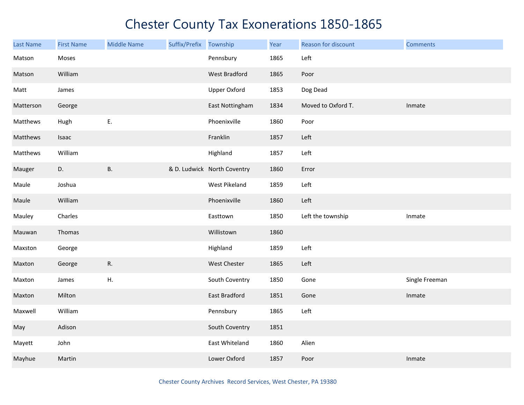| Last Name | <b>First Name</b> | <b>Middle Name</b> | Suffix/Prefix | Township                    | Year | Reason for discount | <b>Comments</b> |
|-----------|-------------------|--------------------|---------------|-----------------------------|------|---------------------|-----------------|
| Matson    | Moses             |                    |               | Pennsbury                   | 1865 | Left                |                 |
| Matson    | William           |                    |               | West Bradford               | 1865 | Poor                |                 |
| Matt      | James             |                    |               | <b>Upper Oxford</b>         | 1853 | Dog Dead            |                 |
| Matterson | George            |                    |               | East Nottingham             | 1834 | Moved to Oxford T.  | Inmate          |
| Matthews  | Hugh              | E.                 |               | Phoenixville                | 1860 | Poor                |                 |
| Matthews  | Isaac             |                    |               | Franklin                    | 1857 | Left                |                 |
| Matthews  | William           |                    |               | Highland                    | 1857 | Left                |                 |
| Mauger    | D.                | В.                 |               | & D. Ludwick North Coventry | 1860 | Error               |                 |
| Maule     | Joshua            |                    |               | West Pikeland               | 1859 | Left                |                 |
| Maule     | William           |                    |               | Phoenixville                | 1860 | Left                |                 |
| Mauley    | Charles           |                    |               | Easttown                    | 1850 | Left the township   | Inmate          |
| Mauwan    | Thomas            |                    |               | Willistown                  | 1860 |                     |                 |
| Maxston   | George            |                    |               | Highland                    | 1859 | Left                |                 |
| Maxton    | George            | R.                 |               | West Chester                | 1865 | Left                |                 |
| Maxton    | James             | Η.                 |               | South Coventry              | 1850 | Gone                | Single Freeman  |
| Maxton    | Milton            |                    |               | East Bradford               | 1851 | Gone                | Inmate          |
| Maxwell   | William           |                    |               | Pennsbury                   | 1865 | Left                |                 |
| May       | Adison            |                    |               | South Coventry              | 1851 |                     |                 |
| Mayett    | John              |                    |               | East Whiteland              | 1860 | Alien               |                 |
| Mayhue    | Martin            |                    |               | Lower Oxford                | 1857 | Poor                | Inmate          |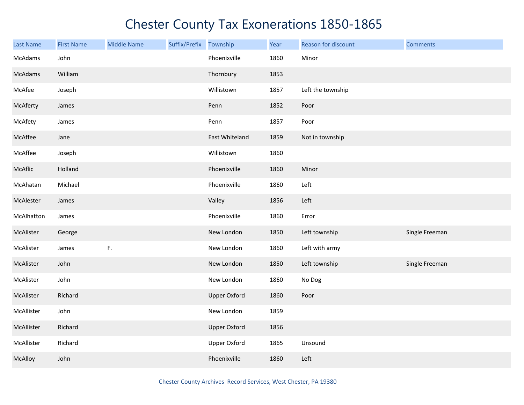| Last Name  | <b>First Name</b> | <b>Middle Name</b> | Suffix/Prefix Township |                     | Year | Reason for discount | <b>Comments</b> |
|------------|-------------------|--------------------|------------------------|---------------------|------|---------------------|-----------------|
| McAdams    | John              |                    |                        | Phoenixville        | 1860 | Minor               |                 |
| McAdams    | William           |                    |                        | Thornbury           | 1853 |                     |                 |
| McAfee     | Joseph            |                    |                        | Willistown          | 1857 | Left the township   |                 |
| McAferty   | James             |                    |                        | Penn                | 1852 | Poor                |                 |
| McAfety    | James             |                    |                        | Penn                | 1857 | Poor                |                 |
| McAffee    | Jane              |                    |                        | East Whiteland      | 1859 | Not in township     |                 |
| McAffee    | Joseph            |                    |                        | Willistown          | 1860 |                     |                 |
| McAflic    | Holland           |                    |                        | Phoenixville        | 1860 | Minor               |                 |
| McAhatan   | Michael           |                    |                        | Phoenixville        | 1860 | Left                |                 |
| McAlester  | James             |                    |                        | Valley              | 1856 | Left                |                 |
| McAlhatton | James             |                    |                        | Phoenixville        | 1860 | Error               |                 |
| McAlister  | George            |                    |                        | New London          | 1850 | Left township       | Single Freeman  |
| McAlister  | James             | $\mathsf{F}.$      |                        | New London          | 1860 | Left with army      |                 |
| McAlister  | John              |                    |                        | New London          | 1850 | Left township       | Single Freeman  |
| McAlister  | John              |                    |                        | New London          | 1860 | No Dog              |                 |
| McAlister  | Richard           |                    |                        | <b>Upper Oxford</b> | 1860 | Poor                |                 |
| McAllister | John              |                    |                        | New London          | 1859 |                     |                 |
| McAllister | Richard           |                    |                        | <b>Upper Oxford</b> | 1856 |                     |                 |
| McAllister | Richard           |                    |                        | <b>Upper Oxford</b> | 1865 | Unsound             |                 |
| McAlloy    | John              |                    |                        | Phoenixville        | 1860 | Left                |                 |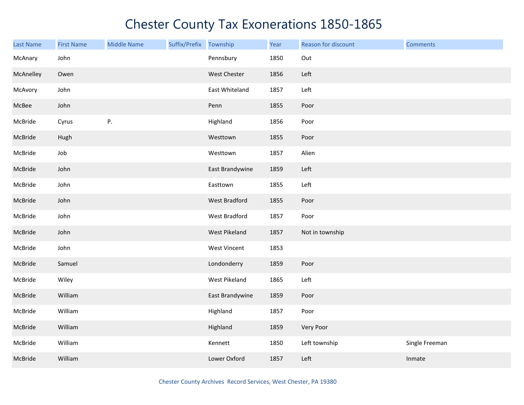| <b>Last Name</b> | <b>First Name</b> | <b>Middle Name</b> | Suffix/Prefix Township |                     | Year | Reason for discount | <b>Comments</b> |
|------------------|-------------------|--------------------|------------------------|---------------------|------|---------------------|-----------------|
| McAnary          | John              |                    |                        | Pennsbury           | 1850 | Out                 |                 |
| McAnelley        | Owen              |                    |                        | West Chester        | 1856 | Left                |                 |
| McAvory          | John              |                    |                        | East Whiteland      | 1857 | Left                |                 |
| McBee            | John              |                    |                        | Penn                | 1855 | Poor                |                 |
| McBride          | Cyrus             | Ρ.                 |                        | Highland            | 1856 | Poor                |                 |
| McBride          | Hugh              |                    |                        | Westtown            | 1855 | Poor                |                 |
| McBride          | Job               |                    |                        | Westtown            | 1857 | Alien               |                 |
| McBride          | John              |                    |                        | East Brandywine     | 1859 | Left                |                 |
| McBride          | John              |                    |                        | Easttown            | 1855 | Left                |                 |
| McBride          | John              |                    |                        | West Bradford       | 1855 | Poor                |                 |
| McBride          | John              |                    |                        | West Bradford       | 1857 | Poor                |                 |
| McBride          | John              |                    |                        | West Pikeland       | 1857 | Not in township     |                 |
| McBride          | John              |                    |                        | <b>West Vincent</b> | 1853 |                     |                 |
| McBride          | Samuel            |                    |                        | Londonderry         | 1859 | Poor                |                 |
| McBride          | Wiley             |                    |                        | West Pikeland       | 1865 | Left                |                 |
| McBride          | William           |                    |                        | East Brandywine     | 1859 | Poor                |                 |
| McBride          | William           |                    |                        | Highland            | 1857 | Poor                |                 |
| McBride          | William           |                    |                        | Highland            | 1859 | Very Poor           |                 |
| McBride          | William           |                    |                        | Kennett             | 1850 | Left township       | Single Freeman  |
| McBride          | William           |                    |                        | Lower Oxford        | 1857 | Left                | Inmate          |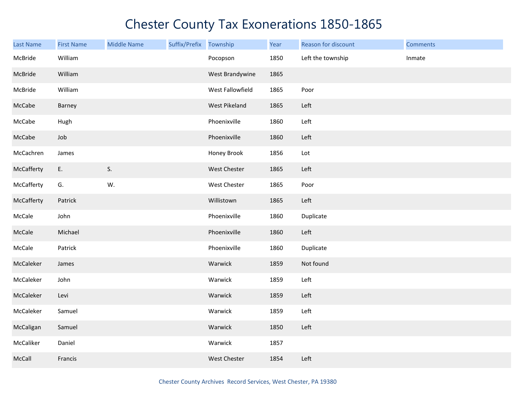| <b>Last Name</b> | <b>First Name</b> | <b>Middle Name</b> | Suffix/Prefix Township |                  | Year | Reason for discount | <b>Comments</b> |
|------------------|-------------------|--------------------|------------------------|------------------|------|---------------------|-----------------|
| McBride          | William           |                    |                        | Pocopson         | 1850 | Left the township   | Inmate          |
| McBride          | William           |                    |                        | West Brandywine  | 1865 |                     |                 |
| McBride          | William           |                    |                        | West Fallowfield | 1865 | Poor                |                 |
| McCabe           | Barney            |                    |                        | West Pikeland    | 1865 | Left                |                 |
| McCabe           | Hugh              |                    |                        | Phoenixville     | 1860 | Left                |                 |
| McCabe           | Job               |                    |                        | Phoenixville     | 1860 | Left                |                 |
| McCachren        | James             |                    |                        | Honey Brook      | 1856 | Lot                 |                 |
| McCafferty       | E.                | S.                 |                        | West Chester     | 1865 | Left                |                 |
| McCafferty       | G.                | W.                 |                        | West Chester     | 1865 | Poor                |                 |
| McCafferty       | Patrick           |                    |                        | Willistown       | 1865 | Left                |                 |
| McCale           | John              |                    |                        | Phoenixville     | 1860 | Duplicate           |                 |
| McCale           | Michael           |                    |                        | Phoenixville     | 1860 | Left                |                 |
| McCale           | Patrick           |                    |                        | Phoenixville     | 1860 | Duplicate           |                 |
| McCaleker        | James             |                    |                        | Warwick          | 1859 | Not found           |                 |
| McCaleker        | John              |                    |                        | Warwick          | 1859 | Left                |                 |
| McCaleker        | Levi              |                    |                        | Warwick          | 1859 | Left                |                 |
| McCaleker        | Samuel            |                    |                        | Warwick          | 1859 | Left                |                 |
| McCaligan        | Samuel            |                    |                        | Warwick          | 1850 | Left                |                 |
| McCaliker        | Daniel            |                    |                        | Warwick          | 1857 |                     |                 |
| McCall           | Francis           |                    |                        | West Chester     | 1854 | Left                |                 |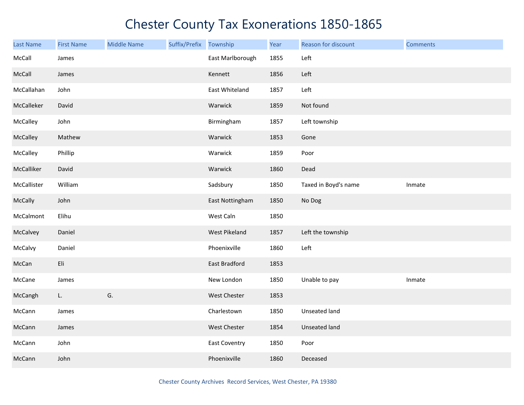| Last Name      | <b>First Name</b> | <b>Middle Name</b> | Suffix/Prefix | Township         | Year | Reason for discount  | <b>Comments</b> |
|----------------|-------------------|--------------------|---------------|------------------|------|----------------------|-----------------|
| McCall         | James             |                    |               | East Marlborough | 1855 | Left                 |                 |
| McCall         | James             |                    |               | Kennett          | 1856 | Left                 |                 |
| McCallahan     | John              |                    |               | East Whiteland   | 1857 | Left                 |                 |
| McCalleker     | David             |                    |               | Warwick          | 1859 | Not found            |                 |
| McCalley       | John              |                    |               | Birmingham       | 1857 | Left township        |                 |
| McCalley       | Mathew            |                    |               | Warwick          | 1853 | Gone                 |                 |
| McCalley       | Phillip           |                    |               | Warwick          | 1859 | Poor                 |                 |
| McCalliker     | David             |                    |               | Warwick          | 1860 | Dead                 |                 |
| McCallister    | William           |                    |               | Sadsbury         | 1850 | Taxed in Boyd's name | Inmate          |
| <b>McCally</b> | John              |                    |               | East Nottingham  | 1850 | No Dog               |                 |
| McCalmont      | Elihu             |                    |               | West Caln        | 1850 |                      |                 |
| McCalvey       | Daniel            |                    |               | West Pikeland    | 1857 | Left the township    |                 |
| McCalvy        | Daniel            |                    |               | Phoenixville     | 1860 | Left                 |                 |
| McCan          | Eli               |                    |               | East Bradford    | 1853 |                      |                 |
| McCane         | James             |                    |               | New London       | 1850 | Unable to pay        | Inmate          |
| McCangh        | L.                | G.                 |               | West Chester     | 1853 |                      |                 |
| McCann         | James             |                    |               | Charlestown      | 1850 | Unseated land        |                 |
| McCann         | James             |                    |               | West Chester     | 1854 | Unseated land        |                 |
| McCann         | John              |                    |               | East Coventry    | 1850 | Poor                 |                 |
| McCann         | John              |                    |               | Phoenixville     | 1860 | Deceased             |                 |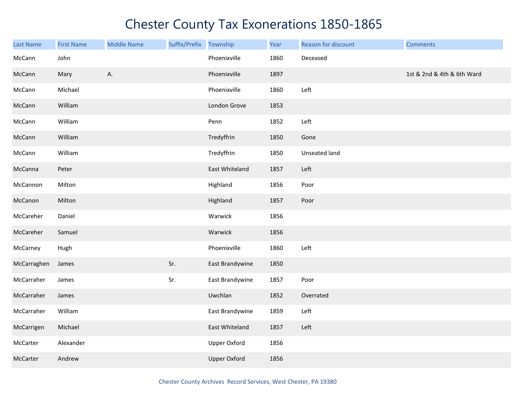| <b>Last Name</b> | <b>First Name</b> | <b>Middle Name</b> | Suffix/Prefix | Township            | Year | Reason for discount | <b>Comments</b>            |
|------------------|-------------------|--------------------|---------------|---------------------|------|---------------------|----------------------------|
| McCann           | John              |                    |               | Phoenixville        | 1860 | Deceased            |                            |
| McCann           | Mary              | Α.                 |               | Phoenixville        | 1897 |                     | 1st & 2nd & 4th & 6th Ward |
| McCann           | Michael           |                    |               | Phoenixville        | 1860 | Left                |                            |
| McCann           | William           |                    |               | London Grove        | 1853 |                     |                            |
| McCann           | William           |                    |               | Penn                | 1852 | Left                |                            |
| McCann           | William           |                    |               | Tredyffrin          | 1850 | Gone                |                            |
| McCann           | William           |                    |               | Tredyffrin          | 1850 | Unseated land       |                            |
| McCanna          | Peter             |                    |               | East Whiteland      | 1857 | Left                |                            |
| McCannon         | Milton            |                    |               | Highland            | 1856 | Poor                |                            |
| McCanon          | Milton            |                    |               | Highland            | 1857 | Poor                |                            |
| McCareher        | Daniel            |                    |               | Warwick             | 1856 |                     |                            |
| McCareher        | Samuel            |                    |               | Warwick             | 1856 |                     |                            |
| McCarney         | Hugh              |                    |               | Phoenixville        | 1860 | Left                |                            |
| McCarraghen      | James             |                    | Sr.           | East Brandywine     | 1850 |                     |                            |
| McCarraher       | James             |                    | Sr.           | East Brandywine     | 1857 | Poor                |                            |
| McCarraher       | James             |                    |               | Uwchlan             | 1852 | Overrated           |                            |
| McCarraher       | William           |                    |               | East Brandywine     | 1859 | Left                |                            |
| McCarrigen       | Michael           |                    |               | East Whiteland      | 1857 | Left                |                            |
| McCarter         | Alexander         |                    |               | <b>Upper Oxford</b> | 1856 |                     |                            |
| McCarter         | Andrew            |                    |               | <b>Upper Oxford</b> | 1856 |                     |                            |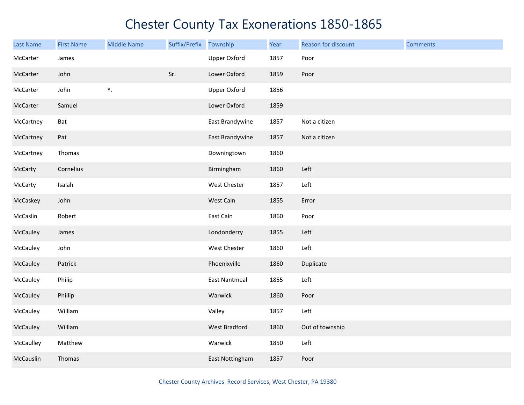| <b>Last Name</b> | <b>First Name</b> | <b>Middle Name</b> | Suffix/Prefix Township |                      | Year | Reason for discount | <b>Comments</b> |
|------------------|-------------------|--------------------|------------------------|----------------------|------|---------------------|-----------------|
| McCarter         | James             |                    |                        | Upper Oxford         | 1857 | Poor                |                 |
| McCarter         | John              |                    | Sr.                    | Lower Oxford         | 1859 | Poor                |                 |
| McCarter         | John              | Υ.                 |                        | <b>Upper Oxford</b>  | 1856 |                     |                 |
| McCarter         | Samuel            |                    |                        | Lower Oxford         | 1859 |                     |                 |
| McCartney        | Bat               |                    |                        | East Brandywine      | 1857 | Not a citizen       |                 |
| McCartney        | Pat               |                    |                        | East Brandywine      | 1857 | Not a citizen       |                 |
| McCartney        | Thomas            |                    |                        | Downingtown          | 1860 |                     |                 |
| McCarty          | Cornelius         |                    |                        | Birmingham           | 1860 | Left                |                 |
| McCarty          | Isaiah            |                    |                        | West Chester         | 1857 | Left                |                 |
| McCaskey         | John              |                    |                        | West Caln            | 1855 | Error               |                 |
| McCaslin         | Robert            |                    |                        | East Caln            | 1860 | Poor                |                 |
| McCauley         | James             |                    |                        | Londonderry          | 1855 | Left                |                 |
| McCauley         | John              |                    |                        | West Chester         | 1860 | Left                |                 |
| McCauley         | Patrick           |                    |                        | Phoenixville         | 1860 | Duplicate           |                 |
| McCauley         | Philip            |                    |                        | <b>East Nantmeal</b> | 1855 | Left                |                 |
| McCauley         | Phillip           |                    |                        | Warwick              | 1860 | Poor                |                 |
| McCauley         | William           |                    |                        | Valley               | 1857 | Left                |                 |
| McCauley         | William           |                    |                        | West Bradford        | 1860 | Out of township     |                 |
| McCaulley        | Matthew           |                    |                        | Warwick              | 1850 | Left                |                 |
| McCauslin        | Thomas            |                    |                        | East Nottingham      | 1857 | Poor                |                 |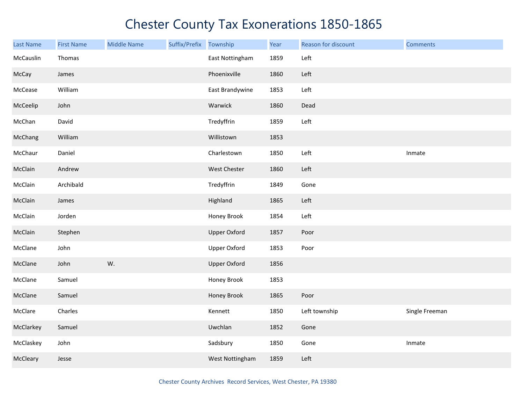| Last Name | <b>First Name</b> | <b>Middle Name</b> | Suffix/Prefix | Township            | Year | Reason for discount | <b>Comments</b> |
|-----------|-------------------|--------------------|---------------|---------------------|------|---------------------|-----------------|
| McCauslin | Thomas            |                    |               | East Nottingham     | 1859 | Left                |                 |
| McCay     | James             |                    |               | Phoenixville        | 1860 | Left                |                 |
| McCease   | William           |                    |               | East Brandywine     | 1853 | Left                |                 |
| McCeelip  | John              |                    |               | Warwick             | 1860 | Dead                |                 |
| McChan    | David             |                    |               | Tredyffrin          | 1859 | Left                |                 |
| McChang   | William           |                    |               | Willistown          | 1853 |                     |                 |
| McChaur   | Daniel            |                    |               | Charlestown         | 1850 | Left                | Inmate          |
| McClain   | Andrew            |                    |               | <b>West Chester</b> | 1860 | Left                |                 |
| McClain   | Archibald         |                    |               | Tredyffrin          | 1849 | Gone                |                 |
| McClain   | James             |                    |               | Highland            | 1865 | Left                |                 |
| McClain   | Jorden            |                    |               | Honey Brook         | 1854 | Left                |                 |
| McClain   | Stephen           |                    |               | <b>Upper Oxford</b> | 1857 | Poor                |                 |
| McClane   | John              |                    |               | <b>Upper Oxford</b> | 1853 | Poor                |                 |
| McClane   | John              | W.                 |               | <b>Upper Oxford</b> | 1856 |                     |                 |
| McClane   | Samuel            |                    |               | Honey Brook         | 1853 |                     |                 |
| McClane   | Samuel            |                    |               | Honey Brook         | 1865 | Poor                |                 |
| McClare   | Charles           |                    |               | Kennett             | 1850 | Left township       | Single Freeman  |
| McClarkey | Samuel            |                    |               | Uwchlan             | 1852 | Gone                |                 |
| McClaskey | John              |                    |               | Sadsbury            | 1850 | Gone                | Inmate          |
| McCleary  | Jesse             |                    |               | West Nottingham     | 1859 | Left                |                 |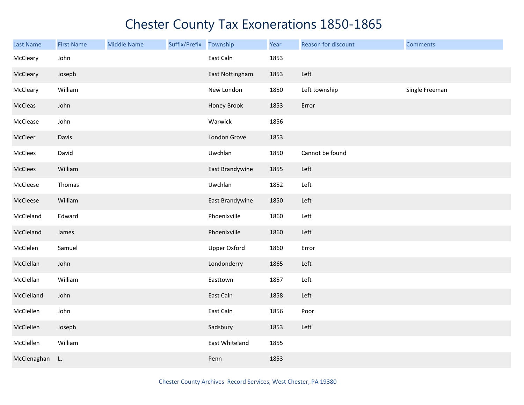| <b>Last Name</b> | <b>First Name</b> | <b>Middle Name</b> | Suffix/Prefix Township |                     | Year | Reason for discount | <b>Comments</b> |
|------------------|-------------------|--------------------|------------------------|---------------------|------|---------------------|-----------------|
| McCleary         | John              |                    |                        | East Caln           | 1853 |                     |                 |
| McCleary         | Joseph            |                    |                        | East Nottingham     | 1853 | Left                |                 |
| McCleary         | William           |                    |                        | New London          | 1850 | Left township       | Single Freeman  |
| McCleas          | John              |                    |                        | Honey Brook         | 1853 | Error               |                 |
| McClease         | John              |                    |                        | Warwick             | 1856 |                     |                 |
| McCleer          | Davis             |                    |                        | London Grove        | 1853 |                     |                 |
| McClees          | David             |                    |                        | Uwchlan             | 1850 | Cannot be found     |                 |
| McClees          | William           |                    |                        | East Brandywine     | 1855 | Left                |                 |
| McCleese         | Thomas            |                    |                        | Uwchlan             | 1852 | Left                |                 |
| McCleese         | William           |                    |                        | East Brandywine     | 1850 | Left                |                 |
| McCleland        | Edward            |                    |                        | Phoenixville        | 1860 | Left                |                 |
| McCleland        | James             |                    |                        | Phoenixville        | 1860 | Left                |                 |
| McClelen         | Samuel            |                    |                        | <b>Upper Oxford</b> | 1860 | Error               |                 |
| McClellan        | John              |                    |                        | Londonderry         | 1865 | Left                |                 |
| McClellan        | William           |                    |                        | Easttown            | 1857 | Left                |                 |
| McClelland       | John              |                    |                        | East Caln           | 1858 | Left                |                 |
| McClellen        | John              |                    |                        | East Caln           | 1856 | Poor                |                 |
| McClellen        | Joseph            |                    |                        | Sadsbury            | 1853 | Left                |                 |
| McClellen        | William           |                    |                        | East Whiteland      | 1855 |                     |                 |
| McClenaghan      | L.                |                    |                        | Penn                | 1853 |                     |                 |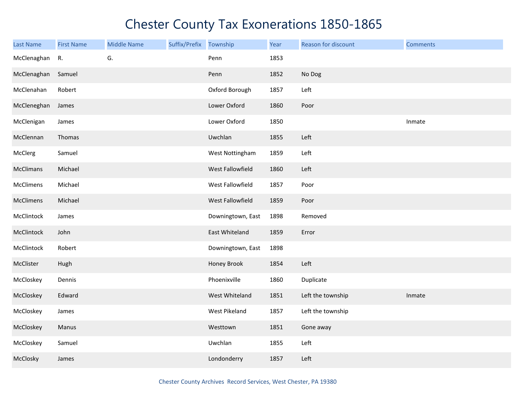| <b>Last Name</b> | <b>First Name</b> | <b>Middle Name</b> | Suffix/Prefix Township |                    | Year | Reason for discount | <b>Comments</b> |
|------------------|-------------------|--------------------|------------------------|--------------------|------|---------------------|-----------------|
| McClenaghan      | R.                | G.                 |                        | Penn               | 1853 |                     |                 |
| McClenaghan      | Samuel            |                    |                        | Penn               | 1852 | No Dog              |                 |
| McClenahan       | Robert            |                    |                        | Oxford Borough     | 1857 | Left                |                 |
| McCleneghan      | James             |                    |                        | Lower Oxford       | 1860 | Poor                |                 |
| McClenigan       | James             |                    |                        | Lower Oxford       | 1850 |                     | Inmate          |
| McClennan        | Thomas            |                    |                        | Uwchlan            | 1855 | Left                |                 |
| McClerg          | Samuel            |                    |                        | West Nottingham    | 1859 | Left                |                 |
| McClimans        | Michael           |                    |                        | West Fallowfield   | 1860 | Left                |                 |
| McClimens        | Michael           |                    |                        | West Fallowfield   | 1857 | Poor                |                 |
| McClimens        | Michael           |                    |                        | West Fallowfield   | 1859 | Poor                |                 |
| McClintock       | James             |                    |                        | Downingtown, East  | 1898 | Removed             |                 |
| McClintock       | John              |                    |                        | East Whiteland     | 1859 | Error               |                 |
| McClintock       | Robert            |                    |                        | Downingtown, East  | 1898 |                     |                 |
| McClister        | Hugh              |                    |                        | <b>Honey Brook</b> | 1854 | Left                |                 |
| McCloskey        | Dennis            |                    |                        | Phoenixville       | 1860 | Duplicate           |                 |
| McCloskey        | Edward            |                    |                        | West Whiteland     | 1851 | Left the township   | Inmate          |
| McCloskey        | James             |                    |                        | West Pikeland      | 1857 | Left the township   |                 |
| McCloskey        | Manus             |                    |                        | Westtown           | 1851 | Gone away           |                 |
| McCloskey        | Samuel            |                    |                        | Uwchlan            | 1855 | Left                |                 |
| McClosky         | James             |                    |                        | Londonderry        | 1857 | Left                |                 |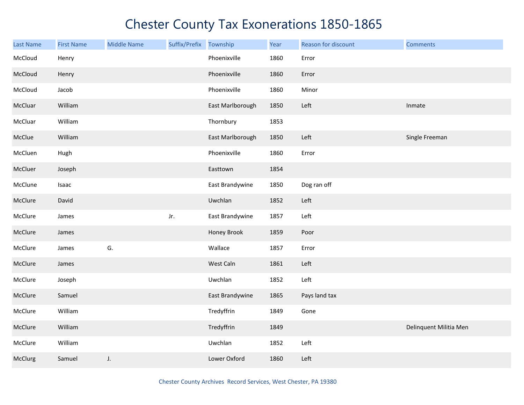| Last Name | <b>First Name</b> | <b>Middle Name</b> | Suffix/Prefix | Township         | Year | Reason for discount | <b>Comments</b>        |
|-----------|-------------------|--------------------|---------------|------------------|------|---------------------|------------------------|
| McCloud   | Henry             |                    |               | Phoenixville     | 1860 | Error               |                        |
| McCloud   | Henry             |                    |               | Phoenixville     | 1860 | Error               |                        |
| McCloud   | Jacob             |                    |               | Phoenixville     | 1860 | Minor               |                        |
| McCluar   | William           |                    |               | East Marlborough | 1850 | Left                | Inmate                 |
| McCluar   | William           |                    |               | Thornbury        | 1853 |                     |                        |
| McClue    | William           |                    |               | East Marlborough | 1850 | Left                | Single Freeman         |
| McCluen   | Hugh              |                    |               | Phoenixville     | 1860 | Error               |                        |
| McCluer   | Joseph            |                    |               | Easttown         | 1854 |                     |                        |
| McClune   | Isaac             |                    |               | East Brandywine  | 1850 | Dog ran off         |                        |
| McClure   | David             |                    |               | Uwchlan          | 1852 | Left                |                        |
| McClure   | James             |                    | Jr.           | East Brandywine  | 1857 | Left                |                        |
| McClure   | James             |                    |               | Honey Brook      | 1859 | Poor                |                        |
| McClure   | James             | G.                 |               | Wallace          | 1857 | Error               |                        |
| McClure   | James             |                    |               | West Caln        | 1861 | Left                |                        |
| McClure   | Joseph            |                    |               | Uwchlan          | 1852 | Left                |                        |
| McClure   | Samuel            |                    |               | East Brandywine  | 1865 | Pays land tax       |                        |
| McClure   | William           |                    |               | Tredyffrin       | 1849 | Gone                |                        |
| McClure   | William           |                    |               | Tredyffrin       | 1849 |                     | Delinquent Militia Men |
| McClure   | William           |                    |               | Uwchlan          | 1852 | Left                |                        |
| McClurg   | Samuel            | J.                 |               | Lower Oxford     | 1860 | Left                |                        |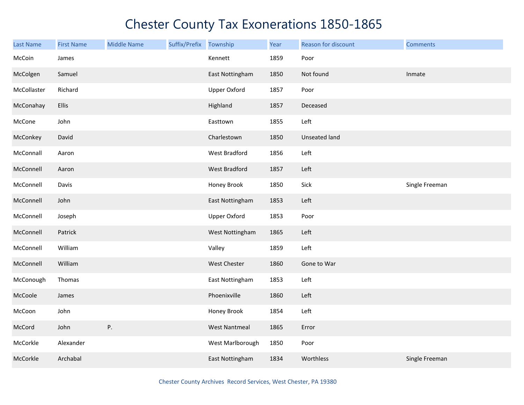| <b>Last Name</b> | <b>First Name</b> | <b>Middle Name</b> | Suffix/Prefix Township |                      | Year | Reason for discount  | <b>Comments</b> |
|------------------|-------------------|--------------------|------------------------|----------------------|------|----------------------|-----------------|
| McCoin           | James             |                    |                        | Kennett              | 1859 | Poor                 |                 |
| McColgen         | Samuel            |                    |                        | East Nottingham      | 1850 | Not found            | Inmate          |
| McCollaster      | Richard           |                    |                        | Upper Oxford         | 1857 | Poor                 |                 |
| McConahay        | Ellis             |                    |                        | Highland             | 1857 | Deceased             |                 |
| McCone           | John              |                    |                        | Easttown             | 1855 | Left                 |                 |
| McConkey         | David             |                    |                        | Charlestown          | 1850 | <b>Unseated land</b> |                 |
| McConnall        | Aaron             |                    |                        | West Bradford        | 1856 | Left                 |                 |
| McConnell        | Aaron             |                    |                        | <b>West Bradford</b> | 1857 | Left                 |                 |
| McConnell        | Davis             |                    |                        | Honey Brook          | 1850 | Sick                 | Single Freeman  |
| McConnell        | John              |                    |                        | East Nottingham      | 1853 | Left                 |                 |
| McConnell        | Joseph            |                    |                        | <b>Upper Oxford</b>  | 1853 | Poor                 |                 |
| McConnell        | Patrick           |                    |                        | West Nottingham      | 1865 | Left                 |                 |
| McConnell        | William           |                    |                        | Valley               | 1859 | Left                 |                 |
| McConnell        | William           |                    |                        | West Chester         | 1860 | Gone to War          |                 |
| McConough        | Thomas            |                    |                        | East Nottingham      | 1853 | Left                 |                 |
| McCoole          | James             |                    |                        | Phoenixville         | 1860 | Left                 |                 |
| McCoon           | John              |                    |                        | Honey Brook          | 1854 | Left                 |                 |
| McCord           | John              | Ρ.                 |                        | <b>West Nantmeal</b> | 1865 | Error                |                 |
| McCorkle         | Alexander         |                    |                        | West Marlborough     | 1850 | Poor                 |                 |
| McCorkle         | Archabal          |                    |                        | East Nottingham      | 1834 | Worthless            | Single Freeman  |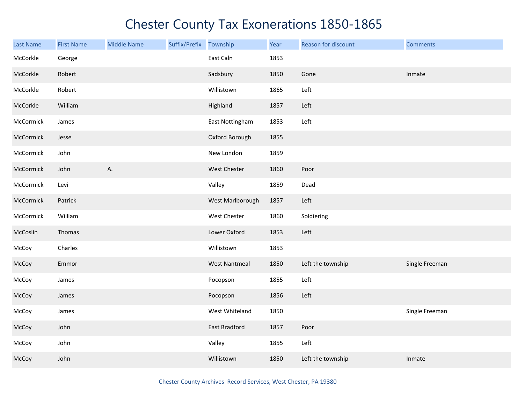| <b>Last Name</b> | <b>First Name</b> | <b>Middle Name</b> | Suffix/Prefix | Township             | Year | Reason for discount | <b>Comments</b> |
|------------------|-------------------|--------------------|---------------|----------------------|------|---------------------|-----------------|
| McCorkle         | George            |                    |               | East Caln            | 1853 |                     |                 |
| McCorkle         | Robert            |                    |               | Sadsbury             | 1850 | Gone                | Inmate          |
| McCorkle         | Robert            |                    |               | Willistown           | 1865 | Left                |                 |
| McCorkle         | William           |                    |               | Highland             | 1857 | Left                |                 |
| McCormick        | James             |                    |               | East Nottingham      | 1853 | Left                |                 |
| McCormick        | Jesse             |                    |               | Oxford Borough       | 1855 |                     |                 |
| McCormick        | John              |                    |               | New London           | 1859 |                     |                 |
| McCormick        | John              | А.                 |               | West Chester         | 1860 | Poor                |                 |
| McCormick        | Levi              |                    |               | Valley               | 1859 | Dead                |                 |
| McCormick        | Patrick           |                    |               | West Marlborough     | 1857 | Left                |                 |
| McCormick        | William           |                    |               | West Chester         | 1860 | Soldiering          |                 |
| McCoslin         | Thomas            |                    |               | Lower Oxford         | 1853 | Left                |                 |
| McCoy            | Charles           |                    |               | Willistown           | 1853 |                     |                 |
| McCoy            | Emmor             |                    |               | <b>West Nantmeal</b> | 1850 | Left the township   | Single Freeman  |
| McCoy            | James             |                    |               | Pocopson             | 1855 | Left                |                 |
| McCoy            | James             |                    |               | Pocopson             | 1856 | Left                |                 |
| McCoy            | James             |                    |               | West Whiteland       | 1850 |                     | Single Freeman  |
| McCoy            | John              |                    |               | East Bradford        | 1857 | Poor                |                 |
| McCoy            | John              |                    |               | Valley               | 1855 | Left                |                 |
| McCoy            | John              |                    |               | Willistown           | 1850 | Left the township   | Inmate          |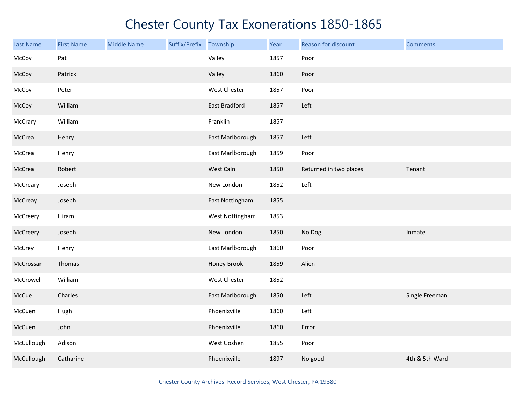| <b>Last Name</b> | <b>First Name</b> | <b>Middle Name</b> | Suffix/Prefix | Township         | Year | Reason for discount    | <b>Comments</b> |
|------------------|-------------------|--------------------|---------------|------------------|------|------------------------|-----------------|
| McCoy            | Pat               |                    |               | Valley           | 1857 | Poor                   |                 |
| McCoy            | Patrick           |                    |               | Valley           | 1860 | Poor                   |                 |
| McCoy            | Peter             |                    |               | West Chester     | 1857 | Poor                   |                 |
| McCoy            | William           |                    |               | East Bradford    | 1857 | Left                   |                 |
| McCrary          | William           |                    |               | Franklin         | 1857 |                        |                 |
| McCrea           | Henry             |                    |               | East Marlborough | 1857 | Left                   |                 |
| McCrea           | Henry             |                    |               | East Marlborough | 1859 | Poor                   |                 |
| McCrea           | Robert            |                    |               | West Caln        | 1850 | Returned in two places | Tenant          |
| McCreary         | Joseph            |                    |               | New London       | 1852 | Left                   |                 |
| McCreay          | Joseph            |                    |               | East Nottingham  | 1855 |                        |                 |
| McCreery         | Hiram             |                    |               | West Nottingham  | 1853 |                        |                 |
| McCreery         | Joseph            |                    |               | New London       | 1850 | No Dog                 | Inmate          |
| McCrey           | Henry             |                    |               | East Marlborough | 1860 | Poor                   |                 |
| McCrossan        | Thomas            |                    |               | Honey Brook      | 1859 | Alien                  |                 |
| McCrowel         | William           |                    |               | West Chester     | 1852 |                        |                 |
| McCue            | Charles           |                    |               | East Marlborough | 1850 | Left                   | Single Freeman  |
| McCuen           | Hugh              |                    |               | Phoenixville     | 1860 | Left                   |                 |
| McCuen           | John              |                    |               | Phoenixville     | 1860 | Error                  |                 |
| McCullough       | Adison            |                    |               | West Goshen      | 1855 | Poor                   |                 |
| McCullough       | Catharine         |                    |               | Phoenixville     | 1897 | No good                | 4th & 5th Ward  |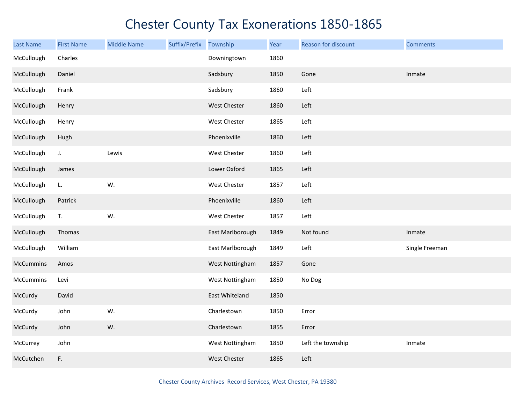| <b>Last Name</b> | <b>First Name</b> | <b>Middle Name</b> | Suffix/Prefix | Township         | Year | Reason for discount | <b>Comments</b> |
|------------------|-------------------|--------------------|---------------|------------------|------|---------------------|-----------------|
| McCullough       | Charles           |                    |               | Downingtown      | 1860 |                     |                 |
| McCullough       | Daniel            |                    |               | Sadsbury         | 1850 | Gone                | Inmate          |
| McCullough       | Frank             |                    |               | Sadsbury         | 1860 | Left                |                 |
| McCullough       | Henry             |                    |               | West Chester     | 1860 | Left                |                 |
| McCullough       | Henry             |                    |               | West Chester     | 1865 | Left                |                 |
| McCullough       | Hugh              |                    |               | Phoenixville     | 1860 | Left                |                 |
| McCullough       | J.                | Lewis              |               | West Chester     | 1860 | Left                |                 |
| McCullough       | James             |                    |               | Lower Oxford     | 1865 | Left                |                 |
| McCullough       | L.                | W.                 |               | West Chester     | 1857 | Left                |                 |
| McCullough       | Patrick           |                    |               | Phoenixville     | 1860 | Left                |                 |
| McCullough       | T.                | W.                 |               | West Chester     | 1857 | Left                |                 |
| McCullough       | Thomas            |                    |               | East Marlborough | 1849 | Not found           | Inmate          |
| McCullough       | William           |                    |               | East Marlborough | 1849 | Left                | Single Freeman  |
| McCummins        | Amos              |                    |               | West Nottingham  | 1857 | Gone                |                 |
| McCummins        | Levi              |                    |               | West Nottingham  | 1850 | No Dog              |                 |
| McCurdy          | David             |                    |               | East Whiteland   | 1850 |                     |                 |
| McCurdy          | John              | W.                 |               | Charlestown      | 1850 | Error               |                 |
| McCurdy          | John              | W.                 |               | Charlestown      | 1855 | Error               |                 |
| McCurrey         | John              |                    |               | West Nottingham  | 1850 | Left the township   | Inmate          |
| McCutchen        | F.                |                    |               | West Chester     | 1865 | Left                |                 |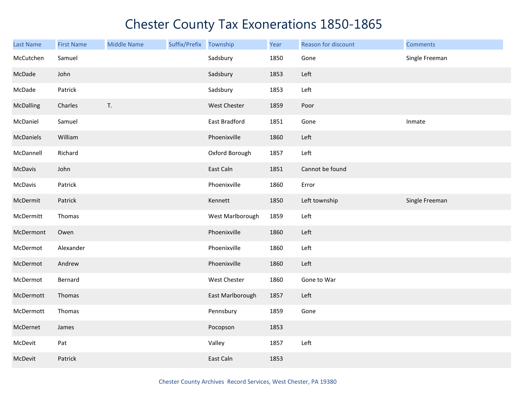| <b>Last Name</b> | <b>First Name</b> | <b>Middle Name</b> | Suffix/Prefix Township |                  | Year | Reason for discount | <b>Comments</b> |
|------------------|-------------------|--------------------|------------------------|------------------|------|---------------------|-----------------|
| McCutchen        | Samuel            |                    |                        | Sadsbury         | 1850 | Gone                | Single Freeman  |
| McDade           | John              |                    |                        | Sadsbury         | 1853 | Left                |                 |
| McDade           | Patrick           |                    |                        | Sadsbury         | 1853 | Left                |                 |
| McDalling        | Charles           | T.                 |                        | West Chester     | 1859 | Poor                |                 |
| McDaniel         | Samuel            |                    |                        | East Bradford    | 1851 | Gone                | Inmate          |
| McDaniels        | William           |                    |                        | Phoenixville     | 1860 | Left                |                 |
| McDannell        | Richard           |                    |                        | Oxford Borough   | 1857 | Left                |                 |
| McDavis          | John              |                    |                        | East Caln        | 1851 | Cannot be found     |                 |
| McDavis          | Patrick           |                    |                        | Phoenixville     | 1860 | Error               |                 |
| McDermit         | Patrick           |                    |                        | Kennett          | 1850 | Left township       | Single Freeman  |
| McDermitt        | Thomas            |                    |                        | West Marlborough | 1859 | Left                |                 |
| McDermont        | Owen              |                    |                        | Phoenixville     | 1860 | Left                |                 |
| McDermot         | Alexander         |                    |                        | Phoenixville     | 1860 | Left                |                 |
| McDermot         | Andrew            |                    |                        | Phoenixville     | 1860 | Left                |                 |
| McDermot         | Bernard           |                    |                        | West Chester     | 1860 | Gone to War         |                 |
| McDermott        | Thomas            |                    |                        | East Marlborough | 1857 | Left                |                 |
| McDermott        | Thomas            |                    |                        | Pennsbury        | 1859 | Gone                |                 |
| McDernet         | James             |                    |                        | Pocopson         | 1853 |                     |                 |
| McDevit          | Pat               |                    |                        | Valley           | 1857 | Left                |                 |
| McDevit          | Patrick           |                    |                        | East Caln        | 1853 |                     |                 |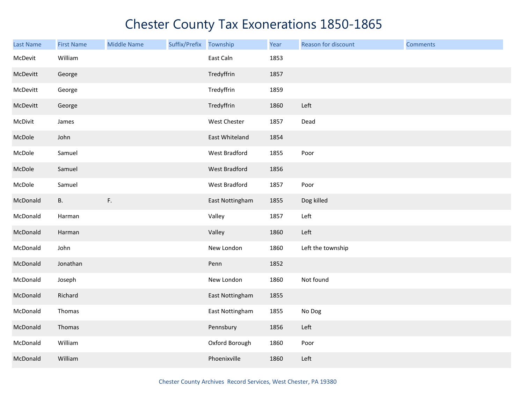| Last Name | <b>First Name</b> | <b>Middle Name</b> | Suffix/Prefix Township |                      | Year | Reason for discount | <b>Comments</b> |
|-----------|-------------------|--------------------|------------------------|----------------------|------|---------------------|-----------------|
| McDevit   | William           |                    |                        | East Caln            | 1853 |                     |                 |
| McDevitt  | George            |                    |                        | Tredyffrin           | 1857 |                     |                 |
| McDevitt  | George            |                    |                        | Tredyffrin           | 1859 |                     |                 |
| McDevitt  | George            |                    |                        | Tredyffrin           | 1860 | Left                |                 |
| McDivit   | James             |                    |                        | West Chester         | 1857 | Dead                |                 |
| McDole    | John              |                    |                        | East Whiteland       | 1854 |                     |                 |
| McDole    | Samuel            |                    |                        | West Bradford        | 1855 | Poor                |                 |
| McDole    | Samuel            |                    |                        | <b>West Bradford</b> | 1856 |                     |                 |
| McDole    | Samuel            |                    |                        | West Bradford        | 1857 | Poor                |                 |
| McDonald  | <b>B.</b>         | F.                 |                        | East Nottingham      | 1855 | Dog killed          |                 |
| McDonald  | Harman            |                    |                        | Valley               | 1857 | Left                |                 |
| McDonald  | Harman            |                    |                        | Valley               | 1860 | Left                |                 |
| McDonald  | John              |                    |                        | New London           | 1860 | Left the township   |                 |
| McDonald  | Jonathan          |                    |                        | Penn                 | 1852 |                     |                 |
| McDonald  | Joseph            |                    |                        | New London           | 1860 | Not found           |                 |
| McDonald  | Richard           |                    |                        | East Nottingham      | 1855 |                     |                 |
| McDonald  | Thomas            |                    |                        | East Nottingham      | 1855 | No Dog              |                 |
| McDonald  | Thomas            |                    |                        | Pennsbury            | 1856 | Left                |                 |
| McDonald  | William           |                    |                        | Oxford Borough       | 1860 | Poor                |                 |
| McDonald  | William           |                    |                        | Phoenixville         | 1860 | Left                |                 |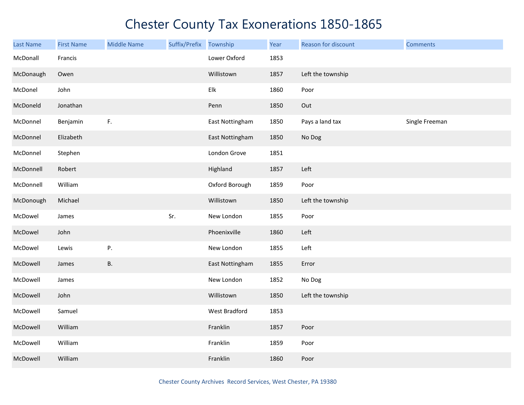| <b>Last Name</b> | <b>First Name</b> | <b>Middle Name</b> | Suffix/Prefix | Township        | Year | Reason for discount | <b>Comments</b> |
|------------------|-------------------|--------------------|---------------|-----------------|------|---------------------|-----------------|
| McDonall         | Francis           |                    |               | Lower Oxford    | 1853 |                     |                 |
| McDonaugh        | Owen              |                    |               | Willistown      | 1857 | Left the township   |                 |
| McDonel          | John              |                    |               | Elk             | 1860 | Poor                |                 |
| McDoneld         | Jonathan          |                    |               | Penn            | 1850 | Out                 |                 |
| McDonnel         | Benjamin          | F.                 |               | East Nottingham | 1850 | Pays a land tax     | Single Freeman  |
| McDonnel         | Elizabeth         |                    |               | East Nottingham | 1850 | No Dog              |                 |
| McDonnel         | Stephen           |                    |               | London Grove    | 1851 |                     |                 |
| McDonnell        | Robert            |                    |               | Highland        | 1857 | Left                |                 |
| McDonnell        | William           |                    |               | Oxford Borough  | 1859 | Poor                |                 |
| McDonough        | Michael           |                    |               | Willistown      | 1850 | Left the township   |                 |
| McDowel          | James             |                    | Sr.           | New London      | 1855 | Poor                |                 |
| McDowel          | John              |                    |               | Phoenixville    | 1860 | Left                |                 |
| McDowel          | Lewis             | Ρ.                 |               | New London      | 1855 | Left                |                 |
| McDowell         | James             | <b>B.</b>          |               | East Nottingham | 1855 | Error               |                 |
| McDowell         | James             |                    |               | New London      | 1852 | No Dog              |                 |
| McDowell         | John              |                    |               | Willistown      | 1850 | Left the township   |                 |
| McDowell         | Samuel            |                    |               | West Bradford   | 1853 |                     |                 |
| McDowell         | William           |                    |               | Franklin        | 1857 | Poor                |                 |
| McDowell         | William           |                    |               | Franklin        | 1859 | Poor                |                 |
| McDowell         | William           |                    |               | Franklin        | 1860 | Poor                |                 |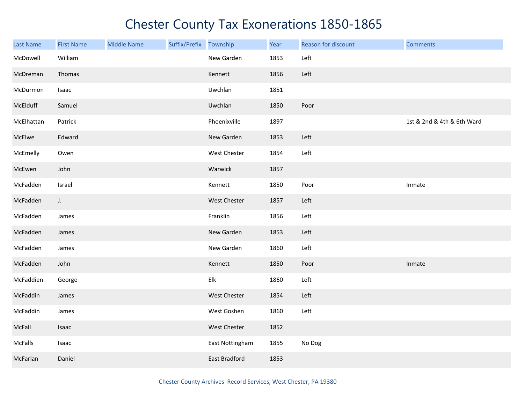| Last Name  | <b>First Name</b> | <b>Middle Name</b> | Suffix/Prefix Township |                 | Year | Reason for discount | <b>Comments</b>            |
|------------|-------------------|--------------------|------------------------|-----------------|------|---------------------|----------------------------|
| McDowell   | William           |                    |                        | New Garden      | 1853 | Left                |                            |
| McDreman   | Thomas            |                    |                        | Kennett         | 1856 | Left                |                            |
| McDurmon   | Isaac             |                    |                        | Uwchlan         | 1851 |                     |                            |
| McElduff   | Samuel            |                    |                        | Uwchlan         | 1850 | Poor                |                            |
| McElhattan | Patrick           |                    |                        | Phoenixville    | 1897 |                     | 1st & 2nd & 4th & 6th Ward |
| McElwe     | Edward            |                    |                        | New Garden      | 1853 | Left                |                            |
| McEmelly   | Owen              |                    |                        | West Chester    | 1854 | Left                |                            |
| McEwen     | John              |                    |                        | Warwick         | 1857 |                     |                            |
| McFadden   | Israel            |                    |                        | Kennett         | 1850 | Poor                | Inmate                     |
| McFadden   | J.                |                    |                        | West Chester    | 1857 | Left                |                            |
| McFadden   | James             |                    |                        | Franklin        | 1856 | Left                |                            |
| McFadden   | James             |                    |                        | New Garden      | 1853 | Left                |                            |
| McFadden   | James             |                    |                        | New Garden      | 1860 | Left                |                            |
| McFadden   | John              |                    |                        | Kennett         | 1850 | Poor                | Inmate                     |
| McFaddien  | George            |                    |                        | Elk             | 1860 | Left                |                            |
| McFaddin   | James             |                    |                        | West Chester    | 1854 | Left                |                            |
| McFaddin   | James             |                    |                        | West Goshen     | 1860 | Left                |                            |
| McFall     | Isaac             |                    |                        | West Chester    | 1852 |                     |                            |
| McFalls    | Isaac             |                    |                        | East Nottingham | 1855 | No Dog              |                            |
| McFarlan   | Daniel            |                    |                        | East Bradford   | 1853 |                     |                            |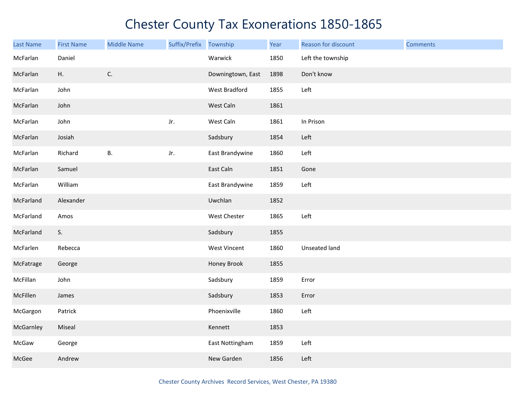| Last Name | <b>First Name</b> | <b>Middle Name</b> | Suffix/Prefix Township |                     | Year | Reason for discount  | <b>Comments</b> |
|-----------|-------------------|--------------------|------------------------|---------------------|------|----------------------|-----------------|
| McFarlan  | Daniel            |                    |                        | Warwick             | 1850 | Left the township    |                 |
| McFarlan  | H.                | $\mathsf{C}.$      |                        | Downingtown, East   | 1898 | Don't know           |                 |
| McFarlan  | John              |                    |                        | West Bradford       | 1855 | Left                 |                 |
| McFarlan  | John              |                    |                        | West Caln           | 1861 |                      |                 |
| McFarlan  | John              |                    | Jr.                    | West Caln           | 1861 | In Prison            |                 |
| McFarlan  | Josiah            |                    |                        | Sadsbury            | 1854 | Left                 |                 |
| McFarlan  | Richard           | <b>B.</b>          | Jr.                    | East Brandywine     | 1860 | Left                 |                 |
| McFarlan  | Samuel            |                    |                        | East Caln           | 1851 | Gone                 |                 |
| McFarlan  | William           |                    |                        | East Brandywine     | 1859 | Left                 |                 |
| McFarland | Alexander         |                    |                        | Uwchlan             | 1852 |                      |                 |
| McFarland | Amos              |                    |                        | West Chester        | 1865 | Left                 |                 |
| McFarland | S.                |                    |                        | Sadsbury            | 1855 |                      |                 |
| McFarlen  | Rebecca           |                    |                        | <b>West Vincent</b> | 1860 | <b>Unseated land</b> |                 |
| McFatrage | George            |                    |                        | Honey Brook         | 1855 |                      |                 |
| McFillan  | John              |                    |                        | Sadsbury            | 1859 | Error                |                 |
| McFillen  | James             |                    |                        | Sadsbury            | 1853 | Error                |                 |
| McGargon  | Patrick           |                    |                        | Phoenixville        | 1860 | Left                 |                 |
| McGarnley | Miseal            |                    |                        | Kennett             | 1853 |                      |                 |
| McGaw     | George            |                    |                        | East Nottingham     | 1859 | Left                 |                 |
| McGee     | Andrew            |                    |                        | New Garden          | 1856 | Left                 |                 |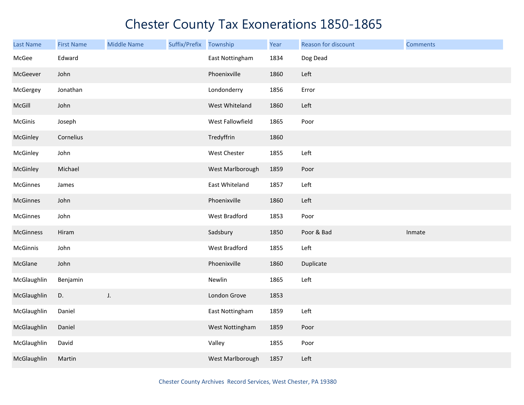| Last Name      | <b>First Name</b> | <b>Middle Name</b> | Suffix/Prefix | Township         | Year | Reason for discount | <b>Comments</b> |
|----------------|-------------------|--------------------|---------------|------------------|------|---------------------|-----------------|
| McGee          | Edward            |                    |               | East Nottingham  | 1834 | Dog Dead            |                 |
| McGeever       | John              |                    |               | Phoenixville     | 1860 | Left                |                 |
| McGergey       | Jonathan          |                    |               | Londonderry      | 1856 | Error               |                 |
| McGill         | John              |                    |               | West Whiteland   | 1860 | Left                |                 |
| <b>McGinis</b> | Joseph            |                    |               | West Fallowfield | 1865 | Poor                |                 |
| McGinley       | Cornelius         |                    |               | Tredyffrin       | 1860 |                     |                 |
| McGinley       | John              |                    |               | West Chester     | 1855 | Left                |                 |
| McGinley       | Michael           |                    |               | West Marlborough | 1859 | Poor                |                 |
| McGinnes       | James             |                    |               | East Whiteland   | 1857 | Left                |                 |
| McGinnes       | John              |                    |               | Phoenixville     | 1860 | Left                |                 |
| McGinnes       | John              |                    |               | West Bradford    | 1853 | Poor                |                 |
| McGinness      | Hiram             |                    |               | Sadsbury         | 1850 | Poor & Bad          | Inmate          |
| McGinnis       | John              |                    |               | West Bradford    | 1855 | Left                |                 |
| McGlane        | John              |                    |               | Phoenixville     | 1860 | Duplicate           |                 |
| McGlaughlin    | Benjamin          |                    |               | Newlin           | 1865 | Left                |                 |
| McGlaughlin    | D.                | J.                 |               | London Grove     | 1853 |                     |                 |
| McGlaughlin    | Daniel            |                    |               | East Nottingham  | 1859 | Left                |                 |
| McGlaughlin    | Daniel            |                    |               | West Nottingham  | 1859 | Poor                |                 |
| McGlaughlin    | David             |                    |               | Valley           | 1855 | Poor                |                 |
| McGlaughlin    | Martin            |                    |               | West Marlborough | 1857 | Left                |                 |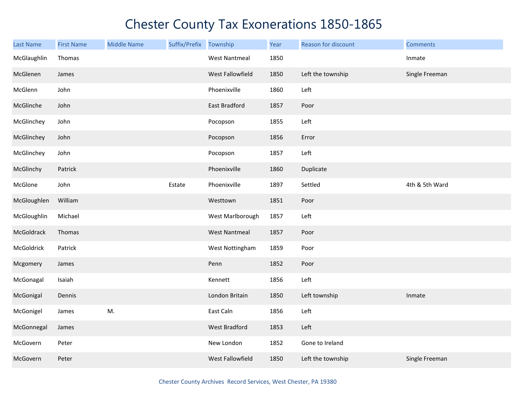| <b>Last Name</b> | <b>First Name</b> | <b>Middle Name</b> | Suffix/Prefix Township |                      | Year | Reason for discount | <b>Comments</b> |
|------------------|-------------------|--------------------|------------------------|----------------------|------|---------------------|-----------------|
| McGlaughlin      | Thomas            |                    |                        | <b>West Nantmeal</b> | 1850 |                     | Inmate          |
| McGlenen         | James             |                    |                        | West Fallowfield     | 1850 | Left the township   | Single Freeman  |
| McGlenn          | John              |                    |                        | Phoenixville         | 1860 | Left                |                 |
| McGlinche        | John              |                    |                        | East Bradford        | 1857 | Poor                |                 |
| McGlinchey       | John              |                    |                        | Pocopson             | 1855 | Left                |                 |
| McGlinchey       | John              |                    |                        | Pocopson             | 1856 | Error               |                 |
| McGlinchey       | John              |                    |                        | Pocopson             | 1857 | Left                |                 |
| McGlinchy        | Patrick           |                    |                        | Phoenixville         | 1860 | Duplicate           |                 |
| McGlone          | John              |                    | Estate                 | Phoenixville         | 1897 | Settled             | 4th & 5th Ward  |
| McGloughlen      | William           |                    |                        | Westtown             | 1851 | Poor                |                 |
| McGloughlin      | Michael           |                    |                        | West Marlborough     | 1857 | Left                |                 |
| McGoldrack       | Thomas            |                    |                        | <b>West Nantmeal</b> | 1857 | Poor                |                 |
| McGoldrick       | Patrick           |                    |                        | West Nottingham      | 1859 | Poor                |                 |
| Mcgomery         | James             |                    |                        | Penn                 | 1852 | Poor                |                 |
| McGonagal        | Isaiah            |                    |                        | Kennett              | 1856 | Left                |                 |
| McGonigal        | Dennis            |                    |                        | London Britain       | 1850 | Left township       | Inmate          |
| McGonigel        | James             | M.                 |                        | East Caln            | 1856 | Left                |                 |
| McGonnegal       | James             |                    |                        | West Bradford        | 1853 | Left                |                 |
| McGovern         | Peter             |                    |                        | New London           | 1852 | Gone to Ireland     |                 |
| McGovern         | Peter             |                    |                        | West Fallowfield     | 1850 | Left the township   | Single Freeman  |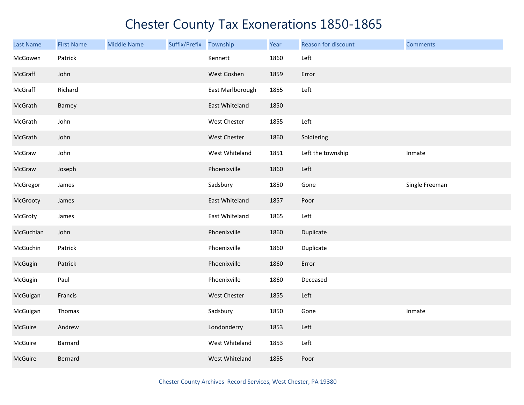| <b>Last Name</b> | <b>First Name</b> | <b>Middle Name</b> | Suffix/Prefix Township |                  | Year | Reason for discount | <b>Comments</b> |
|------------------|-------------------|--------------------|------------------------|------------------|------|---------------------|-----------------|
| McGowen          | Patrick           |                    |                        | Kennett          | 1860 | Left                |                 |
| McGraff          | John              |                    |                        | West Goshen      | 1859 | Error               |                 |
| McGraff          | Richard           |                    |                        | East Marlborough | 1855 | Left                |                 |
| McGrath          | Barney            |                    |                        | East Whiteland   | 1850 |                     |                 |
| McGrath          | John              |                    |                        | West Chester     | 1855 | Left                |                 |
| McGrath          | John              |                    |                        | West Chester     | 1860 | Soldiering          |                 |
| McGraw           | John              |                    |                        | West Whiteland   | 1851 | Left the township   | Inmate          |
| McGraw           | Joseph            |                    |                        | Phoenixville     | 1860 | Left                |                 |
| McGregor         | James             |                    |                        | Sadsbury         | 1850 | Gone                | Single Freeman  |
| McGrooty         | James             |                    |                        | East Whiteland   | 1857 | Poor                |                 |
| McGroty          | James             |                    |                        | East Whiteland   | 1865 | Left                |                 |
| McGuchian        | John              |                    |                        | Phoenixville     | 1860 | Duplicate           |                 |
| McGuchin         | Patrick           |                    |                        | Phoenixville     | 1860 | Duplicate           |                 |
| McGugin          | Patrick           |                    |                        | Phoenixville     | 1860 | Error               |                 |
| McGugin          | Paul              |                    |                        | Phoenixville     | 1860 | Deceased            |                 |
| McGuigan         | Francis           |                    |                        | West Chester     | 1855 | Left                |                 |
| McGuigan         | Thomas            |                    |                        | Sadsbury         | 1850 | Gone                | Inmate          |
| McGuire          | Andrew            |                    |                        | Londonderry      | 1853 | Left                |                 |
| McGuire          | Barnard           |                    |                        | West Whiteland   | 1853 | Left                |                 |
| McGuire          | Bernard           |                    |                        | West Whiteland   | 1855 | Poor                |                 |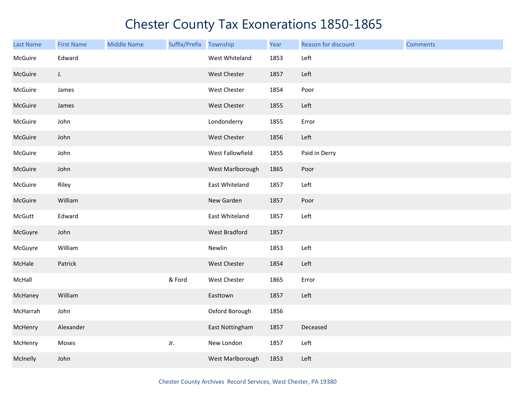| Last Name | <b>First Name</b> | <b>Middle Name</b> | Suffix/Prefix | Township            | Year | Reason for discount | <b>Comments</b> |
|-----------|-------------------|--------------------|---------------|---------------------|------|---------------------|-----------------|
| McGuire   | Edward            |                    |               | West Whiteland      | 1853 | Left                |                 |
| McGuire   | J.                |                    |               | West Chester        | 1857 | Left                |                 |
| McGuire   | James             |                    |               | West Chester        | 1854 | Poor                |                 |
| McGuire   | James             |                    |               | West Chester        | 1855 | Left                |                 |
| McGuire   | John              |                    |               | Londonderry         | 1855 | Error               |                 |
| McGuire   | John              |                    |               | West Chester        | 1856 | Left                |                 |
| McGuire   | John              |                    |               | West Fallowfield    | 1855 | Paid in Derry       |                 |
| McGuire   | John              |                    |               | West Marlborough    | 1865 | Poor                |                 |
| McGuire   | Riley             |                    |               | East Whiteland      | 1857 | Left                |                 |
| McGuire   | William           |                    |               | New Garden          | 1857 | Poor                |                 |
| McGutt    | Edward            |                    |               | East Whiteland      | 1857 | Left                |                 |
| McGuyre   | John              |                    |               | West Bradford       | 1857 |                     |                 |
| McGuyre   | William           |                    |               | Newlin              | 1853 | Left                |                 |
| McHale    | Patrick           |                    |               | West Chester        | 1854 | Left                |                 |
| McHall    |                   |                    | & Ford        | <b>West Chester</b> | 1865 | Error               |                 |
| McHaney   | William           |                    |               | Easttown            | 1857 | Left                |                 |
| McHarrah  | John              |                    |               | Oxford Borough      | 1856 |                     |                 |
| McHenry   | Alexander         |                    |               | East Nottingham     | 1857 | Deceased            |                 |
| McHenry   | Moses             |                    | Jr.           | New London          | 1857 | Left                |                 |
| McInelly  | John              |                    |               | West Marlborough    | 1853 | Left                |                 |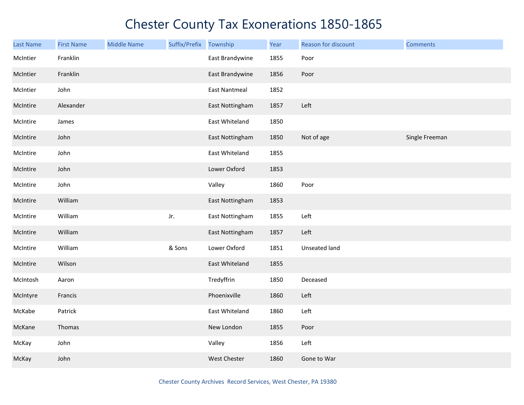| <b>Last Name</b> | <b>First Name</b> | <b>Middle Name</b> | Suffix/Prefix | Township             | Year | Reason for discount | <b>Comments</b> |
|------------------|-------------------|--------------------|---------------|----------------------|------|---------------------|-----------------|
| McIntier         | Franklin          |                    |               | East Brandywine      | 1855 | Poor                |                 |
| McIntier         | Franklin          |                    |               | East Brandywine      | 1856 | Poor                |                 |
| McIntier         | John              |                    |               | <b>East Nantmeal</b> | 1852 |                     |                 |
| McIntire         | Alexander         |                    |               | East Nottingham      | 1857 | Left                |                 |
| McIntire         | James             |                    |               | East Whiteland       | 1850 |                     |                 |
| McIntire         | John              |                    |               | East Nottingham      | 1850 | Not of age          | Single Freeman  |
| McIntire         | John              |                    |               | East Whiteland       | 1855 |                     |                 |
| McIntire         | John              |                    |               | Lower Oxford         | 1853 |                     |                 |
| McIntire         | John              |                    |               | Valley               | 1860 | Poor                |                 |
| McIntire         | William           |                    |               | East Nottingham      | 1853 |                     |                 |
| McIntire         | William           |                    | Jr.           | East Nottingham      | 1855 | Left                |                 |
| McIntire         | William           |                    |               | East Nottingham      | 1857 | Left                |                 |
| McIntire         | William           |                    | & Sons        | Lower Oxford         | 1851 | Unseated land       |                 |
| McIntire         | Wilson            |                    |               | East Whiteland       | 1855 |                     |                 |
| McIntosh         | Aaron             |                    |               | Tredyffrin           | 1850 | Deceased            |                 |
| McIntyre         | Francis           |                    |               | Phoenixville         | 1860 | Left                |                 |
| McKabe           | Patrick           |                    |               | East Whiteland       | 1860 | Left                |                 |
| McKane           | Thomas            |                    |               | New London           | 1855 | Poor                |                 |
| McKay            | John              |                    |               | Valley               | 1856 | Left                |                 |
| McKay            | John              |                    |               | <b>West Chester</b>  | 1860 | Gone to War         |                 |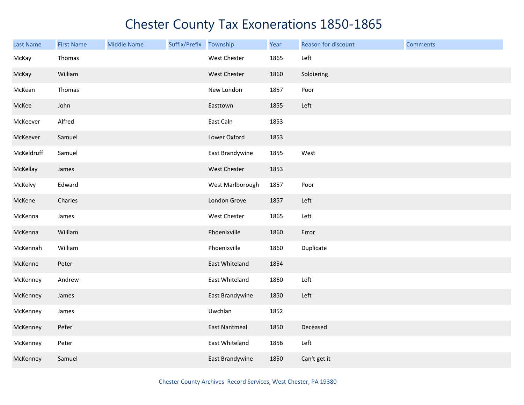| Last Name  | <b>First Name</b> | <b>Middle Name</b> | Suffix/Prefix Township |                      | Year | Reason for discount | <b>Comments</b> |
|------------|-------------------|--------------------|------------------------|----------------------|------|---------------------|-----------------|
| McKay      | Thomas            |                    |                        | West Chester         | 1865 | Left                |                 |
| McKay      | William           |                    |                        | West Chester         | 1860 | Soldiering          |                 |
| McKean     | Thomas            |                    |                        | New London           | 1857 | Poor                |                 |
| McKee      | John              |                    |                        | Easttown             | 1855 | Left                |                 |
| McKeever   | Alfred            |                    |                        | East Caln            | 1853 |                     |                 |
| McKeever   | Samuel            |                    |                        | Lower Oxford         | 1853 |                     |                 |
| McKeldruff | Samuel            |                    |                        | East Brandywine      | 1855 | West                |                 |
| McKellay   | James             |                    |                        | <b>West Chester</b>  | 1853 |                     |                 |
| McKelvy    | Edward            |                    |                        | West Marlborough     | 1857 | Poor                |                 |
| McKene     | Charles           |                    |                        | London Grove         | 1857 | Left                |                 |
| McKenna    | James             |                    |                        | West Chester         | 1865 | Left                |                 |
| McKenna    | William           |                    |                        | Phoenixville         | 1860 | Error               |                 |
| McKennah   | William           |                    |                        | Phoenixville         | 1860 | Duplicate           |                 |
| McKenne    | Peter             |                    |                        | East Whiteland       | 1854 |                     |                 |
| McKenney   | Andrew            |                    |                        | East Whiteland       | 1860 | Left                |                 |
| McKenney   | James             |                    |                        | East Brandywine      | 1850 | Left                |                 |
| McKenney   | James             |                    |                        | Uwchlan              | 1852 |                     |                 |
| McKenney   | Peter             |                    |                        | <b>East Nantmeal</b> | 1850 | Deceased            |                 |
| McKenney   | Peter             |                    |                        | East Whiteland       | 1856 | Left                |                 |
| McKenney   | Samuel            |                    |                        | East Brandywine      | 1850 | Can't get it        |                 |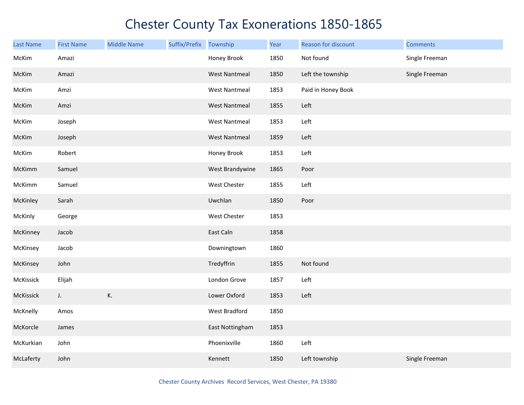| <b>Last Name</b> | <b>First Name</b> | <b>Middle Name</b> | Suffix/Prefix | Township             | Year | Reason for discount | <b>Comments</b> |
|------------------|-------------------|--------------------|---------------|----------------------|------|---------------------|-----------------|
| McKim            | Amazi             |                    |               | Honey Brook          | 1850 | Not found           | Single Freeman  |
| McKim            | Amazi             |                    |               | <b>West Nantmeal</b> | 1850 | Left the township   | Single Freeman  |
| McKim            | Amzi              |                    |               | <b>West Nantmeal</b> | 1853 | Paid in Honey Book  |                 |
| McKim            | Amzi              |                    |               | <b>West Nantmeal</b> | 1855 | Left                |                 |
| McKim            | Joseph            |                    |               | <b>West Nantmeal</b> | 1853 | Left                |                 |
| McKim            | Joseph            |                    |               | <b>West Nantmeal</b> | 1859 | Left                |                 |
| McKim            | Robert            |                    |               | Honey Brook          | 1853 | Left                |                 |
| McKimm           | Samuel            |                    |               | West Brandywine      | 1865 | Poor                |                 |
| McKimm           | Samuel            |                    |               | West Chester         | 1855 | Left                |                 |
| McKinley         | Sarah             |                    |               | Uwchlan              | 1850 | Poor                |                 |
| McKinly          | George            |                    |               | West Chester         | 1853 |                     |                 |
| McKinney         | Jacob             |                    |               | East Caln            | 1858 |                     |                 |
| McKinsey         | Jacob             |                    |               | Downingtown          | 1860 |                     |                 |
| McKinsey         | John              |                    |               | Tredyffrin           | 1855 | Not found           |                 |
| McKissick        | Elijah            |                    |               | London Grove         | 1857 | Left                |                 |
| McKissick        | J.                | К.                 |               | Lower Oxford         | 1853 | Left                |                 |
| McKnelly         | Amos              |                    |               | West Bradford        | 1850 |                     |                 |
| McKorcle         | James             |                    |               | East Nottingham      | 1853 |                     |                 |
| McKurkian        | John              |                    |               | Phoenixville         | 1860 | Left                |                 |
| McLaferty        | John              |                    |               | Kennett              | 1850 | Left township       | Single Freeman  |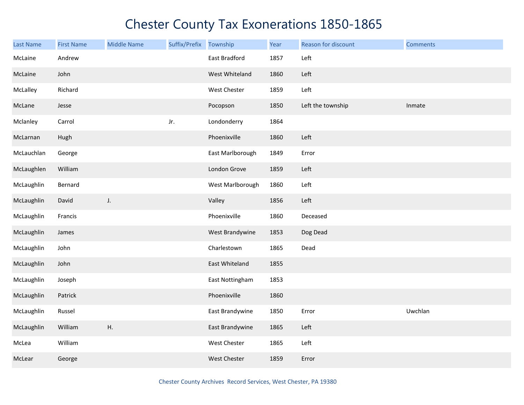| <b>Last Name</b> | <b>First Name</b> | <b>Middle Name</b> | Suffix/Prefix Township |                  | Year | Reason for discount | <b>Comments</b> |
|------------------|-------------------|--------------------|------------------------|------------------|------|---------------------|-----------------|
| McLaine          | Andrew            |                    |                        | East Bradford    | 1857 | Left                |                 |
| McLaine          | John              |                    |                        | West Whiteland   | 1860 | Left                |                 |
| McLalley         | Richard           |                    |                        | West Chester     | 1859 | Left                |                 |
| McLane           | Jesse             |                    |                        | Pocopson         | 1850 | Left the township   | Inmate          |
| Mclanley         | Carrol            |                    | Jr.                    | Londonderry      | 1864 |                     |                 |
| McLarnan         | Hugh              |                    |                        | Phoenixville     | 1860 | Left                |                 |
| McLauchlan       | George            |                    |                        | East Marlborough | 1849 | Error               |                 |
| McLaughlen       | William           |                    |                        | London Grove     | 1859 | Left                |                 |
| McLaughlin       | Bernard           |                    |                        | West Marlborough | 1860 | Left                |                 |
| McLaughlin       | David             | J.                 |                        | Valley           | 1856 | Left                |                 |
| McLaughlin       | Francis           |                    |                        | Phoenixville     | 1860 | Deceased            |                 |
| McLaughlin       | James             |                    |                        | West Brandywine  | 1853 | Dog Dead            |                 |
| McLaughlin       | John              |                    |                        | Charlestown      | 1865 | Dead                |                 |
| McLaughlin       | John              |                    |                        | East Whiteland   | 1855 |                     |                 |
| McLaughlin       | Joseph            |                    |                        | East Nottingham  | 1853 |                     |                 |
| McLaughlin       | Patrick           |                    |                        | Phoenixville     | 1860 |                     |                 |
| McLaughlin       | Russel            |                    |                        | East Brandywine  | 1850 | Error               | Uwchlan         |
| McLaughlin       | William           | Η.                 |                        | East Brandywine  | 1865 | Left                |                 |
| McLea            | William           |                    |                        | West Chester     | 1865 | Left                |                 |
| McLear           | George            |                    |                        | West Chester     | 1859 | Error               |                 |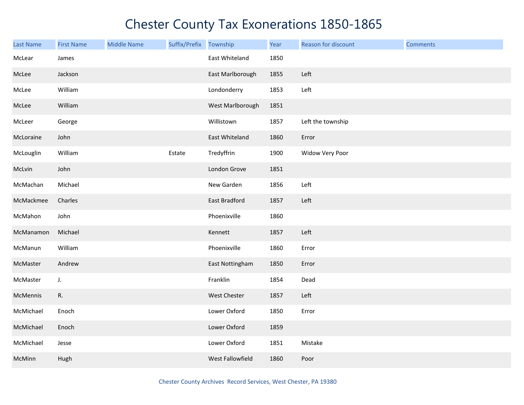| Last Name | <b>First Name</b> | <b>Middle Name</b> | Suffix/Prefix Township |                  | Year | Reason for discount | <b>Comments</b> |
|-----------|-------------------|--------------------|------------------------|------------------|------|---------------------|-----------------|
| McLear    | James             |                    |                        | East Whiteland   | 1850 |                     |                 |
| McLee     | Jackson           |                    |                        | East Marlborough | 1855 | Left                |                 |
| McLee     | William           |                    |                        | Londonderry      | 1853 | Left                |                 |
| McLee     | William           |                    |                        | West Marlborough | 1851 |                     |                 |
| McLeer    | George            |                    |                        | Willistown       | 1857 | Left the township   |                 |
| McLoraine | John              |                    |                        | East Whiteland   | 1860 | Error               |                 |
| McLouglin | William           |                    | Estate                 | Tredyffrin       | 1900 | Widow Very Poor     |                 |
| McLvin    | John              |                    |                        | London Grove     | 1851 |                     |                 |
| McMachan  | Michael           |                    |                        | New Garden       | 1856 | Left                |                 |
| McMackmee | Charles           |                    |                        | East Bradford    | 1857 | Left                |                 |
| McMahon   | John              |                    |                        | Phoenixville     | 1860 |                     |                 |
| McManamon | Michael           |                    |                        | Kennett          | 1857 | Left                |                 |
| McManun   | William           |                    |                        | Phoenixville     | 1860 | Error               |                 |
| McMaster  | Andrew            |                    |                        | East Nottingham  | 1850 | Error               |                 |
| McMaster  | J.                |                    |                        | Franklin         | 1854 | Dead                |                 |
| McMennis  | R.                |                    |                        | West Chester     | 1857 | Left                |                 |
| McMichael | Enoch             |                    |                        | Lower Oxford     | 1850 | Error               |                 |
| McMichael | Enoch             |                    |                        | Lower Oxford     | 1859 |                     |                 |
| McMichael | Jesse             |                    |                        | Lower Oxford     | 1851 | Mistake             |                 |
| McMinn    | Hugh              |                    |                        | West Fallowfield | 1860 | Poor                |                 |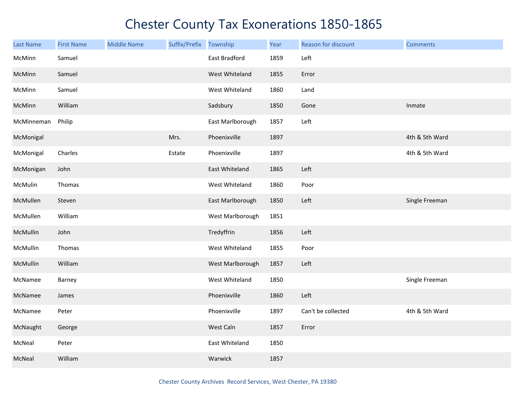| <b>Last Name</b> | <b>First Name</b> | <b>Middle Name</b> | Suffix/Prefix Township |                  | Year | Reason for discount | <b>Comments</b> |
|------------------|-------------------|--------------------|------------------------|------------------|------|---------------------|-----------------|
| McMinn           | Samuel            |                    |                        | East Bradford    | 1859 | Left                |                 |
| McMinn           | Samuel            |                    |                        | West Whiteland   | 1855 | Error               |                 |
| McMinn           | Samuel            |                    |                        | West Whiteland   | 1860 | Land                |                 |
| McMinn           | William           |                    |                        | Sadsbury         | 1850 | Gone                | Inmate          |
| McMinneman       | Philip            |                    |                        | East Marlborough | 1857 | Left                |                 |
| McMonigal        |                   |                    | Mrs.                   | Phoenixville     | 1897 |                     | 4th & 5th Ward  |
| McMonigal        | Charles           |                    | Estate                 | Phoenixville     | 1897 |                     | 4th & 5th Ward  |
| McMonigan        | John              |                    |                        | East Whiteland   | 1865 | Left                |                 |
| McMulin          | Thomas            |                    |                        | West Whiteland   | 1860 | Poor                |                 |
| McMullen         | Steven            |                    |                        | East Marlborough | 1850 | Left                | Single Freeman  |
| McMullen         | William           |                    |                        | West Marlborough | 1851 |                     |                 |
| McMullin         | John              |                    |                        | Tredyffrin       | 1856 | Left                |                 |
| McMullin         | Thomas            |                    |                        | West Whiteland   | 1855 | Poor                |                 |
| McMullin         | William           |                    |                        | West Marlborough | 1857 | Left                |                 |
| McNamee          | Barney            |                    |                        | West Whiteland   | 1850 |                     | Single Freeman  |
| McNamee          | James             |                    |                        | Phoenixville     | 1860 | Left                |                 |
| McNamee          | Peter             |                    |                        | Phoenixville     | 1897 | Can't be collected  | 4th & 5th Ward  |
| McNaught         | George            |                    |                        | West Caln        | 1857 | Error               |                 |
| McNeal           | Peter             |                    |                        | East Whiteland   | 1850 |                     |                 |
| McNeal           | William           |                    |                        | Warwick          | 1857 |                     |                 |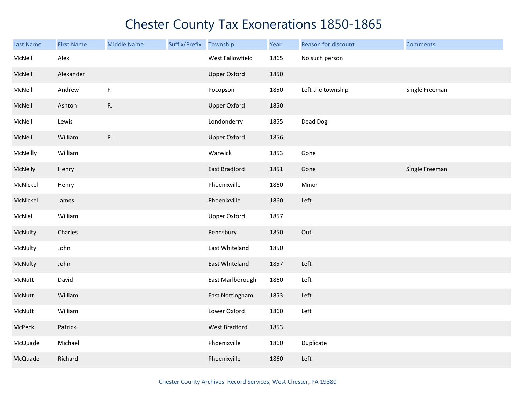| <b>Last Name</b> | <b>First Name</b> | <b>Middle Name</b> | Suffix/Prefix | Township             | Year | Reason for discount | <b>Comments</b> |
|------------------|-------------------|--------------------|---------------|----------------------|------|---------------------|-----------------|
| McNeil           | Alex              |                    |               | West Fallowfield     | 1865 | No such person      |                 |
| McNeil           | Alexander         |                    |               | <b>Upper Oxford</b>  | 1850 |                     |                 |
| McNeil           | Andrew            | $\mathsf{F}.$      |               | Pocopson             | 1850 | Left the township   | Single Freeman  |
| McNeil           | Ashton            | R.                 |               | <b>Upper Oxford</b>  | 1850 |                     |                 |
| McNeil           | Lewis             |                    |               | Londonderry          | 1855 | Dead Dog            |                 |
| McNeil           | William           | R.                 |               | <b>Upper Oxford</b>  | 1856 |                     |                 |
| McNeilly         | William           |                    |               | Warwick              | 1853 | Gone                |                 |
| McNelly          | Henry             |                    |               | East Bradford        | 1851 | Gone                | Single Freeman  |
| McNickel         | Henry             |                    |               | Phoenixville         | 1860 | Minor               |                 |
| McNickel         | James             |                    |               | Phoenixville         | 1860 | Left                |                 |
| McNiel           | William           |                    |               | Upper Oxford         | 1857 |                     |                 |
| McNulty          | Charles           |                    |               | Pennsbury            | 1850 | Out                 |                 |
| McNulty          | John              |                    |               | East Whiteland       | 1850 |                     |                 |
| McNulty          | John              |                    |               | East Whiteland       | 1857 | Left                |                 |
| McNutt           | David             |                    |               | East Marlborough     | 1860 | Left                |                 |
| McNutt           | William           |                    |               | East Nottingham      | 1853 | Left                |                 |
| McNutt           | William           |                    |               | Lower Oxford         | 1860 | Left                |                 |
| McPeck           | Patrick           |                    |               | <b>West Bradford</b> | 1853 |                     |                 |
| McQuade          | Michael           |                    |               | Phoenixville         | 1860 | Duplicate           |                 |
| McQuade          | Richard           |                    |               | Phoenixville         | 1860 | Left                |                 |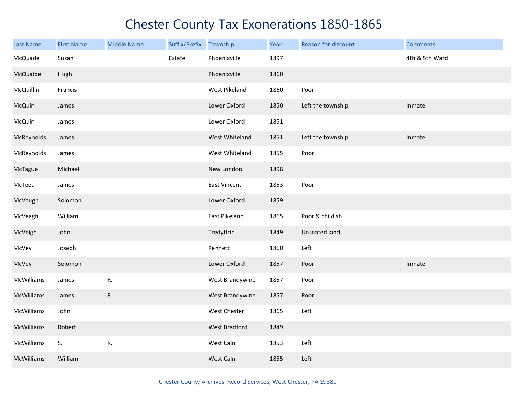| <b>Last Name</b> | <b>First Name</b> | <b>Middle Name</b> | Suffix/Prefix | Township             | Year | Reason for discount  | <b>Comments</b> |
|------------------|-------------------|--------------------|---------------|----------------------|------|----------------------|-----------------|
| McQuade          | Susan             |                    | Estate        | Phoenixville         | 1897 |                      | 4th & 5th Ward  |
| McQuaide         | Hugh              |                    |               | Phoenixville         | 1860 |                      |                 |
| McQuillin        | Francis           |                    |               | West Pikeland        | 1860 | Poor                 |                 |
| McQuin           | James             |                    |               | Lower Oxford         | 1850 | Left the township    | Inmate          |
| McQuin           | James             |                    |               | Lower Oxford         | 1851 |                      |                 |
| McReynolds       | James             |                    |               | West Whiteland       | 1851 | Left the township    | Inmate          |
| McReynolds       | James             |                    |               | West Whiteland       | 1855 | Poor                 |                 |
| McTague          | Michael           |                    |               | New London           | 1898 |                      |                 |
| McTeet           | James             |                    |               | <b>East Vincent</b>  | 1853 | Poor                 |                 |
| McVaugh          | Solomon           |                    |               | Lower Oxford         | 1859 |                      |                 |
| McVeagh          | William           |                    |               | East Pikeland        | 1865 | Poor & childish      |                 |
| McVeigh          | John              |                    |               | Tredyffrin           | 1849 | <b>Unseated land</b> |                 |
| McVey            | Joseph            |                    |               | Kennett              | 1860 | Left                 |                 |
| McVey            | Solomon           |                    |               | Lower Oxford         | 1857 | Poor                 | Inmate          |
| McWilliams       | James             | R.                 |               | West Brandywine      | 1857 | Poor                 |                 |
| McWilliams       | James             | R.                 |               | West Brandywine      | 1857 | Poor                 |                 |
| McWilliams       | John              |                    |               | West Chester         | 1865 | Left                 |                 |
| McWilliams       | Robert            |                    |               | <b>West Bradford</b> | 1849 |                      |                 |
| McWilliams       | S.                | R.                 |               | West Caln            | 1853 | Left                 |                 |
| McWilliams       | William           |                    |               | West Caln            | 1855 | Left                 |                 |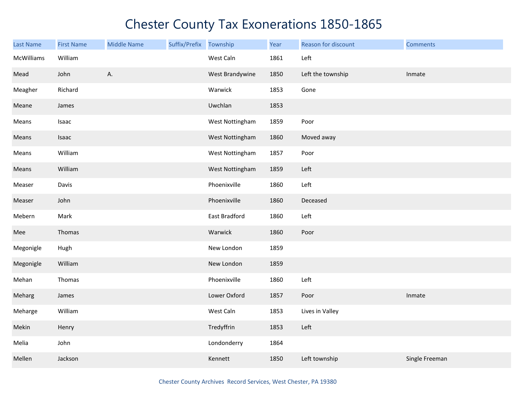| <b>Last Name</b> | <b>First Name</b> | <b>Middle Name</b> | Suffix/Prefix | Township        | Year | Reason for discount | <b>Comments</b> |
|------------------|-------------------|--------------------|---------------|-----------------|------|---------------------|-----------------|
| McWilliams       | William           |                    |               | West Caln       | 1861 | Left                |                 |
| Mead             | John              | А.                 |               | West Brandywine | 1850 | Left the township   | Inmate          |
| Meagher          | Richard           |                    |               | Warwick         | 1853 | Gone                |                 |
| Meane            | James             |                    |               | Uwchlan         | 1853 |                     |                 |
| Means            | Isaac             |                    |               | West Nottingham | 1859 | Poor                |                 |
| Means            | Isaac             |                    |               | West Nottingham | 1860 | Moved away          |                 |
| Means            | William           |                    |               | West Nottingham | 1857 | Poor                |                 |
| Means            | William           |                    |               | West Nottingham | 1859 | Left                |                 |
| Measer           | Davis             |                    |               | Phoenixville    | 1860 | Left                |                 |
| Measer           | John              |                    |               | Phoenixville    | 1860 | Deceased            |                 |
| Mebern           | Mark              |                    |               | East Bradford   | 1860 | Left                |                 |
| Mee              | Thomas            |                    |               | Warwick         | 1860 | Poor                |                 |
| Megonigle        | Hugh              |                    |               | New London      | 1859 |                     |                 |
| Megonigle        | William           |                    |               | New London      | 1859 |                     |                 |
| Mehan            | Thomas            |                    |               | Phoenixville    | 1860 | Left                |                 |
| Meharg           | James             |                    |               | Lower Oxford    | 1857 | Poor                | Inmate          |
| Meharge          | William           |                    |               | West Caln       | 1853 | Lives in Valley     |                 |
| Mekin            | Henry             |                    |               | Tredyffrin      | 1853 | Left                |                 |
| Melia            | John              |                    |               | Londonderry     | 1864 |                     |                 |
| Mellen           | Jackson           |                    |               | Kennett         | 1850 | Left township       | Single Freeman  |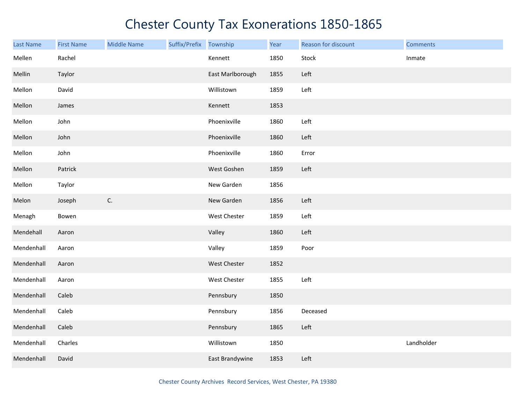| Last Name  | <b>First Name</b> | <b>Middle Name</b> | Suffix/Prefix Township |                  | Year | Reason for discount | <b>Comments</b> |
|------------|-------------------|--------------------|------------------------|------------------|------|---------------------|-----------------|
| Mellen     | Rachel            |                    |                        | Kennett          | 1850 | Stock               | Inmate          |
| Mellin     | Taylor            |                    |                        | East Marlborough | 1855 | Left                |                 |
| Mellon     | David             |                    |                        | Willistown       | 1859 | Left                |                 |
| Mellon     | James             |                    |                        | Kennett          | 1853 |                     |                 |
| Mellon     | John              |                    |                        | Phoenixville     | 1860 | Left                |                 |
| Mellon     | John              |                    |                        | Phoenixville     | 1860 | Left                |                 |
| Mellon     | John              |                    |                        | Phoenixville     | 1860 | Error               |                 |
| Mellon     | Patrick           |                    |                        | West Goshen      | 1859 | Left                |                 |
| Mellon     | Taylor            |                    |                        | New Garden       | 1856 |                     |                 |
| Melon      | Joseph            | $\mathsf{C}.$      |                        | New Garden       | 1856 | Left                |                 |
| Menagh     | Bowen             |                    |                        | West Chester     | 1859 | Left                |                 |
| Mendehall  | Aaron             |                    |                        | Valley           | 1860 | Left                |                 |
| Mendenhall | Aaron             |                    |                        | Valley           | 1859 | Poor                |                 |
| Mendenhall | Aaron             |                    |                        | West Chester     | 1852 |                     |                 |
| Mendenhall | Aaron             |                    |                        | West Chester     | 1855 | Left                |                 |
| Mendenhall | Caleb             |                    |                        | Pennsbury        | 1850 |                     |                 |
| Mendenhall | Caleb             |                    |                        | Pennsbury        | 1856 | Deceased            |                 |
| Mendenhall | Caleb             |                    |                        | Pennsbury        | 1865 | Left                |                 |
| Mendenhall | Charles           |                    |                        | Willistown       | 1850 |                     | Landholder      |
| Mendenhall | David             |                    |                        | East Brandywine  | 1853 | Left                |                 |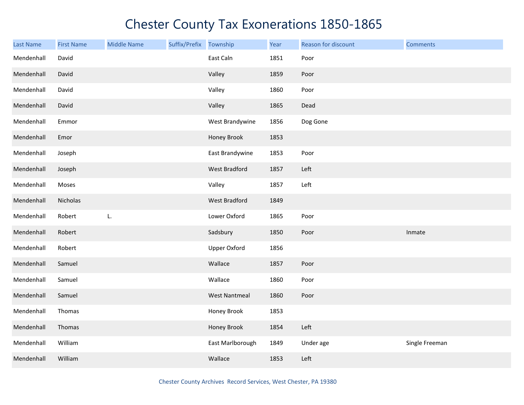| <b>Last Name</b> | <b>First Name</b> | <b>Middle Name</b> | Suffix/Prefix Township |                      | Year | Reason for discount | <b>Comments</b> |
|------------------|-------------------|--------------------|------------------------|----------------------|------|---------------------|-----------------|
| Mendenhall       | David             |                    |                        | East Caln            | 1851 | Poor                |                 |
| Mendenhall       | David             |                    |                        | Valley               | 1859 | Poor                |                 |
| Mendenhall       | David             |                    |                        | Valley               | 1860 | Poor                |                 |
| Mendenhall       | David             |                    |                        | Valley               | 1865 | Dead                |                 |
| Mendenhall       | Emmor             |                    |                        | West Brandywine      | 1856 | Dog Gone            |                 |
| Mendenhall       | Emor              |                    |                        | Honey Brook          | 1853 |                     |                 |
| Mendenhall       | Joseph            |                    |                        | East Brandywine      | 1853 | Poor                |                 |
| Mendenhall       | Joseph            |                    |                        | West Bradford        | 1857 | Left                |                 |
| Mendenhall       | Moses             |                    |                        | Valley               | 1857 | Left                |                 |
| Mendenhall       | Nicholas          |                    |                        | West Bradford        | 1849 |                     |                 |
| Mendenhall       | Robert            | L.                 |                        | Lower Oxford         | 1865 | Poor                |                 |
| Mendenhall       | Robert            |                    |                        | Sadsbury             | 1850 | Poor                | Inmate          |
| Mendenhall       | Robert            |                    |                        | <b>Upper Oxford</b>  | 1856 |                     |                 |
| Mendenhall       | Samuel            |                    |                        | Wallace              | 1857 | Poor                |                 |
| Mendenhall       | Samuel            |                    |                        | Wallace              | 1860 | Poor                |                 |
| Mendenhall       | Samuel            |                    |                        | <b>West Nantmeal</b> | 1860 | Poor                |                 |
| Mendenhall       | Thomas            |                    |                        | Honey Brook          | 1853 |                     |                 |
| Mendenhall       | Thomas            |                    |                        | Honey Brook          | 1854 | Left                |                 |
| Mendenhall       | William           |                    |                        | East Marlborough     | 1849 | Under age           | Single Freeman  |
| Mendenhall       | William           |                    |                        | Wallace              | 1853 | Left                |                 |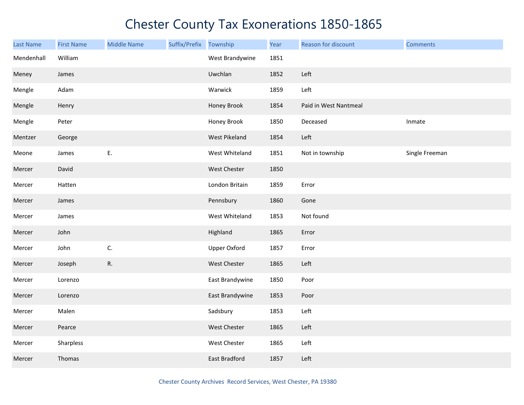| Last Name  | <b>First Name</b> | <b>Middle Name</b> | Suffix/Prefix | Township             | Year | Reason for discount   | <b>Comments</b> |
|------------|-------------------|--------------------|---------------|----------------------|------|-----------------------|-----------------|
| Mendenhall | William           |                    |               | West Brandywine      | 1851 |                       |                 |
| Meney      | James             |                    |               | Uwchlan              | 1852 | Left                  |                 |
| Mengle     | Adam              |                    |               | Warwick              | 1859 | Left                  |                 |
| Mengle     | Henry             |                    |               | Honey Brook          | 1854 | Paid in West Nantmeal |                 |
| Mengle     | Peter             |                    |               | Honey Brook          | 1850 | Deceased              | Inmate          |
| Mentzer    | George            |                    |               | West Pikeland        | 1854 | Left                  |                 |
| Meone      | James             | Ε.                 |               | West Whiteland       | 1851 | Not in township       | Single Freeman  |
| Mercer     | David             |                    |               | West Chester         | 1850 |                       |                 |
| Mercer     | Hatten            |                    |               | London Britain       | 1859 | Error                 |                 |
| Mercer     | James             |                    |               | Pennsbury            | 1860 | Gone                  |                 |
| Mercer     | James             |                    |               | West Whiteland       | 1853 | Not found             |                 |
| Mercer     | John              |                    |               | Highland             | 1865 | Error                 |                 |
| Mercer     | John              | C.                 |               | <b>Upper Oxford</b>  | 1857 | Error                 |                 |
| Mercer     | Joseph            | R.                 |               | West Chester         | 1865 | Left                  |                 |
| Mercer     | Lorenzo           |                    |               | East Brandywine      | 1850 | Poor                  |                 |
| Mercer     | Lorenzo           |                    |               | East Brandywine      | 1853 | Poor                  |                 |
| Mercer     | Malen             |                    |               | Sadsbury             | 1853 | Left                  |                 |
| Mercer     | Pearce            |                    |               | West Chester         | 1865 | Left                  |                 |
| Mercer     | Sharpless         |                    |               | West Chester         | 1865 | Left                  |                 |
| Mercer     | Thomas            |                    |               | <b>East Bradford</b> | 1857 | Left                  |                 |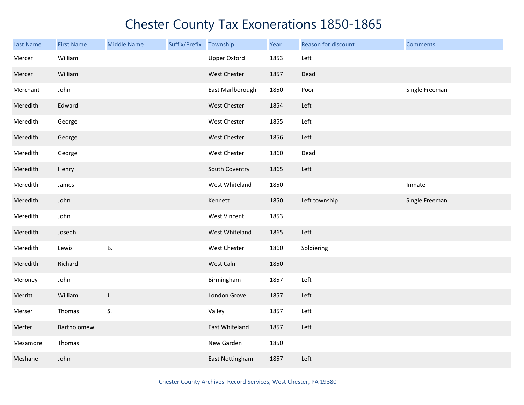| Last Name | <b>First Name</b> | <b>Middle Name</b> | Suffix/Prefix Township |                     | Year | Reason for discount | <b>Comments</b> |
|-----------|-------------------|--------------------|------------------------|---------------------|------|---------------------|-----------------|
| Mercer    | William           |                    |                        | <b>Upper Oxford</b> | 1853 | Left                |                 |
| Mercer    | William           |                    |                        | West Chester        | 1857 | Dead                |                 |
| Merchant  | John              |                    |                        | East Marlborough    | 1850 | Poor                | Single Freeman  |
| Meredith  | Edward            |                    |                        | West Chester        | 1854 | Left                |                 |
| Meredith  | George            |                    |                        | West Chester        | 1855 | Left                |                 |
| Meredith  | George            |                    |                        | West Chester        | 1856 | Left                |                 |
| Meredith  | George            |                    |                        | West Chester        | 1860 | Dead                |                 |
| Meredith  | Henry             |                    |                        | South Coventry      | 1865 | Left                |                 |
| Meredith  | James             |                    |                        | West Whiteland      | 1850 |                     | Inmate          |
| Meredith  | John              |                    |                        | Kennett             | 1850 | Left township       | Single Freeman  |
| Meredith  | John              |                    |                        | <b>West Vincent</b> | 1853 |                     |                 |
| Meredith  | Joseph            |                    |                        | West Whiteland      | 1865 | Left                |                 |
| Meredith  | Lewis             | <b>B.</b>          |                        | West Chester        | 1860 | Soldiering          |                 |
| Meredith  | Richard           |                    |                        | West Caln           | 1850 |                     |                 |
| Meroney   | John              |                    |                        | Birmingham          | 1857 | Left                |                 |
| Merritt   | William           | J.                 |                        | London Grove        | 1857 | Left                |                 |
| Merser    | Thomas            | S.                 |                        | Valley              | 1857 | Left                |                 |
| Merter    | Bartholomew       |                    |                        | East Whiteland      | 1857 | Left                |                 |
| Mesamore  | Thomas            |                    |                        | New Garden          | 1850 |                     |                 |
| Meshane   | John              |                    |                        | East Nottingham     | 1857 | Left                |                 |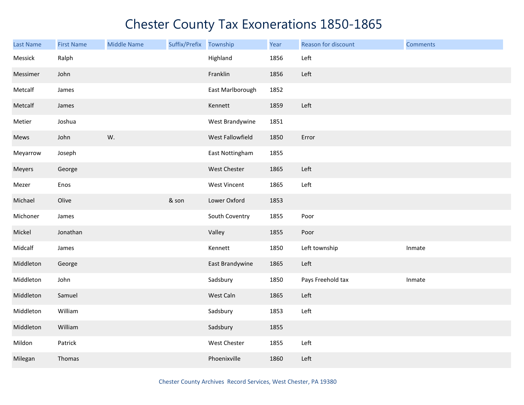| Last Name | <b>First Name</b> | <b>Middle Name</b> | Suffix/Prefix Township |                  | Year | Reason for discount | <b>Comments</b> |
|-----------|-------------------|--------------------|------------------------|------------------|------|---------------------|-----------------|
| Messick   | Ralph             |                    |                        | Highland         | 1856 | Left                |                 |
| Messimer  | John              |                    |                        | Franklin         | 1856 | Left                |                 |
| Metcalf   | James             |                    |                        | East Marlborough | 1852 |                     |                 |
| Metcalf   | James             |                    |                        | Kennett          | 1859 | Left                |                 |
| Metier    | Joshua            |                    |                        | West Brandywine  | 1851 |                     |                 |
| Mews      | John              | W.                 |                        | West Fallowfield | 1850 | Error               |                 |
| Meyarrow  | Joseph            |                    |                        | East Nottingham  | 1855 |                     |                 |
| Meyers    | George            |                    |                        | West Chester     | 1865 | Left                |                 |
| Mezer     | Enos              |                    |                        | West Vincent     | 1865 | Left                |                 |
| Michael   | Olive             |                    | & son                  | Lower Oxford     | 1853 |                     |                 |
| Michoner  | James             |                    |                        | South Coventry   | 1855 | Poor                |                 |
| Mickel    | Jonathan          |                    |                        | Valley           | 1855 | Poor                |                 |
| Midcalf   | James             |                    |                        | Kennett          | 1850 | Left township       | Inmate          |
| Middleton | George            |                    |                        | East Brandywine  | 1865 | Left                |                 |
| Middleton | John              |                    |                        | Sadsbury         | 1850 | Pays Freehold tax   | Inmate          |
| Middleton | Samuel            |                    |                        | West Caln        | 1865 | Left                |                 |
| Middleton | William           |                    |                        | Sadsbury         | 1853 | Left                |                 |
| Middleton | William           |                    |                        | Sadsbury         | 1855 |                     |                 |
| Mildon    | Patrick           |                    |                        | West Chester     | 1855 | Left                |                 |
| Milegan   | Thomas            |                    |                        | Phoenixville     | 1860 | Left                |                 |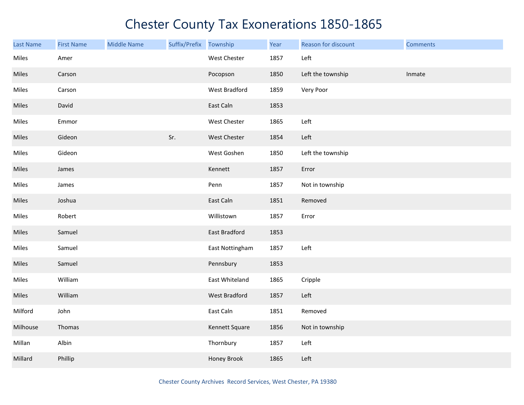| <b>Last Name</b> | <b>First Name</b> | <b>Middle Name</b> | Suffix/Prefix Township |                      | Year | Reason for discount | <b>Comments</b> |
|------------------|-------------------|--------------------|------------------------|----------------------|------|---------------------|-----------------|
| Miles            | Amer              |                    |                        | West Chester         | 1857 | Left                |                 |
| Miles            | Carson            |                    |                        | Pocopson             | 1850 | Left the township   | Inmate          |
| Miles            | Carson            |                    |                        | West Bradford        | 1859 | Very Poor           |                 |
| Miles            | David             |                    |                        | East Caln            | 1853 |                     |                 |
| Miles            | Emmor             |                    |                        | West Chester         | 1865 | Left                |                 |
| Miles            | Gideon            |                    | Sr.                    | West Chester         | 1854 | Left                |                 |
| Miles            | Gideon            |                    |                        | West Goshen          | 1850 | Left the township   |                 |
| Miles            | James             |                    |                        | Kennett              | 1857 | Error               |                 |
| Miles            | James             |                    |                        | Penn                 | 1857 | Not in township     |                 |
| Miles            | Joshua            |                    |                        | East Caln            | 1851 | Removed             |                 |
| Miles            | Robert            |                    |                        | Willistown           | 1857 | Error               |                 |
| Miles            | Samuel            |                    |                        | East Bradford        | 1853 |                     |                 |
| Miles            | Samuel            |                    |                        | East Nottingham      | 1857 | Left                |                 |
| Miles            | Samuel            |                    |                        | Pennsbury            | 1853 |                     |                 |
| Miles            | William           |                    |                        | East Whiteland       | 1865 | Cripple             |                 |
| Miles            | William           |                    |                        | <b>West Bradford</b> | 1857 | Left                |                 |
| Milford          | John              |                    |                        | East Caln            | 1851 | Removed             |                 |
| Milhouse         | Thomas            |                    |                        | Kennett Square       | 1856 | Not in township     |                 |
| Millan           | Albin             |                    |                        | Thornbury            | 1857 | Left                |                 |
| Millard          | Phillip           |                    |                        | Honey Brook          | 1865 | Left                |                 |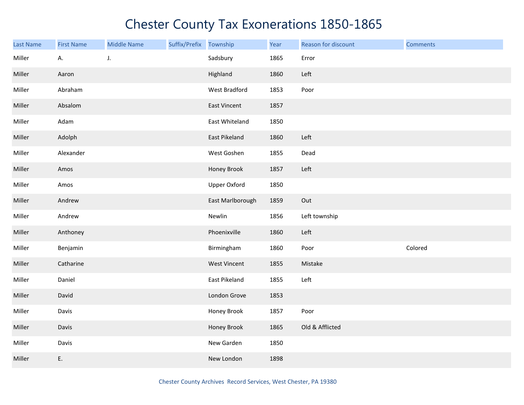| Last Name | <b>First Name</b> | <b>Middle Name</b> | Suffix/Prefix | Township            | Year | Reason for discount | <b>Comments</b> |
|-----------|-------------------|--------------------|---------------|---------------------|------|---------------------|-----------------|
| Miller    | А.                | J.                 |               | Sadsbury            | 1865 | Error               |                 |
| Miller    | Aaron             |                    |               | Highland            | 1860 | Left                |                 |
| Miller    | Abraham           |                    |               | West Bradford       | 1853 | Poor                |                 |
| Miller    | Absalom           |                    |               | East Vincent        | 1857 |                     |                 |
| Miller    | Adam              |                    |               | East Whiteland      | 1850 |                     |                 |
| Miller    | Adolph            |                    |               | East Pikeland       | 1860 | Left                |                 |
| Miller    | Alexander         |                    |               | West Goshen         | 1855 | Dead                |                 |
| Miller    | Amos              |                    |               | Honey Brook         | 1857 | Left                |                 |
| Miller    | Amos              |                    |               | <b>Upper Oxford</b> | 1850 |                     |                 |
| Miller    | Andrew            |                    |               | East Marlborough    | 1859 | Out                 |                 |
| Miller    | Andrew            |                    |               | Newlin              | 1856 | Left township       |                 |
| Miller    | Anthoney          |                    |               | Phoenixville        | 1860 | Left                |                 |
| Miller    | Benjamin          |                    |               | Birmingham          | 1860 | Poor                | Colored         |
| Miller    | Catharine         |                    |               | <b>West Vincent</b> | 1855 | Mistake             |                 |
| Miller    | Daniel            |                    |               | East Pikeland       | 1855 | Left                |                 |
| Miller    | David             |                    |               | London Grove        | 1853 |                     |                 |
| Miller    | Davis             |                    |               | Honey Brook         | 1857 | Poor                |                 |
| Miller    | Davis             |                    |               | Honey Brook         | 1865 | Old & Afflicted     |                 |
| Miller    | Davis             |                    |               | New Garden          | 1850 |                     |                 |
| Miller    | E.                |                    |               | New London          | 1898 |                     |                 |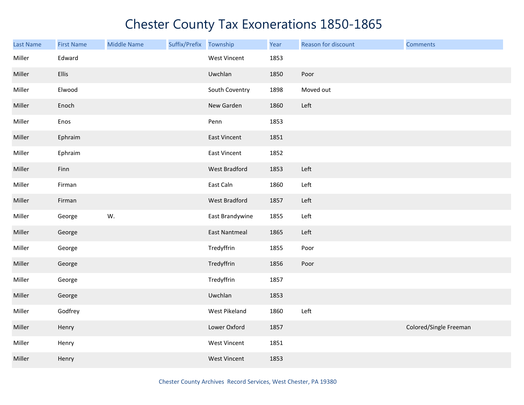| <b>Last Name</b> | <b>First Name</b> | <b>Middle Name</b> | Suffix/Prefix Township |                      | Year | Reason for discount | <b>Comments</b>        |
|------------------|-------------------|--------------------|------------------------|----------------------|------|---------------------|------------------------|
| Miller           | Edward            |                    |                        | West Vincent         | 1853 |                     |                        |
| Miller           | <b>Ellis</b>      |                    |                        | Uwchlan              | 1850 | Poor                |                        |
| Miller           | Elwood            |                    |                        | South Coventry       | 1898 | Moved out           |                        |
| Miller           | Enoch             |                    |                        | New Garden           | 1860 | Left                |                        |
| Miller           | Enos              |                    |                        | Penn                 | 1853 |                     |                        |
| Miller           | Ephraim           |                    |                        | East Vincent         | 1851 |                     |                        |
| Miller           | Ephraim           |                    |                        | <b>East Vincent</b>  | 1852 |                     |                        |
| Miller           | Finn              |                    |                        | West Bradford        | 1853 | Left                |                        |
| Miller           | Firman            |                    |                        | East Caln            | 1860 | Left                |                        |
| Miller           | Firman            |                    |                        | West Bradford        | 1857 | Left                |                        |
| Miller           | George            | W.                 |                        | East Brandywine      | 1855 | Left                |                        |
| Miller           | George            |                    |                        | <b>East Nantmeal</b> | 1865 | Left                |                        |
| Miller           | George            |                    |                        | Tredyffrin           | 1855 | Poor                |                        |
| Miller           | George            |                    |                        | Tredyffrin           | 1856 | Poor                |                        |
| Miller           | George            |                    |                        | Tredyffrin           | 1857 |                     |                        |
| Miller           | George            |                    |                        | Uwchlan              | 1853 |                     |                        |
| Miller           | Godfrey           |                    |                        | West Pikeland        | 1860 | Left                |                        |
| Miller           | Henry             |                    |                        | Lower Oxford         | 1857 |                     | Colored/Single Freeman |
| Miller           | Henry             |                    |                        | West Vincent         | 1851 |                     |                        |
| Miller           | Henry             |                    |                        | <b>West Vincent</b>  | 1853 |                     |                        |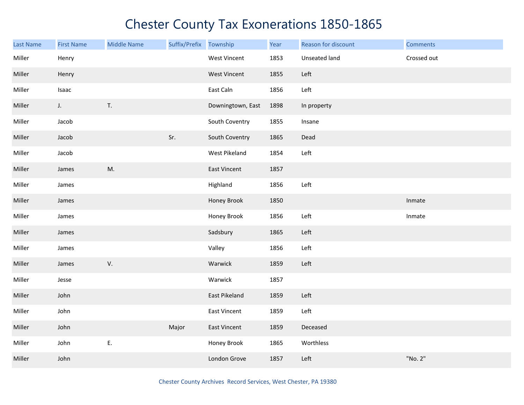| <b>Last Name</b> | <b>First Name</b> | <b>Middle Name</b> | Suffix/Prefix | Township            | Year | Reason for discount | <b>Comments</b> |
|------------------|-------------------|--------------------|---------------|---------------------|------|---------------------|-----------------|
| Miller           | Henry             |                    |               | West Vincent        | 1853 | Unseated land       | Crossed out     |
| Miller           | Henry             |                    |               | <b>West Vincent</b> | 1855 | Left                |                 |
| Miller           | Isaac             |                    |               | East Caln           | 1856 | Left                |                 |
| Miller           | $J_{\star}$       | T.                 |               | Downingtown, East   | 1898 | In property         |                 |
| Miller           | Jacob             |                    |               | South Coventry      | 1855 | Insane              |                 |
| Miller           | Jacob             |                    | Sr.           | South Coventry      | 1865 | Dead                |                 |
| Miller           | Jacob             |                    |               | West Pikeland       | 1854 | Left                |                 |
| Miller           | James             | M.                 |               | <b>East Vincent</b> | 1857 |                     |                 |
| Miller           | James             |                    |               | Highland            | 1856 | Left                |                 |
| Miller           | James             |                    |               | Honey Brook         | 1850 |                     | Inmate          |
| Miller           | James             |                    |               | Honey Brook         | 1856 | Left                | Inmate          |
| Miller           | James             |                    |               | Sadsbury            | 1865 | Left                |                 |
| Miller           | James             |                    |               | Valley              | 1856 | Left                |                 |
| Miller           | James             | V.                 |               | Warwick             | 1859 | Left                |                 |
| Miller           | Jesse             |                    |               | Warwick             | 1857 |                     |                 |
| Miller           | John              |                    |               | East Pikeland       | 1859 | Left                |                 |
| Miller           | John              |                    |               | East Vincent        | 1859 | Left                |                 |
| Miller           | John              |                    | Major         | <b>East Vincent</b> | 1859 | Deceased            |                 |
| Miller           | John              | E.                 |               | Honey Brook         | 1865 | Worthless           |                 |
| Miller           | John              |                    |               | London Grove        | 1857 | Left                | "No. 2"         |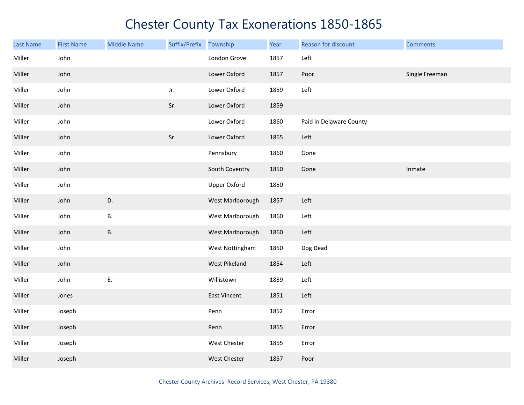| Last Name | <b>First Name</b> | <b>Middle Name</b> | Suffix/Prefix | Township            | Year | Reason for discount     | <b>Comments</b> |
|-----------|-------------------|--------------------|---------------|---------------------|------|-------------------------|-----------------|
| Miller    | John              |                    |               | London Grove        | 1857 | Left                    |                 |
| Miller    | John              |                    |               | Lower Oxford        | 1857 | Poor                    | Single Freeman  |
| Miller    | John              |                    | Jr.           | Lower Oxford        | 1859 | Left                    |                 |
| Miller    | John              |                    | Sr.           | Lower Oxford        | 1859 |                         |                 |
| Miller    | John              |                    |               | Lower Oxford        | 1860 | Paid in Delaware County |                 |
| Miller    | John              |                    | Sr.           | Lower Oxford        | 1865 | Left                    |                 |
| Miller    | John              |                    |               | Pennsbury           | 1860 | Gone                    |                 |
| Miller    | John              |                    |               | South Coventry      | 1850 | Gone                    | Inmate          |
| Miller    | John              |                    |               | <b>Upper Oxford</b> | 1850 |                         |                 |
| Miller    | John              | D.                 |               | West Marlborough    | 1857 | Left                    |                 |
| Miller    | John              | В.                 |               | West Marlborough    | 1860 | Left                    |                 |
| Miller    | John              | <b>B.</b>          |               | West Marlborough    | 1860 | Left                    |                 |
| Miller    | John              |                    |               | West Nottingham     | 1850 | Dog Dead                |                 |
| Miller    | John              |                    |               | West Pikeland       | 1854 | Left                    |                 |
| Miller    | John              | E.                 |               | Willistown          | 1859 | Left                    |                 |
| Miller    | Jones             |                    |               | <b>East Vincent</b> | 1851 | Left                    |                 |
| Miller    | Joseph            |                    |               | Penn                | 1852 | Error                   |                 |
| Miller    | Joseph            |                    |               | Penn                | 1855 | Error                   |                 |
| Miller    | Joseph            |                    |               | West Chester        | 1855 | Error                   |                 |
| Miller    | Joseph            |                    |               | <b>West Chester</b> | 1857 | Poor                    |                 |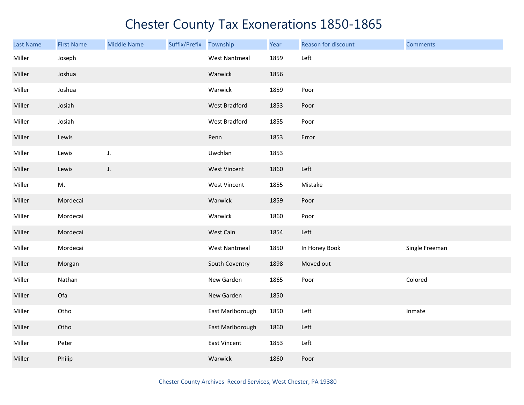| <b>Last Name</b> | <b>First Name</b> | <b>Middle Name</b> | Suffix/Prefix Township |                      | Year | Reason for discount | <b>Comments</b> |
|------------------|-------------------|--------------------|------------------------|----------------------|------|---------------------|-----------------|
| Miller           | Joseph            |                    |                        | <b>West Nantmeal</b> | 1859 | Left                |                 |
| Miller           | Joshua            |                    |                        | Warwick              | 1856 |                     |                 |
| Miller           | Joshua            |                    |                        | Warwick              | 1859 | Poor                |                 |
| Miller           | Josiah            |                    |                        | <b>West Bradford</b> | 1853 | Poor                |                 |
| Miller           | Josiah            |                    |                        | West Bradford        | 1855 | Poor                |                 |
| Miller           | Lewis             |                    |                        | Penn                 | 1853 | Error               |                 |
| Miller           | Lewis             | J.                 |                        | Uwchlan              | 1853 |                     |                 |
| Miller           | Lewis             | J.                 |                        | <b>West Vincent</b>  | 1860 | Left                |                 |
| Miller           | M.                |                    |                        | <b>West Vincent</b>  | 1855 | Mistake             |                 |
| Miller           | Mordecai          |                    |                        | Warwick              | 1859 | Poor                |                 |
| Miller           | Mordecai          |                    |                        | Warwick              | 1860 | Poor                |                 |
| Miller           | Mordecai          |                    |                        | West Caln            | 1854 | Left                |                 |
| Miller           | Mordecai          |                    |                        | <b>West Nantmeal</b> | 1850 | In Honey Book       | Single Freeman  |
| Miller           | Morgan            |                    |                        | South Coventry       | 1898 | Moved out           |                 |
| Miller           | Nathan            |                    |                        | New Garden           | 1865 | Poor                | Colored         |
| Miller           | Ofa               |                    |                        | New Garden           | 1850 |                     |                 |
| Miller           | Otho              |                    |                        | East Marlborough     | 1850 | Left                | Inmate          |
| Miller           | Otho              |                    |                        | East Marlborough     | 1860 | Left                |                 |
| Miller           | Peter             |                    |                        | East Vincent         | 1853 | Left                |                 |
| Miller           | Philip            |                    |                        | Warwick              | 1860 | Poor                |                 |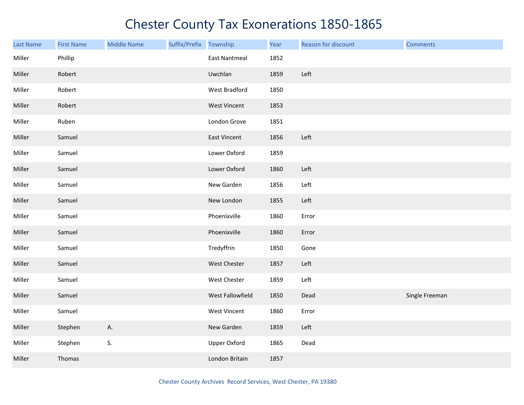| <b>Last Name</b> | <b>First Name</b> | <b>Middle Name</b> | Suffix/Prefix Township |                      | Year | Reason for discount | <b>Comments</b> |
|------------------|-------------------|--------------------|------------------------|----------------------|------|---------------------|-----------------|
| Miller           | Phillip           |                    |                        | <b>East Nantmeal</b> | 1852 |                     |                 |
| Miller           | Robert            |                    |                        | Uwchlan              | 1859 | Left                |                 |
| Miller           | Robert            |                    |                        | West Bradford        | 1850 |                     |                 |
| Miller           | Robert            |                    |                        | West Vincent         | 1853 |                     |                 |
| Miller           | Ruben             |                    |                        | London Grove         | 1851 |                     |                 |
| Miller           | Samuel            |                    |                        | East Vincent         | 1856 | Left                |                 |
| Miller           | Samuel            |                    |                        | Lower Oxford         | 1859 |                     |                 |
| Miller           | Samuel            |                    |                        | Lower Oxford         | 1860 | Left                |                 |
| Miller           | Samuel            |                    |                        | New Garden           | 1856 | Left                |                 |
| Miller           | Samuel            |                    |                        | New London           | 1855 | Left                |                 |
| Miller           | Samuel            |                    |                        | Phoenixville         | 1860 | Error               |                 |
| Miller           | Samuel            |                    |                        | Phoenixville         | 1860 | Error               |                 |
| Miller           | Samuel            |                    |                        | Tredyffrin           | 1850 | Gone                |                 |
| Miller           | Samuel            |                    |                        | West Chester         | 1857 | Left                |                 |
| Miller           | Samuel            |                    |                        | <b>West Chester</b>  | 1859 | Left                |                 |
| Miller           | Samuel            |                    |                        | West Fallowfield     | 1850 | Dead                | Single Freeman  |
| Miller           | Samuel            |                    |                        | West Vincent         | 1860 | Error               |                 |
| Miller           | Stephen           | Α.                 |                        | New Garden           | 1859 | Left                |                 |
| Miller           | Stephen           | S.                 |                        | <b>Upper Oxford</b>  | 1865 | Dead                |                 |
| Miller           | Thomas            |                    |                        | London Britain       | 1857 |                     |                 |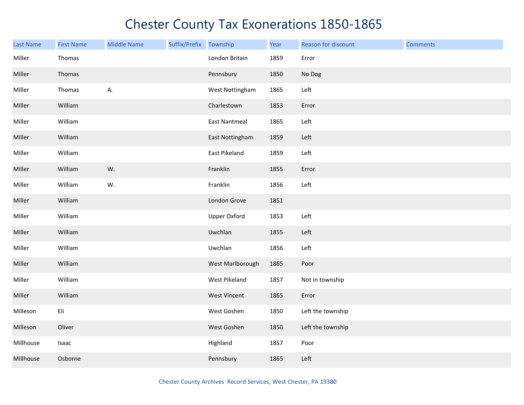| <b>Last Name</b> | <b>First Name</b> | <b>Middle Name</b> | Suffix/Prefix | Township             | Year | Reason for discount | <b>Comments</b> |
|------------------|-------------------|--------------------|---------------|----------------------|------|---------------------|-----------------|
| Miller           | Thomas            |                    |               | London Britain       | 1859 | Error               |                 |
| Miller           | Thomas            |                    |               | Pennsbury            | 1850 | No Dog              |                 |
| Miller           | Thomas            | А.                 |               | West Nottingham      | 1865 | Left                |                 |
| Miller           | William           |                    |               | Charlestown          | 1853 | Error               |                 |
| Miller           | William           |                    |               | <b>East Nantmeal</b> | 1865 | Left                |                 |
| Miller           | William           |                    |               | East Nottingham      | 1859 | Left                |                 |
| Miller           | William           |                    |               | East Pikeland        | 1859 | Left                |                 |
| Miller           | William           | W.                 |               | Franklin             | 1855 | Error               |                 |
| Miller           | William           | W.                 |               | Franklin             | 1856 | Left                |                 |
| Miller           | William           |                    |               | London Grove         | 1851 |                     |                 |
| Miller           | William           |                    |               | <b>Upper Oxford</b>  | 1853 | Left                |                 |
| Miller           | William           |                    |               | Uwchlan              | 1855 | Left                |                 |
| Miller           | William           |                    |               | Uwchlan              | 1856 | Left                |                 |
| Miller           | William           |                    |               | West Marlborough     | 1865 | Poor                |                 |
| Miller           | William           |                    |               | West Pikeland        | 1857 | Not in township     |                 |
| Miller           | William           |                    |               | West Vincent         | 1865 | Error               |                 |
| Milleson         | Eli               |                    |               | West Goshen          | 1850 | Left the township   |                 |
| Milleson         | Oliver            |                    |               | West Goshen          | 1850 | Left the township   |                 |
| Millhouse        | Isaac             |                    |               | Highland             | 1857 | Poor                |                 |
| Millhouse        | Osborne           |                    |               | Pennsbury            | 1865 | Left                |                 |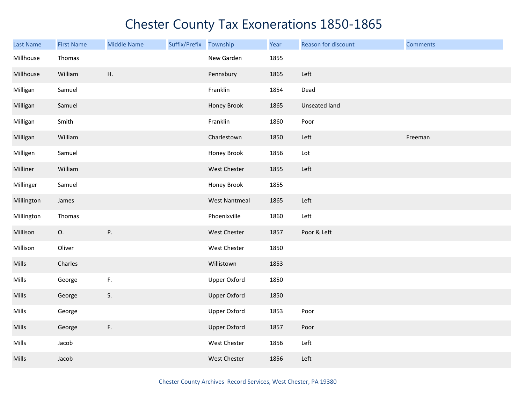| Last Name    | <b>First Name</b> | <b>Middle Name</b> | Suffix/Prefix Township |                      | Year | Reason for discount | <b>Comments</b> |
|--------------|-------------------|--------------------|------------------------|----------------------|------|---------------------|-----------------|
| Millhouse    | Thomas            |                    |                        | New Garden           | 1855 |                     |                 |
| Millhouse    | William           | Η.                 |                        | Pennsbury            | 1865 | Left                |                 |
| Milligan     | Samuel            |                    |                        | Franklin             | 1854 | Dead                |                 |
| Milligan     | Samuel            |                    |                        | Honey Brook          | 1865 | Unseated land       |                 |
| Milligan     | Smith             |                    |                        | Franklin             | 1860 | Poor                |                 |
| Milligan     | William           |                    |                        | Charlestown          | 1850 | Left                | Freeman         |
| Milligen     | Samuel            |                    |                        | Honey Brook          | 1856 | Lot                 |                 |
| Milliner     | William           |                    |                        | West Chester         | 1855 | Left                |                 |
| Millinger    | Samuel            |                    |                        | Honey Brook          | 1855 |                     |                 |
| Millington   | James             |                    |                        | <b>West Nantmeal</b> | 1865 | Left                |                 |
| Millington   | Thomas            |                    |                        | Phoenixville         | 1860 | Left                |                 |
| Millison     | 0.                | Ρ.                 |                        | West Chester         | 1857 | Poor & Left         |                 |
| Millison     | Oliver            |                    |                        | West Chester         | 1850 |                     |                 |
| <b>Mills</b> | Charles           |                    |                        | Willistown           | 1853 |                     |                 |
| Mills        | George            | F.                 |                        | <b>Upper Oxford</b>  | 1850 |                     |                 |
| Mills        | George            | S.                 |                        | <b>Upper Oxford</b>  | 1850 |                     |                 |
| Mills        | George            |                    |                        | Upper Oxford         | 1853 | Poor                |                 |
| Mills        | George            | F.                 |                        | <b>Upper Oxford</b>  | 1857 | Poor                |                 |
| Mills        | Jacob             |                    |                        | West Chester         | 1856 | Left                |                 |
| Mills        | Jacob             |                    |                        | West Chester         | 1856 | Left                |                 |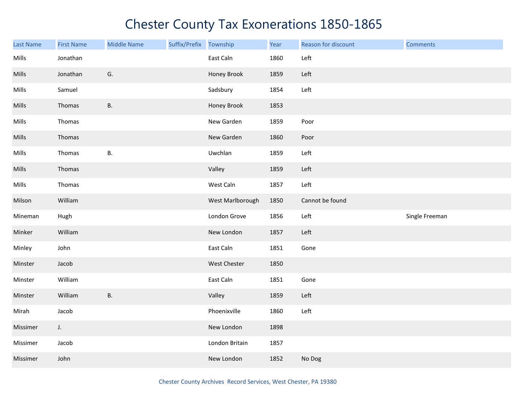| <b>Last Name</b> | <b>First Name</b> | <b>Middle Name</b> | Suffix/Prefix Township |                  | Year | Reason for discount | <b>Comments</b> |
|------------------|-------------------|--------------------|------------------------|------------------|------|---------------------|-----------------|
| Mills            | Jonathan          |                    |                        | East Caln        | 1860 | Left                |                 |
| Mills            | Jonathan          | G.                 |                        | Honey Brook      | 1859 | Left                |                 |
| Mills            | Samuel            |                    |                        | Sadsbury         | 1854 | Left                |                 |
| Mills            | Thomas            | <b>B.</b>          |                        | Honey Brook      | 1853 |                     |                 |
| Mills            | Thomas            |                    |                        | New Garden       | 1859 | Poor                |                 |
| Mills            | Thomas            |                    |                        | New Garden       | 1860 | Poor                |                 |
| Mills            | Thomas            | <b>B.</b>          |                        | Uwchlan          | 1859 | Left                |                 |
| Mills            | Thomas            |                    |                        | Valley           | 1859 | Left                |                 |
| Mills            | Thomas            |                    |                        | West Caln        | 1857 | Left                |                 |
| Milson           | William           |                    |                        | West Marlborough | 1850 | Cannot be found     |                 |
| Mineman          | Hugh              |                    |                        | London Grove     | 1856 | Left                | Single Freeman  |
| Minker           | William           |                    |                        | New London       | 1857 | Left                |                 |
| Minley           | John              |                    |                        | East Caln        | 1851 | Gone                |                 |
| Minster          | Jacob             |                    |                        | West Chester     | 1850 |                     |                 |
| Minster          | William           |                    |                        | East Caln        | 1851 | Gone                |                 |
| Minster          | William           | <b>B.</b>          |                        | Valley           | 1859 | Left                |                 |
| Mirah            | Jacob             |                    |                        | Phoenixville     | 1860 | Left                |                 |
| Missimer         | J.                |                    |                        | New London       | 1898 |                     |                 |
| Missimer         | Jacob             |                    |                        | London Britain   | 1857 |                     |                 |
| Missimer         | John              |                    |                        | New London       | 1852 | No Dog              |                 |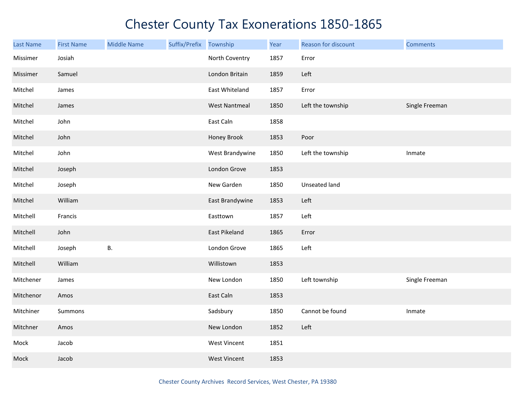| Last Name | <b>First Name</b> | <b>Middle Name</b> | Suffix/Prefix | Township             | Year | Reason for discount | <b>Comments</b> |
|-----------|-------------------|--------------------|---------------|----------------------|------|---------------------|-----------------|
| Missimer  | Josiah            |                    |               | North Coventry       | 1857 | Error               |                 |
| Missimer  | Samuel            |                    |               | London Britain       | 1859 | Left                |                 |
| Mitchel   | James             |                    |               | East Whiteland       | 1857 | Error               |                 |
| Mitchel   | James             |                    |               | <b>West Nantmeal</b> | 1850 | Left the township   | Single Freeman  |
| Mitchel   | John              |                    |               | East Caln            | 1858 |                     |                 |
| Mitchel   | John              |                    |               | Honey Brook          | 1853 | Poor                |                 |
| Mitchel   | John              |                    |               | West Brandywine      | 1850 | Left the township   | Inmate          |
| Mitchel   | Joseph            |                    |               | London Grove         | 1853 |                     |                 |
| Mitchel   | Joseph            |                    |               | New Garden           | 1850 | Unseated land       |                 |
| Mitchel   | William           |                    |               | East Brandywine      | 1853 | Left                |                 |
| Mitchell  | Francis           |                    |               | Easttown             | 1857 | Left                |                 |
| Mitchell  | John              |                    |               | East Pikeland        | 1865 | Error               |                 |
| Mitchell  | Joseph            | <b>B.</b>          |               | London Grove         | 1865 | Left                |                 |
| Mitchell  | William           |                    |               | Willistown           | 1853 |                     |                 |
| Mitchener | James             |                    |               | New London           | 1850 | Left township       | Single Freeman  |
| Mitchenor | Amos              |                    |               | East Caln            | 1853 |                     |                 |
| Mitchiner | Summons           |                    |               | Sadsbury             | 1850 | Cannot be found     | Inmate          |
| Mitchner  | Amos              |                    |               | New London           | 1852 | Left                |                 |
| Mock      | Jacob             |                    |               | <b>West Vincent</b>  | 1851 |                     |                 |
| Mock      | Jacob             |                    |               | <b>West Vincent</b>  | 1853 |                     |                 |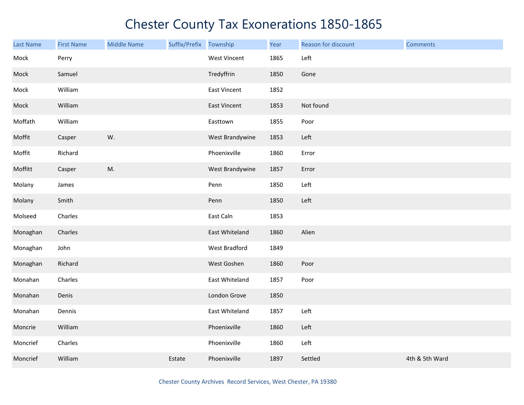| <b>Last Name</b> | <b>First Name</b> | <b>Middle Name</b> | Suffix/Prefix Township |                     | Year | Reason for discount | <b>Comments</b> |
|------------------|-------------------|--------------------|------------------------|---------------------|------|---------------------|-----------------|
| Mock             | Perry             |                    |                        | <b>West Vincent</b> | 1865 | Left                |                 |
| Mock             | Samuel            |                    |                        | Tredyffrin          | 1850 | Gone                |                 |
| Mock             | William           |                    |                        | East Vincent        | 1852 |                     |                 |
| Mock             | William           |                    |                        | East Vincent        | 1853 | Not found           |                 |
| Moffath          | William           |                    |                        | Easttown            | 1855 | Poor                |                 |
| Moffit           | Casper            | W.                 |                        | West Brandywine     | 1853 | Left                |                 |
| Moffit           | Richard           |                    |                        | Phoenixville        | 1860 | Error               |                 |
| Moffitt          | Casper            | M.                 |                        | West Brandywine     | 1857 | Error               |                 |
| Molany           | James             |                    |                        | Penn                | 1850 | Left                |                 |
| Molany           | Smith             |                    |                        | Penn                | 1850 | Left                |                 |
| Molseed          | Charles           |                    |                        | East Caln           | 1853 |                     |                 |
| Monaghan         | Charles           |                    |                        | East Whiteland      | 1860 | Alien               |                 |
| Monaghan         | John              |                    |                        | West Bradford       | 1849 |                     |                 |
| Monaghan         | Richard           |                    |                        | West Goshen         | 1860 | Poor                |                 |
| Monahan          | Charles           |                    |                        | East Whiteland      | 1857 | Poor                |                 |
| Monahan          | Denis             |                    |                        | London Grove        | 1850 |                     |                 |
| Monahan          | Dennis            |                    |                        | East Whiteland      | 1857 | Left                |                 |
| Moncrie          | William           |                    |                        | Phoenixville        | 1860 | Left                |                 |
| Moncrief         | Charles           |                    |                        | Phoenixville        | 1860 | Left                |                 |
| Moncrief         | William           |                    | Estate                 | Phoenixville        | 1897 | Settled             | 4th & 5th Ward  |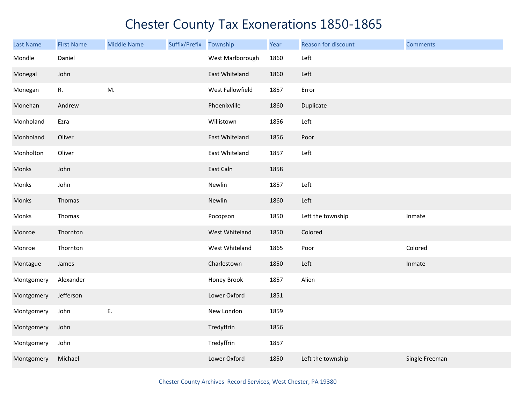| <b>Last Name</b> | <b>First Name</b> | <b>Middle Name</b> | Suffix/Prefix | Township         | Year | Reason for discount | <b>Comments</b> |
|------------------|-------------------|--------------------|---------------|------------------|------|---------------------|-----------------|
| Mondle           | Daniel            |                    |               | West Marlborough | 1860 | Left                |                 |
| Monegal          | John              |                    |               | East Whiteland   | 1860 | Left                |                 |
| Monegan          | R.                | M.                 |               | West Fallowfield | 1857 | Error               |                 |
| Monehan          | Andrew            |                    |               | Phoenixville     | 1860 | Duplicate           |                 |
| Monholand        | Ezra              |                    |               | Willistown       | 1856 | Left                |                 |
| Monholand        | Oliver            |                    |               | East Whiteland   | 1856 | Poor                |                 |
| Monholton        | Oliver            |                    |               | East Whiteland   | 1857 | Left                |                 |
| Monks            | John              |                    |               | East Caln        | 1858 |                     |                 |
| Monks            | John              |                    |               | Newlin           | 1857 | Left                |                 |
| Monks            | Thomas            |                    |               | Newlin           | 1860 | Left                |                 |
| Monks            | Thomas            |                    |               | Pocopson         | 1850 | Left the township   | Inmate          |
| Monroe           | Thornton          |                    |               | West Whiteland   | 1850 | Colored             |                 |
| Monroe           | Thornton          |                    |               | West Whiteland   | 1865 | Poor                | Colored         |
| Montague         | James             |                    |               | Charlestown      | 1850 | Left                | Inmate          |
| Montgomery       | Alexander         |                    |               | Honey Brook      | 1857 | Alien               |                 |
| Montgomery       | Jefferson         |                    |               | Lower Oxford     | 1851 |                     |                 |
| Montgomery       | John              | Ε.                 |               | New London       | 1859 |                     |                 |
| Montgomery       | John              |                    |               | Tredyffrin       | 1856 |                     |                 |
| Montgomery       | John              |                    |               | Tredyffrin       | 1857 |                     |                 |
| Montgomery       | Michael           |                    |               | Lower Oxford     | 1850 | Left the township   | Single Freeman  |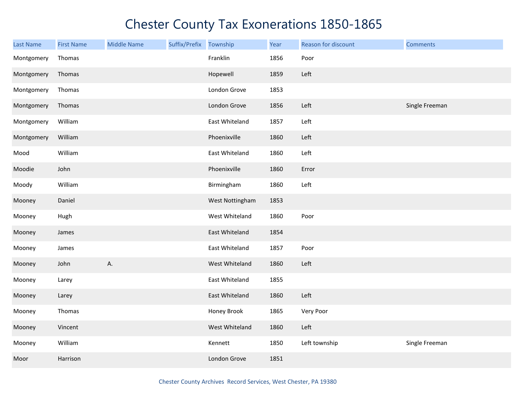| <b>Last Name</b> | <b>First Name</b> | <b>Middle Name</b> | Suffix/Prefix Township |                 | Year | Reason for discount | <b>Comments</b> |
|------------------|-------------------|--------------------|------------------------|-----------------|------|---------------------|-----------------|
| Montgomery       | Thomas            |                    |                        | Franklin        | 1856 | Poor                |                 |
| Montgomery       | Thomas            |                    |                        | Hopewell        | 1859 | Left                |                 |
| Montgomery       | Thomas            |                    |                        | London Grove    | 1853 |                     |                 |
| Montgomery       | Thomas            |                    |                        | London Grove    | 1856 | Left                | Single Freeman  |
| Montgomery       | William           |                    |                        | East Whiteland  | 1857 | Left                |                 |
| Montgomery       | William           |                    |                        | Phoenixville    | 1860 | Left                |                 |
| Mood             | William           |                    |                        | East Whiteland  | 1860 | Left                |                 |
| Moodie           | John              |                    |                        | Phoenixville    | 1860 | Error               |                 |
| Moody            | William           |                    |                        | Birmingham      | 1860 | Left                |                 |
| Mooney           | Daniel            |                    |                        | West Nottingham | 1853 |                     |                 |
| Mooney           | Hugh              |                    |                        | West Whiteland  | 1860 | Poor                |                 |
| Mooney           | James             |                    |                        | East Whiteland  | 1854 |                     |                 |
| Mooney           | James             |                    |                        | East Whiteland  | 1857 | Poor                |                 |
| Mooney           | John              | А.                 |                        | West Whiteland  | 1860 | Left                |                 |
| Mooney           | Larey             |                    |                        | East Whiteland  | 1855 |                     |                 |
| Mooney           | Larey             |                    |                        | East Whiteland  | 1860 | Left                |                 |
| Mooney           | Thomas            |                    |                        | Honey Brook     | 1865 | Very Poor           |                 |
| Mooney           | Vincent           |                    |                        | West Whiteland  | 1860 | Left                |                 |
| Mooney           | William           |                    |                        | Kennett         | 1850 | Left township       | Single Freeman  |
| Moor             | Harrison          |                    |                        | London Grove    | 1851 |                     |                 |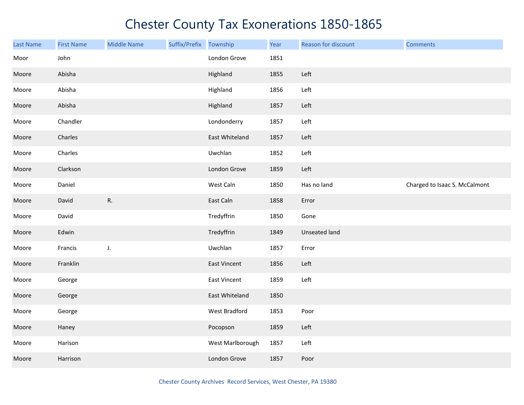| <b>Last Name</b> | <b>First Name</b> | <b>Middle Name</b> | Suffix/Prefix Township |                     | Year | Reason for discount | <b>Comments</b>               |
|------------------|-------------------|--------------------|------------------------|---------------------|------|---------------------|-------------------------------|
| Moor             | John              |                    |                        | London Grove        | 1851 |                     |                               |
| Moore            | Abisha            |                    |                        | Highland            | 1855 | Left                |                               |
| Moore            | Abisha            |                    |                        | Highland            | 1856 | Left                |                               |
| Moore            | Abisha            |                    |                        | Highland            | 1857 | Left                |                               |
| Moore            | Chandler          |                    |                        | Londonderry         | 1857 | Left                |                               |
| Moore            | Charles           |                    |                        | East Whiteland      | 1857 | Left                |                               |
| Moore            | Charles           |                    |                        | Uwchlan             | 1852 | Left                |                               |
| Moore            | Clarkson          |                    |                        | London Grove        | 1859 | Left                |                               |
| Moore            | Daniel            |                    |                        | West Caln           | 1850 | Has no land         | Charged to Isaac S. McCalmont |
| Moore            | David             | ${\sf R}.$         |                        | East Caln           | 1858 | Error               |                               |
| Moore            | David             |                    |                        | Tredyffrin          | 1850 | Gone                |                               |
| Moore            | Edwin             |                    |                        | Tredyffrin          | 1849 | Unseated land       |                               |
| Moore            | Francis           | J.                 |                        | Uwchlan             | 1857 | Error               |                               |
| Moore            | Franklin          |                    |                        | <b>East Vincent</b> | 1856 | Left                |                               |
| Moore            | George            |                    |                        | <b>East Vincent</b> | 1859 | Left                |                               |
| Moore            | George            |                    |                        | East Whiteland      | 1850 |                     |                               |
| Moore            | George            |                    |                        | West Bradford       | 1853 | Poor                |                               |
| Moore            | Haney             |                    |                        | Pocopson            | 1859 | Left                |                               |
| Moore            | Harison           |                    |                        | West Marlborough    | 1857 | Left                |                               |
| Moore            | Harrison          |                    |                        | London Grove        | 1857 | Poor                |                               |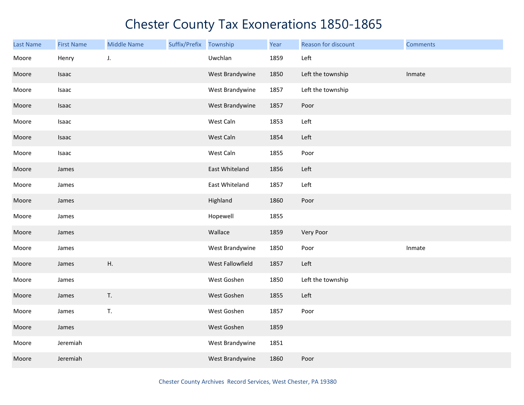| Last Name | <b>First Name</b> | <b>Middle Name</b> | Suffix/Prefix | Township         | Year | Reason for discount | <b>Comments</b> |
|-----------|-------------------|--------------------|---------------|------------------|------|---------------------|-----------------|
| Moore     | Henry             | J.                 |               | Uwchlan          | 1859 | Left                |                 |
| Moore     | Isaac             |                    |               | West Brandywine  | 1850 | Left the township   | Inmate          |
| Moore     | Isaac             |                    |               | West Brandywine  | 1857 | Left the township   |                 |
| Moore     | Isaac             |                    |               | West Brandywine  | 1857 | Poor                |                 |
| Moore     | Isaac             |                    |               | West Caln        | 1853 | Left                |                 |
| Moore     | Isaac             |                    |               | West Caln        | 1854 | Left                |                 |
| Moore     | Isaac             |                    |               | West Caln        | 1855 | Poor                |                 |
| Moore     | James             |                    |               | East Whiteland   | 1856 | Left                |                 |
| Moore     | James             |                    |               | East Whiteland   | 1857 | Left                |                 |
| Moore     | James             |                    |               | Highland         | 1860 | Poor                |                 |
| Moore     | James             |                    |               | Hopewell         | 1855 |                     |                 |
| Moore     | James             |                    |               | Wallace          | 1859 | Very Poor           |                 |
| Moore     | James             |                    |               | West Brandywine  | 1850 | Poor                | Inmate          |
| Moore     | James             | Η.                 |               | West Fallowfield | 1857 | Left                |                 |
| Moore     | James             |                    |               | West Goshen      | 1850 | Left the township   |                 |
| Moore     | James             | T.                 |               | West Goshen      | 1855 | Left                |                 |
| Moore     | James             | T.                 |               | West Goshen      | 1857 | Poor                |                 |
| Moore     | James             |                    |               | West Goshen      | 1859 |                     |                 |
| Moore     | Jeremiah          |                    |               | West Brandywine  | 1851 |                     |                 |
| Moore     | Jeremiah          |                    |               | West Brandywine  | 1860 | Poor                |                 |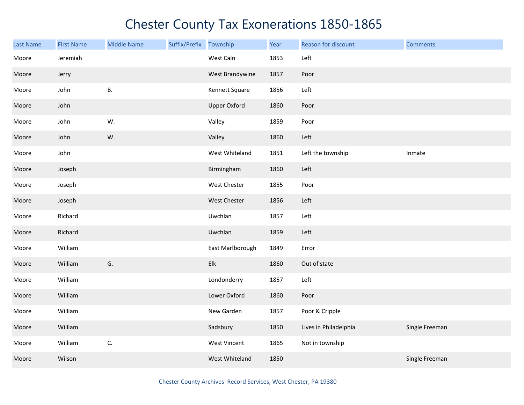| <b>Last Name</b> | <b>First Name</b> | <b>Middle Name</b> | Suffix/Prefix | Township            | Year | Reason for discount   | <b>Comments</b> |
|------------------|-------------------|--------------------|---------------|---------------------|------|-----------------------|-----------------|
| Moore            | Jeremiah          |                    |               | West Caln           | 1853 | Left                  |                 |
| Moore            | Jerry             |                    |               | West Brandywine     | 1857 | Poor                  |                 |
| Moore            | John              | Β.                 |               | Kennett Square      | 1856 | Left                  |                 |
| Moore            | John              |                    |               | <b>Upper Oxford</b> | 1860 | Poor                  |                 |
| Moore            | John              | W.                 |               | Valley              | 1859 | Poor                  |                 |
| Moore            | John              | W.                 |               | Valley              | 1860 | Left                  |                 |
| Moore            | John              |                    |               | West Whiteland      | 1851 | Left the township     | Inmate          |
| Moore            | Joseph            |                    |               | Birmingham          | 1860 | Left                  |                 |
| Moore            | Joseph            |                    |               | West Chester        | 1855 | Poor                  |                 |
| Moore            | Joseph            |                    |               | West Chester        | 1856 | Left                  |                 |
| Moore            | Richard           |                    |               | Uwchlan             | 1857 | Left                  |                 |
| Moore            | Richard           |                    |               | Uwchlan             | 1859 | Left                  |                 |
| Moore            | William           |                    |               | East Marlborough    | 1849 | Error                 |                 |
| Moore            | William           | G.                 |               | Elk                 | 1860 | Out of state          |                 |
| Moore            | William           |                    |               | Londonderry         | 1857 | Left                  |                 |
| Moore            | William           |                    |               | Lower Oxford        | 1860 | Poor                  |                 |
| Moore            | William           |                    |               | New Garden          | 1857 | Poor & Cripple        |                 |
| Moore            | William           |                    |               | Sadsbury            | 1850 | Lives in Philadelphia | Single Freeman  |
| Moore            | William           | C.                 |               | West Vincent        | 1865 | Not in township       |                 |
| Moore            | Wilson            |                    |               | West Whiteland      | 1850 |                       | Single Freeman  |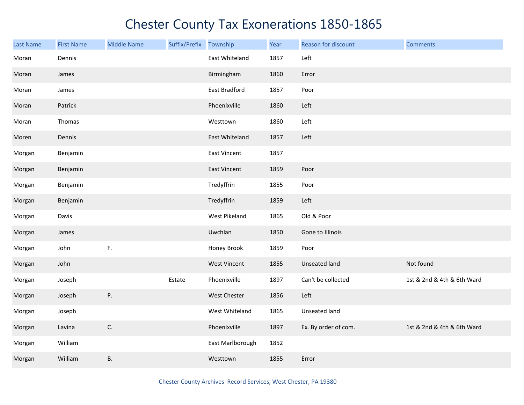| <b>Last Name</b> | <b>First Name</b> | <b>Middle Name</b> | Suffix/Prefix | Township            | Year | Reason for discount  | <b>Comments</b>            |
|------------------|-------------------|--------------------|---------------|---------------------|------|----------------------|----------------------------|
| Moran            | Dennis            |                    |               | East Whiteland      | 1857 | Left                 |                            |
| Moran            | James             |                    |               | Birmingham          | 1860 | Error                |                            |
| Moran            | James             |                    |               | East Bradford       | 1857 | Poor                 |                            |
| Moran            | Patrick           |                    |               | Phoenixville        | 1860 | Left                 |                            |
| Moran            | Thomas            |                    |               | Westtown            | 1860 | Left                 |                            |
| Moren            | Dennis            |                    |               | East Whiteland      | 1857 | Left                 |                            |
| Morgan           | Benjamin          |                    |               | <b>East Vincent</b> | 1857 |                      |                            |
| Morgan           | Benjamin          |                    |               | <b>East Vincent</b> | 1859 | Poor                 |                            |
| Morgan           | Benjamin          |                    |               | Tredyffrin          | 1855 | Poor                 |                            |
| Morgan           | Benjamin          |                    |               | Tredyffrin          | 1859 | Left                 |                            |
| Morgan           | Davis             |                    |               | West Pikeland       | 1865 | Old & Poor           |                            |
| Morgan           | James             |                    |               | Uwchlan             | 1850 | Gone to Illinois     |                            |
| Morgan           | John              | F.                 |               | Honey Brook         | 1859 | Poor                 |                            |
| Morgan           | John              |                    |               | <b>West Vincent</b> | 1855 | <b>Unseated land</b> | Not found                  |
| Morgan           | Joseph            |                    | Estate        | Phoenixville        | 1897 | Can't be collected   | 1st & 2nd & 4th & 6th Ward |
| Morgan           | Joseph            | P.                 |               | <b>West Chester</b> | 1856 | Left                 |                            |
| Morgan           | Joseph            |                    |               | West Whiteland      | 1865 | Unseated land        |                            |
| Morgan           | Lavina            | $\mathsf{C}.$      |               | Phoenixville        | 1897 | Ex. By order of com. | 1st & 2nd & 4th & 6th Ward |
| Morgan           | William           |                    |               | East Marlborough    | 1852 |                      |                            |
| Morgan           | William           | В.                 |               | Westtown            | 1855 | Error                |                            |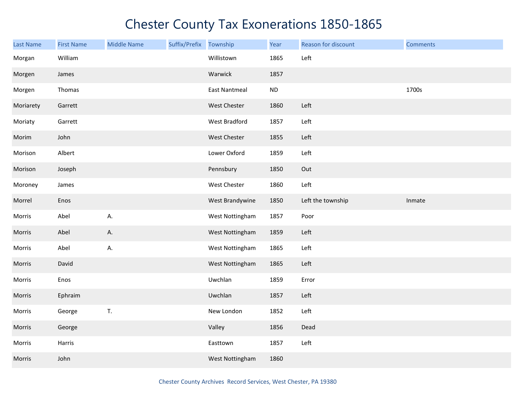| <b>Last Name</b> | <b>First Name</b> | <b>Middle Name</b> | Suffix/Prefix Township |                      | Year     | Reason for discount | <b>Comments</b> |
|------------------|-------------------|--------------------|------------------------|----------------------|----------|---------------------|-----------------|
| Morgan           | William           |                    |                        | Willistown           | 1865     | Left                |                 |
| Morgen           | James             |                    |                        | Warwick              | 1857     |                     |                 |
| Morgen           | Thomas            |                    |                        | <b>East Nantmeal</b> | $\sf ND$ |                     | 1700s           |
| Moriarety        | Garrett           |                    |                        | West Chester         | 1860     | Left                |                 |
| Moriaty          | Garrett           |                    |                        | West Bradford        | 1857     | Left                |                 |
| Morim            | John              |                    |                        | West Chester         | 1855     | Left                |                 |
| Morison          | Albert            |                    |                        | Lower Oxford         | 1859     | Left                |                 |
| Morison          | Joseph            |                    |                        | Pennsbury            | 1850     | Out                 |                 |
| Moroney          | James             |                    |                        | West Chester         | 1860     | Left                |                 |
| Morrel           | Enos              |                    |                        | West Brandywine      | 1850     | Left the township   | Inmate          |
| Morris           | Abel              | А.                 |                        | West Nottingham      | 1857     | Poor                |                 |
| Morris           | Abel              | А.                 |                        | West Nottingham      | 1859     | Left                |                 |
| Morris           | Abel              | А.                 |                        | West Nottingham      | 1865     | Left                |                 |
| Morris           | David             |                    |                        | West Nottingham      | 1865     | Left                |                 |
| Morris           | Enos              |                    |                        | Uwchlan              | 1859     | Error               |                 |
| Morris           | Ephraim           |                    |                        | Uwchlan              | 1857     | Left                |                 |
| Morris           | George            | $\mathsf T.$       |                        | New London           | 1852     | Left                |                 |
| Morris           | George            |                    |                        | Valley               | 1856     | Dead                |                 |
| Morris           | Harris            |                    |                        | Easttown             | 1857     | Left                |                 |
| Morris           | John              |                    |                        | West Nottingham      | 1860     |                     |                 |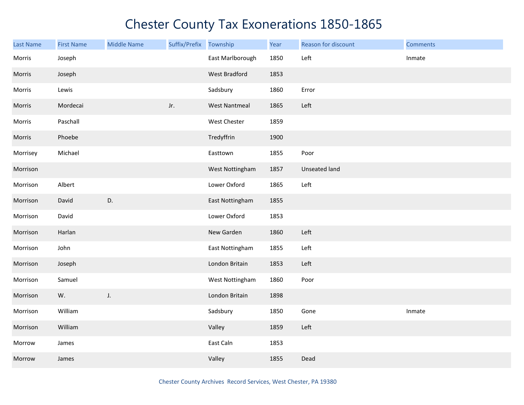| <b>Last Name</b> | <b>First Name</b> | <b>Middle Name</b> | Suffix/Prefix | Township             | Year | Reason for discount  | <b>Comments</b> |
|------------------|-------------------|--------------------|---------------|----------------------|------|----------------------|-----------------|
| Morris           | Joseph            |                    |               | East Marlborough     | 1850 | Left                 | Inmate          |
| Morris           | Joseph            |                    |               | <b>West Bradford</b> | 1853 |                      |                 |
| Morris           | Lewis             |                    |               | Sadsbury             | 1860 | Error                |                 |
| Morris           | Mordecai          |                    | Jr.           | <b>West Nantmeal</b> | 1865 | Left                 |                 |
| Morris           | Paschall          |                    |               | West Chester         | 1859 |                      |                 |
| Morris           | Phoebe            |                    |               | Tredyffrin           | 1900 |                      |                 |
| Morrisey         | Michael           |                    |               | Easttown             | 1855 | Poor                 |                 |
| Morrison         |                   |                    |               | West Nottingham      | 1857 | <b>Unseated land</b> |                 |
| Morrison         | Albert            |                    |               | Lower Oxford         | 1865 | Left                 |                 |
| Morrison         | David             | D.                 |               | East Nottingham      | 1855 |                      |                 |
| Morrison         | David             |                    |               | Lower Oxford         | 1853 |                      |                 |
| Morrison         | Harlan            |                    |               | New Garden           | 1860 | Left                 |                 |
| Morrison         | John              |                    |               | East Nottingham      | 1855 | Left                 |                 |
| Morrison         | Joseph            |                    |               | London Britain       | 1853 | Left                 |                 |
| Morrison         | Samuel            |                    |               | West Nottingham      | 1860 | Poor                 |                 |
| Morrison         | W.                | J.                 |               | London Britain       | 1898 |                      |                 |
| Morrison         | William           |                    |               | Sadsbury             | 1850 | Gone                 | Inmate          |
| Morrison         | William           |                    |               | Valley               | 1859 | Left                 |                 |
| Morrow           | James             |                    |               | East Caln            | 1853 |                      |                 |
| Morrow           | James             |                    |               | Valley               | 1855 | Dead                 |                 |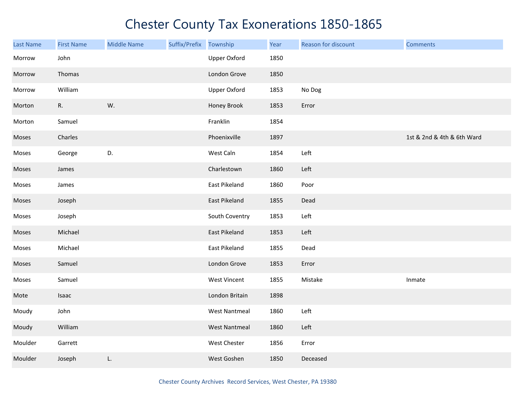| Last Name | <b>First Name</b> | <b>Middle Name</b> | Suffix/Prefix | Township             | Year | Reason for discount | <b>Comments</b>            |
|-----------|-------------------|--------------------|---------------|----------------------|------|---------------------|----------------------------|
| Morrow    | John              |                    |               | Upper Oxford         | 1850 |                     |                            |
| Morrow    | Thomas            |                    |               | London Grove         | 1850 |                     |                            |
| Morrow    | William           |                    |               | <b>Upper Oxford</b>  | 1853 | No Dog              |                            |
| Morton    | R.                | W.                 |               | Honey Brook          | 1853 | Error               |                            |
| Morton    | Samuel            |                    |               | Franklin             | 1854 |                     |                            |
| Moses     | Charles           |                    |               | Phoenixville         | 1897 |                     | 1st & 2nd & 4th & 6th Ward |
| Moses     | George            | D.                 |               | West Caln            | 1854 | Left                |                            |
| Moses     | James             |                    |               | Charlestown          | 1860 | Left                |                            |
| Moses     | James             |                    |               | East Pikeland        | 1860 | Poor                |                            |
| Moses     | Joseph            |                    |               | East Pikeland        | 1855 | Dead                |                            |
| Moses     | Joseph            |                    |               | South Coventry       | 1853 | Left                |                            |
| Moses     | Michael           |                    |               | East Pikeland        | 1853 | Left                |                            |
| Moses     | Michael           |                    |               | East Pikeland        | 1855 | Dead                |                            |
| Moses     | Samuel            |                    |               | London Grove         | 1853 | Error               |                            |
| Moses     | Samuel            |                    |               | West Vincent         | 1855 | Mistake             | Inmate                     |
| Mote      | Isaac             |                    |               | London Britain       | 1898 |                     |                            |
| Moudy     | John              |                    |               | <b>West Nantmeal</b> | 1860 | Left                |                            |
| Moudy     | William           |                    |               | <b>West Nantmeal</b> | 1860 | Left                |                            |
| Moulder   | Garrett           |                    |               | West Chester         | 1856 | Error               |                            |
| Moulder   | Joseph            | L.                 |               | West Goshen          | 1850 | Deceased            |                            |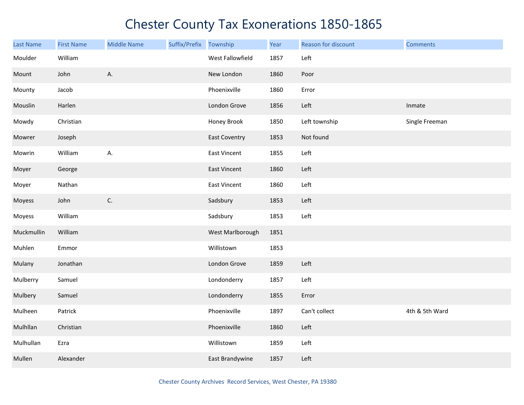| Last Name  | <b>First Name</b> | <b>Middle Name</b> | Suffix/Prefix Township |                      | Year | Reason for discount | <b>Comments</b> |
|------------|-------------------|--------------------|------------------------|----------------------|------|---------------------|-----------------|
| Moulder    | William           |                    |                        | West Fallowfield     | 1857 | Left                |                 |
| Mount      | John              | Α.                 |                        | New London           | 1860 | Poor                |                 |
| Mounty     | Jacob             |                    |                        | Phoenixville         | 1860 | Error               |                 |
| Mouslin    | Harlen            |                    |                        | London Grove         | 1856 | Left                | Inmate          |
| Mowdy      | Christian         |                    |                        | Honey Brook          | 1850 | Left township       | Single Freeman  |
| Mowrer     | Joseph            |                    |                        | <b>East Coventry</b> | 1853 | Not found           |                 |
| Mowrin     | William           | А.                 |                        | East Vincent         | 1855 | Left                |                 |
| Moyer      | George            |                    |                        | East Vincent         | 1860 | Left                |                 |
| Moyer      | Nathan            |                    |                        | East Vincent         | 1860 | Left                |                 |
| Moyess     | John              | C.                 |                        | Sadsbury             | 1853 | Left                |                 |
| Moyess     | William           |                    |                        | Sadsbury             | 1853 | Left                |                 |
| Muckmullin | William           |                    |                        | West Marlborough     | 1851 |                     |                 |
| Muhlen     | Emmor             |                    |                        | Willistown           | 1853 |                     |                 |
| Mulany     | Jonathan          |                    |                        | London Grove         | 1859 | Left                |                 |
| Mulberry   | Samuel            |                    |                        | Londonderry          | 1857 | Left                |                 |
| Mulbery    | Samuel            |                    |                        | Londonderry          | 1855 | Error               |                 |
| Mulheen    | Patrick           |                    |                        | Phoenixville         | 1897 | Can't collect       | 4th & 5th Ward  |
| Mulhllan   | Christian         |                    |                        | Phoenixville         | 1860 | Left                |                 |
| Mulhullan  | Ezra              |                    |                        | Willistown           | 1859 | Left                |                 |
| Mullen     | Alexander         |                    |                        | East Brandywine      | 1857 | Left                |                 |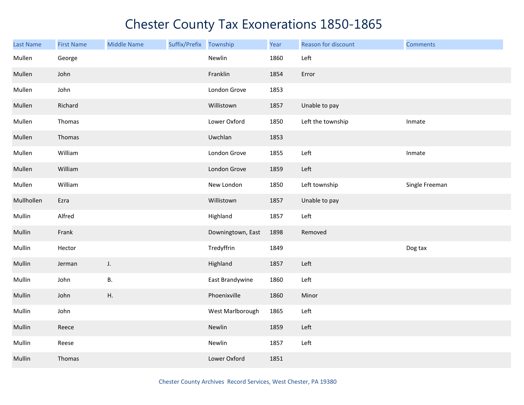| <b>Last Name</b> | <b>First Name</b> | <b>Middle Name</b> | Suffix/Prefix | Township          | Year | Reason for discount | <b>Comments</b> |
|------------------|-------------------|--------------------|---------------|-------------------|------|---------------------|-----------------|
| Mullen           | George            |                    |               | Newlin            | 1860 | Left                |                 |
| Mullen           | John              |                    |               | Franklin          | 1854 | Error               |                 |
| Mullen           | John              |                    |               | London Grove      | 1853 |                     |                 |
| Mullen           | Richard           |                    |               | Willistown        | 1857 | Unable to pay       |                 |
| Mullen           | Thomas            |                    |               | Lower Oxford      | 1850 | Left the township   | Inmate          |
| Mullen           | Thomas            |                    |               | Uwchlan           | 1853 |                     |                 |
| Mullen           | William           |                    |               | London Grove      | 1855 | Left                | Inmate          |
| Mullen           | William           |                    |               | London Grove      | 1859 | Left                |                 |
| Mullen           | William           |                    |               | New London        | 1850 | Left township       | Single Freeman  |
| Mullhollen       | Ezra              |                    |               | Willistown        | 1857 | Unable to pay       |                 |
| Mullin           | Alfred            |                    |               | Highland          | 1857 | Left                |                 |
| Mullin           | Frank             |                    |               | Downingtown, East | 1898 | Removed             |                 |
| Mullin           | Hector            |                    |               | Tredyffrin        | 1849 |                     | Dog tax         |
| Mullin           | Jerman            | J.                 |               | Highland          | 1857 | Left                |                 |
| Mullin           | John              | В.                 |               | East Brandywine   | 1860 | Left                |                 |
| Mullin           | John              | Η.                 |               | Phoenixville      | 1860 | Minor               |                 |
| Mullin           | John              |                    |               | West Marlborough  | 1865 | Left                |                 |
| Mullin           | Reece             |                    |               | Newlin            | 1859 | Left                |                 |
| Mullin           | Reese             |                    |               | Newlin            | 1857 | Left                |                 |
| Mullin           | Thomas            |                    |               | Lower Oxford      | 1851 |                     |                 |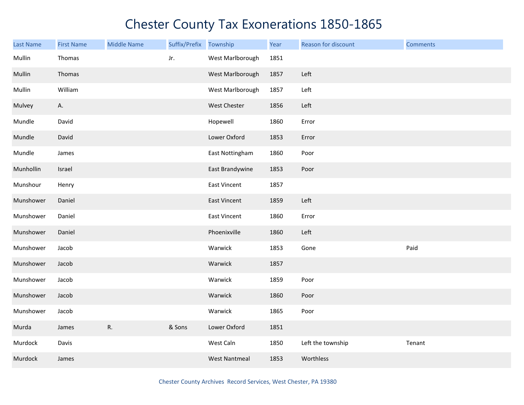| Last Name | <b>First Name</b> | <b>Middle Name</b> | Suffix/Prefix | Township             | Year | Reason for discount | <b>Comments</b> |
|-----------|-------------------|--------------------|---------------|----------------------|------|---------------------|-----------------|
| Mullin    | Thomas            |                    | Jr.           | West Marlborough     | 1851 |                     |                 |
| Mullin    | Thomas            |                    |               | West Marlborough     | 1857 | Left                |                 |
| Mullin    | William           |                    |               | West Marlborough     | 1857 | Left                |                 |
| Mulvey    | А.                |                    |               | West Chester         | 1856 | Left                |                 |
| Mundle    | David             |                    |               | Hopewell             | 1860 | Error               |                 |
| Mundle    | David             |                    |               | Lower Oxford         | 1853 | Error               |                 |
| Mundle    | James             |                    |               | East Nottingham      | 1860 | Poor                |                 |
| Munhollin | Israel            |                    |               | East Brandywine      | 1853 | Poor                |                 |
| Munshour  | Henry             |                    |               | East Vincent         | 1857 |                     |                 |
| Munshower | Daniel            |                    |               | East Vincent         | 1859 | Left                |                 |
| Munshower | Daniel            |                    |               | East Vincent         | 1860 | Error               |                 |
| Munshower | Daniel            |                    |               | Phoenixville         | 1860 | Left                |                 |
| Munshower | Jacob             |                    |               | Warwick              | 1853 | Gone                | Paid            |
| Munshower | Jacob             |                    |               | Warwick              | 1857 |                     |                 |
| Munshower | Jacob             |                    |               | Warwick              | 1859 | Poor                |                 |
| Munshower | Jacob             |                    |               | Warwick              | 1860 | Poor                |                 |
| Munshower | Jacob             |                    |               | Warwick              | 1865 | Poor                |                 |
| Murda     | James             | R.                 | & Sons        | Lower Oxford         | 1851 |                     |                 |
| Murdock   | Davis             |                    |               | West Caln            | 1850 | Left the township   | Tenant          |
| Murdock   | James             |                    |               | <b>West Nantmeal</b> | 1853 | Worthless           |                 |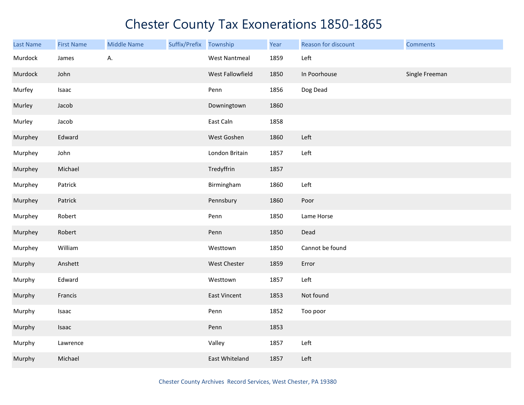| Last Name | <b>First Name</b> | <b>Middle Name</b> | Suffix/Prefix Township |                      | Year | Reason for discount | <b>Comments</b> |
|-----------|-------------------|--------------------|------------------------|----------------------|------|---------------------|-----------------|
| Murdock   | James             | А.                 |                        | <b>West Nantmeal</b> | 1859 | Left                |                 |
| Murdock   | John              |                    |                        | West Fallowfield     | 1850 | In Poorhouse        | Single Freeman  |
| Murfey    | Isaac             |                    |                        | Penn                 | 1856 | Dog Dead            |                 |
| Murley    | Jacob             |                    |                        | Downingtown          | 1860 |                     |                 |
| Murley    | Jacob             |                    |                        | East Caln            | 1858 |                     |                 |
| Murphey   | Edward            |                    |                        | West Goshen          | 1860 | Left                |                 |
| Murphey   | John              |                    |                        | London Britain       | 1857 | Left                |                 |
| Murphey   | Michael           |                    |                        | Tredyffrin           | 1857 |                     |                 |
| Murphey   | Patrick           |                    |                        | Birmingham           | 1860 | Left                |                 |
| Murphey   | Patrick           |                    |                        | Pennsbury            | 1860 | Poor                |                 |
| Murphey   | Robert            |                    |                        | Penn                 | 1850 | Lame Horse          |                 |
| Murphey   | Robert            |                    |                        | Penn                 | 1850 | Dead                |                 |
| Murphey   | William           |                    |                        | Westtown             | 1850 | Cannot be found     |                 |
| Murphy    | Anshett           |                    |                        | West Chester         | 1859 | Error               |                 |
| Murphy    | Edward            |                    |                        | Westtown             | 1857 | Left                |                 |
| Murphy    | Francis           |                    |                        | East Vincent         | 1853 | Not found           |                 |
| Murphy    | Isaac             |                    |                        | Penn                 | 1852 | Too poor            |                 |
| Murphy    | Isaac             |                    |                        | Penn                 | 1853 |                     |                 |
| Murphy    | Lawrence          |                    |                        | Valley               | 1857 | Left                |                 |
| Murphy    | Michael           |                    |                        | East Whiteland       | 1857 | Left                |                 |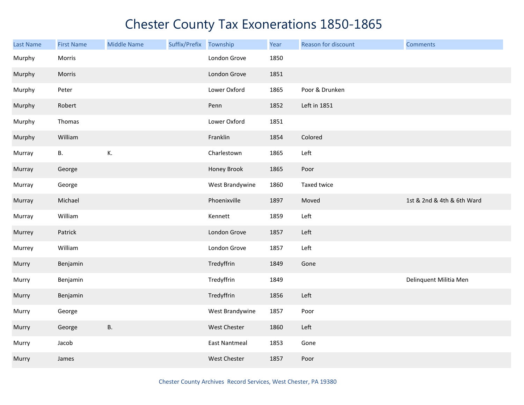| <b>Last Name</b> | <b>First Name</b> | <b>Middle Name</b> | Suffix/Prefix Township |                      | Year | Reason for discount | <b>Comments</b>            |
|------------------|-------------------|--------------------|------------------------|----------------------|------|---------------------|----------------------------|
| Murphy           | Morris            |                    |                        | London Grove         | 1850 |                     |                            |
| Murphy           | Morris            |                    |                        | London Grove         | 1851 |                     |                            |
| Murphy           | Peter             |                    |                        | Lower Oxford         | 1865 | Poor & Drunken      |                            |
| Murphy           | Robert            |                    |                        | Penn                 | 1852 | Left in 1851        |                            |
| Murphy           | Thomas            |                    |                        | Lower Oxford         | 1851 |                     |                            |
| Murphy           | William           |                    |                        | Franklin             | 1854 | Colored             |                            |
| Murray           | В.                | К.                 |                        | Charlestown          | 1865 | Left                |                            |
| Murray           | George            |                    |                        | Honey Brook          | 1865 | Poor                |                            |
| Murray           | George            |                    |                        | West Brandywine      | 1860 | Taxed twice         |                            |
| Murray           | Michael           |                    |                        | Phoenixville         | 1897 | Moved               | 1st & 2nd & 4th & 6th Ward |
| Murray           | William           |                    |                        | Kennett              | 1859 | Left                |                            |
| Murrey           | Patrick           |                    |                        | London Grove         | 1857 | Left                |                            |
| Murrey           | William           |                    |                        | London Grove         | 1857 | Left                |                            |
| Murry            | Benjamin          |                    |                        | Tredyffrin           | 1849 | Gone                |                            |
| Murry            | Benjamin          |                    |                        | Tredyffrin           | 1849 |                     | Delinquent Militia Men     |
| Murry            | Benjamin          |                    |                        | Tredyffrin           | 1856 | Left                |                            |
| Murry            | George            |                    |                        | West Brandywine      | 1857 | Poor                |                            |
| Murry            | George            | <b>B.</b>          |                        | <b>West Chester</b>  | 1860 | Left                |                            |
| Murry            | Jacob             |                    |                        | <b>East Nantmeal</b> | 1853 | Gone                |                            |
| Murry            | James             |                    |                        | West Chester         | 1857 | Poor                |                            |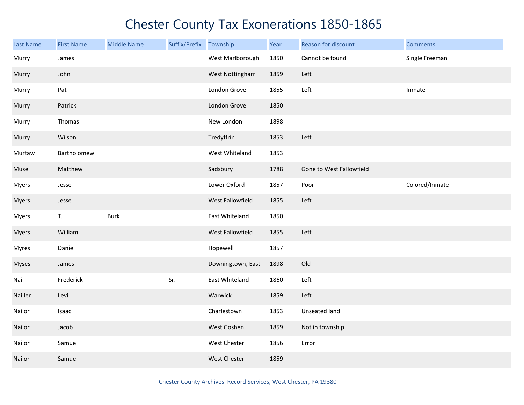| <b>Last Name</b> | <b>First Name</b> | <b>Middle Name</b> | Suffix/Prefix Township |                   | Year | Reason for discount      | <b>Comments</b> |
|------------------|-------------------|--------------------|------------------------|-------------------|------|--------------------------|-----------------|
| Murry            | James             |                    |                        | West Marlborough  | 1850 | Cannot be found          | Single Freeman  |
| Murry            | John              |                    |                        | West Nottingham   | 1859 | Left                     |                 |
| Murry            | Pat               |                    |                        | London Grove      | 1855 | Left                     | Inmate          |
| Murry            | Patrick           |                    |                        | London Grove      | 1850 |                          |                 |
| Murry            | Thomas            |                    |                        | New London        | 1898 |                          |                 |
| Murry            | Wilson            |                    |                        | Tredyffrin        | 1853 | Left                     |                 |
| Murtaw           | Bartholomew       |                    |                        | West Whiteland    | 1853 |                          |                 |
| Muse             | Matthew           |                    |                        | Sadsbury          | 1788 | Gone to West Fallowfield |                 |
| <b>Myers</b>     | Jesse             |                    |                        | Lower Oxford      | 1857 | Poor                     | Colored/Inmate  |
| <b>Myers</b>     | Jesse             |                    |                        | West Fallowfield  | 1855 | Left                     |                 |
| <b>Myers</b>     | T.                | <b>Burk</b>        |                        | East Whiteland    | 1850 |                          |                 |
| Myers            | William           |                    |                        | West Fallowfield  | 1855 | Left                     |                 |
| <b>Myres</b>     | Daniel            |                    |                        | Hopewell          | 1857 |                          |                 |
| <b>Myses</b>     | James             |                    |                        | Downingtown, East | 1898 | Old                      |                 |
| Nail             | Frederick         |                    | Sr.                    | East Whiteland    | 1860 | Left                     |                 |
| Nailler          | Levi              |                    |                        | Warwick           | 1859 | Left                     |                 |
| Nailor           | Isaac             |                    |                        | Charlestown       | 1853 | Unseated land            |                 |
| Nailor           | Jacob             |                    |                        | West Goshen       | 1859 | Not in township          |                 |
| Nailor           | Samuel            |                    |                        | West Chester      | 1856 | Error                    |                 |
| Nailor           | Samuel            |                    |                        | West Chester      | 1859 |                          |                 |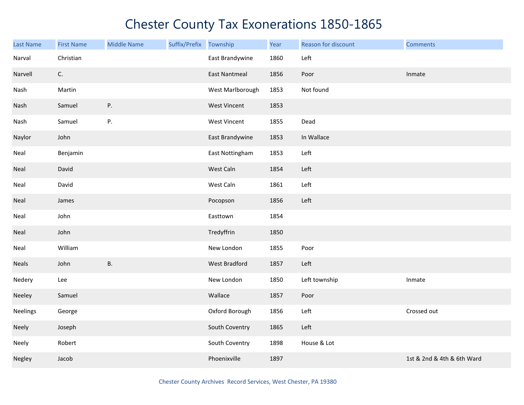| Last Name    | <b>First Name</b> | <b>Middle Name</b> | Suffix/Prefix | Township             | Year | Reason for discount | <b>Comments</b>            |
|--------------|-------------------|--------------------|---------------|----------------------|------|---------------------|----------------------------|
| Narval       | Christian         |                    |               | East Brandywine      | 1860 | Left                |                            |
| Narvell      | C.                |                    |               | <b>East Nantmeal</b> | 1856 | Poor                | Inmate                     |
| Nash         | Martin            |                    |               | West Marlborough     | 1853 | Not found           |                            |
| Nash         | Samuel            | ${\sf P}.$         |               | <b>West Vincent</b>  | 1853 |                     |                            |
| Nash         | Samuel            | ${\sf P}.$         |               | West Vincent         | 1855 | Dead                |                            |
| Naylor       | John              |                    |               | East Brandywine      | 1853 | In Wallace          |                            |
| Neal         | Benjamin          |                    |               | East Nottingham      | 1853 | Left                |                            |
| Neal         | David             |                    |               | West Caln            | 1854 | Left                |                            |
| Neal         | David             |                    |               | West Caln            | 1861 | Left                |                            |
| Neal         | James             |                    |               | Pocopson             | 1856 | Left                |                            |
| Neal         | John              |                    |               | Easttown             | 1854 |                     |                            |
| Neal         | John              |                    |               | Tredyffrin           | 1850 |                     |                            |
| Neal         | William           |                    |               | New London           | 1855 | Poor                |                            |
| <b>Neals</b> | John              | <b>B.</b>          |               | West Bradford        | 1857 | Left                |                            |
| Nedery       | Lee               |                    |               | New London           | 1850 | Left township       | Inmate                     |
| Neeley       | Samuel            |                    |               | Wallace              | 1857 | Poor                |                            |
| Neelings     | George            |                    |               | Oxford Borough       | 1856 | Left                | Crossed out                |
| Neely        | Joseph            |                    |               | South Coventry       | 1865 | Left                |                            |
| Neely        | Robert            |                    |               | South Coventry       | 1898 | House & Lot         |                            |
| Negley       | Jacob             |                    |               | Phoenixville         | 1897 |                     | 1st & 2nd & 4th & 6th Ward |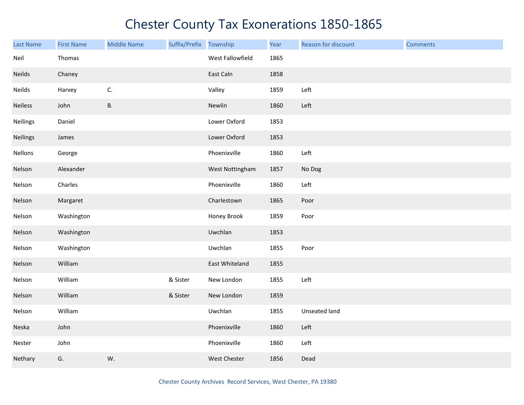| <b>Last Name</b> | <b>First Name</b> | <b>Middle Name</b> | Suffix/Prefix Township |                  | Year | Reason for discount | <b>Comments</b> |
|------------------|-------------------|--------------------|------------------------|------------------|------|---------------------|-----------------|
| Neil             | Thomas            |                    |                        | West Fallowfield | 1865 |                     |                 |
| Neilds           | Chaney            |                    |                        | East Caln        | 1858 |                     |                 |
| Neilds           | Harvey            | C.                 |                        | Valley           | 1859 | Left                |                 |
| <b>Neiless</b>   | John              | <b>B.</b>          |                        | Newlin           | 1860 | Left                |                 |
| <b>Neilings</b>  | Daniel            |                    |                        | Lower Oxford     | 1853 |                     |                 |
| Neilings         | James             |                    |                        | Lower Oxford     | 1853 |                     |                 |
| Nellons          | George            |                    |                        | Phoenixville     | 1860 | Left                |                 |
| Nelson           | Alexander         |                    |                        | West Nottingham  | 1857 | No Dog              |                 |
| Nelson           | Charles           |                    |                        | Phoenixville     | 1860 | Left                |                 |
| Nelson           | Margaret          |                    |                        | Charlestown      | 1865 | Poor                |                 |
| Nelson           | Washington        |                    |                        | Honey Brook      | 1859 | Poor                |                 |
| Nelson           | Washington        |                    |                        | Uwchlan          | 1853 |                     |                 |
| Nelson           | Washington        |                    |                        | Uwchlan          | 1855 | Poor                |                 |
| Nelson           | William           |                    |                        | East Whiteland   | 1855 |                     |                 |
| Nelson           | William           |                    | & Sister               | New London       | 1855 | Left                |                 |
| Nelson           | William           |                    | & Sister               | New London       | 1859 |                     |                 |
| Nelson           | William           |                    |                        | Uwchlan          | 1855 | Unseated land       |                 |
| Neska            | John              |                    |                        | Phoenixville     | 1860 | Left                |                 |
| Nester           | John              |                    |                        | Phoenixville     | 1860 | Left                |                 |
| Nethary          | G.                | W.                 |                        | West Chester     | 1856 | Dead                |                 |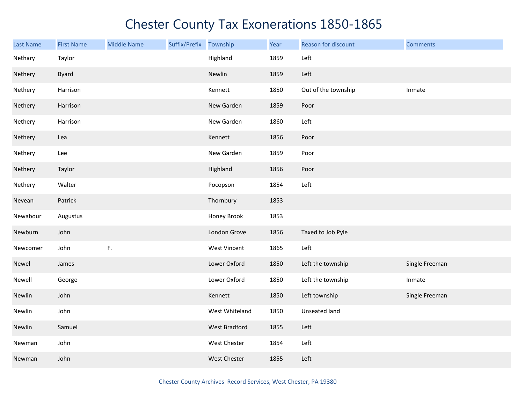| Last Name | <b>First Name</b> | <b>Middle Name</b> | Suffix/Prefix | Township             | Year | Reason for discount | <b>Comments</b> |
|-----------|-------------------|--------------------|---------------|----------------------|------|---------------------|-----------------|
| Nethary   | Taylor            |                    |               | Highland             | 1859 | Left                |                 |
| Nethery   | <b>Byard</b>      |                    |               | Newlin               | 1859 | Left                |                 |
| Nethery   | Harrison          |                    |               | Kennett              | 1850 | Out of the township | Inmate          |
| Nethery   | Harrison          |                    |               | New Garden           | 1859 | Poor                |                 |
| Nethery   | Harrison          |                    |               | New Garden           | 1860 | Left                |                 |
| Nethery   | Lea               |                    |               | Kennett              | 1856 | Poor                |                 |
| Nethery   | Lee               |                    |               | New Garden           | 1859 | Poor                |                 |
| Nethery   | Taylor            |                    |               | Highland             | 1856 | Poor                |                 |
| Nethery   | Walter            |                    |               | Pocopson             | 1854 | Left                |                 |
| Nevean    | Patrick           |                    |               | Thornbury            | 1853 |                     |                 |
| Newabour  | Augustus          |                    |               | Honey Brook          | 1853 |                     |                 |
| Newburn   | John              |                    |               | London Grove         | 1856 | Taxed to Job Pyle   |                 |
| Newcomer  | John              | F.                 |               | West Vincent         | 1865 | Left                |                 |
| Newel     | James             |                    |               | Lower Oxford         | 1850 | Left the township   | Single Freeman  |
| Newell    | George            |                    |               | Lower Oxford         | 1850 | Left the township   | Inmate          |
| Newlin    | John              |                    |               | Kennett              | 1850 | Left township       | Single Freeman  |
| Newlin    | John              |                    |               | West Whiteland       | 1850 | Unseated land       |                 |
| Newlin    | Samuel            |                    |               | <b>West Bradford</b> | 1855 | Left                |                 |
| Newman    | John              |                    |               | West Chester         | 1854 | Left                |                 |
| Newman    | John              |                    |               | West Chester         | 1855 | Left                |                 |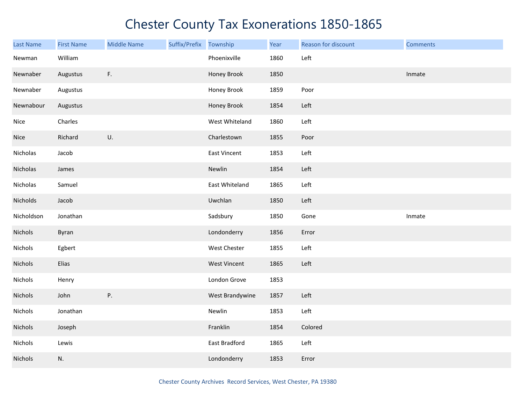| <b>Last Name</b> | <b>First Name</b> | <b>Middle Name</b> | Suffix/Prefix Township |                 | Year | Reason for discount | <b>Comments</b> |
|------------------|-------------------|--------------------|------------------------|-----------------|------|---------------------|-----------------|
| Newman           | William           |                    |                        | Phoenixville    | 1860 | Left                |                 |
| Newnaber         | Augustus          | F.                 |                        | Honey Brook     | 1850 |                     | Inmate          |
| Newnaber         | Augustus          |                    |                        | Honey Brook     | 1859 | Poor                |                 |
| Newnabour        | Augustus          |                    |                        | Honey Brook     | 1854 | Left                |                 |
| Nice             | Charles           |                    |                        | West Whiteland  | 1860 | Left                |                 |
| Nice             | Richard           | U.                 |                        | Charlestown     | 1855 | Poor                |                 |
| Nicholas         | Jacob             |                    |                        | East Vincent    | 1853 | Left                |                 |
| Nicholas         | James             |                    |                        | Newlin          | 1854 | Left                |                 |
| Nicholas         | Samuel            |                    |                        | East Whiteland  | 1865 | Left                |                 |
| Nicholds         | Jacob             |                    |                        | Uwchlan         | 1850 | Left                |                 |
| Nicholdson       | Jonathan          |                    |                        | Sadsbury        | 1850 | Gone                | Inmate          |
| Nichols          | Byran             |                    |                        | Londonderry     | 1856 | Error               |                 |
| Nichols          | Egbert            |                    |                        | West Chester    | 1855 | Left                |                 |
| Nichols          | Elias             |                    |                        | West Vincent    | 1865 | Left                |                 |
| Nichols          | Henry             |                    |                        | London Grove    | 1853 |                     |                 |
| Nichols          | John              | P.                 |                        | West Brandywine | 1857 | Left                |                 |
| Nichols          | Jonathan          |                    |                        | Newlin          | 1853 | Left                |                 |
| Nichols          | Joseph            |                    |                        | Franklin        | 1854 | Colored             |                 |
| Nichols          | Lewis             |                    |                        | East Bradford   | 1865 | Left                |                 |
| Nichols          | N.                |                    |                        | Londonderry     | 1853 | Error               |                 |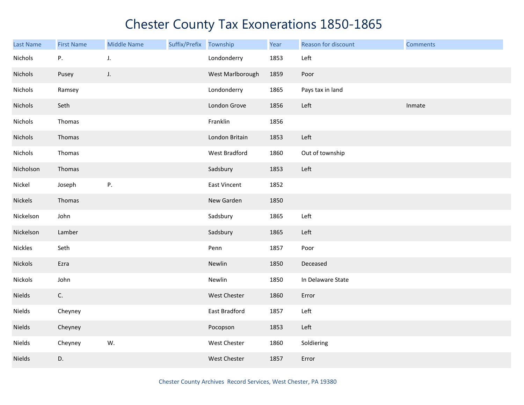| Last Name      | <b>First Name</b> | <b>Middle Name</b> | Suffix/Prefix Township |                  | Year | Reason for discount | <b>Comments</b> |
|----------------|-------------------|--------------------|------------------------|------------------|------|---------------------|-----------------|
| Nichols        | Ρ.                | J.                 |                        | Londonderry      | 1853 | Left                |                 |
| Nichols        | Pusey             | $J_{\star}$        |                        | West Marlborough | 1859 | Poor                |                 |
| Nichols        | Ramsey            |                    |                        | Londonderry      | 1865 | Pays tax in land    |                 |
| Nichols        | Seth              |                    |                        | London Grove     | 1856 | Left                | Inmate          |
| Nichols        | Thomas            |                    |                        | Franklin         | 1856 |                     |                 |
| Nichols        | Thomas            |                    |                        | London Britain   | 1853 | Left                |                 |
| Nichols        | Thomas            |                    |                        | West Bradford    | 1860 | Out of township     |                 |
| Nicholson      | Thomas            |                    |                        | Sadsbury         | 1853 | Left                |                 |
| Nickel         | Joseph            | Ρ.                 |                        | East Vincent     | 1852 |                     |                 |
| Nickels        | Thomas            |                    |                        | New Garden       | 1850 |                     |                 |
| Nickelson      | John              |                    |                        | Sadsbury         | 1865 | Left                |                 |
| Nickelson      | Lamber            |                    |                        | Sadsbury         | 1865 | Left                |                 |
| <b>Nickles</b> | Seth              |                    |                        | Penn             | 1857 | Poor                |                 |
| <b>Nickols</b> | Ezra              |                    |                        | Newlin           | 1850 | Deceased            |                 |
| Nickols        | John              |                    |                        | Newlin           | 1850 | In Delaware State   |                 |
| Nields         | C.                |                    |                        | West Chester     | 1860 | Error               |                 |
| Nields         | Cheyney           |                    |                        | East Bradford    | 1857 | Left                |                 |
| <b>Nields</b>  | Cheyney           |                    |                        | Pocopson         | 1853 | Left                |                 |
| Nields         | Cheyney           | W.                 |                        | West Chester     | 1860 | Soldiering          |                 |
| Nields         | D.                |                    |                        | West Chester     | 1857 | Error               |                 |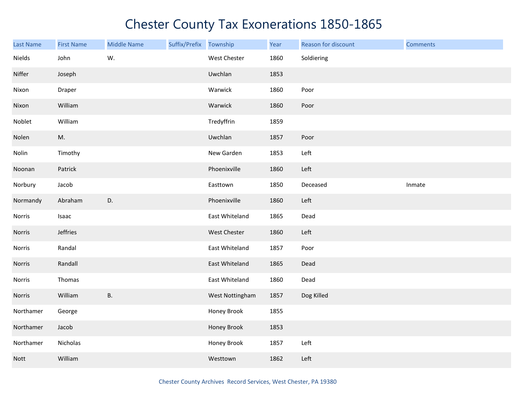| <b>Last Name</b> | <b>First Name</b> | <b>Middle Name</b> | Suffix/Prefix Township |                 | Year | Reason for discount | <b>Comments</b> |
|------------------|-------------------|--------------------|------------------------|-----------------|------|---------------------|-----------------|
| Nields           | John              | W.                 |                        | West Chester    | 1860 | Soldiering          |                 |
| Niffer           | Joseph            |                    |                        | Uwchlan         | 1853 |                     |                 |
| Nixon            | Draper            |                    |                        | Warwick         | 1860 | Poor                |                 |
| Nixon            | William           |                    |                        | Warwick         | 1860 | Poor                |                 |
| Noblet           | William           |                    |                        | Tredyffrin      | 1859 |                     |                 |
| Nolen            | M.                |                    |                        | Uwchlan         | 1857 | Poor                |                 |
| Nolin            | Timothy           |                    |                        | New Garden      | 1853 | Left                |                 |
| Noonan           | Patrick           |                    |                        | Phoenixville    | 1860 | Left                |                 |
| Norbury          | Jacob             |                    |                        | Easttown        | 1850 | Deceased            | Inmate          |
| Normandy         | Abraham           | D.                 |                        | Phoenixville    | 1860 | Left                |                 |
| Norris           | Isaac             |                    |                        | East Whiteland  | 1865 | Dead                |                 |
| Norris           | Jeffries          |                    |                        | West Chester    | 1860 | Left                |                 |
| Norris           | Randal            |                    |                        | East Whiteland  | 1857 | Poor                |                 |
| Norris           | Randall           |                    |                        | East Whiteland  | 1865 | Dead                |                 |
| Norris           | Thomas            |                    |                        | East Whiteland  | 1860 | Dead                |                 |
| Norris           | William           | В.                 |                        | West Nottingham | 1857 | Dog Killed          |                 |
| Northamer        | George            |                    |                        | Honey Brook     | 1855 |                     |                 |
| Northamer        | Jacob             |                    |                        | Honey Brook     | 1853 |                     |                 |
| Northamer        | Nicholas          |                    |                        | Honey Brook     | 1857 | Left                |                 |
| <b>Nott</b>      | William           |                    |                        | Westtown        | 1862 | Left                |                 |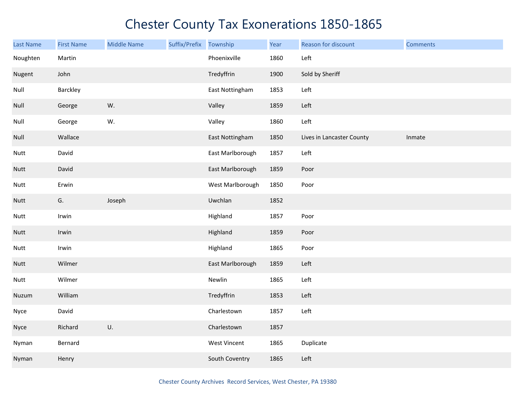| <b>Last Name</b> | <b>First Name</b> | <b>Middle Name</b> | Suffix/Prefix | Township            | Year | Reason for discount       | <b>Comments</b> |
|------------------|-------------------|--------------------|---------------|---------------------|------|---------------------------|-----------------|
| Noughten         | Martin            |                    |               | Phoenixville        | 1860 | Left                      |                 |
| Nugent           | John              |                    |               | Tredyffrin          | 1900 | Sold by Sheriff           |                 |
| Null             | Barckley          |                    |               | East Nottingham     | 1853 | Left                      |                 |
| Null             | George            | W.                 |               | Valley              | 1859 | Left                      |                 |
| Null             | George            | W.                 |               | Valley              | 1860 | Left                      |                 |
| Null             | Wallace           |                    |               | East Nottingham     | 1850 | Lives in Lancaster County | Inmate          |
| Nutt             | David             |                    |               | East Marlborough    | 1857 | Left                      |                 |
| Nutt             | David             |                    |               | East Marlborough    | 1859 | Poor                      |                 |
| Nutt             | Erwin             |                    |               | West Marlborough    | 1850 | Poor                      |                 |
| Nutt             | G.                | Joseph             |               | Uwchlan             | 1852 |                           |                 |
| Nutt             | Irwin             |                    |               | Highland            | 1857 | Poor                      |                 |
| Nutt             | Irwin             |                    |               | Highland            | 1859 | Poor                      |                 |
| Nutt             | Irwin             |                    |               | Highland            | 1865 | Poor                      |                 |
| Nutt             | Wilmer            |                    |               | East Marlborough    | 1859 | Left                      |                 |
| Nutt             | Wilmer            |                    |               | Newlin              | 1865 | Left                      |                 |
| Nuzum            | William           |                    |               | Tredyffrin          | 1853 | Left                      |                 |
| Nyce             | David             |                    |               | Charlestown         | 1857 | Left                      |                 |
| Nyce             | Richard           | U.                 |               | Charlestown         | 1857 |                           |                 |
| Nyman            | Bernard           |                    |               | <b>West Vincent</b> | 1865 | Duplicate                 |                 |
| Nyman            | Henry             |                    |               | South Coventry      | 1865 | Left                      |                 |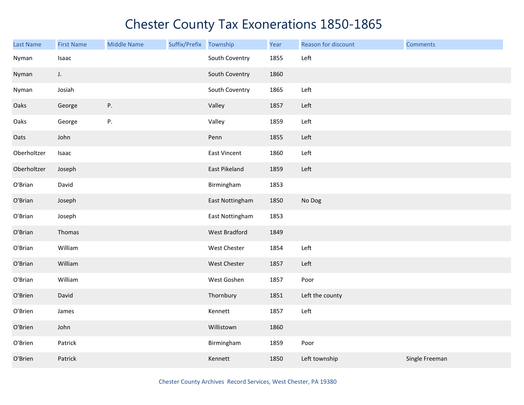| <b>Last Name</b> | <b>First Name</b> | <b>Middle Name</b> | Suffix/Prefix | Township        | Year | Reason for discount | <b>Comments</b> |
|------------------|-------------------|--------------------|---------------|-----------------|------|---------------------|-----------------|
| Nyman            | Isaac             |                    |               | South Coventry  | 1855 | Left                |                 |
| Nyman            | J.                |                    |               | South Coventry  | 1860 |                     |                 |
| Nyman            | Josiah            |                    |               | South Coventry  | 1865 | Left                |                 |
| Oaks             | George            | P.                 |               | Valley          | 1857 | Left                |                 |
| Oaks             | George            | P.                 |               | Valley          | 1859 | Left                |                 |
| Oats             | John              |                    |               | Penn            | 1855 | Left                |                 |
| Oberholtzer      | Isaac             |                    |               | East Vincent    | 1860 | Left                |                 |
| Oberholtzer      | Joseph            |                    |               | East Pikeland   | 1859 | Left                |                 |
| O'Brian          | David             |                    |               | Birmingham      | 1853 |                     |                 |
| O'Brian          | Joseph            |                    |               | East Nottingham | 1850 | No Dog              |                 |
| O'Brian          | Joseph            |                    |               | East Nottingham | 1853 |                     |                 |
| O'Brian          | Thomas            |                    |               | West Bradford   | 1849 |                     |                 |
| O'Brian          | William           |                    |               | West Chester    | 1854 | Left                |                 |
| O'Brian          | William           |                    |               | West Chester    | 1857 | Left                |                 |
| O'Brian          | William           |                    |               | West Goshen     | 1857 | Poor                |                 |
| O'Brien          | David             |                    |               | Thornbury       | 1851 | Left the county     |                 |
| O'Brien          | James             |                    |               | Kennett         | 1857 | Left                |                 |
| O'Brien          | John              |                    |               | Willistown      | 1860 |                     |                 |
| O'Brien          | Patrick           |                    |               | Birmingham      | 1859 | Poor                |                 |
| O'Brien          | Patrick           |                    |               | Kennett         | 1850 | Left township       | Single Freeman  |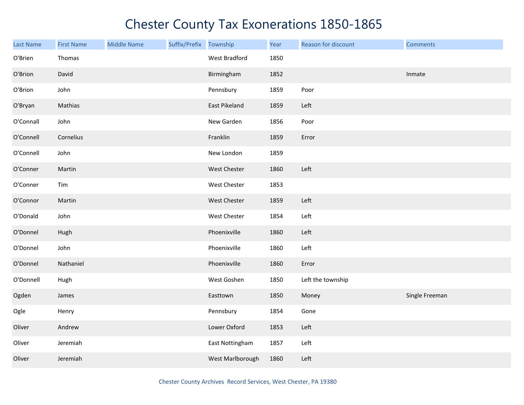| <b>Last Name</b> | <b>First Name</b> | <b>Middle Name</b> | Suffix/Prefix | Township            | Year | Reason for discount | <b>Comments</b> |
|------------------|-------------------|--------------------|---------------|---------------------|------|---------------------|-----------------|
| O'Brien          | Thomas            |                    |               | West Bradford       | 1850 |                     |                 |
| O'Brion          | David             |                    |               | Birmingham          | 1852 |                     | Inmate          |
| O'Brion          | John              |                    |               | Pennsbury           | 1859 | Poor                |                 |
| O'Bryan          | Mathias           |                    |               | East Pikeland       | 1859 | Left                |                 |
| O'Connall        | John              |                    |               | New Garden          | 1856 | Poor                |                 |
| O'Connell        | Cornelius         |                    |               | Franklin            | 1859 | Error               |                 |
| O'Connell        | John              |                    |               | New London          | 1859 |                     |                 |
| O'Conner         | Martin            |                    |               | West Chester        | 1860 | Left                |                 |
| O'Conner         | Tim               |                    |               | West Chester        | 1853 |                     |                 |
| O'Connor         | Martin            |                    |               | <b>West Chester</b> | 1859 | Left                |                 |
| O'Donald         | John              |                    |               | West Chester        | 1854 | Left                |                 |
| O'Donnel         | Hugh              |                    |               | Phoenixville        | 1860 | Left                |                 |
| O'Donnel         | John              |                    |               | Phoenixville        | 1860 | Left                |                 |
| O'Donnel         | Nathaniel         |                    |               | Phoenixville        | 1860 | Error               |                 |
| O'Donnell        | Hugh              |                    |               | West Goshen         | 1850 | Left the township   |                 |
| Ogden            | James             |                    |               | Easttown            | 1850 | Money               | Single Freeman  |
| Ogle             | Henry             |                    |               | Pennsbury           | 1854 | Gone                |                 |
| Oliver           | Andrew            |                    |               | Lower Oxford        | 1853 | Left                |                 |
| Oliver           | Jeremiah          |                    |               | East Nottingham     | 1857 | Left                |                 |
| Oliver           | Jeremiah          |                    |               | West Marlborough    | 1860 | Left                |                 |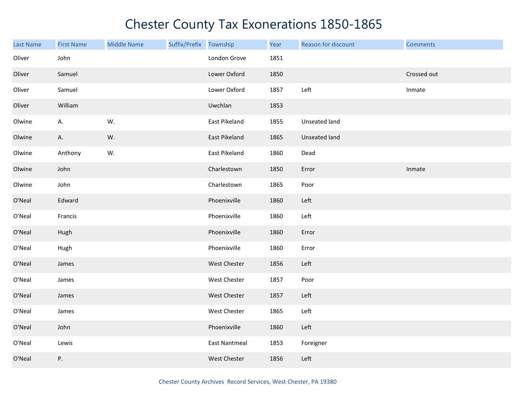| <b>Last Name</b> | <b>First Name</b> | <b>Middle Name</b> | Suffix/Prefix Township |                      | Year | Reason for discount | <b>Comments</b> |
|------------------|-------------------|--------------------|------------------------|----------------------|------|---------------------|-----------------|
| Oliver           | John              |                    |                        | London Grove         | 1851 |                     |                 |
| Oliver           | Samuel            |                    |                        | Lower Oxford         | 1850 |                     | Crossed out     |
| Oliver           | Samuel            |                    |                        | Lower Oxford         | 1857 | Left                | Inmate          |
| Oliver           | William           |                    |                        | Uwchlan              | 1853 |                     |                 |
| Olwine           | А.                | W.                 |                        | East Pikeland        | 1855 | Unseated land       |                 |
| Olwine           | А.                | W.                 |                        | East Pikeland        | 1865 | Unseated land       |                 |
| Olwine           | Anthony           | W.                 |                        | East Pikeland        | 1860 | Dead                |                 |
| Olwine           | John              |                    |                        | Charlestown          | 1850 | Error               | Inmate          |
| Olwine           | John              |                    |                        | Charlestown          | 1865 | Poor                |                 |
| O'Neal           | Edward            |                    |                        | Phoenixville         | 1860 | Left                |                 |
| O'Neal           | Francis           |                    |                        | Phoenixville         | 1860 | Left                |                 |
| O'Neal           | Hugh              |                    |                        | Phoenixville         | 1860 | Error               |                 |
| O'Neal           | Hugh              |                    |                        | Phoenixville         | 1860 | Error               |                 |
| O'Neal           | James             |                    |                        | West Chester         | 1856 | Left                |                 |
| O'Neal           | James             |                    |                        | West Chester         | 1857 | Poor                |                 |
| O'Neal           | James             |                    |                        | West Chester         | 1857 | Left                |                 |
| O'Neal           | James             |                    |                        | West Chester         | 1865 | Left                |                 |
| O'Neal           | John              |                    |                        | Phoenixville         | 1860 | Left                |                 |
| O'Neal           | Lewis             |                    |                        | <b>East Nantmeal</b> | 1853 | Foreigner           |                 |
| O'Neal           | Ρ.                |                    |                        | West Chester         | 1856 | Left                |                 |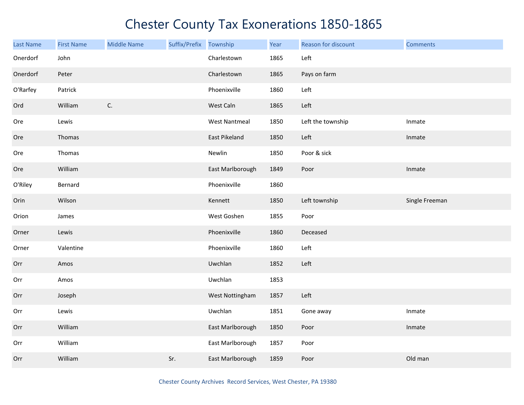| Last Name | <b>First Name</b> | <b>Middle Name</b> | Suffix/Prefix Township |                      | Year | Reason for discount | <b>Comments</b> |
|-----------|-------------------|--------------------|------------------------|----------------------|------|---------------------|-----------------|
| Onerdorf  | John              |                    |                        | Charlestown          | 1865 | Left                |                 |
| Onerdorf  | Peter             |                    |                        | Charlestown          | 1865 | Pays on farm        |                 |
| O'Rarfey  | Patrick           |                    |                        | Phoenixville         | 1860 | Left                |                 |
| Ord       | William           | C.                 |                        | West Caln            | 1865 | Left                |                 |
| Ore       | Lewis             |                    |                        | <b>West Nantmeal</b> | 1850 | Left the township   | Inmate          |
| Ore       | Thomas            |                    |                        | East Pikeland        | 1850 | Left                | Inmate          |
| Ore       | Thomas            |                    |                        | Newlin               | 1850 | Poor & sick         |                 |
| Ore       | William           |                    |                        | East Marlborough     | 1849 | Poor                | Inmate          |
| O'Riley   | Bernard           |                    |                        | Phoenixville         | 1860 |                     |                 |
| Orin      | Wilson            |                    |                        | Kennett              | 1850 | Left township       | Single Freeman  |
| Orion     | James             |                    |                        | West Goshen          | 1855 | Poor                |                 |
| Orner     | Lewis             |                    |                        | Phoenixville         | 1860 | Deceased            |                 |
| Orner     | Valentine         |                    |                        | Phoenixville         | 1860 | Left                |                 |
| Orr       | Amos              |                    |                        | Uwchlan              | 1852 | Left                |                 |
| Orr       | Amos              |                    |                        | Uwchlan              | 1853 |                     |                 |
| Orr       | Joseph            |                    |                        | West Nottingham      | 1857 | Left                |                 |
| Orr       | Lewis             |                    |                        | Uwchlan              | 1851 | Gone away           | Inmate          |
| Orr       | William           |                    |                        | East Marlborough     | 1850 | Poor                | Inmate          |
| Orr       | William           |                    |                        | East Marlborough     | 1857 | Poor                |                 |
| Orr       | William           |                    | Sr.                    | East Marlborough     | 1859 | Poor                | Old man         |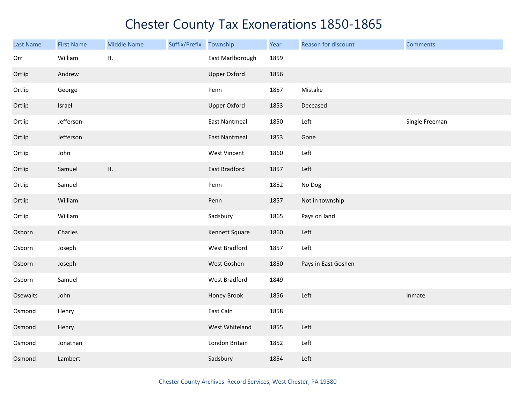| Last Name | <b>First Name</b> | <b>Middle Name</b> | Suffix/Prefix | Township             | Year | Reason for discount | <b>Comments</b> |
|-----------|-------------------|--------------------|---------------|----------------------|------|---------------------|-----------------|
| Orr       | William           | Η.                 |               | East Marlborough     | 1859 |                     |                 |
| Ortlip    | Andrew            |                    |               | <b>Upper Oxford</b>  | 1856 |                     |                 |
| Ortlip    | George            |                    |               | Penn                 | 1857 | Mistake             |                 |
| Ortlip    | Israel            |                    |               | <b>Upper Oxford</b>  | 1853 | Deceased            |                 |
| Ortlip    | Jefferson         |                    |               | <b>East Nantmeal</b> | 1850 | Left                | Single Freeman  |
| Ortlip    | Jefferson         |                    |               | <b>East Nantmeal</b> | 1853 | Gone                |                 |
| Ortlip    | John              |                    |               | West Vincent         | 1860 | Left                |                 |
| Ortlip    | Samuel            | Η.                 |               | <b>East Bradford</b> | 1857 | Left                |                 |
| Ortlip    | Samuel            |                    |               | Penn                 | 1852 | No Dog              |                 |
| Ortlip    | William           |                    |               | Penn                 | 1857 | Not in township     |                 |
| Ortlip    | William           |                    |               | Sadsbury             | 1865 | Pays on land        |                 |
| Osborn    | Charles           |                    |               | Kennett Square       | 1860 | Left                |                 |
| Osborn    | Joseph            |                    |               | West Bradford        | 1857 | Left                |                 |
| Osborn    | Joseph            |                    |               | West Goshen          | 1850 | Pays in East Goshen |                 |
| Osborn    | Samuel            |                    |               | West Bradford        | 1849 |                     |                 |
| Osewalts  | John              |                    |               | Honey Brook          | 1856 | Left                | Inmate          |
| Osmond    | Henry             |                    |               | East Caln            | 1858 |                     |                 |
| Osmond    | Henry             |                    |               | West Whiteland       | 1855 | Left                |                 |
| Osmond    | Jonathan          |                    |               | London Britain       | 1852 | Left                |                 |
| Osmond    | Lambert           |                    |               | Sadsbury             | 1854 | Left                |                 |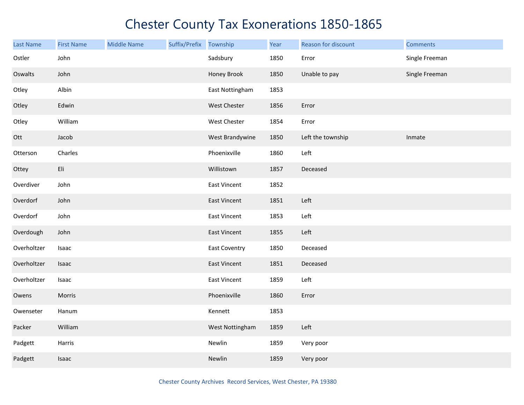| <b>Last Name</b> | <b>First Name</b> | <b>Middle Name</b> | Suffix/Prefix | Township             | Year | Reason for discount | <b>Comments</b> |
|------------------|-------------------|--------------------|---------------|----------------------|------|---------------------|-----------------|
| Ostler           | John              |                    |               | Sadsbury             | 1850 | Error               | Single Freeman  |
| Oswalts          | John              |                    |               | Honey Brook          | 1850 | Unable to pay       | Single Freeman  |
| Otley            | Albin             |                    |               | East Nottingham      | 1853 |                     |                 |
| Otley            | Edwin             |                    |               | West Chester         | 1856 | Error               |                 |
| Otley            | William           |                    |               | West Chester         | 1854 | Error               |                 |
| Ott              | Jacob             |                    |               | West Brandywine      | 1850 | Left the township   | Inmate          |
| Otterson         | Charles           |                    |               | Phoenixville         | 1860 | Left                |                 |
| Ottey            | Eli               |                    |               | Willistown           | 1857 | Deceased            |                 |
| Overdiver        | John              |                    |               | East Vincent         | 1852 |                     |                 |
| Overdorf         | John              |                    |               | <b>East Vincent</b>  | 1851 | Left                |                 |
| Overdorf         | John              |                    |               | <b>East Vincent</b>  | 1853 | Left                |                 |
| Overdough        | John              |                    |               | <b>East Vincent</b>  | 1855 | Left                |                 |
| Overholtzer      | Isaac             |                    |               | <b>East Coventry</b> | 1850 | Deceased            |                 |
| Overholtzer      | Isaac             |                    |               | <b>East Vincent</b>  | 1851 | Deceased            |                 |
| Overholtzer      | Isaac             |                    |               | East Vincent         | 1859 | Left                |                 |
| Owens            | Morris            |                    |               | Phoenixville         | 1860 | Error               |                 |
| Owenseter        | Hanum             |                    |               | Kennett              | 1853 |                     |                 |
| Packer           | William           |                    |               | West Nottingham      | 1859 | Left                |                 |
| Padgett          | Harris            |                    |               | Newlin               | 1859 | Very poor           |                 |
| Padgett          | <b>Isaac</b>      |                    |               | Newlin               | 1859 | Very poor           |                 |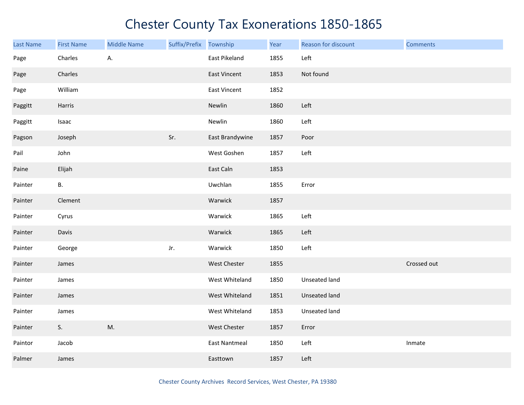| <b>Last Name</b> | <b>First Name</b> | <b>Middle Name</b> | Suffix/Prefix Township |                      | Year | Reason for discount | <b>Comments</b> |
|------------------|-------------------|--------------------|------------------------|----------------------|------|---------------------|-----------------|
| Page             | Charles           | А.                 |                        | East Pikeland        | 1855 | Left                |                 |
| Page             | Charles           |                    |                        | East Vincent         | 1853 | Not found           |                 |
| Page             | William           |                    |                        | East Vincent         | 1852 |                     |                 |
| Paggitt          | Harris            |                    |                        | Newlin               | 1860 | Left                |                 |
| Paggitt          | Isaac             |                    |                        | Newlin               | 1860 | Left                |                 |
| Pagson           | Joseph            |                    | Sr.                    | East Brandywine      | 1857 | Poor                |                 |
| Pail             | John              |                    |                        | West Goshen          | 1857 | Left                |                 |
| Paine            | Elijah            |                    |                        | East Caln            | 1853 |                     |                 |
| Painter          | В.                |                    |                        | Uwchlan              | 1855 | Error               |                 |
| Painter          | Clement           |                    |                        | Warwick              | 1857 |                     |                 |
| Painter          | Cyrus             |                    |                        | Warwick              | 1865 | Left                |                 |
| Painter          | Davis             |                    |                        | Warwick              | 1865 | Left                |                 |
| Painter          | George            |                    | Jr.                    | Warwick              | 1850 | Left                |                 |
| Painter          | James             |                    |                        | West Chester         | 1855 |                     | Crossed out     |
| Painter          | James             |                    |                        | West Whiteland       | 1850 | Unseated land       |                 |
| Painter          | James             |                    |                        | West Whiteland       | 1851 | Unseated land       |                 |
| Painter          | James             |                    |                        | West Whiteland       | 1853 | Unseated land       |                 |
| Painter          | S.                | M.                 |                        | West Chester         | 1857 | Error               |                 |
| Paintor          | Jacob             |                    |                        | <b>East Nantmeal</b> | 1850 | Left                | Inmate          |
| Palmer           | James             |                    |                        | Easttown             | 1857 | Left                |                 |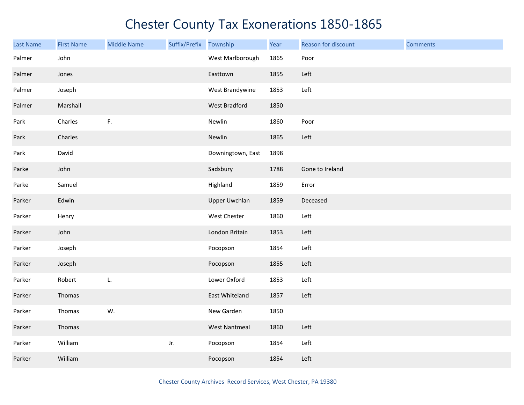| Last Name | <b>First Name</b> | <b>Middle Name</b> | Suffix/Prefix | Township             | Year | Reason for discount | <b>Comments</b> |
|-----------|-------------------|--------------------|---------------|----------------------|------|---------------------|-----------------|
| Palmer    | John              |                    |               | West Marlborough     | 1865 | Poor                |                 |
| Palmer    | Jones             |                    |               | Easttown             | 1855 | Left                |                 |
| Palmer    | Joseph            |                    |               | West Brandywine      | 1853 | Left                |                 |
| Palmer    | Marshall          |                    |               | West Bradford        | 1850 |                     |                 |
| Park      | Charles           | $\mathsf F.$       |               | Newlin               | 1860 | Poor                |                 |
| Park      | Charles           |                    |               | Newlin               | 1865 | Left                |                 |
| Park      | David             |                    |               | Downingtown, East    | 1898 |                     |                 |
| Parke     | John              |                    |               | Sadsbury             | 1788 | Gone to Ireland     |                 |
| Parke     | Samuel            |                    |               | Highland             | 1859 | Error               |                 |
| Parker    | Edwin             |                    |               | <b>Upper Uwchlan</b> | 1859 | Deceased            |                 |
| Parker    | Henry             |                    |               | West Chester         | 1860 | Left                |                 |
| Parker    | John              |                    |               | London Britain       | 1853 | Left                |                 |
| Parker    | Joseph            |                    |               | Pocopson             | 1854 | Left                |                 |
| Parker    | Joseph            |                    |               | Pocopson             | 1855 | Left                |                 |
| Parker    | Robert            | L.                 |               | Lower Oxford         | 1853 | Left                |                 |
| Parker    | Thomas            |                    |               | East Whiteland       | 1857 | Left                |                 |
| Parker    | Thomas            | W.                 |               | New Garden           | 1850 |                     |                 |
| Parker    | Thomas            |                    |               | <b>West Nantmeal</b> | 1860 | Left                |                 |
| Parker    | William           |                    | Jr.           | Pocopson             | 1854 | Left                |                 |
| Parker    | William           |                    |               | Pocopson             | 1854 | Left                |                 |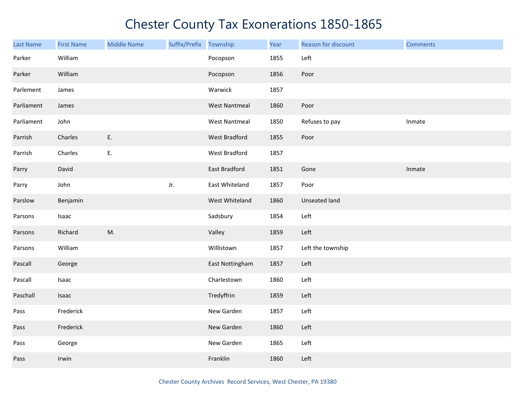| Last Name  | <b>First Name</b> | <b>Middle Name</b> | Suffix/Prefix Township |                      | Year | Reason for discount  | <b>Comments</b> |
|------------|-------------------|--------------------|------------------------|----------------------|------|----------------------|-----------------|
| Parker     | William           |                    |                        | Pocopson             | 1855 | Left                 |                 |
| Parker     | William           |                    |                        | Pocopson             | 1856 | Poor                 |                 |
| Parlement  | James             |                    |                        | Warwick              | 1857 |                      |                 |
| Parliament | James             |                    |                        | <b>West Nantmeal</b> | 1860 | Poor                 |                 |
| Parliament | John              |                    |                        | <b>West Nantmeal</b> | 1850 | Refuses to pay       | Inmate          |
| Parrish    | Charles           | E.                 |                        | West Bradford        | 1855 | Poor                 |                 |
| Parrish    | Charles           | Ε.                 |                        | West Bradford        | 1857 |                      |                 |
| Parry      | David             |                    |                        | <b>East Bradford</b> | 1851 | Gone                 | Inmate          |
| Parry      | John              |                    | Jr.                    | East Whiteland       | 1857 | Poor                 |                 |
| Parslow    | Benjamin          |                    |                        | West Whiteland       | 1860 | <b>Unseated land</b> |                 |
| Parsons    | Isaac             |                    |                        | Sadsbury             | 1854 | Left                 |                 |
| Parsons    | Richard           | M.                 |                        | Valley               | 1859 | Left                 |                 |
| Parsons    | William           |                    |                        | Willistown           | 1857 | Left the township    |                 |
| Pascall    | George            |                    |                        | East Nottingham      | 1857 | Left                 |                 |
| Pascall    | Isaac             |                    |                        | Charlestown          | 1860 | Left                 |                 |
| Paschall   | Isaac             |                    |                        | Tredyffrin           | 1859 | Left                 |                 |
| Pass       | Frederick         |                    |                        | New Garden           | 1857 | Left                 |                 |
| Pass       | Frederick         |                    |                        | New Garden           | 1860 | Left                 |                 |
| Pass       | George            |                    |                        | New Garden           | 1865 | Left                 |                 |
| Pass       | Irwin             |                    |                        | Franklin             | 1860 | Left                 |                 |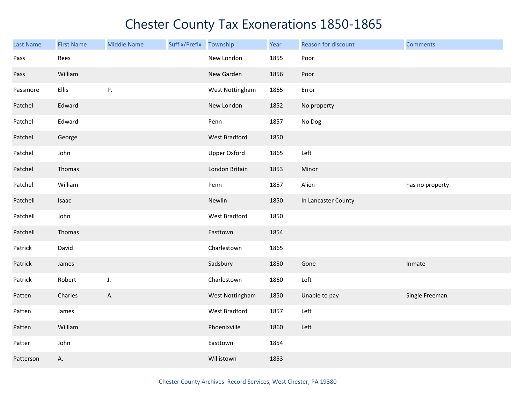| <b>Last Name</b> | <b>First Name</b> | <b>Middle Name</b> | Suffix/Prefix | Township            | Year | Reason for discount | <b>Comments</b> |
|------------------|-------------------|--------------------|---------------|---------------------|------|---------------------|-----------------|
| Pass             | Rees              |                    |               | New London          | 1855 | Poor                |                 |
| Pass             | William           |                    |               | New Garden          | 1856 | Poor                |                 |
| Passmore         | Ellis             | P.                 |               | West Nottingham     | 1865 | Error               |                 |
| Patchel          | Edward            |                    |               | New London          | 1852 | No property         |                 |
| Patchel          | Edward            |                    |               | Penn                | 1857 | No Dog              |                 |
| Patchel          | George            |                    |               | West Bradford       | 1850 |                     |                 |
| Patchel          | John              |                    |               | <b>Upper Oxford</b> | 1865 | Left                |                 |
| Patchel          | Thomas            |                    |               | London Britain      | 1853 | Minor               |                 |
| Patchel          | William           |                    |               | Penn                | 1857 | Alien               | has no property |
| Patchell         | Isaac             |                    |               | Newlin              | 1850 | In Lancaster County |                 |
| Patchell         | John              |                    |               | West Bradford       | 1850 |                     |                 |
| Patchell         | Thomas            |                    |               | Easttown            | 1854 |                     |                 |
| Patrick          | David             |                    |               | Charlestown         | 1865 |                     |                 |
| Patrick          | James             |                    |               | Sadsbury            | 1850 | Gone                | Inmate          |
| Patrick          | Robert            | J.                 |               | Charlestown         | 1860 | Left                |                 |
| Patten           | Charles           | Α.                 |               | West Nottingham     | 1850 | Unable to pay       | Single Freeman  |
| Patten           | James             |                    |               | West Bradford       | 1857 | Left                |                 |
| Patten           | William           |                    |               | Phoenixville        | 1860 | Left                |                 |
| Patter           | John              |                    |               | Easttown            | 1854 |                     |                 |
| Patterson        | А.                |                    |               | Willistown          | 1853 |                     |                 |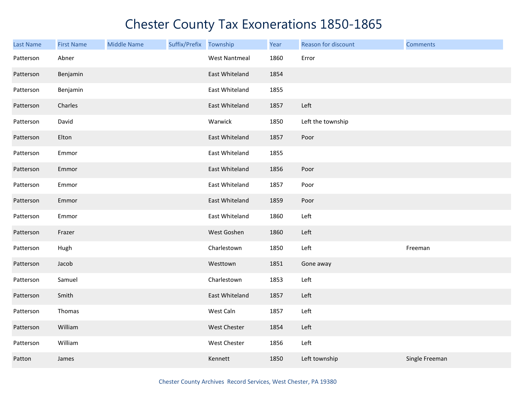| Last Name | <b>First Name</b> | <b>Middle Name</b> | Suffix/Prefix Township |                      | Year | Reason for discount | <b>Comments</b> |
|-----------|-------------------|--------------------|------------------------|----------------------|------|---------------------|-----------------|
| Patterson | Abner             |                    |                        | <b>West Nantmeal</b> | 1860 | Error               |                 |
| Patterson | Benjamin          |                    |                        | East Whiteland       | 1854 |                     |                 |
| Patterson | Benjamin          |                    |                        | East Whiteland       | 1855 |                     |                 |
| Patterson | Charles           |                    |                        | East Whiteland       | 1857 | Left                |                 |
| Patterson | David             |                    |                        | Warwick              | 1850 | Left the township   |                 |
| Patterson | Elton             |                    |                        | East Whiteland       | 1857 | Poor                |                 |
| Patterson | Emmor             |                    |                        | East Whiteland       | 1855 |                     |                 |
| Patterson | Emmor             |                    |                        | East Whiteland       | 1856 | Poor                |                 |
| Patterson | Emmor             |                    |                        | East Whiteland       | 1857 | Poor                |                 |
| Patterson | Emmor             |                    |                        | East Whiteland       | 1859 | Poor                |                 |
| Patterson | Emmor             |                    |                        | East Whiteland       | 1860 | Left                |                 |
| Patterson | Frazer            |                    |                        | West Goshen          | 1860 | Left                |                 |
| Patterson | Hugh              |                    |                        | Charlestown          | 1850 | Left                | Freeman         |
| Patterson | Jacob             |                    |                        | Westtown             | 1851 | Gone away           |                 |
| Patterson | Samuel            |                    |                        | Charlestown          | 1853 | Left                |                 |
| Patterson | Smith             |                    |                        | East Whiteland       | 1857 | Left                |                 |
| Patterson | Thomas            |                    |                        | West Caln            | 1857 | Left                |                 |
| Patterson | William           |                    |                        | West Chester         | 1854 | Left                |                 |
| Patterson | William           |                    |                        | West Chester         | 1856 | Left                |                 |
| Patton    | James             |                    |                        | Kennett              | 1850 | Left township       | Single Freeman  |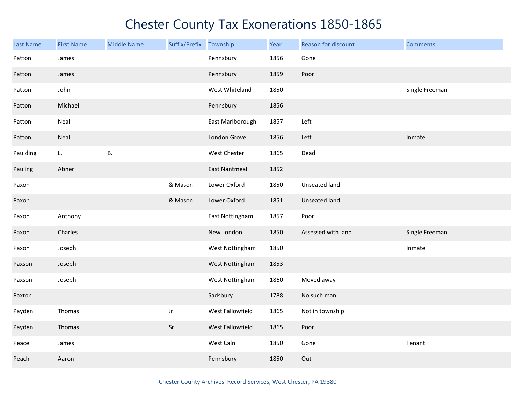| <b>Last Name</b> | <b>First Name</b> | <b>Middle Name</b> | Suffix/Prefix | Township             | Year | Reason for discount | <b>Comments</b> |
|------------------|-------------------|--------------------|---------------|----------------------|------|---------------------|-----------------|
| Patton           | James             |                    |               | Pennsbury            | 1856 | Gone                |                 |
| Patton           | James             |                    |               | Pennsbury            | 1859 | Poor                |                 |
| Patton           | John              |                    |               | West Whiteland       | 1850 |                     | Single Freeman  |
| Patton           | Michael           |                    |               | Pennsbury            | 1856 |                     |                 |
| Patton           | Neal              |                    |               | East Marlborough     | 1857 | Left                |                 |
| Patton           | Neal              |                    |               | London Grove         | 1856 | Left                | Inmate          |
| Paulding         | L.                | В.                 |               | West Chester         | 1865 | Dead                |                 |
| Pauling          | Abner             |                    |               | <b>East Nantmeal</b> | 1852 |                     |                 |
| Paxon            |                   |                    | & Mason       | Lower Oxford         | 1850 | Unseated land       |                 |
| Paxon            |                   |                    | & Mason       | Lower Oxford         | 1851 | Unseated land       |                 |
| Paxon            | Anthony           |                    |               | East Nottingham      | 1857 | Poor                |                 |
| Paxon            | Charles           |                    |               | New London           | 1850 | Assessed with land  | Single Freeman  |
| Paxon            | Joseph            |                    |               | West Nottingham      | 1850 |                     | Inmate          |
| Paxson           | Joseph            |                    |               | West Nottingham      | 1853 |                     |                 |
| Paxson           | Joseph            |                    |               | West Nottingham      | 1860 | Moved away          |                 |
| Paxton           |                   |                    |               | Sadsbury             | 1788 | No such man         |                 |
| Payden           | Thomas            |                    | Jr.           | West Fallowfield     | 1865 | Not in township     |                 |
| Payden           | Thomas            |                    | Sr.           | West Fallowfield     | 1865 | Poor                |                 |
| Peace            | James             |                    |               | West Caln            | 1850 | Gone                | Tenant          |
| Peach            | Aaron             |                    |               | Pennsbury            | 1850 | Out                 |                 |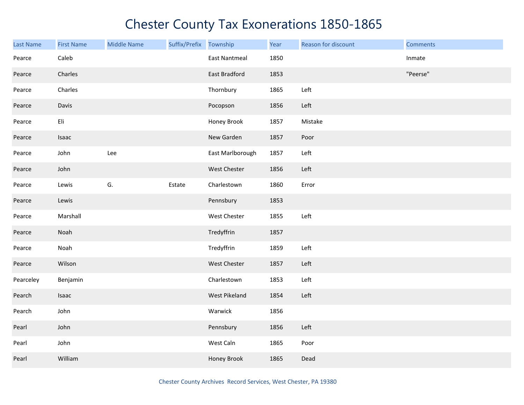| <b>Last Name</b> | <b>First Name</b> | <b>Middle Name</b> | Suffix/Prefix Township |                      | Year | Reason for discount | <b>Comments</b> |
|------------------|-------------------|--------------------|------------------------|----------------------|------|---------------------|-----------------|
| Pearce           | Caleb             |                    |                        | <b>East Nantmeal</b> | 1850 |                     | Inmate          |
| Pearce           | Charles           |                    |                        | <b>East Bradford</b> | 1853 |                     | "Peerse"        |
| Pearce           | Charles           |                    |                        | Thornbury            | 1865 | Left                |                 |
| Pearce           | Davis             |                    |                        | Pocopson             | 1856 | Left                |                 |
| Pearce           | Eli               |                    |                        | Honey Brook          | 1857 | Mistake             |                 |
| Pearce           | Isaac             |                    |                        | New Garden           | 1857 | Poor                |                 |
| Pearce           | John              | Lee                |                        | East Marlborough     | 1857 | Left                |                 |
| Pearce           | John              |                    |                        | West Chester         | 1856 | Left                |                 |
| Pearce           | Lewis             | G.                 | Estate                 | Charlestown          | 1860 | Error               |                 |
| Pearce           | Lewis             |                    |                        | Pennsbury            | 1853 |                     |                 |
| Pearce           | Marshall          |                    |                        | West Chester         | 1855 | Left                |                 |
| Pearce           | Noah              |                    |                        | Tredyffrin           | 1857 |                     |                 |
| Pearce           | Noah              |                    |                        | Tredyffrin           | 1859 | Left                |                 |
| Pearce           | Wilson            |                    |                        | West Chester         | 1857 | Left                |                 |
| Pearceley        | Benjamin          |                    |                        | Charlestown          | 1853 | Left                |                 |
| Pearch           | Isaac             |                    |                        | West Pikeland        | 1854 | Left                |                 |
| Pearch           | John              |                    |                        | Warwick              | 1856 |                     |                 |
| Pearl            | John              |                    |                        | Pennsbury            | 1856 | Left                |                 |
| Pearl            | John              |                    |                        | West Caln            | 1865 | Poor                |                 |
| Pearl            | William           |                    |                        | Honey Brook          | 1865 | Dead                |                 |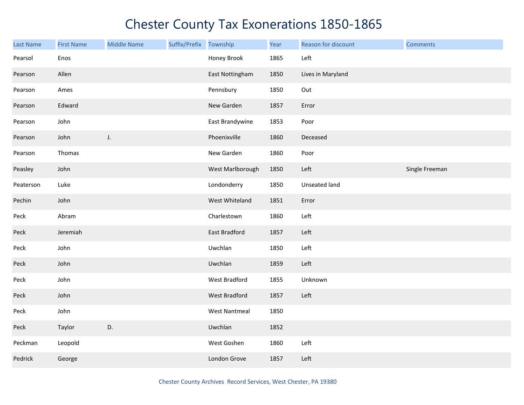| Last Name | <b>First Name</b> | <b>Middle Name</b> | Suffix/Prefix | Township             | Year | Reason for discount | <b>Comments</b> |
|-----------|-------------------|--------------------|---------------|----------------------|------|---------------------|-----------------|
| Pearsol   | Enos              |                    |               | Honey Brook          | 1865 | Left                |                 |
| Pearson   | Allen             |                    |               | East Nottingham      | 1850 | Lives in Maryland   |                 |
| Pearson   | Ames              |                    |               | Pennsbury            | 1850 | Out                 |                 |
| Pearson   | Edward            |                    |               | New Garden           | 1857 | Error               |                 |
| Pearson   | John              |                    |               | East Brandywine      | 1853 | Poor                |                 |
| Pearson   | John              | J.                 |               | Phoenixville         | 1860 | Deceased            |                 |
| Pearson   | Thomas            |                    |               | New Garden           | 1860 | Poor                |                 |
| Peasley   | John              |                    |               | West Marlborough     | 1850 | Left                | Single Freeman  |
| Peaterson | Luke              |                    |               | Londonderry          | 1850 | Unseated land       |                 |
| Pechin    | John              |                    |               | West Whiteland       | 1851 | Error               |                 |
| Peck      | Abram             |                    |               | Charlestown          | 1860 | Left                |                 |
| Peck      | Jeremiah          |                    |               | <b>East Bradford</b> | 1857 | Left                |                 |
| Peck      | John              |                    |               | Uwchlan              | 1850 | Left                |                 |
| Peck      | John              |                    |               | Uwchlan              | 1859 | Left                |                 |
| Peck      | John              |                    |               | West Bradford        | 1855 | Unknown             |                 |
| Peck      | John              |                    |               | West Bradford        | 1857 | Left                |                 |
| Peck      | John              |                    |               | <b>West Nantmeal</b> | 1850 |                     |                 |
| Peck      | Taylor            | D.                 |               | Uwchlan              | 1852 |                     |                 |
| Peckman   | Leopold           |                    |               | West Goshen          | 1860 | Left                |                 |
| Pedrick   | George            |                    |               | London Grove         | 1857 | Left                |                 |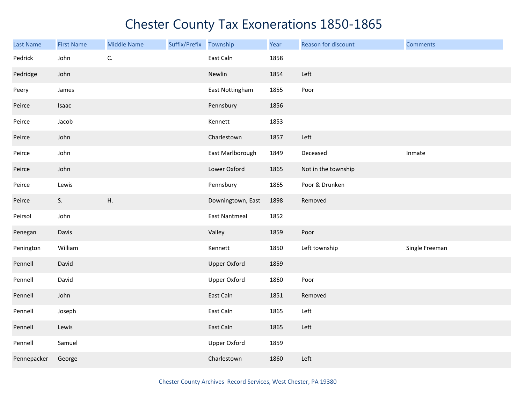| <b>Last Name</b> | <b>First Name</b> | <b>Middle Name</b> | Suffix/Prefix | Township            | Year | Reason for discount | <b>Comments</b> |
|------------------|-------------------|--------------------|---------------|---------------------|------|---------------------|-----------------|
| Pedrick          | John              | C.                 |               | East Caln           | 1858 |                     |                 |
| Pedridge         | John              |                    |               | Newlin              | 1854 | Left                |                 |
| Peery            | James             |                    |               | East Nottingham     | 1855 | Poor                |                 |
| Peirce           | Isaac             |                    |               | Pennsbury           | 1856 |                     |                 |
| Peirce           | Jacob             |                    |               | Kennett             | 1853 |                     |                 |
| Peirce           | John              |                    |               | Charlestown         | 1857 | Left                |                 |
| Peirce           | John              |                    |               | East Marlborough    | 1849 | Deceased            | Inmate          |
| Peirce           | John              |                    |               | Lower Oxford        | 1865 | Not in the township |                 |
| Peirce           | Lewis             |                    |               | Pennsbury           | 1865 | Poor & Drunken      |                 |
| Peirce           | S.                | Η.                 |               | Downingtown, East   | 1898 | Removed             |                 |
| Peirsol          | John              |                    |               | East Nantmeal       | 1852 |                     |                 |
| Penegan          | Davis             |                    |               | Valley              | 1859 | Poor                |                 |
| Penington        | William           |                    |               | Kennett             | 1850 | Left township       | Single Freeman  |
| Pennell          | David             |                    |               | <b>Upper Oxford</b> | 1859 |                     |                 |
| Pennell          | David             |                    |               | <b>Upper Oxford</b> | 1860 | Poor                |                 |
| Pennell          | John              |                    |               | East Caln           | 1851 | Removed             |                 |
| Pennell          | Joseph            |                    |               | East Caln           | 1865 | Left                |                 |
| Pennell          | Lewis             |                    |               | East Caln           | 1865 | Left                |                 |
| Pennell          | Samuel            |                    |               | <b>Upper Oxford</b> | 1859 |                     |                 |
| Pennepacker      | George            |                    |               | Charlestown         | 1860 | Left                |                 |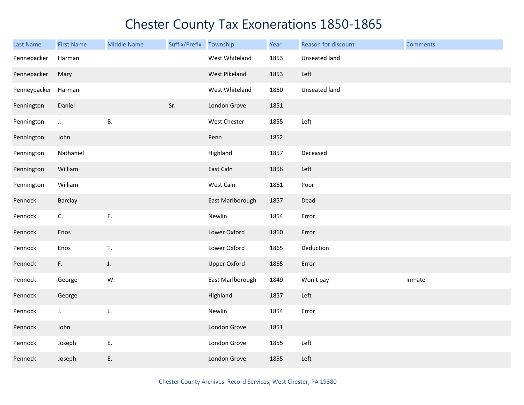| <b>Last Name</b> | <b>First Name</b> | <b>Middle Name</b> | Suffix/Prefix Township |                     | Year | Reason for discount | <b>Comments</b> |
|------------------|-------------------|--------------------|------------------------|---------------------|------|---------------------|-----------------|
| Pennepacker      | Harman            |                    |                        | West Whiteland      | 1853 | Unseated land       |                 |
| Pennepacker      | Mary              |                    |                        | West Pikeland       | 1853 | Left                |                 |
| Penneypacker     | Harman            |                    |                        | West Whiteland      | 1860 | Unseated land       |                 |
| Pennington       | Daniel            |                    | Sr.                    | London Grove        | 1851 |                     |                 |
| Pennington       | $\mathsf J.$      | <b>B.</b>          |                        | West Chester        | 1855 | Left                |                 |
| Pennington       | John              |                    |                        | Penn                | 1852 |                     |                 |
| Pennington       | Nathaniel         |                    |                        | Highland            | 1857 | Deceased            |                 |
| Pennington       | William           |                    |                        | East Caln           | 1856 | Left                |                 |
| Pennington       | William           |                    |                        | West Caln           | 1861 | Poor                |                 |
| Pennock          | Barclay           |                    |                        | East Marlborough    | 1857 | Dead                |                 |
| Pennock          | C.                | E.                 |                        | Newlin              | 1854 | Error               |                 |
| Pennock          | Enos              |                    |                        | Lower Oxford        | 1860 | Error               |                 |
| Pennock          | Enos              | T.                 |                        | Lower Oxford        | 1865 | Deduction           |                 |
| Pennock          | F.                | J.                 |                        | <b>Upper Oxford</b> | 1865 | Error               |                 |
| Pennock          | George            | W.                 |                        | East Marlborough    | 1849 | Won't pay           | Inmate          |
| Pennock          | George            |                    |                        | Highland            | 1857 | Left                |                 |
| Pennock          | J.                | L.                 |                        | Newlin              | 1854 | Error               |                 |
| Pennock          | John              |                    |                        | London Grove        | 1851 |                     |                 |
| Pennock          | Joseph            | E.                 |                        | London Grove        | 1855 | Left                |                 |
| Pennock          | Joseph            | E.                 |                        | London Grove        | 1855 | Left                |                 |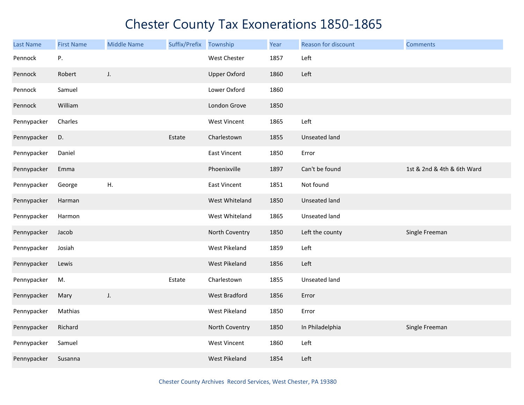| <b>Last Name</b> | <b>First Name</b> | <b>Middle Name</b> | Suffix/Prefix | Township             | Year | Reason for discount | <b>Comments</b>            |
|------------------|-------------------|--------------------|---------------|----------------------|------|---------------------|----------------------------|
| Pennock          | Ρ.                |                    |               | West Chester         | 1857 | Left                |                            |
| Pennock          | Robert            | J.                 |               | <b>Upper Oxford</b>  | 1860 | Left                |                            |
| Pennock          | Samuel            |                    |               | Lower Oxford         | 1860 |                     |                            |
| Pennock          | William           |                    |               | London Grove         | 1850 |                     |                            |
| Pennypacker      | Charles           |                    |               | <b>West Vincent</b>  | 1865 | Left                |                            |
| Pennypacker      | D.                |                    | Estate        | Charlestown          | 1855 | Unseated land       |                            |
| Pennypacker      | Daniel            |                    |               | <b>East Vincent</b>  | 1850 | Error               |                            |
| Pennypacker      | Emma              |                    |               | Phoenixville         | 1897 | Can't be found      | 1st & 2nd & 4th & 6th Ward |
| Pennypacker      | George            | Η.                 |               | East Vincent         | 1851 | Not found           |                            |
| Pennypacker      | Harman            |                    |               | West Whiteland       | 1850 | Unseated land       |                            |
| Pennypacker      | Harmon            |                    |               | West Whiteland       | 1865 | Unseated land       |                            |
| Pennypacker      | Jacob             |                    |               | North Coventry       | 1850 | Left the county     | Single Freeman             |
| Pennypacker      | Josiah            |                    |               | West Pikeland        | 1859 | Left                |                            |
| Pennypacker      | Lewis             |                    |               | West Pikeland        | 1856 | Left                |                            |
| Pennypacker      | M.                |                    | Estate        | Charlestown          | 1855 | Unseated land       |                            |
| Pennypacker      | Mary              | J.                 |               | <b>West Bradford</b> | 1856 | Error               |                            |
| Pennypacker      | Mathias           |                    |               | West Pikeland        | 1850 | Error               |                            |
| Pennypacker      | Richard           |                    |               | North Coventry       | 1850 | In Philadelphia     | Single Freeman             |
| Pennypacker      | Samuel            |                    |               | <b>West Vincent</b>  | 1860 | Left                |                            |
| Pennypacker      | Susanna           |                    |               | <b>West Pikeland</b> | 1854 | Left                |                            |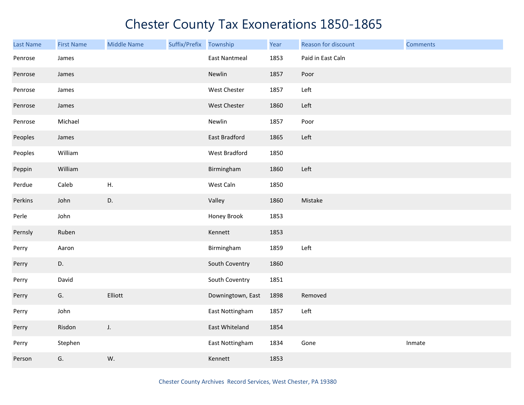| Last Name | <b>First Name</b> | <b>Middle Name</b> | Suffix/Prefix Township |                      | Year | Reason for discount | <b>Comments</b> |
|-----------|-------------------|--------------------|------------------------|----------------------|------|---------------------|-----------------|
| Penrose   | James             |                    |                        | <b>East Nantmeal</b> | 1853 | Paid in East Caln   |                 |
| Penrose   | James             |                    |                        | Newlin               | 1857 | Poor                |                 |
| Penrose   | James             |                    |                        | West Chester         | 1857 | Left                |                 |
| Penrose   | James             |                    |                        | West Chester         | 1860 | Left                |                 |
| Penrose   | Michael           |                    |                        | Newlin               | 1857 | Poor                |                 |
| Peoples   | James             |                    |                        | <b>East Bradford</b> | 1865 | Left                |                 |
| Peoples   | William           |                    |                        | West Bradford        | 1850 |                     |                 |
| Peppin    | William           |                    |                        | Birmingham           | 1860 | Left                |                 |
| Perdue    | Caleb             | Η.                 |                        | West Caln            | 1850 |                     |                 |
| Perkins   | John              | D.                 |                        | Valley               | 1860 | Mistake             |                 |
| Perle     | John              |                    |                        | Honey Brook          | 1853 |                     |                 |
| Pernsly   | Ruben             |                    |                        | Kennett              | 1853 |                     |                 |
| Perry     | Aaron             |                    |                        | Birmingham           | 1859 | Left                |                 |
| Perry     | D.                |                    |                        | South Coventry       | 1860 |                     |                 |
| Perry     | David             |                    |                        | South Coventry       | 1851 |                     |                 |
| Perry     | G.                | Elliott            |                        | Downingtown, East    | 1898 | Removed             |                 |
| Perry     | John              |                    |                        | East Nottingham      | 1857 | Left                |                 |
| Perry     | Risdon            | $J_{\star}$        |                        | East Whiteland       | 1854 |                     |                 |
| Perry     | Stephen           |                    |                        | East Nottingham      | 1834 | Gone                | Inmate          |
| Person    | G.                | W.                 |                        | Kennett              | 1853 |                     |                 |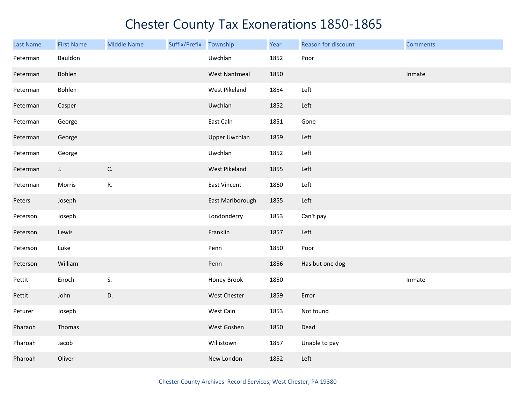| <b>Last Name</b> | <b>First Name</b> | <b>Middle Name</b> | Suffix/Prefix Township |                      | Year | Reason for discount | <b>Comments</b> |
|------------------|-------------------|--------------------|------------------------|----------------------|------|---------------------|-----------------|
| Peterman         | Bauldon           |                    |                        | Uwchlan              | 1852 | Poor                |                 |
| Peterman         | Bohlen            |                    |                        | <b>West Nantmeal</b> | 1850 |                     | Inmate          |
| Peterman         | Bohlen            |                    |                        | West Pikeland        | 1854 | Left                |                 |
| Peterman         | Casper            |                    |                        | Uwchlan              | 1852 | Left                |                 |
| Peterman         | George            |                    |                        | East Caln            | 1851 | Gone                |                 |
| Peterman         | George            |                    |                        | <b>Upper Uwchlan</b> | 1859 | Left                |                 |
| Peterman         | George            |                    |                        | Uwchlan              | 1852 | Left                |                 |
| Peterman         | $J_{\star}$       | C.                 |                        | West Pikeland        | 1855 | Left                |                 |
| Peterman         | Morris            | R.                 |                        | East Vincent         | 1860 | Left                |                 |
| Peters           | Joseph            |                    |                        | East Marlborough     | 1855 | Left                |                 |
| Peterson         | Joseph            |                    |                        | Londonderry          | 1853 | Can't pay           |                 |
| Peterson         | Lewis             |                    |                        | Franklin             | 1857 | Left                |                 |
| Peterson         | Luke              |                    |                        | Penn                 | 1850 | Poor                |                 |
| Peterson         | William           |                    |                        | Penn                 | 1856 | Has but one dog     |                 |
| Pettit           | Enoch             | S.                 |                        | Honey Brook          | 1850 |                     | Inmate          |
| Pettit           | John              | D.                 |                        | West Chester         | 1859 | Error               |                 |
| Peturer          | Joseph            |                    |                        | West Caln            | 1853 | Not found           |                 |
| Pharaoh          | Thomas            |                    |                        | West Goshen          | 1850 | Dead                |                 |
| Pharoah          | Jacob             |                    |                        | Willistown           | 1857 | Unable to pay       |                 |
| Pharoah          | Oliver            |                    |                        | New London           | 1852 | Left                |                 |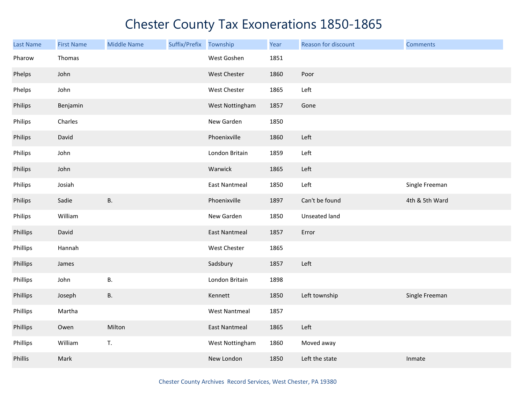| <b>Last Name</b> | <b>First Name</b> | <b>Middle Name</b> | Suffix/Prefix | Township             | Year | Reason for discount | <b>Comments</b> |
|------------------|-------------------|--------------------|---------------|----------------------|------|---------------------|-----------------|
| Pharow           | Thomas            |                    |               | West Goshen          | 1851 |                     |                 |
| Phelps           | John              |                    |               | West Chester         | 1860 | Poor                |                 |
| Phelps           | John              |                    |               | West Chester         | 1865 | Left                |                 |
| Philips          | Benjamin          |                    |               | West Nottingham      | 1857 | Gone                |                 |
| Philips          | Charles           |                    |               | New Garden           | 1850 |                     |                 |
| Philips          | David             |                    |               | Phoenixville         | 1860 | Left                |                 |
| Philips          | John              |                    |               | London Britain       | 1859 | Left                |                 |
| Philips          | John              |                    |               | Warwick              | 1865 | Left                |                 |
| Philips          | Josiah            |                    |               | <b>East Nantmeal</b> | 1850 | Left                | Single Freeman  |
| Philips          | Sadie             | <b>B.</b>          |               | Phoenixville         | 1897 | Can't be found      | 4th & 5th Ward  |
| Philips          | William           |                    |               | New Garden           | 1850 | Unseated land       |                 |
| Phillips         | David             |                    |               | <b>East Nantmeal</b> | 1857 | Error               |                 |
| Phillips         | Hannah            |                    |               | West Chester         | 1865 |                     |                 |
| Phillips         | James             |                    |               | Sadsbury             | 1857 | Left                |                 |
| Phillips         | John              | В.                 |               | London Britain       | 1898 |                     |                 |
| Phillips         | Joseph            | В.                 |               | Kennett              | 1850 | Left township       | Single Freeman  |
| Phillips         | Martha            |                    |               | <b>West Nantmeal</b> | 1857 |                     |                 |
| Phillips         | Owen              | Milton             |               | <b>East Nantmeal</b> | 1865 | Left                |                 |
| Phillips         | William           | T.                 |               | West Nottingham      | 1860 | Moved away          |                 |
| Phillis          | Mark              |                    |               | New London           | 1850 | Left the state      | Inmate          |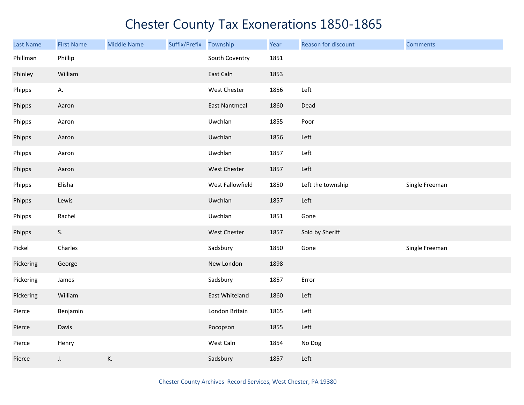| Last Name | <b>First Name</b> | <b>Middle Name</b> | Suffix/Prefix | Township             | Year | Reason for discount | <b>Comments</b> |
|-----------|-------------------|--------------------|---------------|----------------------|------|---------------------|-----------------|
| Phillman  | Phillip           |                    |               | South Coventry       | 1851 |                     |                 |
| Phinley   | William           |                    |               | East Caln            | 1853 |                     |                 |
| Phipps    | А.                |                    |               | West Chester         | 1856 | Left                |                 |
| Phipps    | Aaron             |                    |               | <b>East Nantmeal</b> | 1860 | Dead                |                 |
| Phipps    | Aaron             |                    |               | Uwchlan              | 1855 | Poor                |                 |
| Phipps    | Aaron             |                    |               | Uwchlan              | 1856 | Left                |                 |
| Phipps    | Aaron             |                    |               | Uwchlan              | 1857 | Left                |                 |
| Phipps    | Aaron             |                    |               | West Chester         | 1857 | Left                |                 |
| Phipps    | Elisha            |                    |               | West Fallowfield     | 1850 | Left the township   | Single Freeman  |
| Phipps    | Lewis             |                    |               | Uwchlan              | 1857 | Left                |                 |
| Phipps    | Rachel            |                    |               | Uwchlan              | 1851 | Gone                |                 |
| Phipps    | S.                |                    |               | West Chester         | 1857 | Sold by Sheriff     |                 |
| Pickel    | Charles           |                    |               | Sadsbury             | 1850 | Gone                | Single Freeman  |
| Pickering | George            |                    |               | New London           | 1898 |                     |                 |
| Pickering | James             |                    |               | Sadsbury             | 1857 | Error               |                 |
| Pickering | William           |                    |               | East Whiteland       | 1860 | Left                |                 |
| Pierce    | Benjamin          |                    |               | London Britain       | 1865 | Left                |                 |
| Pierce    | Davis             |                    |               | Pocopson             | 1855 | Left                |                 |
| Pierce    | Henry             |                    |               | West Caln            | 1854 | No Dog              |                 |
| Pierce    | J.                | K.                 |               | Sadsbury             | 1857 | Left                |                 |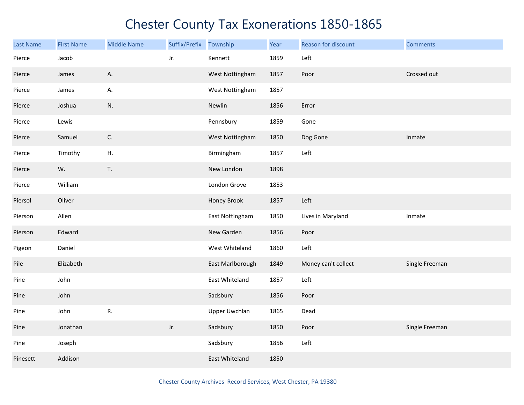| Last Name | <b>First Name</b> | <b>Middle Name</b> | Suffix/Prefix | Township         | Year | Reason for discount | <b>Comments</b> |
|-----------|-------------------|--------------------|---------------|------------------|------|---------------------|-----------------|
| Pierce    | Jacob             |                    | Jr.           | Kennett          | 1859 | Left                |                 |
| Pierce    | James             | А.                 |               | West Nottingham  | 1857 | Poor                | Crossed out     |
| Pierce    | James             | А.                 |               | West Nottingham  | 1857 |                     |                 |
| Pierce    | Joshua            | N.                 |               | Newlin           | 1856 | Error               |                 |
| Pierce    | Lewis             |                    |               | Pennsbury        | 1859 | Gone                |                 |
| Pierce    | Samuel            | C.                 |               | West Nottingham  | 1850 | Dog Gone            | Inmate          |
| Pierce    | Timothy           | ${\sf H}.$         |               | Birmingham       | 1857 | Left                |                 |
| Pierce    | W.                | T.                 |               | New London       | 1898 |                     |                 |
| Pierce    | William           |                    |               | London Grove     | 1853 |                     |                 |
| Piersol   | Oliver            |                    |               | Honey Brook      | 1857 | Left                |                 |
| Pierson   | Allen             |                    |               | East Nottingham  | 1850 | Lives in Maryland   | Inmate          |
| Pierson   | Edward            |                    |               | New Garden       | 1856 | Poor                |                 |
| Pigeon    | Daniel            |                    |               | West Whiteland   | 1860 | Left                |                 |
| Pile      | Elizabeth         |                    |               | East Marlborough | 1849 | Money can't collect | Single Freeman  |
| Pine      | John              |                    |               | East Whiteland   | 1857 | Left                |                 |
| Pine      | John              |                    |               | Sadsbury         | 1856 | Poor                |                 |
| Pine      | John              | ${\sf R}.$         |               | Upper Uwchlan    | 1865 | Dead                |                 |
| Pine      | Jonathan          |                    | Jr.           | Sadsbury         | 1850 | Poor                | Single Freeman  |
| Pine      | Joseph            |                    |               | Sadsbury         | 1856 | Left                |                 |
| Pinesett  | Addison           |                    |               | East Whiteland   | 1850 |                     |                 |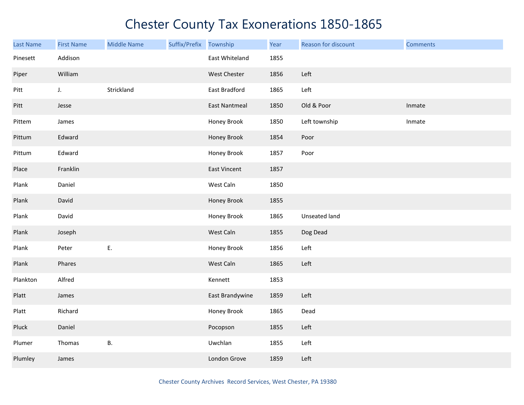| Last Name | <b>First Name</b> | <b>Middle Name</b> | Suffix/Prefix Township |                      | Year | Reason for discount | <b>Comments</b> |
|-----------|-------------------|--------------------|------------------------|----------------------|------|---------------------|-----------------|
| Pinesett  | Addison           |                    |                        | East Whiteland       | 1855 |                     |                 |
| Piper     | William           |                    |                        | West Chester         | 1856 | Left                |                 |
| Pitt      | J.                | Strickland         |                        | East Bradford        | 1865 | Left                |                 |
| Pitt      | Jesse             |                    |                        | <b>East Nantmeal</b> | 1850 | Old & Poor          | Inmate          |
| Pittem    | James             |                    |                        | Honey Brook          | 1850 | Left township       | Inmate          |
| Pittum    | Edward            |                    |                        | Honey Brook          | 1854 | Poor                |                 |
| Pittum    | Edward            |                    |                        | Honey Brook          | 1857 | Poor                |                 |
| Place     | Franklin          |                    |                        | East Vincent         | 1857 |                     |                 |
| Plank     | Daniel            |                    |                        | West Caln            | 1850 |                     |                 |
| Plank     | David             |                    |                        | Honey Brook          | 1855 |                     |                 |
| Plank     | David             |                    |                        | Honey Brook          | 1865 | Unseated land       |                 |
| Plank     | Joseph            |                    |                        | West Caln            | 1855 | Dog Dead            |                 |
| Plank     | Peter             | Ε.                 |                        | Honey Brook          | 1856 | Left                |                 |
| Plank     | Phares            |                    |                        | West Caln            | 1865 | Left                |                 |
| Plankton  | Alfred            |                    |                        | Kennett              | 1853 |                     |                 |
| Platt     | James             |                    |                        | East Brandywine      | 1859 | Left                |                 |
| Platt     | Richard           |                    |                        | Honey Brook          | 1865 | Dead                |                 |
| Pluck     | Daniel            |                    |                        | Pocopson             | 1855 | Left                |                 |
| Plumer    | Thomas            | В.                 |                        | Uwchlan              | 1855 | Left                |                 |
| Plumley   | James             |                    |                        | London Grove         | 1859 | Left                |                 |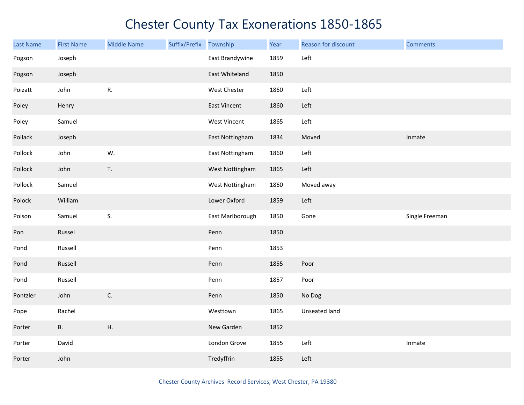| Last Name | <b>First Name</b> | <b>Middle Name</b> | Suffix/Prefix | Township            | Year | Reason for discount | <b>Comments</b> |
|-----------|-------------------|--------------------|---------------|---------------------|------|---------------------|-----------------|
| Pogson    | Joseph            |                    |               | East Brandywine     | 1859 | Left                |                 |
| Pogson    | Joseph            |                    |               | East Whiteland      | 1850 |                     |                 |
| Poizatt   | John              | R.                 |               | West Chester        | 1860 | Left                |                 |
| Poley     | Henry             |                    |               | <b>East Vincent</b> | 1860 | Left                |                 |
| Poley     | Samuel            |                    |               | West Vincent        | 1865 | Left                |                 |
| Pollack   | Joseph            |                    |               | East Nottingham     | 1834 | Moved               | Inmate          |
| Pollock   | John              | W.                 |               | East Nottingham     | 1860 | Left                |                 |
| Pollock   | John              | T.                 |               | West Nottingham     | 1865 | Left                |                 |
| Pollock   | Samuel            |                    |               | West Nottingham     | 1860 | Moved away          |                 |
| Polock    | William           |                    |               | Lower Oxford        | 1859 | Left                |                 |
| Polson    | Samuel            | S.                 |               | East Marlborough    | 1850 | Gone                | Single Freeman  |
| Pon       | Russel            |                    |               | Penn                | 1850 |                     |                 |
| Pond      | Russell           |                    |               | Penn                | 1853 |                     |                 |
| Pond      | Russell           |                    |               | Penn                | 1855 | Poor                |                 |
| Pond      | Russell           |                    |               | Penn                | 1857 | Poor                |                 |
| Pontzler  | John              | C.                 |               | Penn                | 1850 | No Dog              |                 |
| Pope      | Rachel            |                    |               | Westtown            | 1865 | Unseated land       |                 |
| Porter    | <b>B.</b>         | Η.                 |               | New Garden          | 1852 |                     |                 |
| Porter    | David             |                    |               | London Grove        | 1855 | Left                | Inmate          |
| Porter    | John              |                    |               | Tredyffrin          | 1855 | Left                |                 |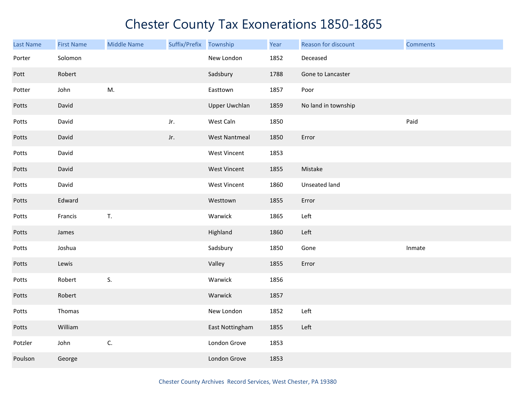| <b>Last Name</b> | <b>First Name</b> | <b>Middle Name</b> | Suffix/Prefix Township |                      | Year | Reason for discount | <b>Comments</b> |
|------------------|-------------------|--------------------|------------------------|----------------------|------|---------------------|-----------------|
| Porter           | Solomon           |                    |                        | New London           | 1852 | Deceased            |                 |
| Pott             | Robert            |                    |                        | Sadsbury             | 1788 | Gone to Lancaster   |                 |
| Potter           | John              | M.                 |                        | Easttown             | 1857 | Poor                |                 |
| Potts            | David             |                    |                        | <b>Upper Uwchlan</b> | 1859 | No land in township |                 |
| Potts            | David             |                    | Jr.                    | West Caln            | 1850 |                     | Paid            |
| Potts            | David             |                    | Jr.                    | <b>West Nantmeal</b> | 1850 | Error               |                 |
| Potts            | David             |                    |                        | <b>West Vincent</b>  | 1853 |                     |                 |
| Potts            | David             |                    |                        | <b>West Vincent</b>  | 1855 | Mistake             |                 |
| Potts            | David             |                    |                        | West Vincent         | 1860 | Unseated land       |                 |
| Potts            | Edward            |                    |                        | Westtown             | 1855 | Error               |                 |
| Potts            | Francis           | $\mathsf T.$       |                        | Warwick              | 1865 | Left                |                 |
| Potts            | James             |                    |                        | Highland             | 1860 | Left                |                 |
| Potts            | Joshua            |                    |                        | Sadsbury             | 1850 | Gone                | Inmate          |
| Potts            | Lewis             |                    |                        | Valley               | 1855 | Error               |                 |
| Potts            | Robert            | S.                 |                        | Warwick              | 1856 |                     |                 |
| Potts            | Robert            |                    |                        | Warwick              | 1857 |                     |                 |
| Potts            | Thomas            |                    |                        | New London           | 1852 | Left                |                 |
| Potts            | William           |                    |                        | East Nottingham      | 1855 | Left                |                 |
| Potzler          | John              | C.                 |                        | London Grove         | 1853 |                     |                 |
| Poulson          | George            |                    |                        | London Grove         | 1853 |                     |                 |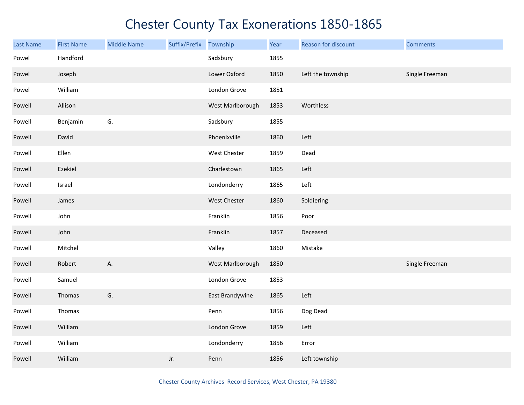| Last Name | <b>First Name</b> | <b>Middle Name</b> | Suffix/Prefix | Township         | Year | Reason for discount | <b>Comments</b> |
|-----------|-------------------|--------------------|---------------|------------------|------|---------------------|-----------------|
| Powel     | Handford          |                    |               | Sadsbury         | 1855 |                     |                 |
| Powel     | Joseph            |                    |               | Lower Oxford     | 1850 | Left the township   | Single Freeman  |
| Powel     | William           |                    |               | London Grove     | 1851 |                     |                 |
| Powell    | Allison           |                    |               | West Marlborough | 1853 | Worthless           |                 |
| Powell    | Benjamin          | G.                 |               | Sadsbury         | 1855 |                     |                 |
| Powell    | David             |                    |               | Phoenixville     | 1860 | Left                |                 |
| Powell    | Ellen             |                    |               | West Chester     | 1859 | Dead                |                 |
| Powell    | Ezekiel           |                    |               | Charlestown      | 1865 | Left                |                 |
| Powell    | Israel            |                    |               | Londonderry      | 1865 | Left                |                 |
| Powell    | James             |                    |               | West Chester     | 1860 | Soldiering          |                 |
| Powell    | John              |                    |               | Franklin         | 1856 | Poor                |                 |
| Powell    | John              |                    |               | Franklin         | 1857 | Deceased            |                 |
| Powell    | Mitchel           |                    |               | Valley           | 1860 | Mistake             |                 |
| Powell    | Robert            | Α.                 |               | West Marlborough | 1850 |                     | Single Freeman  |
| Powell    | Samuel            |                    |               | London Grove     | 1853 |                     |                 |
| Powell    | Thomas            | G.                 |               | East Brandywine  | 1865 | Left                |                 |
| Powell    | Thomas            |                    |               | Penn             | 1856 | Dog Dead            |                 |
| Powell    | William           |                    |               | London Grove     | 1859 | Left                |                 |
| Powell    | William           |                    |               | Londonderry      | 1856 | Error               |                 |
| Powell    | William           |                    | Jr.           | Penn             | 1856 | Left township       |                 |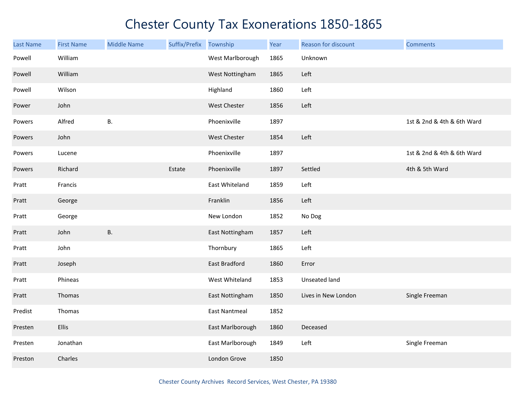| <b>Last Name</b> | <b>First Name</b> | <b>Middle Name</b> | Suffix/Prefix | Township             | Year | Reason for discount | <b>Comments</b>            |
|------------------|-------------------|--------------------|---------------|----------------------|------|---------------------|----------------------------|
| Powell           | William           |                    |               | West Marlborough     | 1865 | Unknown             |                            |
| Powell           | William           |                    |               | West Nottingham      | 1865 | Left                |                            |
| Powell           | Wilson            |                    |               | Highland             | 1860 | Left                |                            |
| Power            | John              |                    |               | <b>West Chester</b>  | 1856 | Left                |                            |
| Powers           | Alfred            | Β.                 |               | Phoenixville         | 1897 |                     | 1st & 2nd & 4th & 6th Ward |
| Powers           | John              |                    |               | West Chester         | 1854 | Left                |                            |
| Powers           | Lucene            |                    |               | Phoenixville         | 1897 |                     | 1st & 2nd & 4th & 6th Ward |
| Powers           | Richard           |                    | Estate        | Phoenixville         | 1897 | Settled             | 4th & 5th Ward             |
| Pratt            | Francis           |                    |               | East Whiteland       | 1859 | Left                |                            |
| Pratt            | George            |                    |               | Franklin             | 1856 | Left                |                            |
| Pratt            | George            |                    |               | New London           | 1852 | No Dog              |                            |
| Pratt            | John              | <b>B.</b>          |               | East Nottingham      | 1857 | Left                |                            |
| Pratt            | John              |                    |               | Thornbury            | 1865 | Left                |                            |
| Pratt            | Joseph            |                    |               | East Bradford        | 1860 | Error               |                            |
| Pratt            | Phineas           |                    |               | West Whiteland       | 1853 | Unseated land       |                            |
| Pratt            | Thomas            |                    |               | East Nottingham      | 1850 | Lives in New London | Single Freeman             |
| Predist          | Thomas            |                    |               | <b>East Nantmeal</b> | 1852 |                     |                            |
| Presten          | <b>Ellis</b>      |                    |               | East Marlborough     | 1860 | Deceased            |                            |
| Presten          | Jonathan          |                    |               | East Marlborough     | 1849 | Left                | Single Freeman             |
| Preston          | Charles           |                    |               | London Grove         | 1850 |                     |                            |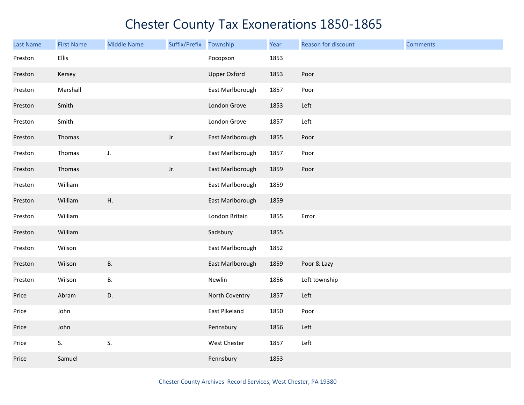| Last Name | <b>First Name</b> | <b>Middle Name</b> | Suffix/Prefix | Township            | Year | Reason for discount | <b>Comments</b> |
|-----------|-------------------|--------------------|---------------|---------------------|------|---------------------|-----------------|
| Preston   | Ellis             |                    |               | Pocopson            | 1853 |                     |                 |
| Preston   | Kersey            |                    |               | <b>Upper Oxford</b> | 1853 | Poor                |                 |
| Preston   | Marshall          |                    |               | East Marlborough    | 1857 | Poor                |                 |
| Preston   | Smith             |                    |               | London Grove        | 1853 | Left                |                 |
| Preston   | Smith             |                    |               | London Grove        | 1857 | Left                |                 |
| Preston   | Thomas            |                    | Jr.           | East Marlborough    | 1855 | Poor                |                 |
| Preston   | Thomas            | J.                 |               | East Marlborough    | 1857 | Poor                |                 |
| Preston   | Thomas            |                    | Jr.           | East Marlborough    | 1859 | Poor                |                 |
| Preston   | William           |                    |               | East Marlborough    | 1859 |                     |                 |
| Preston   | William           | Η.                 |               | East Marlborough    | 1859 |                     |                 |
| Preston   | William           |                    |               | London Britain      | 1855 | Error               |                 |
| Preston   | William           |                    |               | Sadsbury            | 1855 |                     |                 |
| Preston   | Wilson            |                    |               | East Marlborough    | 1852 |                     |                 |
| Preston   | Wilson            | <b>B.</b>          |               | East Marlborough    | 1859 | Poor & Lazy         |                 |
| Preston   | Wilson            | В.                 |               | Newlin              | 1856 | Left township       |                 |
| Price     | Abram             | D.                 |               | North Coventry      | 1857 | Left                |                 |
| Price     | John              |                    |               | East Pikeland       | 1850 | Poor                |                 |
| Price     | John              |                    |               | Pennsbury           | 1856 | Left                |                 |
| Price     | S.                | S.                 |               | West Chester        | 1857 | Left                |                 |
| Price     | Samuel            |                    |               | Pennsbury           | 1853 |                     |                 |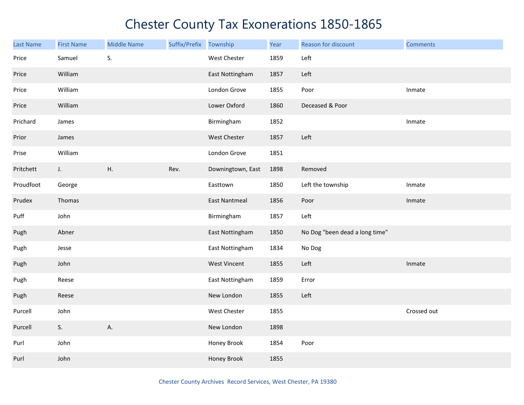| Last Name | <b>First Name</b> | <b>Middle Name</b> | Suffix/Prefix Township |                      | Year | Reason for discount            | <b>Comments</b> |
|-----------|-------------------|--------------------|------------------------|----------------------|------|--------------------------------|-----------------|
| Price     | Samuel            | S.                 |                        | West Chester         | 1859 | Left                           |                 |
| Price     | William           |                    |                        | East Nottingham      | 1857 | Left                           |                 |
| Price     | William           |                    |                        | London Grove         | 1855 | Poor                           | Inmate          |
| Price     | William           |                    |                        | Lower Oxford         | 1860 | Deceased & Poor                |                 |
| Prichard  | James             |                    |                        | Birmingham           | 1852 |                                | Inmate          |
| Prior     | James             |                    |                        | West Chester         | 1857 | Left                           |                 |
| Prise     | William           |                    |                        | London Grove         | 1851 |                                |                 |
| Pritchett | J.                | Η.                 | Rev.                   | Downingtown, East    | 1898 | Removed                        |                 |
| Proudfoot | George            |                    |                        | Easttown             | 1850 | Left the township              | Inmate          |
| Prudex    | Thomas            |                    |                        | <b>East Nantmeal</b> | 1856 | Poor                           | Inmate          |
| Puff      | John              |                    |                        | Birmingham           | 1857 | Left                           |                 |
| Pugh      | Abner             |                    |                        | East Nottingham      | 1850 | No Dog "been dead a long time" |                 |
| Pugh      | Jesse             |                    |                        | East Nottingham      | 1834 | No Dog                         |                 |
| Pugh      | John              |                    |                        | <b>West Vincent</b>  | 1855 | Left                           | Inmate          |
| Pugh      | Reese             |                    |                        | East Nottingham      | 1859 | Error                          |                 |
| Pugh      | Reese             |                    |                        | New London           | 1855 | Left                           |                 |
| Purcell   | John              |                    |                        | West Chester         | 1855 |                                | Crossed out     |
| Purcell   | S.                | А.                 |                        | New London           | 1898 |                                |                 |
| Purl      | John              |                    |                        | Honey Brook          | 1854 | Poor                           |                 |
| Purl      | John              |                    |                        | Honey Brook          | 1855 |                                |                 |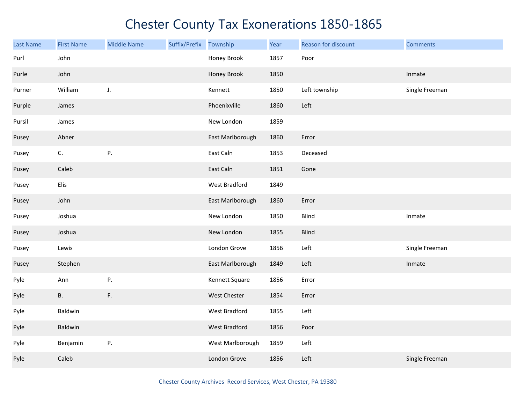| <b>Last Name</b> | <b>First Name</b> | <b>Middle Name</b> | Suffix/Prefix | Township         | Year | Reason for discount | <b>Comments</b> |
|------------------|-------------------|--------------------|---------------|------------------|------|---------------------|-----------------|
| Purl             | John              |                    |               | Honey Brook      | 1857 | Poor                |                 |
| Purle            | John              |                    |               | Honey Brook      | 1850 |                     | Inmate          |
| Purner           | William           | J.                 |               | Kennett          | 1850 | Left township       | Single Freeman  |
| Purple           | James             |                    |               | Phoenixville     | 1860 | Left                |                 |
| Pursil           | James             |                    |               | New London       | 1859 |                     |                 |
| Pusey            | Abner             |                    |               | East Marlborough | 1860 | Error               |                 |
| Pusey            | C.                | Ρ.                 |               | East Caln        | 1853 | Deceased            |                 |
| Pusey            | Caleb             |                    |               | East Caln        | 1851 | Gone                |                 |
| Pusey            | Elis              |                    |               | West Bradford    | 1849 |                     |                 |
| Pusey            | John              |                    |               | East Marlborough | 1860 | Error               |                 |
| Pusey            | Joshua            |                    |               | New London       | 1850 | Blind               | Inmate          |
| Pusey            | Joshua            |                    |               | New London       | 1855 | <b>Blind</b>        |                 |
| Pusey            | Lewis             |                    |               | London Grove     | 1856 | Left                | Single Freeman  |
| Pusey            | Stephen           |                    |               | East Marlborough | 1849 | Left                | Inmate          |
| Pyle             | Ann               | Ρ.                 |               | Kennett Square   | 1856 | Error               |                 |
| Pyle             | <b>B.</b>         | F.                 |               | West Chester     | 1854 | Error               |                 |
| Pyle             | Baldwin           |                    |               | West Bradford    | 1855 | Left                |                 |
| Pyle             | Baldwin           |                    |               | West Bradford    | 1856 | Poor                |                 |
| Pyle             | Benjamin          | Ρ.                 |               | West Marlborough | 1859 | Left                |                 |
| Pyle             | Caleb             |                    |               | London Grove     | 1856 | Left                | Single Freeman  |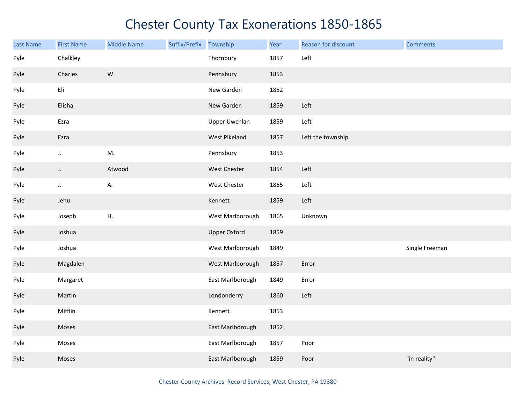| <b>Last Name</b> | <b>First Name</b> | <b>Middle Name</b> | Suffix/Prefix | Township            | Year | Reason for discount | <b>Comments</b> |
|------------------|-------------------|--------------------|---------------|---------------------|------|---------------------|-----------------|
| Pyle             | Chalkley          |                    |               | Thornbury           | 1857 | Left                |                 |
| Pyle             | Charles           | W.                 |               | Pennsbury           | 1853 |                     |                 |
| Pyle             | Eli               |                    |               | New Garden          | 1852 |                     |                 |
| Pyle             | Elisha            |                    |               | New Garden          | 1859 | Left                |                 |
| Pyle             | Ezra              |                    |               | Upper Uwchlan       | 1859 | Left                |                 |
| Pyle             | Ezra              |                    |               | West Pikeland       | 1857 | Left the township   |                 |
| Pyle             | J.                | M.                 |               | Pennsbury           | 1853 |                     |                 |
| Pyle             | J.                | Atwood             |               | West Chester        | 1854 | Left                |                 |
| Pyle             | $\mathsf J.$      | А.                 |               | West Chester        | 1865 | Left                |                 |
| Pyle             | Jehu              |                    |               | Kennett             | 1859 | Left                |                 |
| Pyle             | Joseph            | Η.                 |               | West Marlborough    | 1865 | Unknown             |                 |
| Pyle             | Joshua            |                    |               | <b>Upper Oxford</b> | 1859 |                     |                 |
| Pyle             | Joshua            |                    |               | West Marlborough    | 1849 |                     | Single Freeman  |
| Pyle             | Magdalen          |                    |               | West Marlborough    | 1857 | Error               |                 |
| Pyle             | Margaret          |                    |               | East Marlborough    | 1849 | Error               |                 |
| Pyle             | Martin            |                    |               | Londonderry         | 1860 | Left                |                 |
| Pyle             | Mifflin           |                    |               | Kennett             | 1853 |                     |                 |
| Pyle             | Moses             |                    |               | East Marlborough    | 1852 |                     |                 |
| Pyle             | Moses             |                    |               | East Marlborough    | 1857 | Poor                |                 |
| Pyle             | Moses             |                    |               | East Marlborough    | 1859 | Poor                | "in reality"    |